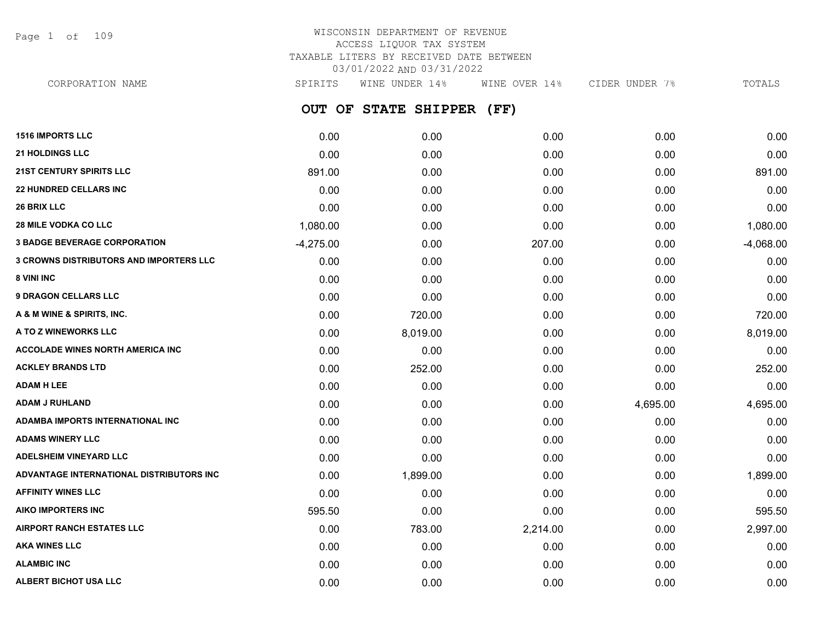Page 1 of 109

## WISCONSIN DEPARTMENT OF REVENUE ACCESS LIQUOR TAX SYSTEM TAXABLE LITERS BY RECEIVED DATE BETWEEN 03/01/2022 AND 03/31/2022

**OUT OF STATE SHIPPER (FF) 1516 IMPORTS LLC** 0.00 0.00 0.00 0.00 0.00 **21 HOLDINGS LLC** 0.00 0.00 0.00 0.00 0.00 **21ST CENTURY SPIRITS LLC** 891.00 0.00 0.00 0.00 891.00 **22 HUNDRED CELLARS INC** 0.00 0.00 0.00 0.00 0.00 **26 BRIX LLC** 0.00 0.00 0.00 0.00 0.00 **28 MILE VODKA CO LLC** 1,080.00 0.00 0.00 0.00 1,080.00 **3 BADGE BEVERAGE CORPORATION**  $-4.275.00$   $0.00$   $207.00$   $0.00$   $0.00$   $-4.068.00$ **3 CROWNS DISTRIBUTORS AND IMPORTERS LLC** 0.00 0.00 0.00 0.00 0.00 **8 VINI INC** 0.00 0.00 0.00 0.00 0.00 **9 DRAGON CELLARS LLC** 0.00 0.00 0.00 0.00 0.00 **A & M WINE & SPIRITS, INC.** 0.00 720.00 0.00 0.00 720.00 **A TO Z WINEWORKS LLC** 0.00 8,019.00 0.00 0.00 8,019.00 **ACCOLADE WINES NORTH AMERICA INC** 0.00 0.00 0.00 0.00 0.00 **ACKLEY BRANDS LTD** 0.00 252.00 0.00 0.00 252.00 **ADAM H LEE** 0.00 0.00 0.00 0.00 0.00 **ADAM J RUHLAND** 0.00 0.00 0.00 4,695.00 4,695.00 **ADAMBA IMPORTS INTERNATIONAL INC** 0.00 0.00 0.00 0.00 0.00 **ADAMS WINERY LLC** 0.00 0.00 0.00 0.00 0.00 **ADELSHEIM VINEYARD LLC** 0.00 0.00 0.00 0.00 0.00 **ADVANTAGE INTERNATIONAL DISTRIBUTORS INC** 0.00 1,899.00 0.00 0.00 1,899.00 **AFFINITY WINES LLC** 0.00 0.00 0.00 0.00 0.00 **AIKO IMPORTERS INC** 595.50 0.00 0.00 0.00 595.50 **AIRPORT RANCH ESTATES LLC** 0.00 783.00 2,214.00 0.00 2,997.00 **AKA WINES LLC** 0.00 0.00 0.00 0.00 0.00 **ALAMBIC INC** 0.00 0.00 0.00 0.00 0.00 CORPORATION NAME SPIRITS WINE UNDER 14% WINE OVER 14% CIDER UNDER 7% TOTALS

**ALBERT BICHOT USA LLC** 0.00 0.00 0.00 0.00 0.00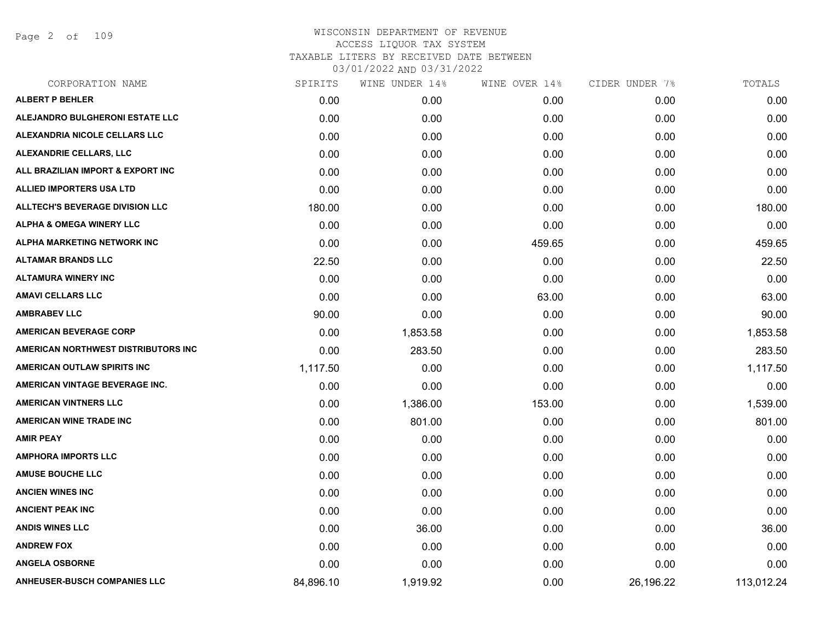Page 2 of 109

| CORPORATION NAME                       | SPIRITS   | WINE UNDER 14% | WINE OVER 14% | CIDER UNDER 7% | TOTALS     |
|----------------------------------------|-----------|----------------|---------------|----------------|------------|
| <b>ALBERT P BEHLER</b>                 | 0.00      | 0.00           | 0.00          | 0.00           | 0.00       |
| ALEJANDRO BULGHERONI ESTATE LLC        | 0.00      | 0.00           | 0.00          | 0.00           | 0.00       |
| ALEXANDRIA NICOLE CELLARS LLC          | 0.00      | 0.00           | 0.00          | 0.00           | 0.00       |
| ALEXANDRIE CELLARS, LLC                | 0.00      | 0.00           | 0.00          | 0.00           | 0.00       |
| ALL BRAZILIAN IMPORT & EXPORT INC      | 0.00      | 0.00           | 0.00          | 0.00           | 0.00       |
| <b>ALLIED IMPORTERS USA LTD</b>        | 0.00      | 0.00           | 0.00          | 0.00           | 0.00       |
| <b>ALLTECH'S BEVERAGE DIVISION LLC</b> | 180.00    | 0.00           | 0.00          | 0.00           | 180.00     |
| <b>ALPHA &amp; OMEGA WINERY LLC</b>    | 0.00      | 0.00           | 0.00          | 0.00           | 0.00       |
| ALPHA MARKETING NETWORK INC            | 0.00      | 0.00           | 459.65        | 0.00           | 459.65     |
| <b>ALTAMAR BRANDS LLC</b>              | 22.50     | 0.00           | 0.00          | 0.00           | 22.50      |
| <b>ALTAMURA WINERY INC</b>             | 0.00      | 0.00           | 0.00          | 0.00           | 0.00       |
| <b>AMAVI CELLARS LLC</b>               | 0.00      | 0.00           | 63.00         | 0.00           | 63.00      |
| <b>AMBRABEV LLC</b>                    | 90.00     | 0.00           | 0.00          | 0.00           | 90.00      |
| <b>AMERICAN BEVERAGE CORP</b>          | 0.00      | 1,853.58       | 0.00          | 0.00           | 1,853.58   |
| AMERICAN NORTHWEST DISTRIBUTORS INC    | 0.00      | 283.50         | 0.00          | 0.00           | 283.50     |
| AMERICAN OUTLAW SPIRITS INC            | 1,117.50  | 0.00           | 0.00          | 0.00           | 1,117.50   |
| AMERICAN VINTAGE BEVERAGE INC.         | 0.00      | 0.00           | 0.00          | 0.00           | 0.00       |
| <b>AMERICAN VINTNERS LLC</b>           | 0.00      | 1,386.00       | 153.00        | 0.00           | 1,539.00   |
| <b>AMERICAN WINE TRADE INC</b>         | 0.00      | 801.00         | 0.00          | 0.00           | 801.00     |
| <b>AMIR PEAY</b>                       | 0.00      | 0.00           | 0.00          | 0.00           | 0.00       |
| <b>AMPHORA IMPORTS LLC</b>             | 0.00      | 0.00           | 0.00          | 0.00           | 0.00       |
| <b>AMUSE BOUCHE LLC</b>                | 0.00      | 0.00           | 0.00          | 0.00           | 0.00       |
| <b>ANCIEN WINES INC</b>                | 0.00      | 0.00           | 0.00          | 0.00           | 0.00       |
| <b>ANCIENT PEAK INC</b>                | 0.00      | 0.00           | 0.00          | 0.00           | 0.00       |
| <b>ANDIS WINES LLC</b>                 | 0.00      | 36.00          | 0.00          | 0.00           | 36.00      |
| <b>ANDREW FOX</b>                      | 0.00      | 0.00           | 0.00          | 0.00           | 0.00       |
| <b>ANGELA OSBORNE</b>                  | 0.00      | 0.00           | 0.00          | 0.00           | 0.00       |
| <b>ANHEUSER-BUSCH COMPANIES LLC</b>    | 84,896.10 | 1,919.92       | 0.00          | 26,196.22      | 113,012.24 |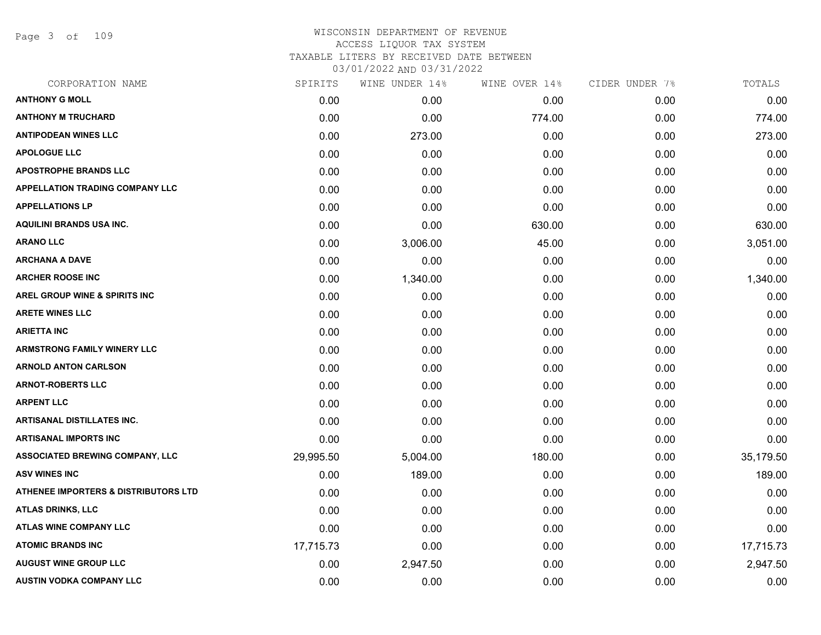Page 3 of 109

| CORPORATION NAME                                | SPIRITS   | WINE UNDER 14% | WINE OVER 14% | CIDER UNDER 7% | TOTALS    |
|-------------------------------------------------|-----------|----------------|---------------|----------------|-----------|
| <b>ANTHONY G MOLL</b>                           | 0.00      | 0.00           | 0.00          | 0.00           | 0.00      |
| <b>ANTHONY M TRUCHARD</b>                       | 0.00      | 0.00           | 774.00        | 0.00           | 774.00    |
| <b>ANTIPODEAN WINES LLC</b>                     | 0.00      | 273.00         | 0.00          | 0.00           | 273.00    |
| <b>APOLOGUE LLC</b>                             | 0.00      | 0.00           | 0.00          | 0.00           | 0.00      |
| <b>APOSTROPHE BRANDS LLC</b>                    | 0.00      | 0.00           | 0.00          | 0.00           | 0.00      |
| <b>APPELLATION TRADING COMPANY LLC</b>          | 0.00      | 0.00           | 0.00          | 0.00           | 0.00      |
| <b>APPELLATIONS LP</b>                          | 0.00      | 0.00           | 0.00          | 0.00           | 0.00      |
| <b>AQUILINI BRANDS USA INC.</b>                 | 0.00      | 0.00           | 630.00        | 0.00           | 630.00    |
| <b>ARANO LLC</b>                                | 0.00      | 3,006.00       | 45.00         | 0.00           | 3,051.00  |
| <b>ARCHANA A DAVE</b>                           | 0.00      | 0.00           | 0.00          | 0.00           | 0.00      |
| <b>ARCHER ROOSE INC</b>                         | 0.00      | 1,340.00       | 0.00          | 0.00           | 1,340.00  |
| <b>AREL GROUP WINE &amp; SPIRITS INC</b>        | 0.00      | 0.00           | 0.00          | 0.00           | 0.00      |
| <b>ARETE WINES LLC</b>                          | 0.00      | 0.00           | 0.00          | 0.00           | 0.00      |
| <b>ARIETTA INC</b>                              | 0.00      | 0.00           | 0.00          | 0.00           | 0.00      |
| <b>ARMSTRONG FAMILY WINERY LLC</b>              | 0.00      | 0.00           | 0.00          | 0.00           | 0.00      |
| <b>ARNOLD ANTON CARLSON</b>                     | 0.00      | 0.00           | 0.00          | 0.00           | 0.00      |
| <b>ARNOT-ROBERTS LLC</b>                        | 0.00      | 0.00           | 0.00          | 0.00           | 0.00      |
| <b>ARPENT LLC</b>                               | 0.00      | 0.00           | 0.00          | 0.00           | 0.00      |
| <b>ARTISANAL DISTILLATES INC.</b>               | 0.00      | 0.00           | 0.00          | 0.00           | 0.00      |
| <b>ARTISANAL IMPORTS INC</b>                    | 0.00      | 0.00           | 0.00          | 0.00           | 0.00      |
| <b>ASSOCIATED BREWING COMPANY, LLC</b>          | 29,995.50 | 5,004.00       | 180.00        | 0.00           | 35,179.50 |
| <b>ASV WINES INC</b>                            | 0.00      | 189.00         | 0.00          | 0.00           | 189.00    |
| <b>ATHENEE IMPORTERS &amp; DISTRIBUTORS LTD</b> | 0.00      | 0.00           | 0.00          | 0.00           | 0.00      |
| ATLAS DRINKS, LLC                               | 0.00      | 0.00           | 0.00          | 0.00           | 0.00      |
| <b>ATLAS WINE COMPANY LLC</b>                   | 0.00      | 0.00           | 0.00          | 0.00           | 0.00      |
| <b>ATOMIC BRANDS INC</b>                        | 17,715.73 | 0.00           | 0.00          | 0.00           | 17,715.73 |
| <b>AUGUST WINE GROUP LLC</b>                    | 0.00      | 2,947.50       | 0.00          | 0.00           | 2,947.50  |
| <b>AUSTIN VODKA COMPANY LLC</b>                 | 0.00      | 0.00           | 0.00          | 0.00           | 0.00      |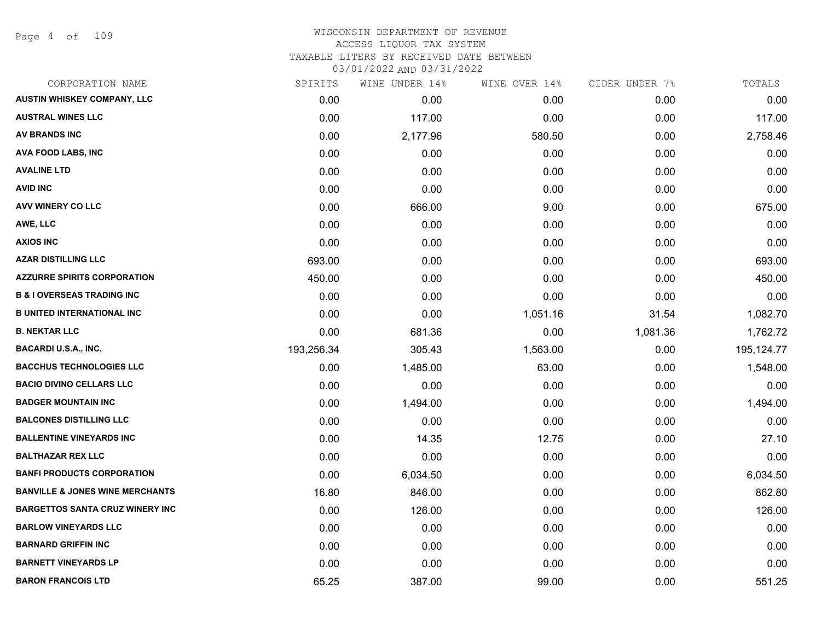#### WISCONSIN DEPARTMENT OF REVENUE ACCESS LIQUOR TAX SYSTEM TAXABLE LITERS BY RECEIVED DATE BETWEEN

| CORPORATION NAME                           | SPIRITS    | WINE UNDER 14% | WINE OVER 14% | CIDER UNDER 7% | TOTALS     |
|--------------------------------------------|------------|----------------|---------------|----------------|------------|
| AUSTIN WHISKEY COMPANY, LLC                | 0.00       | 0.00           | 0.00          | 0.00           | 0.00       |
| <b>AUSTRAL WINES LLC</b>                   | 0.00       | 117.00         | 0.00          | 0.00           | 117.00     |
| <b>AV BRANDS INC</b>                       | 0.00       | 2,177.96       | 580.50        | 0.00           | 2,758.46   |
| AVA FOOD LABS, INC                         | 0.00       | 0.00           | 0.00          | 0.00           | 0.00       |
| <b>AVALINE LTD</b>                         | 0.00       | 0.00           | 0.00          | 0.00           | 0.00       |
| <b>AVID INC</b>                            | 0.00       | 0.00           | 0.00          | 0.00           | 0.00       |
| AVV WINERY CO LLC                          | 0.00       | 666.00         | 9.00          | 0.00           | 675.00     |
| AWE, LLC                                   | 0.00       | 0.00           | 0.00          | 0.00           | 0.00       |
| <b>AXIOS INC</b>                           | 0.00       | 0.00           | 0.00          | 0.00           | 0.00       |
| <b>AZAR DISTILLING LLC</b>                 | 693.00     | 0.00           | 0.00          | 0.00           | 693.00     |
| <b>AZZURRE SPIRITS CORPORATION</b>         | 450.00     | 0.00           | 0.00          | 0.00           | 450.00     |
| <b>B &amp; I OVERSEAS TRADING INC</b>      | 0.00       | 0.00           | 0.00          | 0.00           | 0.00       |
| <b>B UNITED INTERNATIONAL INC</b>          | 0.00       | 0.00           | 1,051.16      | 31.54          | 1,082.70   |
| <b>B. NEKTAR LLC</b>                       | 0.00       | 681.36         | 0.00          | 1,081.36       | 1,762.72   |
| <b>BACARDI U.S.A., INC.</b>                | 193,256.34 | 305.43         | 1,563.00      | 0.00           | 195,124.77 |
| <b>BACCHUS TECHNOLOGIES LLC</b>            | 0.00       | 1,485.00       | 63.00         | 0.00           | 1,548.00   |
| <b>BACIO DIVINO CELLARS LLC</b>            | 0.00       | 0.00           | 0.00          | 0.00           | 0.00       |
| <b>BADGER MOUNTAIN INC</b>                 | 0.00       | 1,494.00       | 0.00          | 0.00           | 1,494.00   |
| <b>BALCONES DISTILLING LLC</b>             | 0.00       | 0.00           | 0.00          | 0.00           | 0.00       |
| <b>BALLENTINE VINEYARDS INC</b>            | 0.00       | 14.35          | 12.75         | 0.00           | 27.10      |
| <b>BALTHAZAR REX LLC</b>                   | 0.00       | 0.00           | 0.00          | 0.00           | 0.00       |
| <b>BANFI PRODUCTS CORPORATION</b>          | 0.00       | 6,034.50       | 0.00          | 0.00           | 6,034.50   |
| <b>BANVILLE &amp; JONES WINE MERCHANTS</b> | 16.80      | 846.00         | 0.00          | 0.00           | 862.80     |
| <b>BARGETTOS SANTA CRUZ WINERY INC</b>     | 0.00       | 126.00         | 0.00          | 0.00           | 126.00     |
| <b>BARLOW VINEYARDS LLC</b>                | 0.00       | 0.00           | 0.00          | 0.00           | 0.00       |
| <b>BARNARD GRIFFIN INC</b>                 | 0.00       | 0.00           | 0.00          | 0.00           | 0.00       |
| <b>BARNETT VINEYARDS LP</b>                | 0.00       | 0.00           | 0.00          | 0.00           | 0.00       |
| <b>BARON FRANCOIS LTD</b>                  | 65.25      | 387.00         | 99.00         | 0.00           | 551.25     |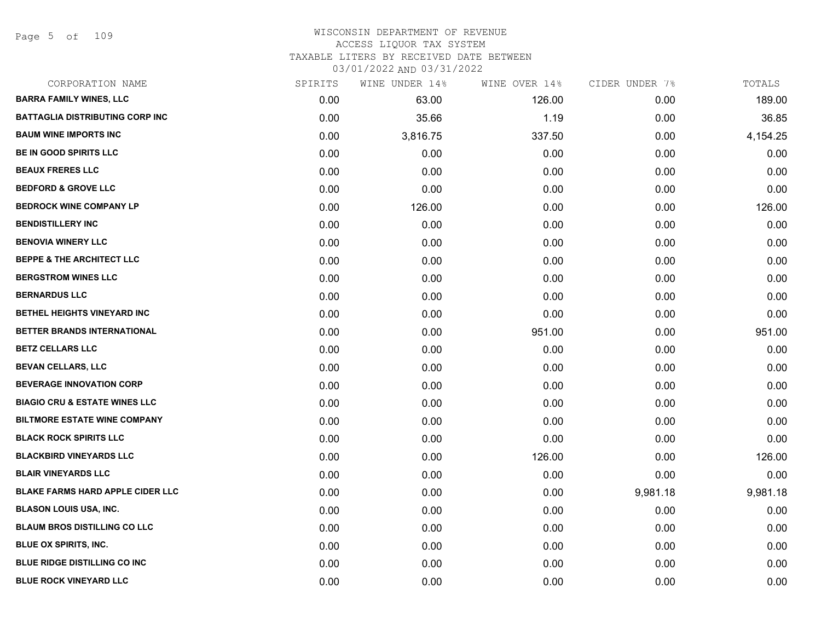Page 5 of 109

| CORPORATION NAME                         | SPIRITS | WINE UNDER 14% | WINE OVER 14% | CIDER UNDER 7% | TOTALS   |
|------------------------------------------|---------|----------------|---------------|----------------|----------|
| <b>BARRA FAMILY WINES, LLC</b>           | 0.00    | 63.00          | 126.00        | 0.00           | 189.00   |
| <b>BATTAGLIA DISTRIBUTING CORP INC</b>   | 0.00    | 35.66          | 1.19          | 0.00           | 36.85    |
| <b>BAUM WINE IMPORTS INC</b>             | 0.00    | 3,816.75       | 337.50        | 0.00           | 4,154.25 |
| <b>BE IN GOOD SPIRITS LLC</b>            | 0.00    | 0.00           | 0.00          | 0.00           | 0.00     |
| <b>BEAUX FRERES LLC</b>                  | 0.00    | 0.00           | 0.00          | 0.00           | 0.00     |
| <b>BEDFORD &amp; GROVE LLC</b>           | 0.00    | 0.00           | 0.00          | 0.00           | 0.00     |
| <b>BEDROCK WINE COMPANY LP</b>           | 0.00    | 126.00         | 0.00          | 0.00           | 126.00   |
| <b>BENDISTILLERY INC</b>                 | 0.00    | 0.00           | 0.00          | 0.00           | 0.00     |
| <b>BENOVIA WINERY LLC</b>                | 0.00    | 0.00           | 0.00          | 0.00           | 0.00     |
| <b>BEPPE &amp; THE ARCHITECT LLC</b>     | 0.00    | 0.00           | 0.00          | 0.00           | 0.00     |
| <b>BERGSTROM WINES LLC</b>               | 0.00    | 0.00           | 0.00          | 0.00           | 0.00     |
| <b>BERNARDUS LLC</b>                     | 0.00    | 0.00           | 0.00          | 0.00           | 0.00     |
| BETHEL HEIGHTS VINEYARD INC              | 0.00    | 0.00           | 0.00          | 0.00           | 0.00     |
| BETTER BRANDS INTERNATIONAL              | 0.00    | 0.00           | 951.00        | 0.00           | 951.00   |
| <b>BETZ CELLARS LLC</b>                  | 0.00    | 0.00           | 0.00          | 0.00           | 0.00     |
| <b>BEVAN CELLARS, LLC</b>                | 0.00    | 0.00           | 0.00          | 0.00           | 0.00     |
| <b>BEVERAGE INNOVATION CORP</b>          | 0.00    | 0.00           | 0.00          | 0.00           | 0.00     |
| <b>BIAGIO CRU &amp; ESTATE WINES LLC</b> | 0.00    | 0.00           | 0.00          | 0.00           | 0.00     |
| <b>BILTMORE ESTATE WINE COMPANY</b>      | 0.00    | 0.00           | 0.00          | 0.00           | 0.00     |
| <b>BLACK ROCK SPIRITS LLC</b>            | 0.00    | 0.00           | 0.00          | 0.00           | 0.00     |
| <b>BLACKBIRD VINEYARDS LLC</b>           | 0.00    | 0.00           | 126.00        | 0.00           | 126.00   |
| <b>BLAIR VINEYARDS LLC</b>               | 0.00    | 0.00           | 0.00          | 0.00           | 0.00     |
| <b>BLAKE FARMS HARD APPLE CIDER LLC</b>  | 0.00    | 0.00           | 0.00          | 9,981.18       | 9,981.18 |
| <b>BLASON LOUIS USA, INC.</b>            | 0.00    | 0.00           | 0.00          | 0.00           | 0.00     |
| <b>BLAUM BROS DISTILLING CO LLC</b>      | 0.00    | 0.00           | 0.00          | 0.00           | 0.00     |
| BLUE OX SPIRITS, INC.                    | 0.00    | 0.00           | 0.00          | 0.00           | 0.00     |
| <b>BLUE RIDGE DISTILLING CO INC</b>      | 0.00    | 0.00           | 0.00          | 0.00           | 0.00     |
| <b>BLUE ROCK VINEYARD LLC</b>            | 0.00    | 0.00           | 0.00          | 0.00           | 0.00     |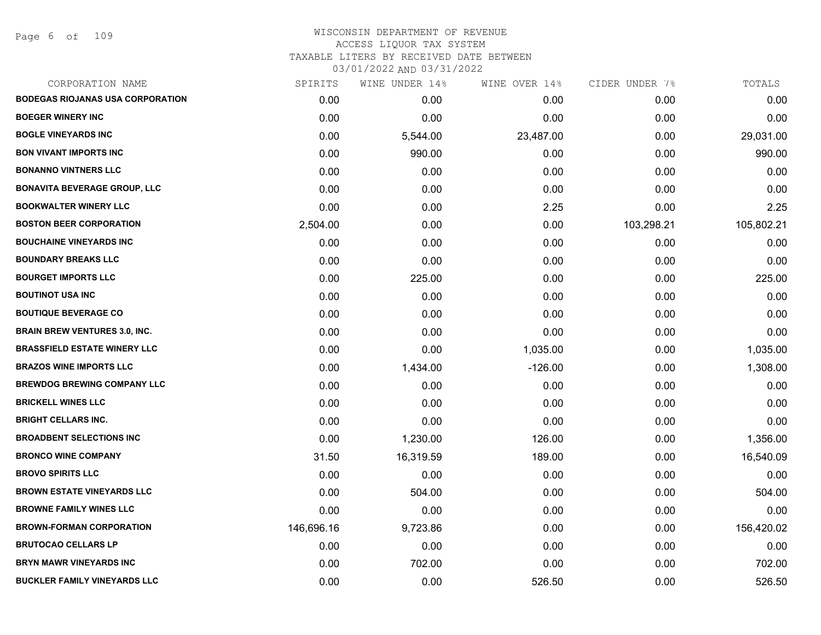Page 6 of 109

| CORPORATION NAME                        | SPIRITS    | WINE UNDER 14% | WINE OVER 14% | CIDER UNDER 7% | TOTALS     |
|-----------------------------------------|------------|----------------|---------------|----------------|------------|
| <b>BODEGAS RIOJANAS USA CORPORATION</b> | 0.00       | 0.00           | 0.00          | 0.00           | 0.00       |
| <b>BOEGER WINERY INC</b>                | 0.00       | 0.00           | 0.00          | 0.00           | 0.00       |
| <b>BOGLE VINEYARDS INC</b>              | 0.00       | 5,544.00       | 23,487.00     | 0.00           | 29,031.00  |
| <b>BON VIVANT IMPORTS INC</b>           | 0.00       | 990.00         | 0.00          | 0.00           | 990.00     |
| <b>BONANNO VINTNERS LLC</b>             | 0.00       | 0.00           | 0.00          | 0.00           | 0.00       |
| <b>BONAVITA BEVERAGE GROUP, LLC</b>     | 0.00       | 0.00           | 0.00          | 0.00           | 0.00       |
| <b>BOOKWALTER WINERY LLC</b>            | 0.00       | 0.00           | 2.25          | 0.00           | 2.25       |
| <b>BOSTON BEER CORPORATION</b>          | 2,504.00   | 0.00           | 0.00          | 103,298.21     | 105,802.21 |
| <b>BOUCHAINE VINEYARDS INC</b>          | 0.00       | 0.00           | 0.00          | 0.00           | 0.00       |
| <b>BOUNDARY BREAKS LLC</b>              | 0.00       | 0.00           | 0.00          | 0.00           | 0.00       |
| <b>BOURGET IMPORTS LLC</b>              | 0.00       | 225.00         | 0.00          | 0.00           | 225.00     |
| <b>BOUTINOT USA INC</b>                 | 0.00       | 0.00           | 0.00          | 0.00           | 0.00       |
| <b>BOUTIQUE BEVERAGE CO</b>             | 0.00       | 0.00           | 0.00          | 0.00           | 0.00       |
| <b>BRAIN BREW VENTURES 3.0, INC.</b>    | 0.00       | 0.00           | 0.00          | 0.00           | 0.00       |
| <b>BRASSFIELD ESTATE WINERY LLC</b>     | 0.00       | 0.00           | 1,035.00      | 0.00           | 1,035.00   |
| <b>BRAZOS WINE IMPORTS LLC</b>          | 0.00       | 1,434.00       | $-126.00$     | 0.00           | 1,308.00   |
| <b>BREWDOG BREWING COMPANY LLC</b>      | 0.00       | 0.00           | 0.00          | 0.00           | 0.00       |
| <b>BRICKELL WINES LLC</b>               | 0.00       | 0.00           | 0.00          | 0.00           | 0.00       |
| <b>BRIGHT CELLARS INC.</b>              | 0.00       | 0.00           | 0.00          | 0.00           | 0.00       |
| <b>BROADBENT SELECTIONS INC</b>         | 0.00       | 1,230.00       | 126.00        | 0.00           | 1,356.00   |
| <b>BRONCO WINE COMPANY</b>              | 31.50      | 16,319.59      | 189.00        | 0.00           | 16,540.09  |
| <b>BROVO SPIRITS LLC</b>                | 0.00       | 0.00           | 0.00          | 0.00           | 0.00       |
| <b>BROWN ESTATE VINEYARDS LLC</b>       | 0.00       | 504.00         | 0.00          | 0.00           | 504.00     |
| <b>BROWNE FAMILY WINES LLC</b>          | 0.00       | 0.00           | 0.00          | 0.00           | 0.00       |
| <b>BROWN-FORMAN CORPORATION</b>         | 146,696.16 | 9,723.86       | 0.00          | 0.00           | 156,420.02 |
| <b>BRUTOCAO CELLARS LP</b>              | 0.00       | 0.00           | 0.00          | 0.00           | 0.00       |
| <b>BRYN MAWR VINEYARDS INC</b>          | 0.00       | 702.00         | 0.00          | 0.00           | 702.00     |
| <b>BUCKLER FAMILY VINEYARDS LLC</b>     | 0.00       | 0.00           | 526.50        | 0.00           | 526.50     |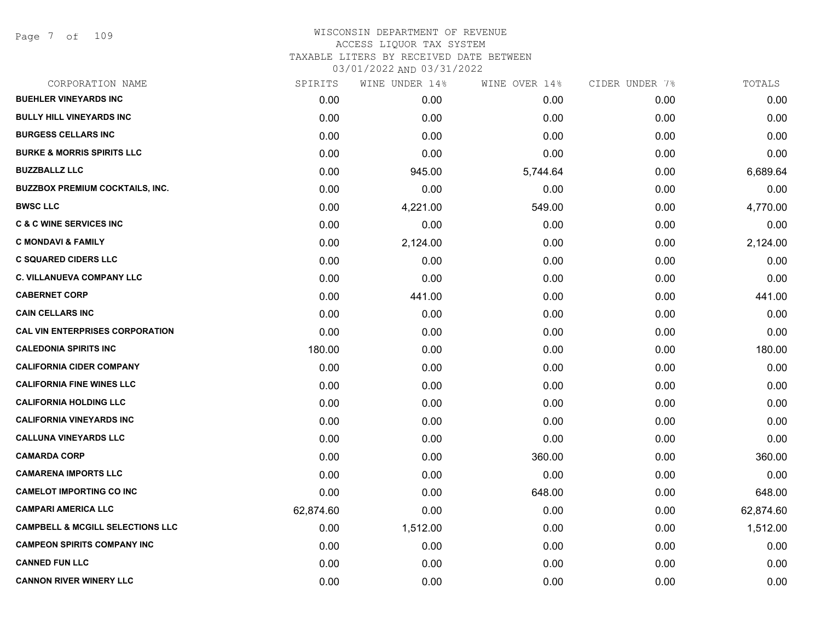### WISCONSIN DEPARTMENT OF REVENUE ACCESS LIQUOR TAX SYSTEM TAXABLE LITERS BY RECEIVED DATE BETWEEN 03/01/2022 AND 03/31/2022

| CORPORATION NAME                            | SPIRITS   | WINE UNDER 14% | WINE OVER 14% | CIDER UNDER 7% | TOTALS    |
|---------------------------------------------|-----------|----------------|---------------|----------------|-----------|
| <b>BUEHLER VINEYARDS INC</b>                | 0.00      | 0.00           | 0.00          | 0.00           | 0.00      |
| <b>BULLY HILL VINEYARDS INC</b>             | 0.00      | 0.00           | 0.00          | 0.00           | 0.00      |
| <b>BURGESS CELLARS INC</b>                  | 0.00      | 0.00           | 0.00          | 0.00           | 0.00      |
| <b>BURKE &amp; MORRIS SPIRITS LLC</b>       | 0.00      | 0.00           | 0.00          | 0.00           | 0.00      |
| <b>BUZZBALLZ LLC</b>                        | 0.00      | 945.00         | 5,744.64      | 0.00           | 6,689.64  |
| BUZZBOX PREMIUM COCKTAILS, INC.             | 0.00      | 0.00           | 0.00          | 0.00           | 0.00      |
| <b>BWSC LLC</b>                             | 0.00      | 4,221.00       | 549.00        | 0.00           | 4,770.00  |
| <b>C &amp; C WINE SERVICES INC</b>          | 0.00      | 0.00           | 0.00          | 0.00           | 0.00      |
| C MONDAVI & FAMILY                          | 0.00      | 2,124.00       | 0.00          | 0.00           | 2,124.00  |
| <b>C SQUARED CIDERS LLC</b>                 | 0.00      | 0.00           | 0.00          | 0.00           | 0.00      |
| C. VILLANUEVA COMPANY LLC                   | 0.00      | 0.00           | 0.00          | 0.00           | 0.00      |
| <b>CABERNET CORP</b>                        | 0.00      | 441.00         | 0.00          | 0.00           | 441.00    |
| <b>CAIN CELLARS INC</b>                     | 0.00      | 0.00           | 0.00          | 0.00           | 0.00      |
| <b>CAL VIN ENTERPRISES CORPORATION</b>      | 0.00      | 0.00           | 0.00          | 0.00           | 0.00      |
| <b>CALEDONIA SPIRITS INC</b>                | 180.00    | 0.00           | 0.00          | 0.00           | 180.00    |
| <b>CALIFORNIA CIDER COMPANY</b>             | 0.00      | 0.00           | 0.00          | 0.00           | 0.00      |
| <b>CALIFORNIA FINE WINES LLC</b>            | 0.00      | 0.00           | 0.00          | 0.00           | 0.00      |
| CALIFORNIA HOLDING LLC                      | 0.00      | 0.00           | 0.00          | 0.00           | 0.00      |
| <b>CALIFORNIA VINEYARDS INC</b>             | 0.00      | 0.00           | 0.00          | 0.00           | 0.00      |
| CALLUNA VINEYARDS LLC                       | 0.00      | 0.00           | 0.00          | 0.00           | 0.00      |
| <b>CAMARDA CORP</b>                         | 0.00      | 0.00           | 360.00        | 0.00           | 360.00    |
| <b>CAMARENA IMPORTS LLC</b>                 | 0.00      | 0.00           | 0.00          | 0.00           | 0.00      |
| <b>CAMELOT IMPORTING CO INC</b>             | 0.00      | 0.00           | 648.00        | 0.00           | 648.00    |
| <b>CAMPARI AMERICA LLC</b>                  | 62,874.60 | 0.00           | 0.00          | 0.00           | 62,874.60 |
| <b>CAMPBELL &amp; MCGILL SELECTIONS LLC</b> | 0.00      | 1,512.00       | 0.00          | 0.00           | 1,512.00  |
| CAMPEON SPIRITS COMPANY INC                 | 0.00      | 0.00           | 0.00          | 0.00           | 0.00      |
| <b>CANNED FUN LLC</b>                       | 0.00      | 0.00           | 0.00          | 0.00           | 0.00      |
|                                             |           |                |               |                |           |

**CANNON RIVER WINERY LLC** 0.00 0.00 0.00 0.00 0.00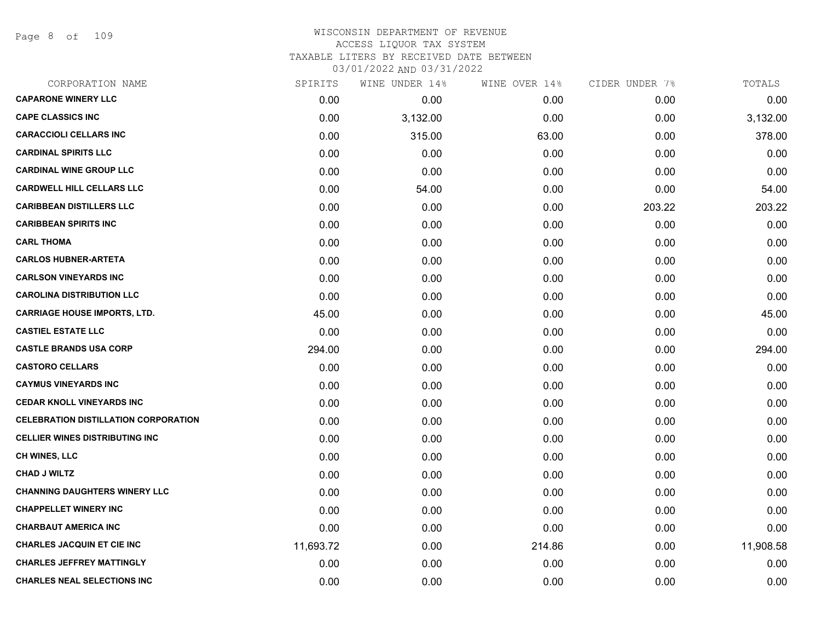Page 8 of 109

# WISCONSIN DEPARTMENT OF REVENUE ACCESS LIQUOR TAX SYSTEM TAXABLE LITERS BY RECEIVED DATE BETWEEN

| CORPORATION NAME                            | SPIRITS   | WINE UNDER 14% | WINE OVER 14% | CIDER UNDER 7% | TOTALS    |
|---------------------------------------------|-----------|----------------|---------------|----------------|-----------|
| <b>CAPARONE WINERY LLC</b>                  | 0.00      | 0.00           | 0.00          | 0.00           | 0.00      |
| <b>CAPE CLASSICS INC</b>                    | 0.00      | 3,132.00       | 0.00          | 0.00           | 3,132.00  |
| <b>CARACCIOLI CELLARS INC</b>               | 0.00      | 315.00         | 63.00         | 0.00           | 378.00    |
| <b>CARDINAL SPIRITS LLC</b>                 | 0.00      | 0.00           | 0.00          | 0.00           | 0.00      |
| <b>CARDINAL WINE GROUP LLC</b>              | 0.00      | 0.00           | 0.00          | 0.00           | 0.00      |
| <b>CARDWELL HILL CELLARS LLC</b>            | 0.00      | 54.00          | 0.00          | 0.00           | 54.00     |
| <b>CARIBBEAN DISTILLERS LLC</b>             | 0.00      | 0.00           | 0.00          | 203.22         | 203.22    |
| <b>CARIBBEAN SPIRITS INC</b>                | 0.00      | 0.00           | 0.00          | 0.00           | 0.00      |
| <b>CARL THOMA</b>                           | 0.00      | 0.00           | 0.00          | 0.00           | 0.00      |
| <b>CARLOS HUBNER-ARTETA</b>                 | 0.00      | 0.00           | 0.00          | 0.00           | 0.00      |
| <b>CARLSON VINEYARDS INC</b>                | 0.00      | 0.00           | 0.00          | 0.00           | 0.00      |
| <b>CAROLINA DISTRIBUTION LLC</b>            | 0.00      | 0.00           | 0.00          | 0.00           | 0.00      |
| <b>CARRIAGE HOUSE IMPORTS, LTD.</b>         | 45.00     | 0.00           | 0.00          | 0.00           | 45.00     |
| <b>CASTIEL ESTATE LLC</b>                   | 0.00      | 0.00           | 0.00          | 0.00           | 0.00      |
| <b>CASTLE BRANDS USA CORP</b>               | 294.00    | 0.00           | 0.00          | 0.00           | 294.00    |
| <b>CASTORO CELLARS</b>                      | 0.00      | 0.00           | 0.00          | 0.00           | 0.00      |
| <b>CAYMUS VINEYARDS INC</b>                 | 0.00      | 0.00           | 0.00          | 0.00           | 0.00      |
| <b>CEDAR KNOLL VINEYARDS INC</b>            | 0.00      | 0.00           | 0.00          | 0.00           | 0.00      |
| <b>CELEBRATION DISTILLATION CORPORATION</b> | 0.00      | 0.00           | 0.00          | 0.00           | 0.00      |
| <b>CELLIER WINES DISTRIBUTING INC</b>       | 0.00      | 0.00           | 0.00          | 0.00           | 0.00      |
| <b>CH WINES, LLC</b>                        | 0.00      | 0.00           | 0.00          | 0.00           | 0.00      |
| <b>CHAD J WILTZ</b>                         | 0.00      | 0.00           | 0.00          | 0.00           | 0.00      |
| <b>CHANNING DAUGHTERS WINERY LLC</b>        | 0.00      | 0.00           | 0.00          | 0.00           | 0.00      |
| <b>CHAPPELLET WINERY INC</b>                | 0.00      | 0.00           | 0.00          | 0.00           | 0.00      |
| <b>CHARBAUT AMERICA INC</b>                 | 0.00      | 0.00           | 0.00          | 0.00           | 0.00      |
| <b>CHARLES JACQUIN ET CIE INC</b>           | 11,693.72 | 0.00           | 214.86        | 0.00           | 11,908.58 |
| <b>CHARLES JEFFREY MATTINGLY</b>            | 0.00      | 0.00           | 0.00          | 0.00           | 0.00      |
| <b>CHARLES NEAL SELECTIONS INC</b>          | 0.00      | 0.00           | 0.00          | 0.00           | 0.00      |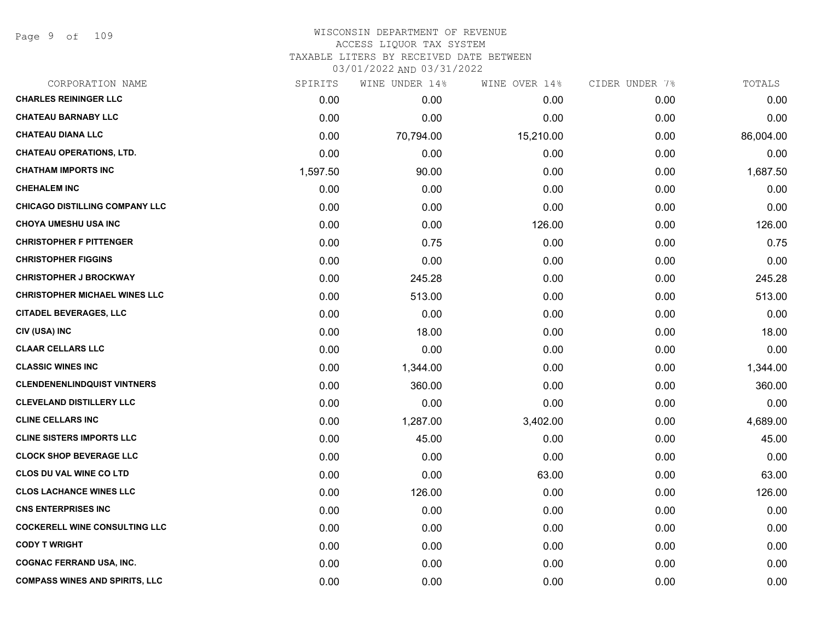Page 9 of 109

# WISCONSIN DEPARTMENT OF REVENUE ACCESS LIQUOR TAX SYSTEM TAXABLE LITERS BY RECEIVED DATE BETWEEN

| CORPORATION NAME                      | SPIRITS  | WINE UNDER 14% | WINE OVER 14% | CIDER UNDER 7% | TOTALS    |
|---------------------------------------|----------|----------------|---------------|----------------|-----------|
| <b>CHARLES REININGER LLC</b>          | 0.00     | 0.00           | 0.00          | 0.00           | 0.00      |
| <b>CHATEAU BARNABY LLC</b>            | 0.00     | 0.00           | 0.00          | 0.00           | 0.00      |
| <b>CHATEAU DIANA LLC</b>              | 0.00     | 70,794.00      | 15,210.00     | 0.00           | 86,004.00 |
| <b>CHATEAU OPERATIONS, LTD.</b>       | 0.00     | 0.00           | 0.00          | 0.00           | 0.00      |
| <b>CHATHAM IMPORTS INC</b>            | 1,597.50 | 90.00          | 0.00          | 0.00           | 1,687.50  |
| <b>CHEHALEM INC</b>                   | 0.00     | 0.00           | 0.00          | 0.00           | 0.00      |
| <b>CHICAGO DISTILLING COMPANY LLC</b> | 0.00     | 0.00           | 0.00          | 0.00           | 0.00      |
| <b>CHOYA UMESHU USA INC</b>           | 0.00     | 0.00           | 126.00        | 0.00           | 126.00    |
| <b>CHRISTOPHER F PITTENGER</b>        | 0.00     | 0.75           | 0.00          | 0.00           | 0.75      |
| <b>CHRISTOPHER FIGGINS</b>            | 0.00     | 0.00           | 0.00          | 0.00           | 0.00      |
| <b>CHRISTOPHER J BROCKWAY</b>         | 0.00     | 245.28         | 0.00          | 0.00           | 245.28    |
| <b>CHRISTOPHER MICHAEL WINES LLC</b>  | 0.00     | 513.00         | 0.00          | 0.00           | 513.00    |
| <b>CITADEL BEVERAGES, LLC</b>         | 0.00     | 0.00           | 0.00          | 0.00           | 0.00      |
| CIV (USA) INC                         | 0.00     | 18.00          | 0.00          | 0.00           | 18.00     |
| <b>CLAAR CELLARS LLC</b>              | 0.00     | 0.00           | 0.00          | 0.00           | 0.00      |
| <b>CLASSIC WINES INC</b>              | 0.00     | 1,344.00       | 0.00          | 0.00           | 1,344.00  |
| <b>CLENDENENLINDQUIST VINTNERS</b>    | 0.00     | 360.00         | 0.00          | 0.00           | 360.00    |
| <b>CLEVELAND DISTILLERY LLC</b>       | 0.00     | 0.00           | 0.00          | 0.00           | 0.00      |
| <b>CLINE CELLARS INC</b>              | 0.00     | 1,287.00       | 3,402.00      | 0.00           | 4,689.00  |
| <b>CLINE SISTERS IMPORTS LLC</b>      | 0.00     | 45.00          | 0.00          | 0.00           | 45.00     |
| <b>CLOCK SHOP BEVERAGE LLC</b>        | 0.00     | 0.00           | 0.00          | 0.00           | 0.00      |
| <b>CLOS DU VAL WINE CO LTD</b>        | 0.00     | 0.00           | 63.00         | 0.00           | 63.00     |
| <b>CLOS LACHANCE WINES LLC</b>        | 0.00     | 126.00         | 0.00          | 0.00           | 126.00    |
| <b>CNS ENTERPRISES INC</b>            | 0.00     | 0.00           | 0.00          | 0.00           | 0.00      |
| <b>COCKERELL WINE CONSULTING LLC</b>  | 0.00     | 0.00           | 0.00          | 0.00           | 0.00      |
| <b>CODY T WRIGHT</b>                  | 0.00     | 0.00           | 0.00          | 0.00           | 0.00      |
| <b>COGNAC FERRAND USA, INC.</b>       | 0.00     | 0.00           | 0.00          | 0.00           | 0.00      |
| <b>COMPASS WINES AND SPIRITS, LLC</b> | 0.00     | 0.00           | 0.00          | 0.00           | 0.00      |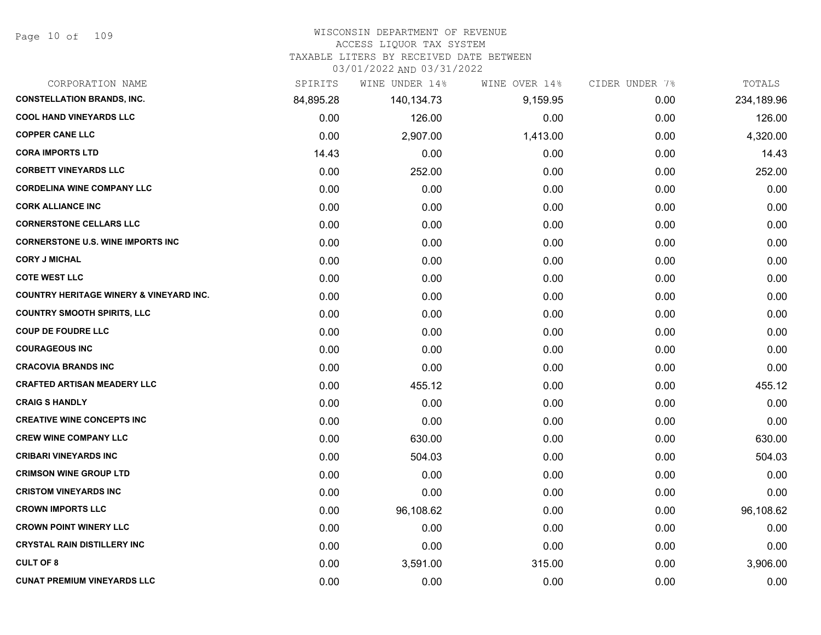#### WISCONSIN DEPARTMENT OF REVENUE

#### ACCESS LIQUOR TAX SYSTEM

TAXABLE LITERS BY RECEIVED DATE BETWEEN

| CORPORATION NAME                                   | SPIRITS   | WINE UNDER 14% | WINE OVER 14% | CIDER UNDER 7% | TOTALS     |
|----------------------------------------------------|-----------|----------------|---------------|----------------|------------|
| <b>CONSTELLATION BRANDS, INC.</b>                  | 84,895.28 | 140,134.73     | 9,159.95      | 0.00           | 234,189.96 |
| <b>COOL HAND VINEYARDS LLC</b>                     | 0.00      | 126.00         | 0.00          | 0.00           | 126.00     |
| <b>COPPER CANE LLC</b>                             | 0.00      | 2,907.00       | 1,413.00      | 0.00           | 4,320.00   |
| <b>CORA IMPORTS LTD</b>                            | 14.43     | 0.00           | 0.00          | 0.00           | 14.43      |
| <b>CORBETT VINEYARDS LLC</b>                       | 0.00      | 252.00         | 0.00          | 0.00           | 252.00     |
| <b>CORDELINA WINE COMPANY LLC</b>                  | 0.00      | 0.00           | 0.00          | 0.00           | 0.00       |
| <b>CORK ALLIANCE INC</b>                           | 0.00      | 0.00           | 0.00          | 0.00           | 0.00       |
| <b>CORNERSTONE CELLARS LLC</b>                     | 0.00      | 0.00           | 0.00          | 0.00           | 0.00       |
| <b>CORNERSTONE U.S. WINE IMPORTS INC</b>           | 0.00      | 0.00           | 0.00          | 0.00           | 0.00       |
| <b>CORY J MICHAL</b>                               | 0.00      | 0.00           | 0.00          | 0.00           | 0.00       |
| <b>COTE WEST LLC</b>                               | 0.00      | 0.00           | 0.00          | 0.00           | 0.00       |
| <b>COUNTRY HERITAGE WINERY &amp; VINEYARD INC.</b> | 0.00      | 0.00           | 0.00          | 0.00           | 0.00       |
| <b>COUNTRY SMOOTH SPIRITS, LLC</b>                 | 0.00      | 0.00           | 0.00          | 0.00           | 0.00       |
| <b>COUP DE FOUDRE LLC</b>                          | 0.00      | 0.00           | 0.00          | 0.00           | 0.00       |
| <b>COURAGEOUS INC</b>                              | 0.00      | 0.00           | 0.00          | 0.00           | 0.00       |
| <b>CRACOVIA BRANDS INC</b>                         | 0.00      | 0.00           | 0.00          | 0.00           | 0.00       |
| <b>CRAFTED ARTISAN MEADERY LLC</b>                 | 0.00      | 455.12         | 0.00          | 0.00           | 455.12     |
| <b>CRAIG S HANDLY</b>                              | 0.00      | 0.00           | 0.00          | 0.00           | 0.00       |
| <b>CREATIVE WINE CONCEPTS INC</b>                  | 0.00      | 0.00           | 0.00          | 0.00           | 0.00       |
| <b>CREW WINE COMPANY LLC</b>                       | 0.00      | 630.00         | 0.00          | 0.00           | 630.00     |
| <b>CRIBARI VINEYARDS INC</b>                       | 0.00      | 504.03         | 0.00          | 0.00           | 504.03     |
| <b>CRIMSON WINE GROUP LTD</b>                      | 0.00      | 0.00           | 0.00          | 0.00           | 0.00       |
| <b>CRISTOM VINEYARDS INC</b>                       | 0.00      | 0.00           | 0.00          | 0.00           | 0.00       |
| <b>CROWN IMPORTS LLC</b>                           | 0.00      | 96,108.62      | 0.00          | 0.00           | 96,108.62  |
| <b>CROWN POINT WINERY LLC</b>                      | 0.00      | 0.00           | 0.00          | 0.00           | 0.00       |
| <b>CRYSTAL RAIN DISTILLERY INC</b>                 | 0.00      | 0.00           | 0.00          | 0.00           | 0.00       |
| <b>CULT OF 8</b>                                   | 0.00      | 3,591.00       | 315.00        | 0.00           | 3,906.00   |
| <b>CUNAT PREMIUM VINEYARDS LLC</b>                 | 0.00      | 0.00           | 0.00          | 0.00           | 0.00       |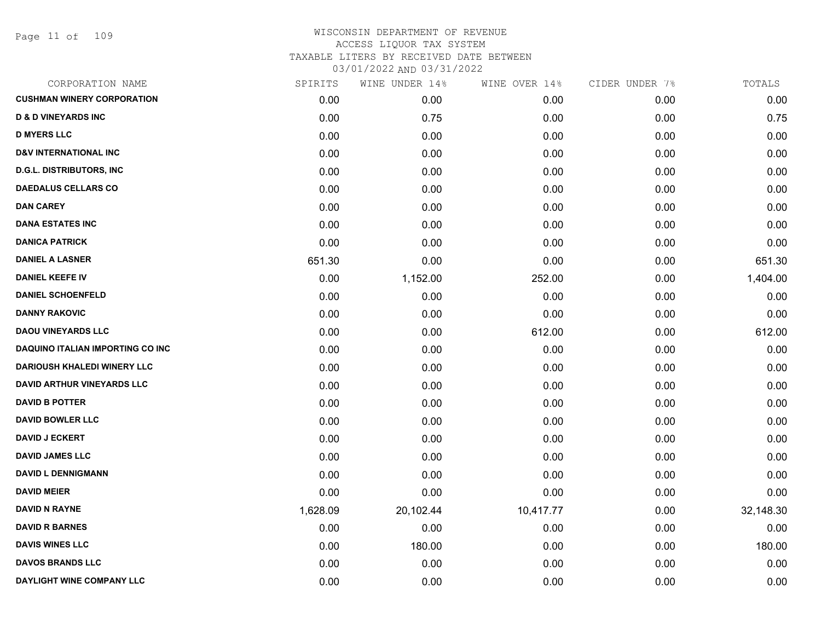Page 11 of 109

| CORPORATION NAME                         | SPIRITS  | WINE UNDER 14% | WINE OVER 14% | CIDER UNDER 7% | TOTALS    |
|------------------------------------------|----------|----------------|---------------|----------------|-----------|
| <b>CUSHMAN WINERY CORPORATION</b>        | 0.00     | 0.00           | 0.00          | 0.00           | 0.00      |
| <b>D &amp; D VINEYARDS INC</b>           | 0.00     | 0.75           | 0.00          | 0.00           | 0.75      |
| <b>D MYERS LLC</b>                       | 0.00     | 0.00           | 0.00          | 0.00           | 0.00      |
| <b>D&amp;V INTERNATIONAL INC</b>         | 0.00     | 0.00           | 0.00          | 0.00           | 0.00      |
| <b>D.G.L. DISTRIBUTORS, INC</b>          | 0.00     | 0.00           | 0.00          | 0.00           | 0.00      |
| <b>DAEDALUS CELLARS CO</b>               | 0.00     | 0.00           | 0.00          | 0.00           | 0.00      |
| <b>DAN CAREY</b>                         | 0.00     | 0.00           | 0.00          | 0.00           | 0.00      |
| <b>DANA ESTATES INC</b>                  | 0.00     | 0.00           | 0.00          | 0.00           | 0.00      |
| <b>DANICA PATRICK</b>                    | 0.00     | 0.00           | 0.00          | 0.00           | 0.00      |
| <b>DANIEL A LASNER</b>                   | 651.30   | 0.00           | 0.00          | 0.00           | 651.30    |
| <b>DANIEL KEEFE IV</b>                   | 0.00     | 1,152.00       | 252.00        | 0.00           | 1,404.00  |
| <b>DANIEL SCHOENFELD</b>                 | 0.00     | 0.00           | 0.00          | 0.00           | 0.00      |
| <b>DANNY RAKOVIC</b>                     | 0.00     | 0.00           | 0.00          | 0.00           | 0.00      |
| <b>DAOU VINEYARDS LLC</b>                | 0.00     | 0.00           | 612.00        | 0.00           | 612.00    |
| <b>DAQUINO ITALIAN IMPORTING CO INC.</b> | 0.00     | 0.00           | 0.00          | 0.00           | 0.00      |
| <b>DARIOUSH KHALEDI WINERY LLC</b>       | 0.00     | 0.00           | 0.00          | 0.00           | 0.00      |
| <b>DAVID ARTHUR VINEYARDS LLC</b>        | 0.00     | 0.00           | 0.00          | 0.00           | 0.00      |
| <b>DAVID B POTTER</b>                    | 0.00     | 0.00           | 0.00          | 0.00           | 0.00      |
| <b>DAVID BOWLER LLC</b>                  | 0.00     | 0.00           | 0.00          | 0.00           | 0.00      |
| <b>DAVID J ECKERT</b>                    | 0.00     | 0.00           | 0.00          | 0.00           | 0.00      |
| <b>DAVID JAMES LLC</b>                   | 0.00     | 0.00           | 0.00          | 0.00           | 0.00      |
| <b>DAVID L DENNIGMANN</b>                | 0.00     | 0.00           | 0.00          | 0.00           | 0.00      |
| <b>DAVID MEIER</b>                       | 0.00     | 0.00           | 0.00          | 0.00           | 0.00      |
| <b>DAVID N RAYNE</b>                     | 1,628.09 | 20,102.44      | 10,417.77     | 0.00           | 32,148.30 |
| <b>DAVID R BARNES</b>                    | 0.00     | 0.00           | 0.00          | 0.00           | 0.00      |
| <b>DAVIS WINES LLC</b>                   | 0.00     | 180.00         | 0.00          | 0.00           | 180.00    |
| <b>DAVOS BRANDS LLC</b>                  | 0.00     | 0.00           | 0.00          | 0.00           | 0.00      |
| DAYLIGHT WINE COMPANY LLC                | 0.00     | 0.00           | 0.00          | 0.00           | 0.00      |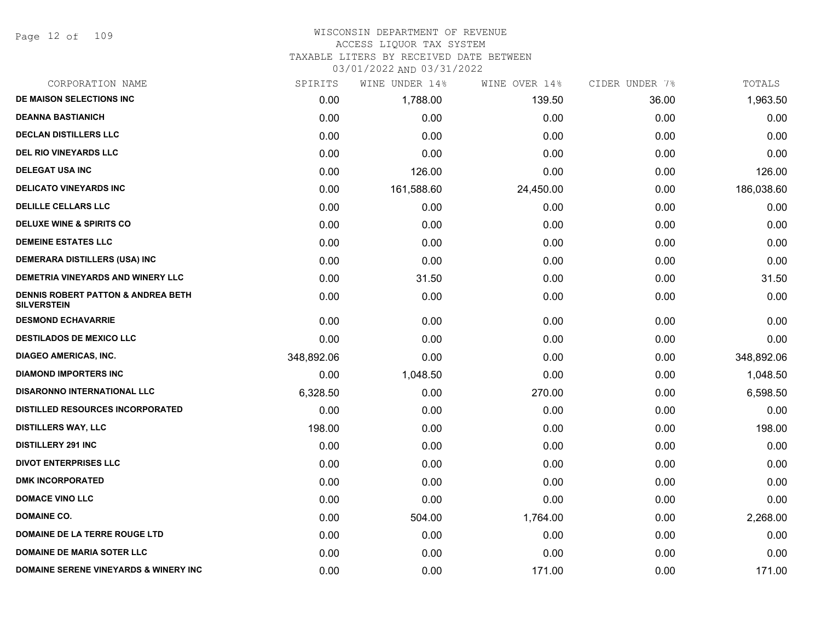Page 12 of 109

#### WISCONSIN DEPARTMENT OF REVENUE ACCESS LIQUOR TAX SYSTEM

TAXABLE LITERS BY RECEIVED DATE BETWEEN

| CORPORATION NAME                                         | SPIRITS    | WINE UNDER 14% | WINE OVER 14% | CIDER UNDER 7% | TOTALS     |
|----------------------------------------------------------|------------|----------------|---------------|----------------|------------|
| DE MAISON SELECTIONS INC                                 | 0.00       | 1,788.00       | 139.50        | 36.00          | 1,963.50   |
| <b>DEANNA BASTIANICH</b>                                 | 0.00       | 0.00           | 0.00          | 0.00           | 0.00       |
| <b>DECLAN DISTILLERS LLC</b>                             | 0.00       | 0.00           | 0.00          | 0.00           | 0.00       |
| <b>DEL RIO VINEYARDS LLC</b>                             | 0.00       | 0.00           | 0.00          | 0.00           | 0.00       |
| <b>DELEGAT USA INC</b>                                   | 0.00       | 126.00         | 0.00          | 0.00           | 126.00     |
| <b>DELICATO VINEYARDS INC</b>                            | 0.00       | 161,588.60     | 24,450.00     | 0.00           | 186,038.60 |
| <b>DELILLE CELLARS LLC</b>                               | 0.00       | 0.00           | 0.00          | 0.00           | 0.00       |
| <b>DELUXE WINE &amp; SPIRITS CO</b>                      | 0.00       | 0.00           | 0.00          | 0.00           | 0.00       |
| <b>DEMEINE ESTATES LLC</b>                               | 0.00       | 0.00           | 0.00          | 0.00           | 0.00       |
| <b>DEMERARA DISTILLERS (USA) INC</b>                     | 0.00       | 0.00           | 0.00          | 0.00           | 0.00       |
| DEMETRIA VINEYARDS AND WINERY LLC                        | 0.00       | 31.50          | 0.00          | 0.00           | 31.50      |
| DENNIS ROBERT PATTON & ANDREA BETH<br><b>SILVERSTEIN</b> | 0.00       | 0.00           | 0.00          | 0.00           | 0.00       |
| <b>DESMOND ECHAVARRIE</b>                                | 0.00       | 0.00           | 0.00          | 0.00           | 0.00       |
| <b>DESTILADOS DE MEXICO LLC</b>                          | 0.00       | 0.00           | 0.00          | 0.00           | 0.00       |
| <b>DIAGEO AMERICAS, INC.</b>                             | 348,892.06 | 0.00           | 0.00          | 0.00           | 348,892.06 |
| <b>DIAMOND IMPORTERS INC</b>                             | 0.00       | 1,048.50       | 0.00          | 0.00           | 1,048.50   |
| <b>DISARONNO INTERNATIONAL LLC</b>                       | 6,328.50   | 0.00           | 270.00        | 0.00           | 6,598.50   |
| DISTILLED RESOURCES INCORPORATED                         | 0.00       | 0.00           | 0.00          | 0.00           | 0.00       |
| <b>DISTILLERS WAY, LLC</b>                               | 198.00     | 0.00           | 0.00          | 0.00           | 198.00     |
| <b>DISTILLERY 291 INC</b>                                | 0.00       | 0.00           | 0.00          | 0.00           | 0.00       |
| <b>DIVOT ENTERPRISES LLC</b>                             | 0.00       | 0.00           | 0.00          | 0.00           | 0.00       |
| <b>DMK INCORPORATED</b>                                  | 0.00       | 0.00           | 0.00          | 0.00           | 0.00       |
| <b>DOMACE VINO LLC</b>                                   | 0.00       | 0.00           | 0.00          | 0.00           | 0.00       |
| <b>DOMAINE CO.</b>                                       | 0.00       | 504.00         | 1,764.00      | 0.00           | 2,268.00   |
| <b>DOMAINE DE LA TERRE ROUGE LTD</b>                     | 0.00       | 0.00           | 0.00          | 0.00           | 0.00       |
| <b>DOMAINE DE MARIA SOTER LLC</b>                        | 0.00       | 0.00           | 0.00          | 0.00           | 0.00       |
| DOMAINE SERENE VINEYARDS & WINERY INC                    | 0.00       | 0.00           | 171.00        | 0.00           | 171.00     |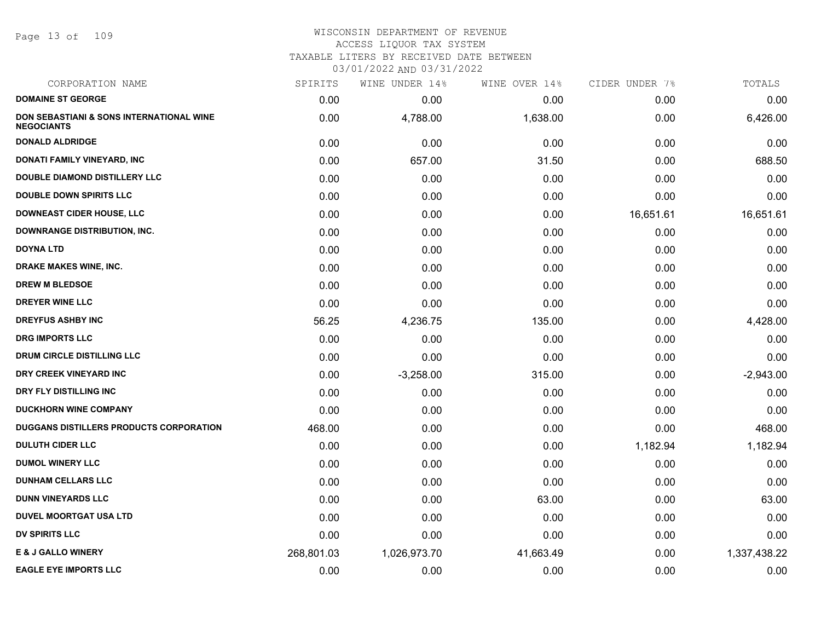Page 13 of 109

| CORPORATION NAME                                                         | SPIRITS    | WINE UNDER 14% | WINE OVER 14% | CIDER UNDER 7% | TOTALS       |
|--------------------------------------------------------------------------|------------|----------------|---------------|----------------|--------------|
| <b>DOMAINE ST GEORGE</b>                                                 | 0.00       | 0.00           | 0.00          | 0.00           | 0.00         |
| <b>DON SEBASTIANI &amp; SONS INTERNATIONAL WINE</b><br><b>NEGOCIANTS</b> | 0.00       | 4,788.00       | 1,638.00      | 0.00           | 6,426.00     |
| <b>DONALD ALDRIDGE</b>                                                   | 0.00       | 0.00           | 0.00          | 0.00           | 0.00         |
| DONATI FAMILY VINEYARD, INC                                              | 0.00       | 657.00         | 31.50         | 0.00           | 688.50       |
| <b>DOUBLE DIAMOND DISTILLERY LLC</b>                                     | 0.00       | 0.00           | 0.00          | 0.00           | 0.00         |
| <b>DOUBLE DOWN SPIRITS LLC</b>                                           | 0.00       | 0.00           | 0.00          | 0.00           | 0.00         |
| <b>DOWNEAST CIDER HOUSE, LLC</b>                                         | 0.00       | 0.00           | 0.00          | 16,651.61      | 16,651.61    |
| <b>DOWNRANGE DISTRIBUTION, INC.</b>                                      | 0.00       | 0.00           | 0.00          | 0.00           | 0.00         |
| <b>DOYNA LTD</b>                                                         | 0.00       | 0.00           | 0.00          | 0.00           | 0.00         |
| DRAKE MAKES WINE, INC.                                                   | 0.00       | 0.00           | 0.00          | 0.00           | 0.00         |
| <b>DREW M BLEDSOE</b>                                                    | 0.00       | 0.00           | 0.00          | 0.00           | 0.00         |
| <b>DREYER WINE LLC</b>                                                   | 0.00       | 0.00           | 0.00          | 0.00           | 0.00         |
| <b>DREYFUS ASHBY INC</b>                                                 | 56.25      | 4,236.75       | 135.00        | 0.00           | 4,428.00     |
| <b>DRG IMPORTS LLC</b>                                                   | 0.00       | 0.00           | 0.00          | 0.00           | 0.00         |
| <b>DRUM CIRCLE DISTILLING LLC</b>                                        | 0.00       | 0.00           | 0.00          | 0.00           | 0.00         |
| DRY CREEK VINEYARD INC                                                   | 0.00       | $-3,258.00$    | 315.00        | 0.00           | $-2,943.00$  |
| DRY FLY DISTILLING INC                                                   | 0.00       | 0.00           | 0.00          | 0.00           | 0.00         |
| DUCKHORN WINE COMPANY                                                    | 0.00       | 0.00           | 0.00          | 0.00           | 0.00         |
| <b>DUGGANS DISTILLERS PRODUCTS CORPORATION</b>                           | 468.00     | 0.00           | 0.00          | 0.00           | 468.00       |
| <b>DULUTH CIDER LLC</b>                                                  | 0.00       | 0.00           | 0.00          | 1,182.94       | 1,182.94     |
| <b>DUMOL WINERY LLC</b>                                                  | 0.00       | 0.00           | 0.00          | 0.00           | 0.00         |
| <b>DUNHAM CELLARS LLC</b>                                                | 0.00       | 0.00           | 0.00          | 0.00           | 0.00         |
| <b>DUNN VINEYARDS LLC</b>                                                | 0.00       | 0.00           | 63.00         | 0.00           | 63.00        |
| <b>DUVEL MOORTGAT USA LTD</b>                                            | 0.00       | 0.00           | 0.00          | 0.00           | 0.00         |
| <b>DV SPIRITS LLC</b>                                                    | 0.00       | 0.00           | 0.00          | 0.00           | 0.00         |
| <b>E &amp; J GALLO WINERY</b>                                            | 268,801.03 | 1,026,973.70   | 41,663.49     | 0.00           | 1,337,438.22 |
| <b>EAGLE EYE IMPORTS LLC</b>                                             | 0.00       | 0.00           | 0.00          | 0.00           | 0.00         |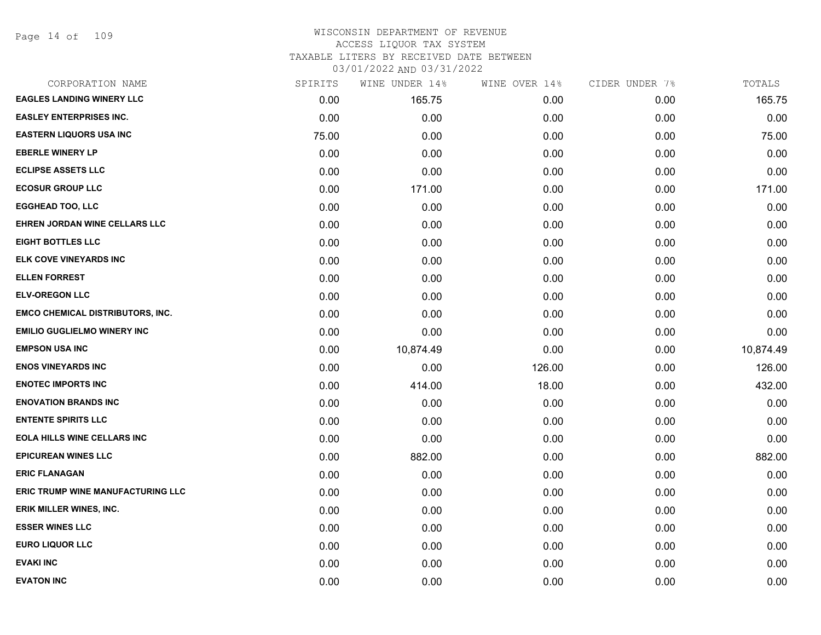Page 14 of 109

### WISCONSIN DEPARTMENT OF REVENUE ACCESS LIQUOR TAX SYSTEM TAXABLE LITERS BY RECEIVED DATE BETWEEN

| CORPORATION NAME                         | SPIRITS | WINE UNDER 14% | WINE OVER 14% | CIDER UNDER 7% | TOTALS    |
|------------------------------------------|---------|----------------|---------------|----------------|-----------|
| <b>EAGLES LANDING WINERY LLC</b>         | 0.00    | 165.75         | 0.00          | 0.00           | 165.75    |
| <b>EASLEY ENTERPRISES INC.</b>           | 0.00    | 0.00           | 0.00          | 0.00           | 0.00      |
| <b>EASTERN LIQUORS USA INC</b>           | 75.00   | 0.00           | 0.00          | 0.00           | 75.00     |
| <b>EBERLE WINERY LP</b>                  | 0.00    | 0.00           | 0.00          | 0.00           | 0.00      |
| <b>ECLIPSE ASSETS LLC</b>                | 0.00    | 0.00           | 0.00          | 0.00           | 0.00      |
| <b>ECOSUR GROUP LLC</b>                  | 0.00    | 171.00         | 0.00          | 0.00           | 171.00    |
| <b>EGGHEAD TOO, LLC</b>                  | 0.00    | 0.00           | 0.00          | 0.00           | 0.00      |
| EHREN JORDAN WINE CELLARS LLC            | 0.00    | 0.00           | 0.00          | 0.00           | 0.00      |
| <b>EIGHT BOTTLES LLC</b>                 | 0.00    | 0.00           | 0.00          | 0.00           | 0.00      |
| ELK COVE VINEYARDS INC                   | 0.00    | 0.00           | 0.00          | 0.00           | 0.00      |
| <b>ELLEN FORREST</b>                     | 0.00    | 0.00           | 0.00          | 0.00           | 0.00      |
| <b>ELV-OREGON LLC</b>                    | 0.00    | 0.00           | 0.00          | 0.00           | 0.00      |
| <b>EMCO CHEMICAL DISTRIBUTORS, INC.</b>  | 0.00    | 0.00           | 0.00          | 0.00           | 0.00      |
| <b>EMILIO GUGLIELMO WINERY INC</b>       | 0.00    | 0.00           | 0.00          | 0.00           | 0.00      |
| <b>EMPSON USA INC</b>                    | 0.00    | 10,874.49      | 0.00          | 0.00           | 10,874.49 |
| <b>ENOS VINEYARDS INC</b>                | 0.00    | 0.00           | 126.00        | 0.00           | 126.00    |
| <b>ENOTEC IMPORTS INC</b>                | 0.00    | 414.00         | 18.00         | 0.00           | 432.00    |
| <b>ENOVATION BRANDS INC</b>              | 0.00    | 0.00           | 0.00          | 0.00           | 0.00      |
| <b>ENTENTE SPIRITS LLC</b>               | 0.00    | 0.00           | 0.00          | 0.00           | 0.00      |
| <b>EOLA HILLS WINE CELLARS INC</b>       | 0.00    | 0.00           | 0.00          | 0.00           | 0.00      |
| <b>EPICUREAN WINES LLC</b>               | 0.00    | 882.00         | 0.00          | 0.00           | 882.00    |
| <b>ERIC FLANAGAN</b>                     | 0.00    | 0.00           | 0.00          | 0.00           | 0.00      |
| <b>ERIC TRUMP WINE MANUFACTURING LLC</b> | 0.00    | 0.00           | 0.00          | 0.00           | 0.00      |
| ERIK MILLER WINES, INC.                  | 0.00    | 0.00           | 0.00          | 0.00           | 0.00      |
| <b>ESSER WINES LLC</b>                   | 0.00    | 0.00           | 0.00          | 0.00           | 0.00      |
| <b>EURO LIQUOR LLC</b>                   | 0.00    | 0.00           | 0.00          | 0.00           | 0.00      |
| <b>EVAKI INC</b>                         | 0.00    | 0.00           | 0.00          | 0.00           | 0.00      |
| <b>EVATON INC</b>                        | 0.00    | 0.00           | 0.00          | 0.00           | 0.00      |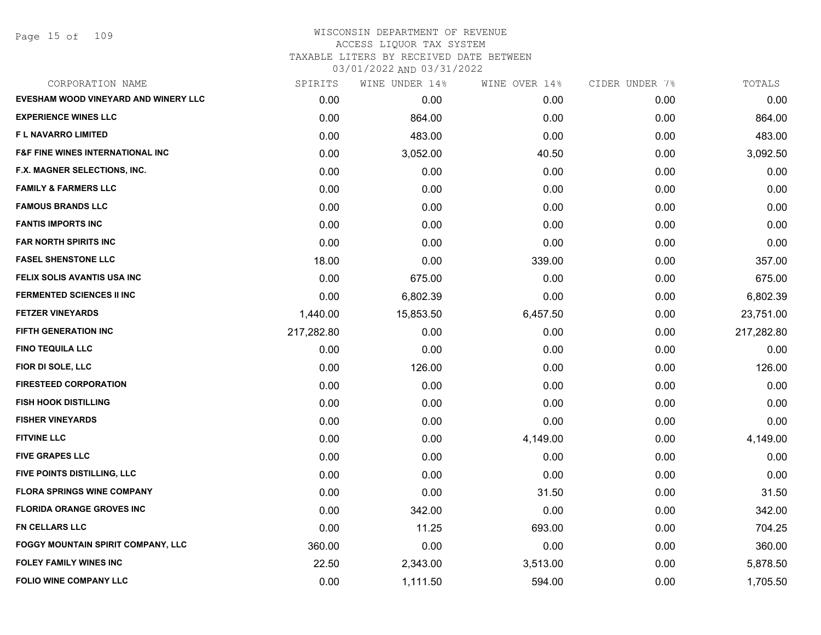Page 15 of 109

| CORPORATION NAME                            | SPIRITS    | WINE UNDER 14% | WINE OVER 14% | CIDER UNDER 7% | TOTALS     |
|---------------------------------------------|------------|----------------|---------------|----------------|------------|
| EVESHAM WOOD VINEYARD AND WINERY LLC        | 0.00       | 0.00           | 0.00          | 0.00           | 0.00       |
| <b>EXPERIENCE WINES LLC</b>                 | 0.00       | 864.00         | 0.00          | 0.00           | 864.00     |
| F L NAVARRO LIMITED                         | 0.00       | 483.00         | 0.00          | 0.00           | 483.00     |
| <b>F&amp;F FINE WINES INTERNATIONAL INC</b> | 0.00       | 3,052.00       | 40.50         | 0.00           | 3,092.50   |
| F.X. MAGNER SELECTIONS, INC.                | 0.00       | 0.00           | 0.00          | 0.00           | 0.00       |
| <b>FAMILY &amp; FARMERS LLC</b>             | 0.00       | 0.00           | 0.00          | 0.00           | 0.00       |
| <b>FAMOUS BRANDS LLC</b>                    | 0.00       | 0.00           | 0.00          | 0.00           | 0.00       |
| <b>FANTIS IMPORTS INC</b>                   | 0.00       | 0.00           | 0.00          | 0.00           | 0.00       |
| <b>FAR NORTH SPIRITS INC</b>                | 0.00       | 0.00           | 0.00          | 0.00           | 0.00       |
| <b>FASEL SHENSTONE LLC</b>                  | 18.00      | 0.00           | 339.00        | 0.00           | 357.00     |
| FELIX SOLIS AVANTIS USA INC                 | 0.00       | 675.00         | 0.00          | 0.00           | 675.00     |
| <b>FERMENTED SCIENCES II INC</b>            | 0.00       | 6,802.39       | 0.00          | 0.00           | 6,802.39   |
| <b>FETZER VINEYARDS</b>                     | 1,440.00   | 15,853.50      | 6,457.50      | 0.00           | 23,751.00  |
| <b>FIFTH GENERATION INC</b>                 | 217,282.80 | 0.00           | 0.00          | 0.00           | 217,282.80 |
| <b>FINO TEQUILA LLC</b>                     | 0.00       | 0.00           | 0.00          | 0.00           | 0.00       |
| FIOR DI SOLE, LLC                           | 0.00       | 126.00         | 0.00          | 0.00           | 126.00     |
| <b>FIRESTEED CORPORATION</b>                | 0.00       | 0.00           | 0.00          | 0.00           | 0.00       |
| <b>FISH HOOK DISTILLING</b>                 | 0.00       | 0.00           | 0.00          | 0.00           | 0.00       |
| <b>FISHER VINEYARDS</b>                     | 0.00       | 0.00           | 0.00          | 0.00           | 0.00       |
| <b>FITVINE LLC</b>                          | 0.00       | 0.00           | 4,149.00      | 0.00           | 4,149.00   |
| <b>FIVE GRAPES LLC</b>                      | 0.00       | 0.00           | 0.00          | 0.00           | 0.00       |
| FIVE POINTS DISTILLING, LLC                 | 0.00       | 0.00           | 0.00          | 0.00           | 0.00       |
| <b>FLORA SPRINGS WINE COMPANY</b>           | 0.00       | 0.00           | 31.50         | 0.00           | 31.50      |
| <b>FLORIDA ORANGE GROVES INC</b>            | 0.00       | 342.00         | 0.00          | 0.00           | 342.00     |
| <b>FN CELLARS LLC</b>                       | 0.00       | 11.25          | 693.00        | 0.00           | 704.25     |
| <b>FOGGY MOUNTAIN SPIRIT COMPANY, LLC</b>   | 360.00     | 0.00           | 0.00          | 0.00           | 360.00     |
| <b>FOLEY FAMILY WINES INC</b>               | 22.50      | 2,343.00       | 3,513.00      | 0.00           | 5,878.50   |
| <b>FOLIO WINE COMPANY LLC</b>               | 0.00       | 1,111.50       | 594.00        | 0.00           | 1,705.50   |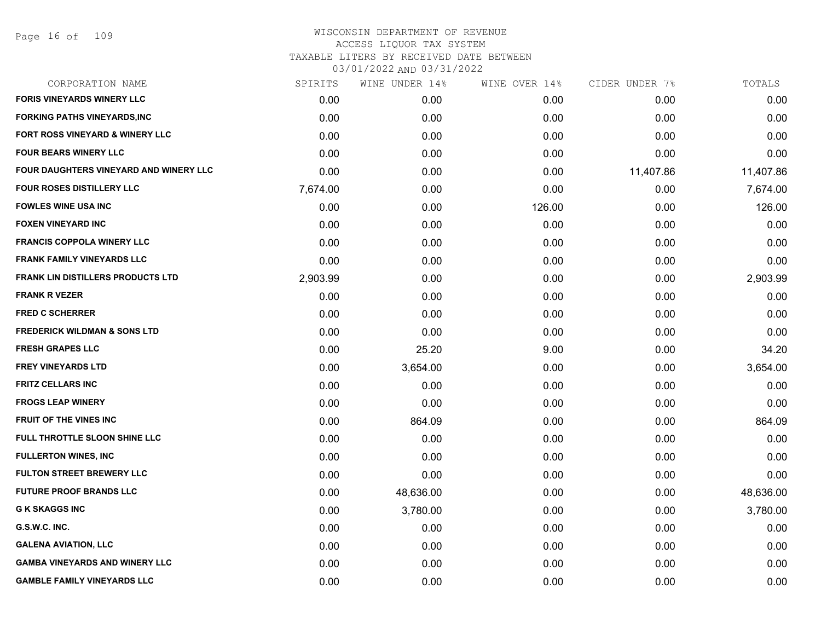| CORPORATION NAME                         | SPIRITS  | WINE UNDER 14% | WINE OVER 14% | CIDER UNDER 7% | TOTALS    |
|------------------------------------------|----------|----------------|---------------|----------------|-----------|
| <b>FORIS VINEYARDS WINERY LLC</b>        | 0.00     | 0.00           | 0.00          | 0.00           | 0.00      |
| <b>FORKING PATHS VINEYARDS, INC</b>      | 0.00     | 0.00           | 0.00          | 0.00           | 0.00      |
| FORT ROSS VINEYARD & WINERY LLC          | 0.00     | 0.00           | 0.00          | 0.00           | 0.00      |
| <b>FOUR BEARS WINERY LLC</b>             | 0.00     | 0.00           | 0.00          | 0.00           | 0.00      |
| FOUR DAUGHTERS VINEYARD AND WINERY LLC   | 0.00     | 0.00           | 0.00          | 11,407.86      | 11,407.86 |
| FOUR ROSES DISTILLERY LLC                | 7,674.00 | 0.00           | 0.00          | 0.00           | 7,674.00  |
| <b>FOWLES WINE USA INC</b>               | 0.00     | 0.00           | 126.00        | 0.00           | 126.00    |
| <b>FOXEN VINEYARD INC</b>                | 0.00     | 0.00           | 0.00          | 0.00           | 0.00      |
| <b>FRANCIS COPPOLA WINERY LLC</b>        | 0.00     | 0.00           | 0.00          | 0.00           | 0.00      |
| <b>FRANK FAMILY VINEYARDS LLC</b>        | 0.00     | 0.00           | 0.00          | 0.00           | 0.00      |
| <b>FRANK LIN DISTILLERS PRODUCTS LTD</b> | 2,903.99 | 0.00           | 0.00          | 0.00           | 2,903.99  |
| <b>FRANK R VEZER</b>                     | 0.00     | 0.00           | 0.00          | 0.00           | 0.00      |
| <b>FRED C SCHERRER</b>                   | 0.00     | 0.00           | 0.00          | 0.00           | 0.00      |
| <b>FREDERICK WILDMAN &amp; SONS LTD</b>  | 0.00     | 0.00           | 0.00          | 0.00           | 0.00      |
| <b>FRESH GRAPES LLC</b>                  | 0.00     | 25.20          | 9.00          | 0.00           | 34.20     |
| <b>FREY VINEYARDS LTD</b>                | 0.00     | 3,654.00       | 0.00          | 0.00           | 3,654.00  |
| <b>FRITZ CELLARS INC</b>                 | 0.00     | 0.00           | 0.00          | 0.00           | 0.00      |
| <b>FROGS LEAP WINERY</b>                 | 0.00     | 0.00           | 0.00          | 0.00           | 0.00      |
| <b>FRUIT OF THE VINES INC</b>            | 0.00     | 864.09         | 0.00          | 0.00           | 864.09    |
| FULL THROTTLE SLOON SHINE LLC            | 0.00     | 0.00           | 0.00          | 0.00           | 0.00      |
| <b>FULLERTON WINES, INC</b>              | 0.00     | 0.00           | 0.00          | 0.00           | 0.00      |
| <b>FULTON STREET BREWERY LLC</b>         | 0.00     | 0.00           | 0.00          | 0.00           | 0.00      |
| <b>FUTURE PROOF BRANDS LLC</b>           | 0.00     | 48,636.00      | 0.00          | 0.00           | 48,636.00 |
| <b>G K SKAGGS INC</b>                    | 0.00     | 3,780.00       | 0.00          | 0.00           | 3,780.00  |
| G.S.W.C. INC.                            | 0.00     | 0.00           | 0.00          | 0.00           | 0.00      |
| <b>GALENA AVIATION, LLC</b>              | 0.00     | 0.00           | 0.00          | 0.00           | 0.00      |
| <b>GAMBA VINEYARDS AND WINERY LLC</b>    | 0.00     | 0.00           | 0.00          | 0.00           | 0.00      |
| <b>GAMBLE FAMILY VINEYARDS LLC</b>       | 0.00     | 0.00           | 0.00          | 0.00           | 0.00      |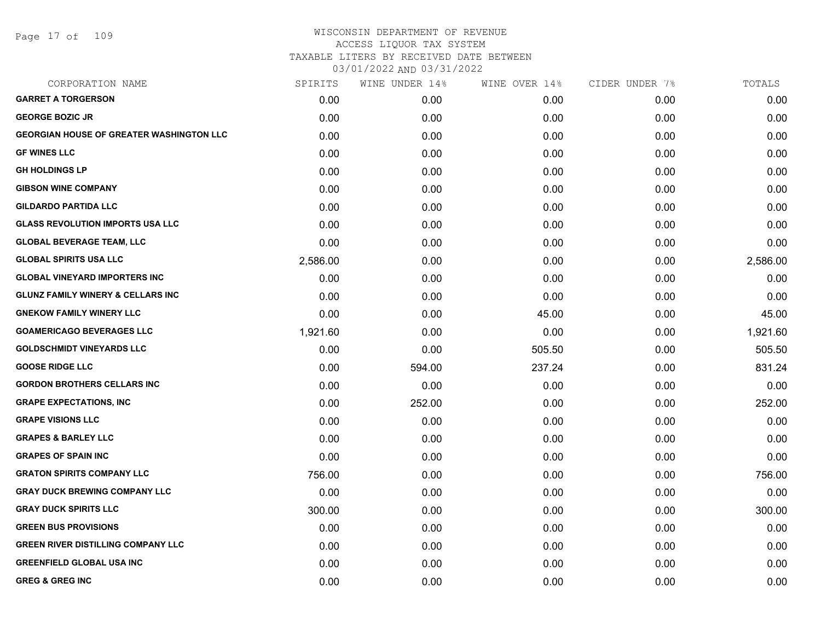Page 17 of 109

| CORPORATION NAME                                | SPIRITS  | WINE UNDER 14% | WINE OVER 14% | CIDER UNDER 7% | TOTALS   |
|-------------------------------------------------|----------|----------------|---------------|----------------|----------|
| <b>GARRET A TORGERSON</b>                       | 0.00     | 0.00           | 0.00          | 0.00           | 0.00     |
| <b>GEORGE BOZIC JR</b>                          | 0.00     | 0.00           | 0.00          | 0.00           | 0.00     |
| <b>GEORGIAN HOUSE OF GREATER WASHINGTON LLC</b> | 0.00     | 0.00           | 0.00          | 0.00           | 0.00     |
| <b>GF WINES LLC</b>                             | 0.00     | 0.00           | 0.00          | 0.00           | 0.00     |
| <b>GH HOLDINGS LP</b>                           | 0.00     | 0.00           | 0.00          | 0.00           | 0.00     |
| <b>GIBSON WINE COMPANY</b>                      | 0.00     | 0.00           | 0.00          | 0.00           | 0.00     |
| <b>GILDARDO PARTIDA LLC</b>                     | 0.00     | 0.00           | 0.00          | 0.00           | 0.00     |
| <b>GLASS REVOLUTION IMPORTS USA LLC</b>         | 0.00     | 0.00           | 0.00          | 0.00           | 0.00     |
| <b>GLOBAL BEVERAGE TEAM, LLC</b>                | 0.00     | 0.00           | 0.00          | 0.00           | 0.00     |
| <b>GLOBAL SPIRITS USA LLC</b>                   | 2,586.00 | 0.00           | 0.00          | 0.00           | 2,586.00 |
| <b>GLOBAL VINEYARD IMPORTERS INC</b>            | 0.00     | 0.00           | 0.00          | 0.00           | 0.00     |
| <b>GLUNZ FAMILY WINERY &amp; CELLARS INC</b>    | 0.00     | 0.00           | 0.00          | 0.00           | 0.00     |
| <b>GNEKOW FAMILY WINERY LLC</b>                 | 0.00     | 0.00           | 45.00         | 0.00           | 45.00    |
| <b>GOAMERICAGO BEVERAGES LLC</b>                | 1,921.60 | 0.00           | 0.00          | 0.00           | 1,921.60 |
| <b>GOLDSCHMIDT VINEYARDS LLC</b>                | 0.00     | 0.00           | 505.50        | 0.00           | 505.50   |
| <b>GOOSE RIDGE LLC</b>                          | 0.00     | 594.00         | 237.24        | 0.00           | 831.24   |
| <b>GORDON BROTHERS CELLARS INC</b>              | 0.00     | 0.00           | 0.00          | 0.00           | 0.00     |
| <b>GRAPE EXPECTATIONS, INC</b>                  | 0.00     | 252.00         | 0.00          | 0.00           | 252.00   |
| <b>GRAPE VISIONS LLC</b>                        | 0.00     | 0.00           | 0.00          | 0.00           | 0.00     |
| <b>GRAPES &amp; BARLEY LLC</b>                  | 0.00     | 0.00           | 0.00          | 0.00           | 0.00     |
| <b>GRAPES OF SPAIN INC</b>                      | 0.00     | 0.00           | 0.00          | 0.00           | 0.00     |
| <b>GRATON SPIRITS COMPANY LLC</b>               | 756.00   | 0.00           | 0.00          | 0.00           | 756.00   |
| <b>GRAY DUCK BREWING COMPANY LLC</b>            | 0.00     | 0.00           | 0.00          | 0.00           | 0.00     |
| <b>GRAY DUCK SPIRITS LLC</b>                    | 300.00   | 0.00           | 0.00          | 0.00           | 300.00   |
| <b>GREEN BUS PROVISIONS</b>                     | 0.00     | 0.00           | 0.00          | 0.00           | 0.00     |
| <b>GREEN RIVER DISTILLING COMPANY LLC</b>       | 0.00     | 0.00           | 0.00          | 0.00           | 0.00     |
| <b>GREENFIELD GLOBAL USA INC</b>                | 0.00     | 0.00           | 0.00          | 0.00           | 0.00     |
| <b>GREG &amp; GREG INC</b>                      | 0.00     | 0.00           | 0.00          | 0.00           | 0.00     |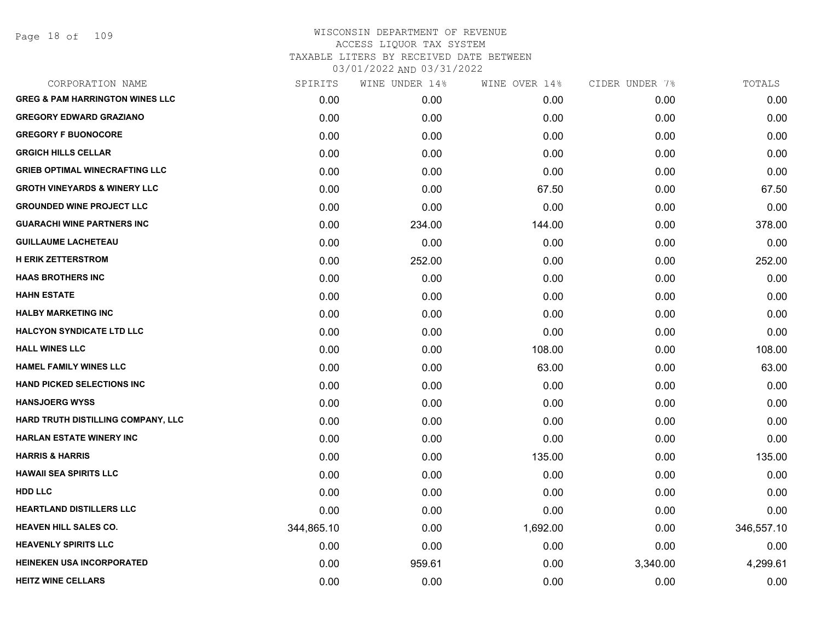Page 18 of 109

| SPIRITS    | WINE UNDER 14% | WINE OVER 14% | CIDER UNDER 7% | TOTALS     |
|------------|----------------|---------------|----------------|------------|
| 0.00       | 0.00           | 0.00          | 0.00           | 0.00       |
| 0.00       | 0.00           | 0.00          | 0.00           | 0.00       |
| 0.00       | 0.00           | 0.00          | 0.00           | 0.00       |
| 0.00       | 0.00           | 0.00          | 0.00           | 0.00       |
| 0.00       | 0.00           | 0.00          | 0.00           | 0.00       |
| 0.00       | 0.00           | 67.50         | 0.00           | 67.50      |
| 0.00       | 0.00           | 0.00          | 0.00           | 0.00       |
| 0.00       | 234.00         | 144.00        | 0.00           | 378.00     |
| 0.00       | 0.00           | 0.00          | 0.00           | 0.00       |
| 0.00       | 252.00         | 0.00          | 0.00           | 252.00     |
| 0.00       | 0.00           | 0.00          | 0.00           | 0.00       |
| 0.00       | 0.00           | 0.00          | 0.00           | 0.00       |
| 0.00       | 0.00           | 0.00          | 0.00           | 0.00       |
| 0.00       | 0.00           | 0.00          | 0.00           | 0.00       |
| 0.00       | 0.00           | 108.00        | 0.00           | 108.00     |
| 0.00       | 0.00           | 63.00         | 0.00           | 63.00      |
| 0.00       | 0.00           | 0.00          | 0.00           | 0.00       |
| 0.00       | 0.00           | 0.00          | 0.00           | 0.00       |
| 0.00       | 0.00           | 0.00          | 0.00           | 0.00       |
| 0.00       | 0.00           | 0.00          | 0.00           | 0.00       |
| 0.00       | 0.00           | 135.00        | 0.00           | 135.00     |
| 0.00       | 0.00           | 0.00          | 0.00           | 0.00       |
| 0.00       | 0.00           | 0.00          | 0.00           | 0.00       |
| 0.00       | 0.00           | 0.00          | 0.00           | 0.00       |
| 344,865.10 | 0.00           | 1,692.00      | 0.00           | 346,557.10 |
| 0.00       | 0.00           | 0.00          | 0.00           | 0.00       |
| 0.00       | 959.61         | 0.00          | 3,340.00       | 4,299.61   |
| 0.00       | 0.00           | 0.00          | 0.00           | 0.00       |
|            |                |               |                |            |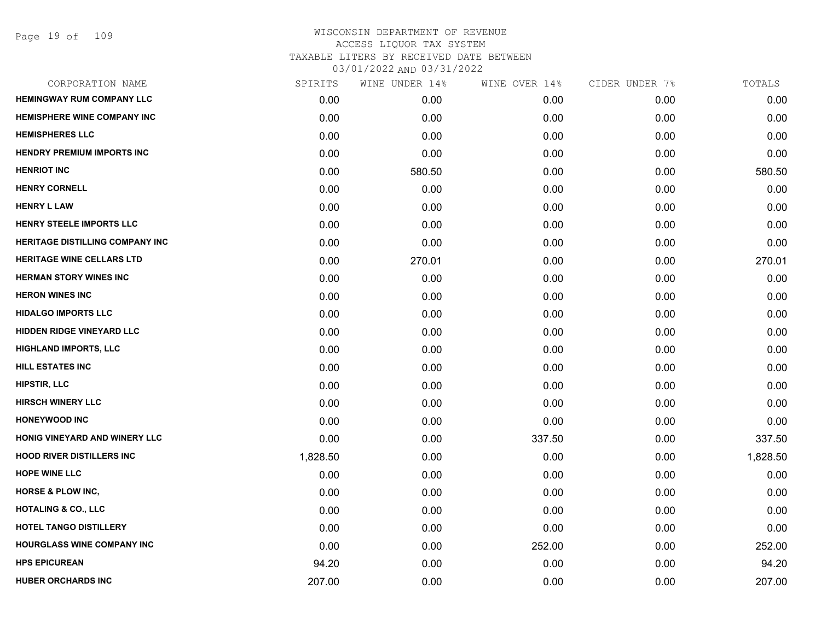| CORPORATION NAME                       | SPIRITS  | WINE UNDER 14% | WINE OVER 14% | CIDER UNDER 7% | TOTALS   |
|----------------------------------------|----------|----------------|---------------|----------------|----------|
| <b>HEMINGWAY RUM COMPANY LLC</b>       | 0.00     | 0.00           | 0.00          | 0.00           | 0.00     |
| HEMISPHERE WINE COMPANY INC            | 0.00     | 0.00           | 0.00          | 0.00           | 0.00     |
| <b>HEMISPHERES LLC</b>                 | 0.00     | 0.00           | 0.00          | 0.00           | 0.00     |
| <b>HENDRY PREMIUM IMPORTS INC</b>      | 0.00     | 0.00           | 0.00          | 0.00           | 0.00     |
| <b>HENRIOT INC</b>                     | 0.00     | 580.50         | 0.00          | 0.00           | 580.50   |
| <b>HENRY CORNELL</b>                   | 0.00     | 0.00           | 0.00          | 0.00           | 0.00     |
| <b>HENRY L LAW</b>                     | 0.00     | 0.00           | 0.00          | 0.00           | 0.00     |
| HENRY STEELE IMPORTS LLC               | 0.00     | 0.00           | 0.00          | 0.00           | 0.00     |
| <b>HERITAGE DISTILLING COMPANY INC</b> | 0.00     | 0.00           | 0.00          | 0.00           | 0.00     |
| <b>HERITAGE WINE CELLARS LTD</b>       | 0.00     | 270.01         | 0.00          | 0.00           | 270.01   |
| <b>HERMAN STORY WINES INC</b>          | 0.00     | 0.00           | 0.00          | 0.00           | 0.00     |
| <b>HERON WINES INC</b>                 | 0.00     | 0.00           | 0.00          | 0.00           | 0.00     |
| <b>HIDALGO IMPORTS LLC</b>             | 0.00     | 0.00           | 0.00          | 0.00           | 0.00     |
| <b>HIDDEN RIDGE VINEYARD LLC</b>       | 0.00     | 0.00           | 0.00          | 0.00           | 0.00     |
| <b>HIGHLAND IMPORTS, LLC</b>           | 0.00     | 0.00           | 0.00          | 0.00           | 0.00     |
| HILL ESTATES INC                       | 0.00     | 0.00           | 0.00          | 0.00           | 0.00     |
| <b>HIPSTIR, LLC</b>                    | 0.00     | 0.00           | 0.00          | 0.00           | 0.00     |
| <b>HIRSCH WINERY LLC</b>               | 0.00     | 0.00           | 0.00          | 0.00           | 0.00     |
| <b>HONEYWOOD INC</b>                   | 0.00     | 0.00           | 0.00          | 0.00           | 0.00     |
| HONIG VINEYARD AND WINERY LLC          | 0.00     | 0.00           | 337.50        | 0.00           | 337.50   |
| <b>HOOD RIVER DISTILLERS INC</b>       | 1,828.50 | 0.00           | 0.00          | 0.00           | 1,828.50 |
| <b>HOPE WINE LLC</b>                   | 0.00     | 0.00           | 0.00          | 0.00           | 0.00     |
| <b>HORSE &amp; PLOW INC,</b>           | 0.00     | 0.00           | 0.00          | 0.00           | 0.00     |
| <b>HOTALING &amp; CO., LLC</b>         | 0.00     | 0.00           | 0.00          | 0.00           | 0.00     |
| HOTEL TANGO DISTILLERY                 | 0.00     | 0.00           | 0.00          | 0.00           | 0.00     |
| HOURGLASS WINE COMPANY INC             | 0.00     | 0.00           | 252.00        | 0.00           | 252.00   |
| <b>HPS EPICUREAN</b>                   | 94.20    | 0.00           | 0.00          | 0.00           | 94.20    |
| <b>HUBER ORCHARDS INC</b>              | 207.00   | 0.00           | 0.00          | 0.00           | 207.00   |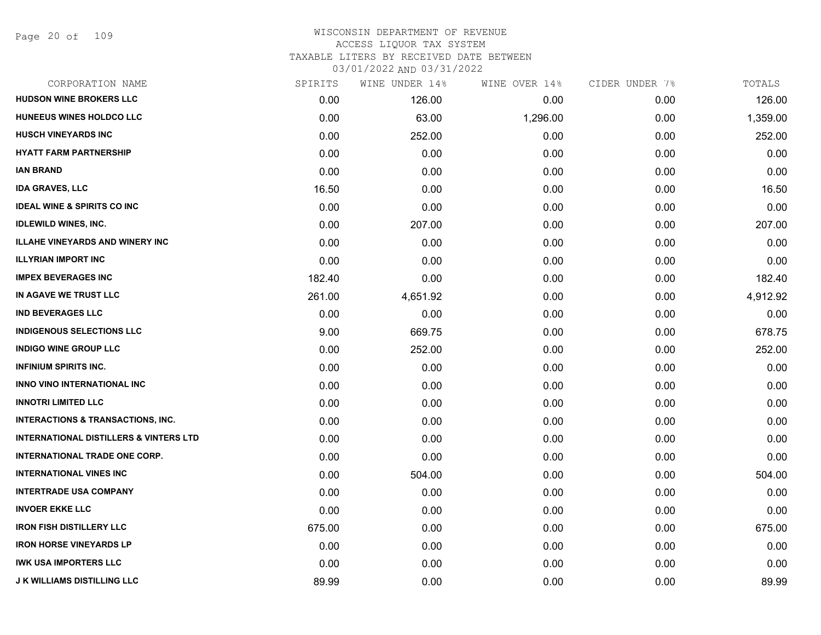Page 20 of 109

| CORPORATION NAME                                  | SPIRITS | WINE UNDER 14% | WINE OVER 14% | CIDER UNDER 7% | TOTALS   |
|---------------------------------------------------|---------|----------------|---------------|----------------|----------|
| <b>HUDSON WINE BROKERS LLC</b>                    | 0.00    | 126.00         | 0.00          | 0.00           | 126.00   |
| HUNEEUS WINES HOLDCO LLC                          | 0.00    | 63.00          | 1,296.00      | 0.00           | 1,359.00 |
| <b>HUSCH VINEYARDS INC</b>                        | 0.00    | 252.00         | 0.00          | 0.00           | 252.00   |
| <b>HYATT FARM PARTNERSHIP</b>                     | 0.00    | 0.00           | 0.00          | 0.00           | 0.00     |
| <b>IAN BRAND</b>                                  | 0.00    | 0.00           | 0.00          | 0.00           | 0.00     |
| <b>IDA GRAVES, LLC</b>                            | 16.50   | 0.00           | 0.00          | 0.00           | 16.50    |
| <b>IDEAL WINE &amp; SPIRITS CO INC</b>            | 0.00    | 0.00           | 0.00          | 0.00           | 0.00     |
| <b>IDLEWILD WINES, INC.</b>                       | 0.00    | 207.00         | 0.00          | 0.00           | 207.00   |
| <b>ILLAHE VINEYARDS AND WINERY INC</b>            | 0.00    | 0.00           | 0.00          | 0.00           | 0.00     |
| <b>ILLYRIAN IMPORT INC</b>                        | 0.00    | 0.00           | 0.00          | 0.00           | 0.00     |
| <b>IMPEX BEVERAGES INC</b>                        | 182.40  | 0.00           | 0.00          | 0.00           | 182.40   |
| IN AGAVE WE TRUST LLC                             | 261.00  | 4,651.92       | 0.00          | 0.00           | 4,912.92 |
| <b>IND BEVERAGES LLC</b>                          | 0.00    | 0.00           | 0.00          | 0.00           | 0.00     |
| <b>INDIGENOUS SELECTIONS LLC</b>                  | 9.00    | 669.75         | 0.00          | 0.00           | 678.75   |
| <b>INDIGO WINE GROUP LLC</b>                      | 0.00    | 252.00         | 0.00          | 0.00           | 252.00   |
| <b>INFINIUM SPIRITS INC.</b>                      | 0.00    | 0.00           | 0.00          | 0.00           | 0.00     |
| INNO VINO INTERNATIONAL INC                       | 0.00    | 0.00           | 0.00          | 0.00           | 0.00     |
| <b>INNOTRI LIMITED LLC</b>                        | 0.00    | 0.00           | 0.00          | 0.00           | 0.00     |
| <b>INTERACTIONS &amp; TRANSACTIONS, INC.</b>      | 0.00    | 0.00           | 0.00          | 0.00           | 0.00     |
| <b>INTERNATIONAL DISTILLERS &amp; VINTERS LTD</b> | 0.00    | 0.00           | 0.00          | 0.00           | 0.00     |
| <b>INTERNATIONAL TRADE ONE CORP.</b>              | 0.00    | 0.00           | 0.00          | 0.00           | 0.00     |
| <b>INTERNATIONAL VINES INC</b>                    | 0.00    | 504.00         | 0.00          | 0.00           | 504.00   |
| <b>INTERTRADE USA COMPANY</b>                     | 0.00    | 0.00           | 0.00          | 0.00           | 0.00     |
| <b>INVOER EKKE LLC</b>                            | 0.00    | 0.00           | 0.00          | 0.00           | 0.00     |
| <b>IRON FISH DISTILLERY LLC</b>                   | 675.00  | 0.00           | 0.00          | 0.00           | 675.00   |
| <b>IRON HORSE VINEYARDS LP</b>                    | 0.00    | 0.00           | 0.00          | 0.00           | 0.00     |
| <b>IWK USA IMPORTERS LLC</b>                      | 0.00    | 0.00           | 0.00          | 0.00           | 0.00     |
| <b>J K WILLIAMS DISTILLING LLC</b>                | 89.99   | 0.00           | 0.00          | 0.00           | 89.99    |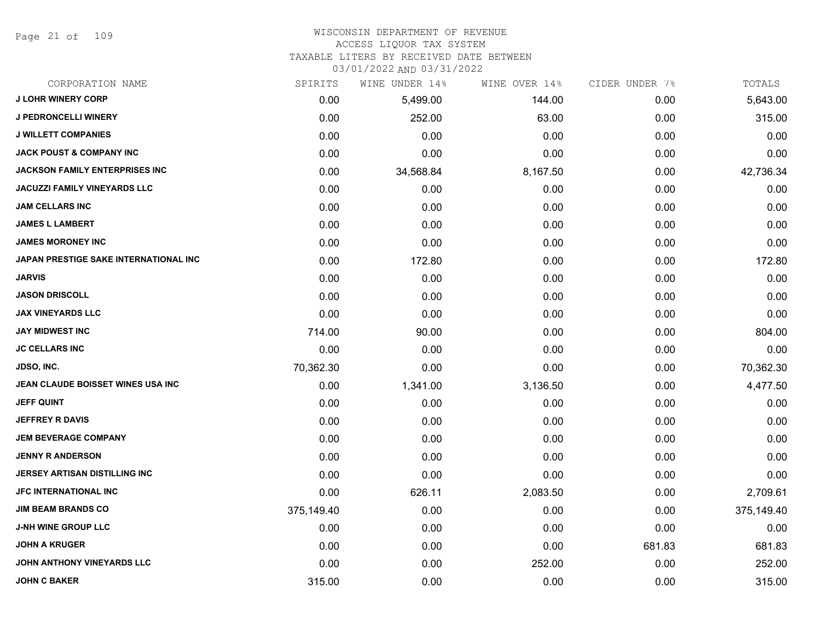Page 21 of 109

#### WISCONSIN DEPARTMENT OF REVENUE ACCESS LIQUOR TAX SYSTEM

TAXABLE LITERS BY RECEIVED DATE BETWEEN

| CORPORATION NAME                      | SPIRITS    | WINE UNDER 14% | WINE OVER 14% | CIDER UNDER 7% | TOTALS     |
|---------------------------------------|------------|----------------|---------------|----------------|------------|
| <b>J LOHR WINERY CORP</b>             | 0.00       | 5,499.00       | 144.00        | 0.00           | 5,643.00   |
| J PEDRONCELLI WINERY                  | 0.00       | 252.00         | 63.00         | 0.00           | 315.00     |
| <b>J WILLETT COMPANIES</b>            | 0.00       | 0.00           | 0.00          | 0.00           | 0.00       |
| <b>JACK POUST &amp; COMPANY INC</b>   | 0.00       | 0.00           | 0.00          | 0.00           | 0.00       |
| <b>JACKSON FAMILY ENTERPRISES INC</b> | 0.00       | 34,568.84      | 8,167.50      | 0.00           | 42,736.34  |
| <b>JACUZZI FAMILY VINEYARDS LLC</b>   | 0.00       | 0.00           | 0.00          | 0.00           | 0.00       |
| <b>JAM CELLARS INC</b>                | 0.00       | 0.00           | 0.00          | 0.00           | 0.00       |
| <b>JAMES L LAMBERT</b>                | 0.00       | 0.00           | 0.00          | 0.00           | 0.00       |
| <b>JAMES MORONEY INC</b>              | 0.00       | 0.00           | 0.00          | 0.00           | 0.00       |
| JAPAN PRESTIGE SAKE INTERNATIONAL INC | 0.00       | 172.80         | 0.00          | 0.00           | 172.80     |
| <b>JARVIS</b>                         | 0.00       | 0.00           | 0.00          | 0.00           | 0.00       |
| <b>JASON DRISCOLL</b>                 | 0.00       | 0.00           | 0.00          | 0.00           | 0.00       |
| <b>JAX VINEYARDS LLC</b>              | 0.00       | 0.00           | 0.00          | 0.00           | 0.00       |
| <b>JAY MIDWEST INC</b>                | 714.00     | 90.00          | 0.00          | 0.00           | 804.00     |
| <b>JC CELLARS INC</b>                 | 0.00       | 0.00           | 0.00          | 0.00           | 0.00       |
| <b>JDSO, INC.</b>                     | 70,362.30  | 0.00           | 0.00          | 0.00           | 70,362.30  |
| JEAN CLAUDE BOISSET WINES USA INC     | 0.00       | 1,341.00       | 3,136.50      | 0.00           | 4,477.50   |
| <b>JEFF QUINT</b>                     | 0.00       | 0.00           | 0.00          | 0.00           | 0.00       |
| <b>JEFFREY R DAVIS</b>                | 0.00       | 0.00           | 0.00          | 0.00           | 0.00       |
| <b>JEM BEVERAGE COMPANY</b>           | 0.00       | 0.00           | 0.00          | 0.00           | 0.00       |
| <b>JENNY R ANDERSON</b>               | 0.00       | 0.00           | 0.00          | 0.00           | 0.00       |
| JERSEY ARTISAN DISTILLING INC         | 0.00       | 0.00           | 0.00          | 0.00           | 0.00       |
| JFC INTERNATIONAL INC                 | 0.00       | 626.11         | 2,083.50      | 0.00           | 2,709.61   |
| <b>JIM BEAM BRANDS CO</b>             | 375,149.40 | 0.00           | 0.00          | 0.00           | 375,149.40 |
| <b>J-NH WINE GROUP LLC</b>            | 0.00       | 0.00           | 0.00          | 0.00           | 0.00       |
| <b>JOHN A KRUGER</b>                  | 0.00       | 0.00           | 0.00          | 681.83         | 681.83     |
| JOHN ANTHONY VINEYARDS LLC            | 0.00       | 0.00           | 252.00        | 0.00           | 252.00     |
| <b>JOHN C BAKER</b>                   | 315.00     | 0.00           | 0.00          | 0.00           | 315.00     |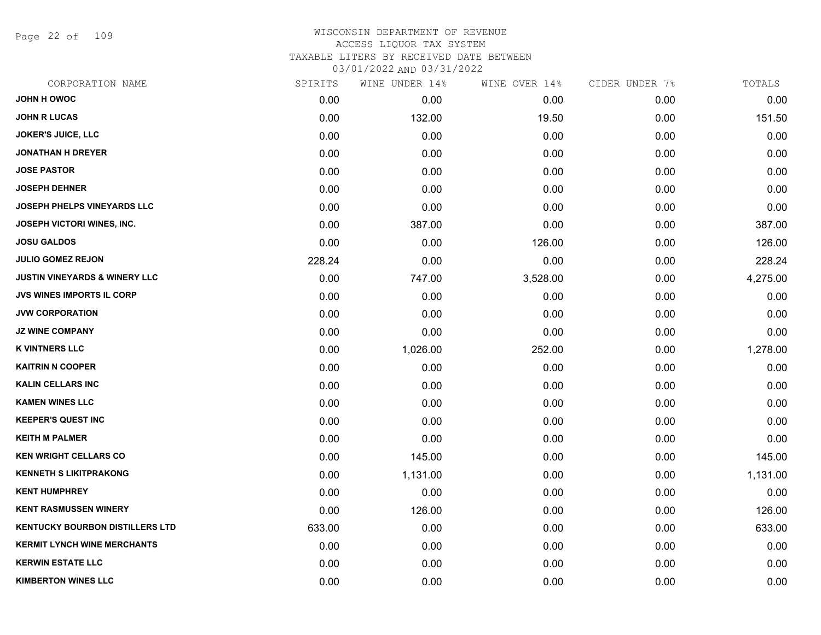Page 22 of 109

| CORPORATION NAME                         | SPIRITS | WINE UNDER 14% | WINE OVER 14% | CIDER UNDER 7% | TOTALS   |
|------------------------------------------|---------|----------------|---------------|----------------|----------|
| <b>JOHN H OWOC</b>                       | 0.00    | 0.00           | 0.00          | 0.00           | 0.00     |
| <b>JOHN R LUCAS</b>                      | 0.00    | 132.00         | 19.50         | 0.00           | 151.50   |
| <b>JOKER'S JUICE, LLC</b>                | 0.00    | 0.00           | 0.00          | 0.00           | 0.00     |
| <b>JONATHAN H DREYER</b>                 | 0.00    | 0.00           | 0.00          | 0.00           | 0.00     |
| <b>JOSE PASTOR</b>                       | 0.00    | 0.00           | 0.00          | 0.00           | 0.00     |
| <b>JOSEPH DEHNER</b>                     | 0.00    | 0.00           | 0.00          | 0.00           | 0.00     |
| JOSEPH PHELPS VINEYARDS LLC              | 0.00    | 0.00           | 0.00          | 0.00           | 0.00     |
| JOSEPH VICTORI WINES, INC.               | 0.00    | 387.00         | 0.00          | 0.00           | 387.00   |
| <b>JOSU GALDOS</b>                       | 0.00    | 0.00           | 126.00        | 0.00           | 126.00   |
| <b>JULIO GOMEZ REJON</b>                 | 228.24  | 0.00           | 0.00          | 0.00           | 228.24   |
| <b>JUSTIN VINEYARDS &amp; WINERY LLC</b> | 0.00    | 747.00         | 3,528.00      | 0.00           | 4,275.00 |
| <b>JVS WINES IMPORTS IL CORP</b>         | 0.00    | 0.00           | 0.00          | 0.00           | 0.00     |
| <b>JVW CORPORATION</b>                   | 0.00    | 0.00           | 0.00          | 0.00           | 0.00     |
| <b>JZ WINE COMPANY</b>                   | 0.00    | 0.00           | 0.00          | 0.00           | 0.00     |
| <b>K VINTNERS LLC</b>                    | 0.00    | 1,026.00       | 252.00        | 0.00           | 1,278.00 |
| <b>KAITRIN N COOPER</b>                  | 0.00    | 0.00           | 0.00          | 0.00           | 0.00     |
| <b>KALIN CELLARS INC</b>                 | 0.00    | 0.00           | 0.00          | 0.00           | 0.00     |
| <b>KAMEN WINES LLC</b>                   | 0.00    | 0.00           | 0.00          | 0.00           | 0.00     |
| <b>KEEPER'S QUEST INC</b>                | 0.00    | 0.00           | 0.00          | 0.00           | 0.00     |
| <b>KEITH M PALMER</b>                    | 0.00    | 0.00           | 0.00          | 0.00           | 0.00     |
| <b>KEN WRIGHT CELLARS CO</b>             | 0.00    | 145.00         | 0.00          | 0.00           | 145.00   |
| <b>KENNETH S LIKITPRAKONG</b>            | 0.00    | 1,131.00       | 0.00          | 0.00           | 1,131.00 |
| <b>KENT HUMPHREY</b>                     | 0.00    | 0.00           | 0.00          | 0.00           | 0.00     |
| <b>KENT RASMUSSEN WINERY</b>             | 0.00    | 126.00         | 0.00          | 0.00           | 126.00   |
| <b>KENTUCKY BOURBON DISTILLERS LTD</b>   | 633.00  | 0.00           | 0.00          | 0.00           | 633.00   |
| <b>KERMIT LYNCH WINE MERCHANTS</b>       | 0.00    | 0.00           | 0.00          | 0.00           | 0.00     |
| <b>KERWIN ESTATE LLC</b>                 | 0.00    | 0.00           | 0.00          | 0.00           | 0.00     |
| <b>KIMBERTON WINES LLC</b>               | 0.00    | 0.00           | 0.00          | 0.00           | 0.00     |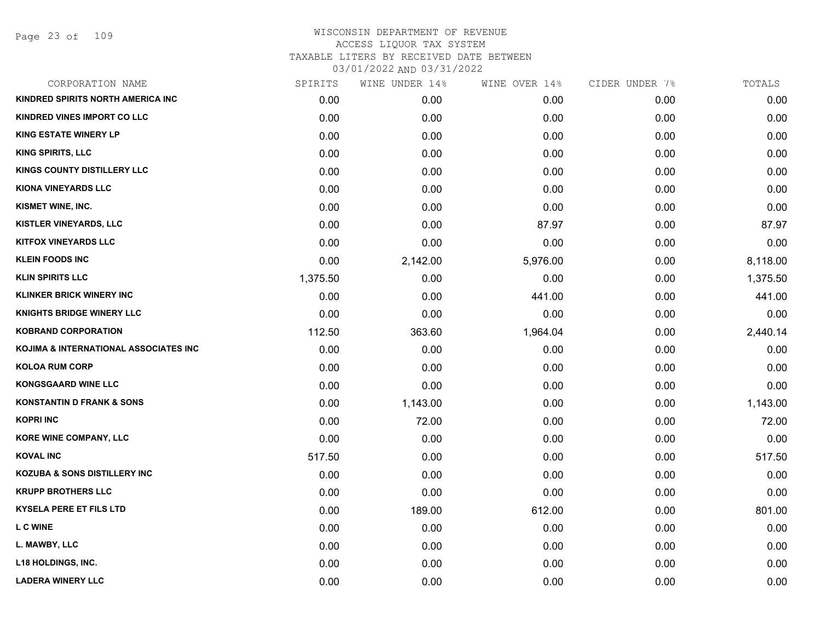Page 23 of 109

| CORPORATION NAME                                 | SPIRITS  | WINE UNDER 14% | WINE OVER 14% | CIDER UNDER 7% | TOTALS   |
|--------------------------------------------------|----------|----------------|---------------|----------------|----------|
| KINDRED SPIRITS NORTH AMERICA INC                | 0.00     | 0.00           | 0.00          | 0.00           | 0.00     |
| KINDRED VINES IMPORT CO LLC                      | 0.00     | 0.00           | 0.00          | 0.00           | 0.00     |
| <b>KING ESTATE WINERY LP</b>                     | 0.00     | 0.00           | 0.00          | 0.00           | 0.00     |
| <b>KING SPIRITS, LLC</b>                         | 0.00     | 0.00           | 0.00          | 0.00           | 0.00     |
| KINGS COUNTY DISTILLERY LLC                      | 0.00     | 0.00           | 0.00          | 0.00           | 0.00     |
| <b>KIONA VINEYARDS LLC</b>                       | 0.00     | 0.00           | 0.00          | 0.00           | 0.00     |
| KISMET WINE, INC.                                | 0.00     | 0.00           | 0.00          | 0.00           | 0.00     |
| KISTLER VINEYARDS, LLC                           | 0.00     | 0.00           | 87.97         | 0.00           | 87.97    |
| <b>KITFOX VINEYARDS LLC</b>                      | 0.00     | 0.00           | 0.00          | 0.00           | 0.00     |
| <b>KLEIN FOODS INC</b>                           | 0.00     | 2,142.00       | 5,976.00      | 0.00           | 8,118.00 |
| <b>KLIN SPIRITS LLC</b>                          | 1,375.50 | 0.00           | 0.00          | 0.00           | 1,375.50 |
| <b>KLINKER BRICK WINERY INC</b>                  | 0.00     | 0.00           | 441.00        | 0.00           | 441.00   |
| <b>KNIGHTS BRIDGE WINERY LLC</b>                 | 0.00     | 0.00           | 0.00          | 0.00           | 0.00     |
| <b>KOBRAND CORPORATION</b>                       | 112.50   | 363.60         | 1,964.04      | 0.00           | 2,440.14 |
| <b>KOJIMA &amp; INTERNATIONAL ASSOCIATES INC</b> | 0.00     | 0.00           | 0.00          | 0.00           | 0.00     |
| <b>KOLOA RUM CORP</b>                            | 0.00     | 0.00           | 0.00          | 0.00           | 0.00     |
| <b>KONGSGAARD WINE LLC</b>                       | 0.00     | 0.00           | 0.00          | 0.00           | 0.00     |
| <b>KONSTANTIN D FRANK &amp; SONS</b>             | 0.00     | 1,143.00       | 0.00          | 0.00           | 1,143.00 |
| <b>KOPRI INC</b>                                 | 0.00     | 72.00          | 0.00          | 0.00           | 72.00    |
| KORE WINE COMPANY, LLC                           | 0.00     | 0.00           | 0.00          | 0.00           | 0.00     |
| <b>KOVAL INC</b>                                 | 517.50   | 0.00           | 0.00          | 0.00           | 517.50   |
| <b>KOZUBA &amp; SONS DISTILLERY INC</b>          | 0.00     | 0.00           | 0.00          | 0.00           | 0.00     |
| <b>KRUPP BROTHERS LLC</b>                        | 0.00     | 0.00           | 0.00          | 0.00           | 0.00     |
| <b>KYSELA PERE ET FILS LTD</b>                   | 0.00     | 189.00         | 612.00        | 0.00           | 801.00   |
| <b>L C WINE</b>                                  | 0.00     | 0.00           | 0.00          | 0.00           | 0.00     |
| L. MAWBY, LLC                                    | 0.00     | 0.00           | 0.00          | 0.00           | 0.00     |
| <b>L18 HOLDINGS, INC.</b>                        | 0.00     | 0.00           | 0.00          | 0.00           | 0.00     |
| <b>LADERA WINERY LLC</b>                         | 0.00     | 0.00           | 0.00          | 0.00           | 0.00     |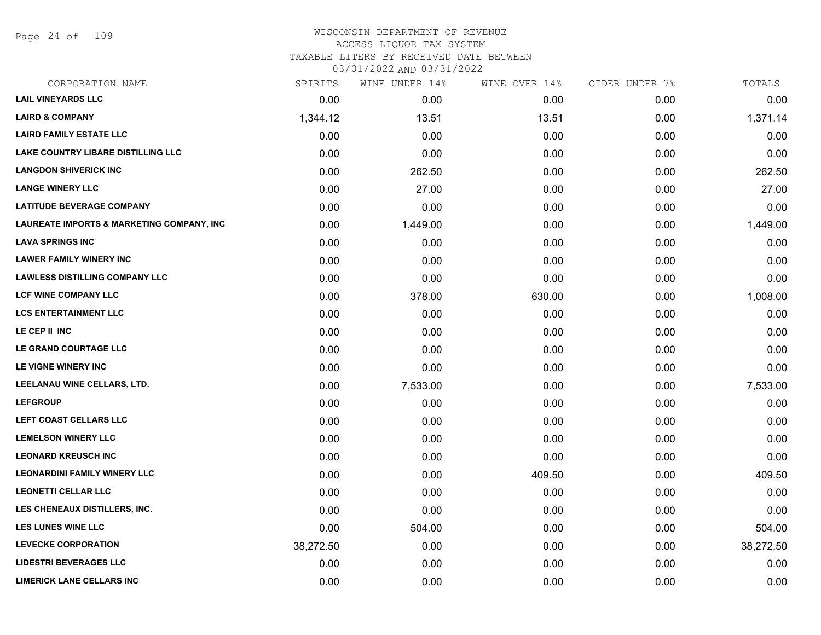Page 24 of 109

| CORPORATION NAME                                     | SPIRITS   | WINE UNDER 14% | WINE OVER 14% | CIDER UNDER 7% | TOTALS    |
|------------------------------------------------------|-----------|----------------|---------------|----------------|-----------|
| <b>LAIL VINEYARDS LLC</b>                            | 0.00      | 0.00           | 0.00          | 0.00           | 0.00      |
| <b>LAIRD &amp; COMPANY</b>                           | 1,344.12  | 13.51          | 13.51         | 0.00           | 1,371.14  |
| <b>LAIRD FAMILY ESTATE LLC</b>                       | 0.00      | 0.00           | 0.00          | 0.00           | 0.00      |
| <b>LAKE COUNTRY LIBARE DISTILLING LLC</b>            | 0.00      | 0.00           | 0.00          | 0.00           | 0.00      |
| <b>LANGDON SHIVERICK INC</b>                         | 0.00      | 262.50         | 0.00          | 0.00           | 262.50    |
| <b>LANGE WINERY LLC</b>                              | 0.00      | 27.00          | 0.00          | 0.00           | 27.00     |
| <b>LATITUDE BEVERAGE COMPANY</b>                     | 0.00      | 0.00           | 0.00          | 0.00           | 0.00      |
| <b>LAUREATE IMPORTS &amp; MARKETING COMPANY, INC</b> | 0.00      | 1,449.00       | 0.00          | 0.00           | 1,449.00  |
| <b>LAVA SPRINGS INC</b>                              | 0.00      | 0.00           | 0.00          | 0.00           | 0.00      |
| <b>LAWER FAMILY WINERY INC</b>                       | 0.00      | 0.00           | 0.00          | 0.00           | 0.00      |
| <b>LAWLESS DISTILLING COMPANY LLC</b>                | 0.00      | 0.00           | 0.00          | 0.00           | 0.00      |
| <b>LCF WINE COMPANY LLC</b>                          | 0.00      | 378.00         | 630.00        | 0.00           | 1,008.00  |
| <b>LCS ENTERTAINMENT LLC</b>                         | 0.00      | 0.00           | 0.00          | 0.00           | 0.00      |
| LE CEP II INC                                        | 0.00      | 0.00           | 0.00          | 0.00           | 0.00      |
| LE GRAND COURTAGE LLC                                | 0.00      | 0.00           | 0.00          | 0.00           | 0.00      |
| LE VIGNE WINERY INC                                  | 0.00      | 0.00           | 0.00          | 0.00           | 0.00      |
| LEELANAU WINE CELLARS, LTD.                          | 0.00      | 7,533.00       | 0.00          | 0.00           | 7,533.00  |
| <b>LEFGROUP</b>                                      | 0.00      | 0.00           | 0.00          | 0.00           | 0.00      |
| LEFT COAST CELLARS LLC                               | 0.00      | 0.00           | 0.00          | 0.00           | 0.00      |
| <b>LEMELSON WINERY LLC</b>                           | 0.00      | 0.00           | 0.00          | 0.00           | 0.00      |
| <b>LEONARD KREUSCH INC</b>                           | 0.00      | 0.00           | 0.00          | 0.00           | 0.00      |
| <b>LEONARDINI FAMILY WINERY LLC</b>                  | 0.00      | 0.00           | 409.50        | 0.00           | 409.50    |
| <b>LEONETTI CELLAR LLC</b>                           | 0.00      | 0.00           | 0.00          | 0.00           | 0.00      |
| LES CHENEAUX DISTILLERS, INC.                        | 0.00      | 0.00           | 0.00          | 0.00           | 0.00      |
| <b>LES LUNES WINE LLC</b>                            | 0.00      | 504.00         | 0.00          | 0.00           | 504.00    |
| <b>LEVECKE CORPORATION</b>                           | 38,272.50 | 0.00           | 0.00          | 0.00           | 38,272.50 |
| <b>LIDESTRI BEVERAGES LLC</b>                        | 0.00      | 0.00           | 0.00          | 0.00           | 0.00      |
| <b>LIMERICK LANE CELLARS INC</b>                     | 0.00      | 0.00           | 0.00          | 0.00           | 0.00      |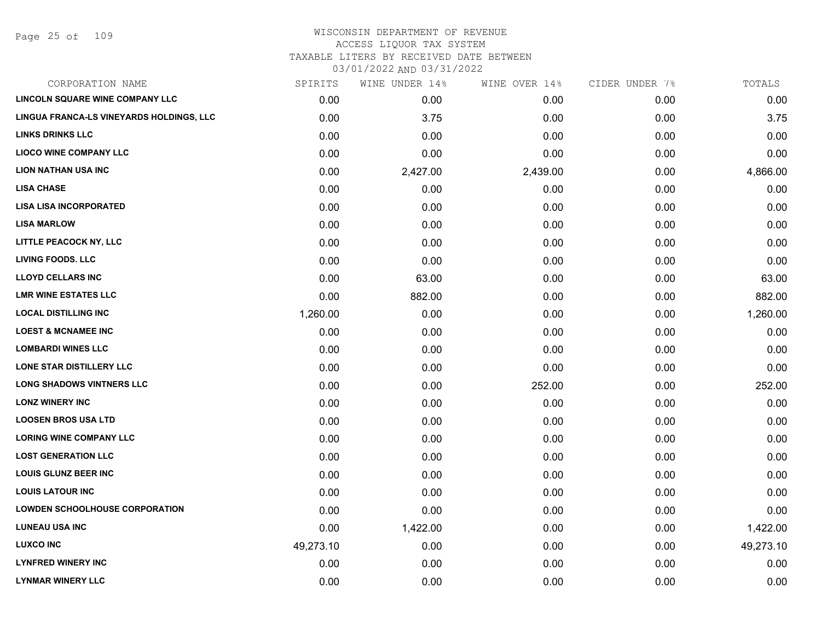# WISCONSIN DEPARTMENT OF REVENUE ACCESS LIQUOR TAX SYSTEM

TAXABLE LITERS BY RECEIVED DATE BETWEEN

| CORPORATION NAME                         | SPIRITS   | WINE UNDER 14% | WINE OVER 14% | CIDER UNDER 7% | TOTALS    |
|------------------------------------------|-----------|----------------|---------------|----------------|-----------|
| LINCOLN SQUARE WINE COMPANY LLC          | 0.00      | 0.00           | 0.00          | 0.00           | 0.00      |
| LINGUA FRANCA-LS VINEYARDS HOLDINGS, LLC | 0.00      | 3.75           | 0.00          | 0.00           | 3.75      |
| <b>LINKS DRINKS LLC</b>                  | 0.00      | 0.00           | 0.00          | 0.00           | 0.00      |
| <b>LIOCO WINE COMPANY LLC</b>            | 0.00      | 0.00           | 0.00          | 0.00           | 0.00      |
| <b>LION NATHAN USA INC</b>               | 0.00      | 2,427.00       | 2,439.00      | 0.00           | 4,866.00  |
| <b>LISA CHASE</b>                        | 0.00      | 0.00           | 0.00          | 0.00           | 0.00      |
| <b>LISA LISA INCORPORATED</b>            | 0.00      | 0.00           | 0.00          | 0.00           | 0.00      |
| <b>LISA MARLOW</b>                       | 0.00      | 0.00           | 0.00          | 0.00           | 0.00      |
| LITTLE PEACOCK NY, LLC                   | 0.00      | 0.00           | 0.00          | 0.00           | 0.00      |
| <b>LIVING FOODS. LLC</b>                 | 0.00      | 0.00           | 0.00          | 0.00           | 0.00      |
| <b>LLOYD CELLARS INC</b>                 | 0.00      | 63.00          | 0.00          | 0.00           | 63.00     |
| <b>LMR WINE ESTATES LLC</b>              | 0.00      | 882.00         | 0.00          | 0.00           | 882.00    |
| <b>LOCAL DISTILLING INC</b>              | 1,260.00  | 0.00           | 0.00          | 0.00           | 1,260.00  |
| <b>LOEST &amp; MCNAMEE INC</b>           | 0.00      | 0.00           | 0.00          | 0.00           | 0.00      |
| <b>LOMBARDI WINES LLC</b>                | 0.00      | 0.00           | 0.00          | 0.00           | 0.00      |
| <b>LONE STAR DISTILLERY LLC</b>          | 0.00      | 0.00           | 0.00          | 0.00           | 0.00      |
| <b>LONG SHADOWS VINTNERS LLC</b>         | 0.00      | 0.00           | 252.00        | 0.00           | 252.00    |
| <b>LONZ WINERY INC</b>                   | 0.00      | 0.00           | 0.00          | 0.00           | 0.00      |
| <b>LOOSEN BROS USA LTD</b>               | 0.00      | 0.00           | 0.00          | 0.00           | 0.00      |
| <b>LORING WINE COMPANY LLC</b>           | 0.00      | 0.00           | 0.00          | 0.00           | 0.00      |
| <b>LOST GENERATION LLC</b>               | 0.00      | 0.00           | 0.00          | 0.00           | 0.00      |
| <b>LOUIS GLUNZ BEER INC</b>              | 0.00      | 0.00           | 0.00          | 0.00           | 0.00      |
| <b>LOUIS LATOUR INC</b>                  | 0.00      | 0.00           | 0.00          | 0.00           | 0.00      |
| <b>LOWDEN SCHOOLHOUSE CORPORATION</b>    | 0.00      | 0.00           | 0.00          | 0.00           | 0.00      |
| <b>LUNEAU USA INC</b>                    | 0.00      | 1,422.00       | 0.00          | 0.00           | 1,422.00  |
| <b>LUXCO INC</b>                         | 49,273.10 | 0.00           | 0.00          | 0.00           | 49,273.10 |
| <b>LYNFRED WINERY INC</b>                | 0.00      | 0.00           | 0.00          | 0.00           | 0.00      |
| <b>LYNMAR WINERY LLC</b>                 | 0.00      | 0.00           | 0.00          | 0.00           | 0.00      |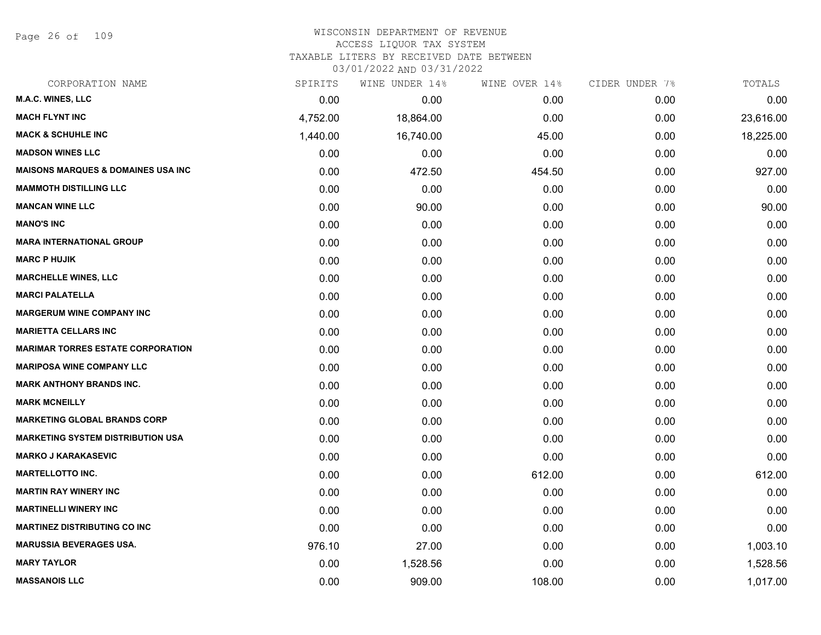Page 26 of 109

### WISCONSIN DEPARTMENT OF REVENUE ACCESS LIQUOR TAX SYSTEM TAXABLE LITERS BY RECEIVED DATE BETWEEN

| CORPORATION NAME                               | SPIRITS  | WINE UNDER 14% | WINE OVER 14% | CIDER UNDER 7% | TOTALS    |
|------------------------------------------------|----------|----------------|---------------|----------------|-----------|
| <b>M.A.C. WINES, LLC</b>                       | 0.00     | 0.00           | 0.00          | 0.00           | 0.00      |
| <b>MACH FLYNT INC</b>                          | 4,752.00 | 18,864.00      | 0.00          | 0.00           | 23,616.00 |
| <b>MACK &amp; SCHUHLE INC</b>                  | 1,440.00 | 16,740.00      | 45.00         | 0.00           | 18,225.00 |
| <b>MADSON WINES LLC</b>                        | 0.00     | 0.00           | 0.00          | 0.00           | 0.00      |
| <b>MAISONS MARQUES &amp; DOMAINES USA INC.</b> | 0.00     | 472.50         | 454.50        | 0.00           | 927.00    |
| <b>MAMMOTH DISTILLING LLC</b>                  | 0.00     | 0.00           | 0.00          | 0.00           | 0.00      |
| <b>MANCAN WINE LLC</b>                         | 0.00     | 90.00          | 0.00          | 0.00           | 90.00     |
| <b>MANO'S INC</b>                              | 0.00     | 0.00           | 0.00          | 0.00           | 0.00      |
| <b>MARA INTERNATIONAL GROUP</b>                | 0.00     | 0.00           | 0.00          | 0.00           | 0.00      |
| <b>MARC P HUJIK</b>                            | 0.00     | 0.00           | 0.00          | 0.00           | 0.00      |
| <b>MARCHELLE WINES, LLC</b>                    | 0.00     | 0.00           | 0.00          | 0.00           | 0.00      |
| <b>MARCI PALATELLA</b>                         | 0.00     | 0.00           | 0.00          | 0.00           | 0.00      |
| <b>MARGERUM WINE COMPANY INC</b>               | 0.00     | 0.00           | 0.00          | 0.00           | 0.00      |
| <b>MARIETTA CELLARS INC</b>                    | 0.00     | 0.00           | 0.00          | 0.00           | 0.00      |
| <b>MARIMAR TORRES ESTATE CORPORATION</b>       | 0.00     | 0.00           | 0.00          | 0.00           | 0.00      |
| <b>MARIPOSA WINE COMPANY LLC</b>               | 0.00     | 0.00           | 0.00          | 0.00           | 0.00      |
| <b>MARK ANTHONY BRANDS INC.</b>                | 0.00     | 0.00           | 0.00          | 0.00           | 0.00      |
| <b>MARK MCNEILLY</b>                           | 0.00     | 0.00           | 0.00          | 0.00           | 0.00      |
| <b>MARKETING GLOBAL BRANDS CORP</b>            | 0.00     | 0.00           | 0.00          | 0.00           | 0.00      |
| <b>MARKETING SYSTEM DISTRIBUTION USA</b>       | 0.00     | 0.00           | 0.00          | 0.00           | 0.00      |
| <b>MARKO J KARAKASEVIC</b>                     | 0.00     | 0.00           | 0.00          | 0.00           | 0.00      |
| <b>MARTELLOTTO INC.</b>                        | 0.00     | 0.00           | 612.00        | 0.00           | 612.00    |
| <b>MARTIN RAY WINERY INC</b>                   | 0.00     | 0.00           | 0.00          | 0.00           | 0.00      |
| <b>MARTINELLI WINERY INC</b>                   | 0.00     | 0.00           | 0.00          | 0.00           | 0.00      |
| <b>MARTINEZ DISTRIBUTING CO INC</b>            | 0.00     | 0.00           | 0.00          | 0.00           | 0.00      |
| <b>MARUSSIA BEVERAGES USA.</b>                 | 976.10   | 27.00          | 0.00          | 0.00           | 1,003.10  |
| <b>MARY TAYLOR</b>                             | 0.00     | 1,528.56       | 0.00          | 0.00           | 1,528.56  |
| <b>MASSANOIS LLC</b>                           | 0.00     | 909.00         | 108.00        | 0.00           | 1,017.00  |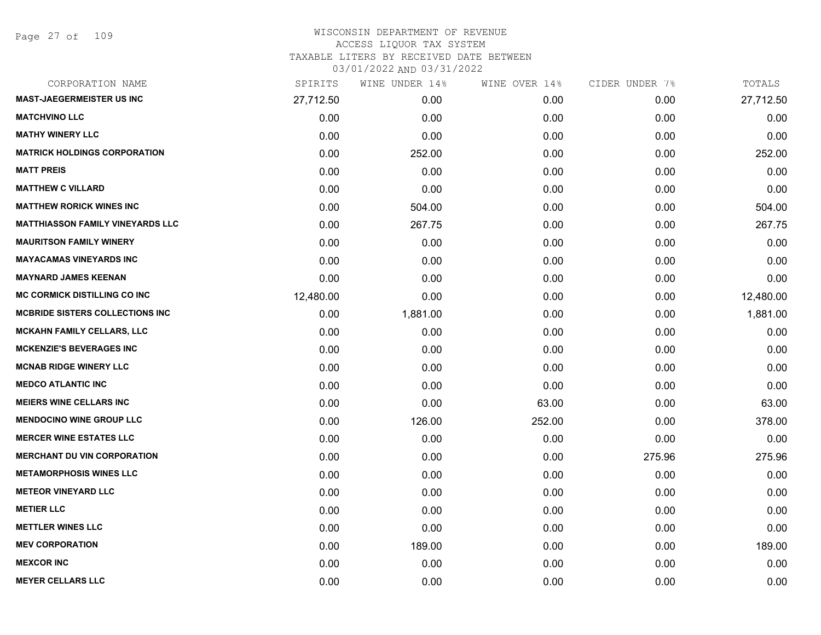| CORPORATION NAME                        | SPIRITS   | WINE UNDER 14% | WINE OVER 14% | CIDER UNDER 7% | TOTALS    |
|-----------------------------------------|-----------|----------------|---------------|----------------|-----------|
| <b>MAST-JAEGERMEISTER US INC</b>        | 27,712.50 | 0.00           | 0.00          | 0.00           | 27,712.50 |
| <b>MATCHVINO LLC</b>                    | 0.00      | 0.00           | 0.00          | 0.00           | 0.00      |
| <b>MATHY WINERY LLC</b>                 | 0.00      | 0.00           | 0.00          | 0.00           | 0.00      |
| <b>MATRICK HOLDINGS CORPORATION</b>     | 0.00      | 252.00         | 0.00          | 0.00           | 252.00    |
| <b>MATT PREIS</b>                       | 0.00      | 0.00           | 0.00          | 0.00           | 0.00      |
| <b>MATTHEW C VILLARD</b>                | 0.00      | 0.00           | 0.00          | 0.00           | 0.00      |
| <b>MATTHEW RORICK WINES INC</b>         | 0.00      | 504.00         | 0.00          | 0.00           | 504.00    |
| <b>MATTHIASSON FAMILY VINEYARDS LLC</b> | 0.00      | 267.75         | 0.00          | 0.00           | 267.75    |
| <b>MAURITSON FAMILY WINERY</b>          | 0.00      | 0.00           | 0.00          | 0.00           | 0.00      |
| <b>MAYACAMAS VINEYARDS INC</b>          | 0.00      | 0.00           | 0.00          | 0.00           | 0.00      |
| <b>MAYNARD JAMES KEENAN</b>             | 0.00      | 0.00           | 0.00          | 0.00           | 0.00      |
| <b>MC CORMICK DISTILLING CO INC</b>     | 12,480.00 | 0.00           | 0.00          | 0.00           | 12,480.00 |
| <b>MCBRIDE SISTERS COLLECTIONS INC</b>  | 0.00      | 1,881.00       | 0.00          | 0.00           | 1,881.00  |
| <b>MCKAHN FAMILY CELLARS, LLC</b>       | 0.00      | 0.00           | 0.00          | 0.00           | 0.00      |
| <b>MCKENZIE'S BEVERAGES INC</b>         | 0.00      | 0.00           | 0.00          | 0.00           | 0.00      |
| <b>MCNAB RIDGE WINERY LLC</b>           | 0.00      | 0.00           | 0.00          | 0.00           | 0.00      |
| <b>MEDCO ATLANTIC INC</b>               | 0.00      | 0.00           | 0.00          | 0.00           | 0.00      |
| <b>MEIERS WINE CELLARS INC</b>          | 0.00      | 0.00           | 63.00         | 0.00           | 63.00     |
| <b>MENDOCINO WINE GROUP LLC</b>         | 0.00      | 126.00         | 252.00        | 0.00           | 378.00    |
| <b>MERCER WINE ESTATES LLC</b>          | 0.00      | 0.00           | 0.00          | 0.00           | 0.00      |
| <b>MERCHANT DU VIN CORPORATION</b>      | 0.00      | 0.00           | 0.00          | 275.96         | 275.96    |
| <b>METAMORPHOSIS WINES LLC</b>          | 0.00      | 0.00           | 0.00          | 0.00           | 0.00      |
| <b>METEOR VINEYARD LLC</b>              | 0.00      | 0.00           | 0.00          | 0.00           | 0.00      |
| <b>METIER LLC</b>                       | 0.00      | 0.00           | 0.00          | 0.00           | 0.00      |
| <b>METTLER WINES LLC</b>                | 0.00      | 0.00           | 0.00          | 0.00           | 0.00      |
| <b>MEV CORPORATION</b>                  | 0.00      | 189.00         | 0.00          | 0.00           | 189.00    |
| <b>MEXCOR INC</b>                       | 0.00      | 0.00           | 0.00          | 0.00           | 0.00      |
| <b>MEYER CELLARS LLC</b>                | 0.00      | 0.00           | 0.00          | 0.00           | 0.00      |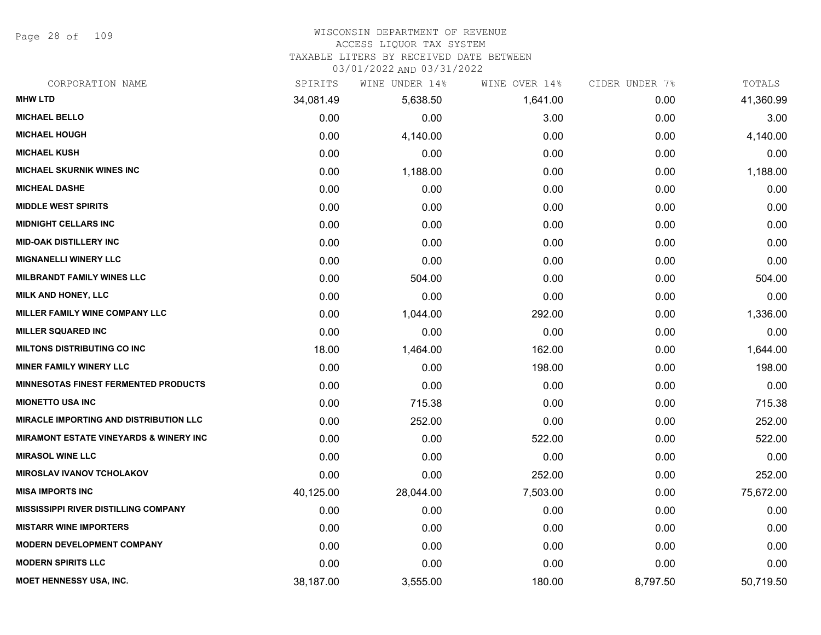Page 28 of 109

# WISCONSIN DEPARTMENT OF REVENUE

## ACCESS LIQUOR TAX SYSTEM

TAXABLE LITERS BY RECEIVED DATE BETWEEN

| CORPORATION NAME                                  | SPIRITS   | WINE UNDER 14% | WINE OVER 14% | CIDER UNDER 7% | TOTALS    |
|---------------------------------------------------|-----------|----------------|---------------|----------------|-----------|
| <b>MHW LTD</b>                                    | 34,081.49 | 5,638.50       | 1,641.00      | 0.00           | 41,360.99 |
| <b>MICHAEL BELLO</b>                              | 0.00      | 0.00           | 3.00          | 0.00           | 3.00      |
| <b>MICHAEL HOUGH</b>                              | 0.00      | 4,140.00       | 0.00          | 0.00           | 4,140.00  |
| <b>MICHAEL KUSH</b>                               | 0.00      | 0.00           | 0.00          | 0.00           | 0.00      |
| <b>MICHAEL SKURNIK WINES INC</b>                  | 0.00      | 1,188.00       | 0.00          | 0.00           | 1,188.00  |
| <b>MICHEAL DASHE</b>                              | 0.00      | 0.00           | 0.00          | 0.00           | 0.00      |
| <b>MIDDLE WEST SPIRITS</b>                        | 0.00      | 0.00           | 0.00          | 0.00           | 0.00      |
| <b>MIDNIGHT CELLARS INC</b>                       | 0.00      | 0.00           | 0.00          | 0.00           | 0.00      |
| <b>MID-OAK DISTILLERY INC</b>                     | 0.00      | 0.00           | 0.00          | 0.00           | 0.00      |
| <b>MIGNANELLI WINERY LLC</b>                      | 0.00      | 0.00           | 0.00          | 0.00           | 0.00      |
| <b>MILBRANDT FAMILY WINES LLC</b>                 | 0.00      | 504.00         | 0.00          | 0.00           | 504.00    |
| MILK AND HONEY, LLC                               | 0.00      | 0.00           | 0.00          | 0.00           | 0.00      |
| MILLER FAMILY WINE COMPANY LLC                    | 0.00      | 1,044.00       | 292.00        | 0.00           | 1,336.00  |
| <b>MILLER SQUARED INC</b>                         | 0.00      | 0.00           | 0.00          | 0.00           | 0.00      |
| <b>MILTONS DISTRIBUTING CO INC</b>                | 18.00     | 1,464.00       | 162.00        | 0.00           | 1,644.00  |
| <b>MINER FAMILY WINERY LLC</b>                    | 0.00      | 0.00           | 198.00        | 0.00           | 198.00    |
| <b>MINNESOTAS FINEST FERMENTED PRODUCTS</b>       | 0.00      | 0.00           | 0.00          | 0.00           | 0.00      |
| <b>MIONETTO USA INC</b>                           | 0.00      | 715.38         | 0.00          | 0.00           | 715.38    |
| <b>MIRACLE IMPORTING AND DISTRIBUTION LLC</b>     | 0.00      | 252.00         | 0.00          | 0.00           | 252.00    |
| <b>MIRAMONT ESTATE VINEYARDS &amp; WINERY INC</b> | 0.00      | 0.00           | 522.00        | 0.00           | 522.00    |
| <b>MIRASOL WINE LLC</b>                           | 0.00      | 0.00           | 0.00          | 0.00           | 0.00      |
| <b>MIROSLAV IVANOV TCHOLAKOV</b>                  | 0.00      | 0.00           | 252.00        | 0.00           | 252.00    |
| <b>MISA IMPORTS INC</b>                           | 40,125.00 | 28,044.00      | 7,503.00      | 0.00           | 75,672.00 |
| <b>MISSISSIPPI RIVER DISTILLING COMPANY</b>       | 0.00      | 0.00           | 0.00          | 0.00           | 0.00      |
| <b>MISTARR WINE IMPORTERS</b>                     | 0.00      | 0.00           | 0.00          | 0.00           | 0.00      |
| <b>MODERN DEVELOPMENT COMPANY</b>                 | 0.00      | 0.00           | 0.00          | 0.00           | 0.00      |
| <b>MODERN SPIRITS LLC</b>                         | 0.00      | 0.00           | 0.00          | 0.00           | 0.00      |
| <b>MOET HENNESSY USA, INC.</b>                    | 38,187.00 | 3,555.00       | 180.00        | 8,797.50       | 50,719.50 |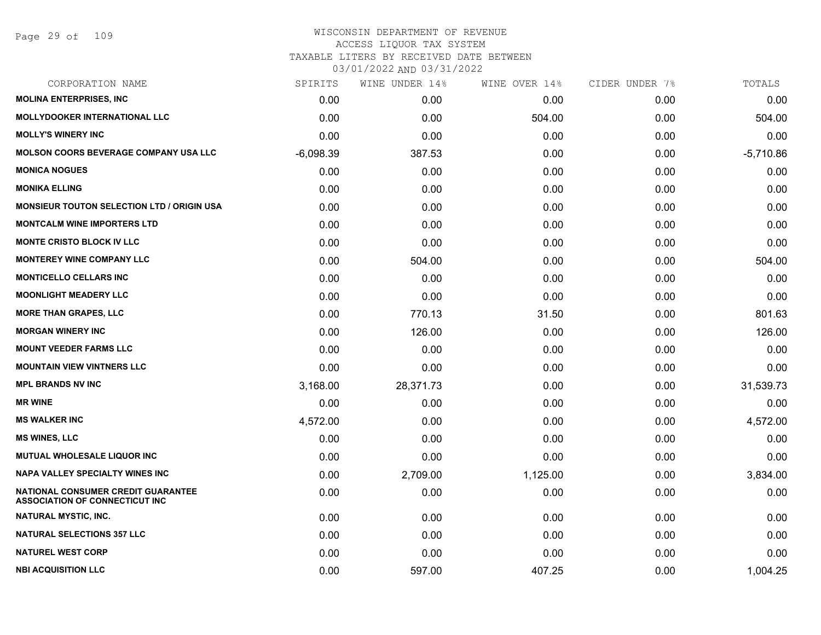| CORPORATION NAME                                                                   | SPIRITS     | WINE UNDER 14% | WINE OVER 14% | CIDER UNDER 7% | TOTALS      |
|------------------------------------------------------------------------------------|-------------|----------------|---------------|----------------|-------------|
| <b>MOLINA ENTERPRISES, INC.</b>                                                    | 0.00        | 0.00           | 0.00          | 0.00           | 0.00        |
| <b>MOLLYDOOKER INTERNATIONAL LLC</b>                                               | 0.00        | 0.00           | 504.00        | 0.00           | 504.00      |
| <b>MOLLY'S WINERY INC</b>                                                          | 0.00        | 0.00           | 0.00          | 0.00           | 0.00        |
| <b>MOLSON COORS BEVERAGE COMPANY USA LLC</b>                                       | $-6,098.39$ | 387.53         | 0.00          | 0.00           | $-5,710.86$ |
| <b>MONICA NOGUES</b>                                                               | 0.00        | 0.00           | 0.00          | 0.00           | 0.00        |
| <b>MONIKA ELLING</b>                                                               | 0.00        | 0.00           | 0.00          | 0.00           | 0.00        |
| <b>MONSIEUR TOUTON SELECTION LTD / ORIGIN USA</b>                                  | 0.00        | 0.00           | 0.00          | 0.00           | 0.00        |
| <b>MONTCALM WINE IMPORTERS LTD</b>                                                 | 0.00        | 0.00           | 0.00          | 0.00           | 0.00        |
| <b>MONTE CRISTO BLOCK IV LLC</b>                                                   | 0.00        | 0.00           | 0.00          | 0.00           | 0.00        |
| <b>MONTEREY WINE COMPANY LLC</b>                                                   | 0.00        | 504.00         | 0.00          | 0.00           | 504.00      |
| <b>MONTICELLO CELLARS INC</b>                                                      | 0.00        | 0.00           | 0.00          | 0.00           | 0.00        |
| <b>MOONLIGHT MEADERY LLC</b>                                                       | 0.00        | 0.00           | 0.00          | 0.00           | 0.00        |
| <b>MORE THAN GRAPES, LLC</b>                                                       | 0.00        | 770.13         | 31.50         | 0.00           | 801.63      |
| <b>MORGAN WINERY INC</b>                                                           | 0.00        | 126.00         | 0.00          | 0.00           | 126.00      |
| <b>MOUNT VEEDER FARMS LLC</b>                                                      | 0.00        | 0.00           | 0.00          | 0.00           | 0.00        |
| <b>MOUNTAIN VIEW VINTNERS LLC</b>                                                  | 0.00        | 0.00           | 0.00          | 0.00           | 0.00        |
| <b>MPL BRANDS NV INC</b>                                                           | 3,168.00    | 28,371.73      | 0.00          | 0.00           | 31,539.73   |
| <b>MR WINE</b>                                                                     | 0.00        | 0.00           | 0.00          | 0.00           | 0.00        |
| <b>MS WALKER INC</b>                                                               | 4,572.00    | 0.00           | 0.00          | 0.00           | 4,572.00    |
| <b>MS WINES, LLC</b>                                                               | 0.00        | 0.00           | 0.00          | 0.00           | 0.00        |
| MUTUAL WHOLESALE LIQUOR INC                                                        | 0.00        | 0.00           | 0.00          | 0.00           | 0.00        |
| <b>NAPA VALLEY SPECIALTY WINES INC</b>                                             | 0.00        | 2,709.00       | 1,125.00      | 0.00           | 3,834.00    |
| <b>NATIONAL CONSUMER CREDIT GUARANTEE</b><br><b>ASSOCIATION OF CONNECTICUT INC</b> | 0.00        | 0.00           | 0.00          | 0.00           | 0.00        |
| NATURAL MYSTIC, INC.                                                               | 0.00        | 0.00           | 0.00          | 0.00           | 0.00        |
| <b>NATURAL SELECTIONS 357 LLC</b>                                                  | 0.00        | 0.00           | 0.00          | 0.00           | 0.00        |
| <b>NATUREL WEST CORP</b>                                                           | 0.00        | 0.00           | 0.00          | 0.00           | 0.00        |
| <b>NBI ACQUISITION LLC</b>                                                         | 0.00        | 597.00         | 407.25        | 0.00           | 1,004.25    |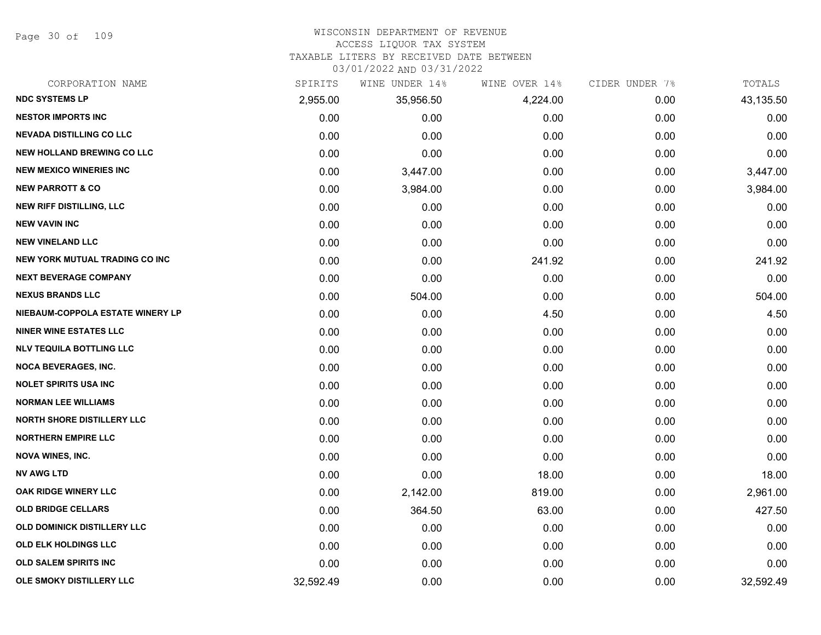Page 30 of 109

## WISCONSIN DEPARTMENT OF REVENUE

#### ACCESS LIQUOR TAX SYSTEM

TAXABLE LITERS BY RECEIVED DATE BETWEEN

| CORPORATION NAME                      | SPIRITS   | WINE UNDER 14% | WINE OVER 14% | CIDER UNDER 7% | TOTALS    |
|---------------------------------------|-----------|----------------|---------------|----------------|-----------|
| <b>NDC SYSTEMS LP</b>                 | 2,955.00  | 35,956.50      | 4,224.00      | 0.00           | 43,135.50 |
| <b>NESTOR IMPORTS INC</b>             | 0.00      | 0.00           | 0.00          | 0.00           | 0.00      |
| <b>NEVADA DISTILLING CO LLC</b>       | 0.00      | 0.00           | 0.00          | 0.00           | 0.00      |
| <b>NEW HOLLAND BREWING CO LLC</b>     | 0.00      | 0.00           | 0.00          | 0.00           | 0.00      |
| <b>NEW MEXICO WINERIES INC</b>        | 0.00      | 3,447.00       | 0.00          | 0.00           | 3,447.00  |
| <b>NEW PARROTT &amp; CO</b>           | 0.00      | 3,984.00       | 0.00          | 0.00           | 3,984.00  |
| <b>NEW RIFF DISTILLING, LLC</b>       | 0.00      | 0.00           | 0.00          | 0.00           | 0.00      |
| <b>NEW VAVIN INC</b>                  | 0.00      | 0.00           | 0.00          | 0.00           | 0.00      |
| <b>NEW VINELAND LLC</b>               | 0.00      | 0.00           | 0.00          | 0.00           | 0.00      |
| <b>NEW YORK MUTUAL TRADING CO INC</b> | 0.00      | 0.00           | 241.92        | 0.00           | 241.92    |
| <b>NEXT BEVERAGE COMPANY</b>          | 0.00      | 0.00           | 0.00          | 0.00           | 0.00      |
| <b>NEXUS BRANDS LLC</b>               | 0.00      | 504.00         | 0.00          | 0.00           | 504.00    |
| NIEBAUM-COPPOLA ESTATE WINERY LP      | 0.00      | 0.00           | 4.50          | 0.00           | 4.50      |
| <b>NINER WINE ESTATES LLC</b>         | 0.00      | 0.00           | 0.00          | 0.00           | 0.00      |
| <b>NLV TEQUILA BOTTLING LLC</b>       | 0.00      | 0.00           | 0.00          | 0.00           | 0.00      |
| <b>NOCA BEVERAGES, INC.</b>           | 0.00      | 0.00           | 0.00          | 0.00           | 0.00      |
| <b>NOLET SPIRITS USA INC</b>          | 0.00      | 0.00           | 0.00          | 0.00           | 0.00      |
| <b>NORMAN LEE WILLIAMS</b>            | 0.00      | 0.00           | 0.00          | 0.00           | 0.00      |
| <b>NORTH SHORE DISTILLERY LLC</b>     | 0.00      | 0.00           | 0.00          | 0.00           | 0.00      |
| <b>NORTHERN EMPIRE LLC</b>            | 0.00      | 0.00           | 0.00          | 0.00           | 0.00      |
| <b>NOVA WINES, INC.</b>               | 0.00      | 0.00           | 0.00          | 0.00           | 0.00      |
| <b>NV AWG LTD</b>                     | 0.00      | 0.00           | 18.00         | 0.00           | 18.00     |
| OAK RIDGE WINERY LLC                  | 0.00      | 2,142.00       | 819.00        | 0.00           | 2,961.00  |
| <b>OLD BRIDGE CELLARS</b>             | 0.00      | 364.50         | 63.00         | 0.00           | 427.50    |
| <b>OLD DOMINICK DISTILLERY LLC</b>    | 0.00      | 0.00           | 0.00          | 0.00           | 0.00      |
| <b>OLD ELK HOLDINGS LLC</b>           | 0.00      | 0.00           | 0.00          | 0.00           | 0.00      |
| <b>OLD SALEM SPIRITS INC</b>          | 0.00      | 0.00           | 0.00          | 0.00           | 0.00      |
| OLE SMOKY DISTILLERY LLC              | 32,592.49 | 0.00           | 0.00          | 0.00           | 32,592.49 |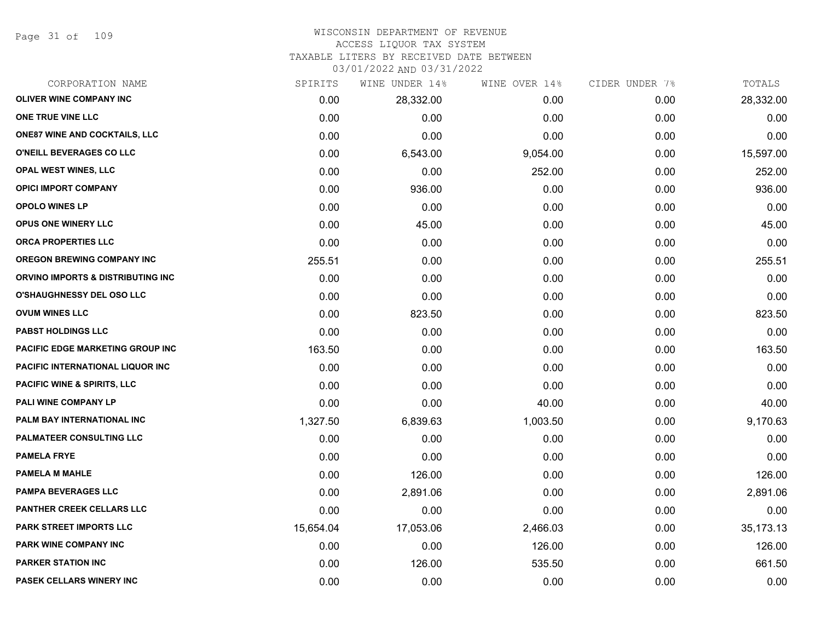Page 31 of 109

#### WISCONSIN DEPARTMENT OF REVENUE ACCESS LIQUOR TAX SYSTEM

TAXABLE LITERS BY RECEIVED DATE BETWEEN

| CORPORATION NAME                       | SPIRITS   | WINE UNDER 14% | WINE OVER 14% | CIDER UNDER 7% | TOTALS    |
|----------------------------------------|-----------|----------------|---------------|----------------|-----------|
| <b>OLIVER WINE COMPANY INC</b>         | 0.00      | 28,332.00      | 0.00          | 0.00           | 28,332.00 |
| ONE TRUE VINE LLC                      | 0.00      | 0.00           | 0.00          | 0.00           | 0.00      |
| <b>ONE87 WINE AND COCKTAILS, LLC</b>   | 0.00      | 0.00           | 0.00          | 0.00           | 0.00      |
| O'NEILL BEVERAGES CO LLC               | 0.00      | 6,543.00       | 9,054.00      | 0.00           | 15,597.00 |
| <b>OPAL WEST WINES, LLC</b>            | 0.00      | 0.00           | 252.00        | 0.00           | 252.00    |
| <b>OPICI IMPORT COMPANY</b>            | 0.00      | 936.00         | 0.00          | 0.00           | 936.00    |
| <b>OPOLO WINES LP</b>                  | 0.00      | 0.00           | 0.00          | 0.00           | 0.00      |
| <b>OPUS ONE WINERY LLC</b>             | 0.00      | 45.00          | 0.00          | 0.00           | 45.00     |
| ORCA PROPERTIES LLC                    | 0.00      | 0.00           | 0.00          | 0.00           | 0.00      |
| <b>OREGON BREWING COMPANY INC</b>      | 255.51    | 0.00           | 0.00          | 0.00           | 255.51    |
| ORVINO IMPORTS & DISTRIBUTING INC      | 0.00      | 0.00           | 0.00          | 0.00           | 0.00      |
| <b>O'SHAUGHNESSY DEL OSO LLC</b>       | 0.00      | 0.00           | 0.00          | 0.00           | 0.00      |
| <b>OVUM WINES LLC</b>                  | 0.00      | 823.50         | 0.00          | 0.00           | 823.50    |
| <b>PABST HOLDINGS LLC</b>              | 0.00      | 0.00           | 0.00          | 0.00           | 0.00      |
| PACIFIC EDGE MARKETING GROUP INC       | 163.50    | 0.00           | 0.00          | 0.00           | 163.50    |
| PACIFIC INTERNATIONAL LIQUOR INC       | 0.00      | 0.00           | 0.00          | 0.00           | 0.00      |
| <b>PACIFIC WINE &amp; SPIRITS, LLC</b> | 0.00      | 0.00           | 0.00          | 0.00           | 0.00      |
| PALI WINE COMPANY LP                   | 0.00      | 0.00           | 40.00         | 0.00           | 40.00     |
| PALM BAY INTERNATIONAL INC             | 1,327.50  | 6,839.63       | 1,003.50      | 0.00           | 9,170.63  |
| <b>PALMATEER CONSULTING LLC</b>        | 0.00      | 0.00           | 0.00          | 0.00           | 0.00      |
| <b>PAMELA FRYE</b>                     | 0.00      | 0.00           | 0.00          | 0.00           | 0.00      |
| <b>PAMELA M MAHLE</b>                  | 0.00      | 126.00         | 0.00          | 0.00           | 126.00    |
| <b>PAMPA BEVERAGES LLC</b>             | 0.00      | 2,891.06       | 0.00          | 0.00           | 2,891.06  |
| PANTHER CREEK CELLARS LLC              | 0.00      | 0.00           | 0.00          | 0.00           | 0.00      |
| PARK STREET IMPORTS LLC                | 15,654.04 | 17,053.06      | 2,466.03      | 0.00           | 35,173.13 |
| <b>PARK WINE COMPANY INC</b>           | 0.00      | 0.00           | 126.00        | 0.00           | 126.00    |
| <b>PARKER STATION INC</b>              | 0.00      | 126.00         | 535.50        | 0.00           | 661.50    |
| PASEK CELLARS WINERY INC               | 0.00      | 0.00           | 0.00          | 0.00           | 0.00      |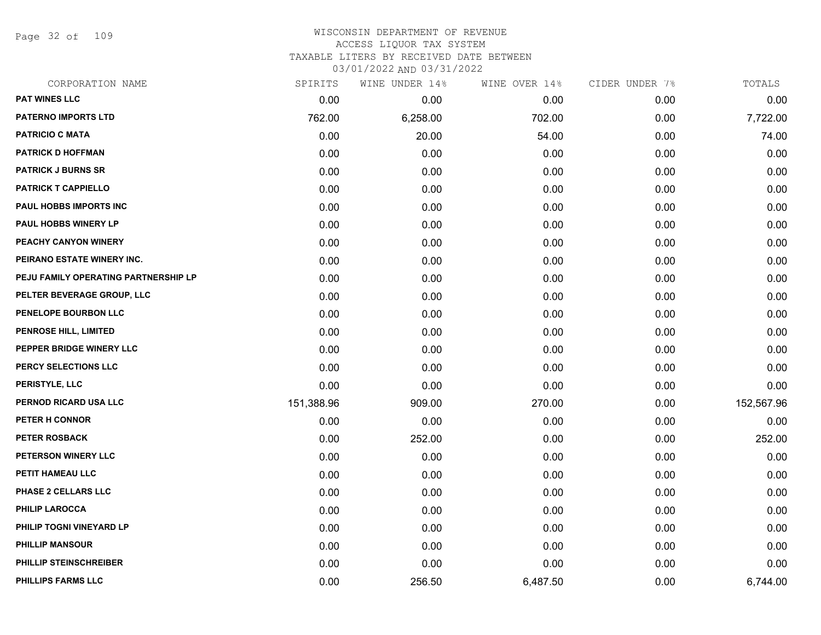Page 32 of 109

| CORPORATION NAME                     | SPIRITS    | WINE UNDER 14% | WINE OVER 14% | CIDER UNDER 7% | TOTALS     |
|--------------------------------------|------------|----------------|---------------|----------------|------------|
| <b>PAT WINES LLC</b>                 | 0.00       | 0.00           | 0.00          | 0.00           | 0.00       |
| <b>PATERNO IMPORTS LTD</b>           | 762.00     | 6,258.00       | 702.00        | 0.00           | 7,722.00   |
| <b>PATRICIO C MATA</b>               | 0.00       | 20.00          | 54.00         | 0.00           | 74.00      |
| <b>PATRICK D HOFFMAN</b>             | 0.00       | 0.00           | 0.00          | 0.00           | 0.00       |
| <b>PATRICK J BURNS SR</b>            | 0.00       | 0.00           | 0.00          | 0.00           | 0.00       |
| <b>PATRICK T CAPPIELLO</b>           | 0.00       | 0.00           | 0.00          | 0.00           | 0.00       |
| <b>PAUL HOBBS IMPORTS INC</b>        | 0.00       | 0.00           | 0.00          | 0.00           | 0.00       |
| PAUL HOBBS WINERY LP                 | 0.00       | 0.00           | 0.00          | 0.00           | 0.00       |
| PEACHY CANYON WINERY                 | 0.00       | 0.00           | 0.00          | 0.00           | 0.00       |
| PEIRANO ESTATE WINERY INC.           | 0.00       | 0.00           | 0.00          | 0.00           | 0.00       |
| PEJU FAMILY OPERATING PARTNERSHIP LP | 0.00       | 0.00           | 0.00          | 0.00           | 0.00       |
| PELTER BEVERAGE GROUP, LLC           | 0.00       | 0.00           | 0.00          | 0.00           | 0.00       |
| PENELOPE BOURBON LLC                 | 0.00       | 0.00           | 0.00          | 0.00           | 0.00       |
| PENROSE HILL, LIMITED                | 0.00       | 0.00           | 0.00          | 0.00           | 0.00       |
| PEPPER BRIDGE WINERY LLC             | 0.00       | 0.00           | 0.00          | 0.00           | 0.00       |
| PERCY SELECTIONS LLC                 | 0.00       | 0.00           | 0.00          | 0.00           | 0.00       |
| PERISTYLE, LLC                       | 0.00       | 0.00           | 0.00          | 0.00           | 0.00       |
| PERNOD RICARD USA LLC                | 151,388.96 | 909.00         | 270.00        | 0.00           | 152,567.96 |
| PETER H CONNOR                       | 0.00       | 0.00           | 0.00          | 0.00           | 0.00       |
| <b>PETER ROSBACK</b>                 | 0.00       | 252.00         | 0.00          | 0.00           | 252.00     |
| PETERSON WINERY LLC                  | 0.00       | 0.00           | 0.00          | 0.00           | 0.00       |
| PETIT HAMEAU LLC                     | 0.00       | 0.00           | 0.00          | 0.00           | 0.00       |
| PHASE 2 CELLARS LLC                  | 0.00       | 0.00           | 0.00          | 0.00           | 0.00       |
| <b>PHILIP LAROCCA</b>                | 0.00       | 0.00           | 0.00          | 0.00           | 0.00       |
| PHILIP TOGNI VINEYARD LP             | 0.00       | 0.00           | 0.00          | 0.00           | 0.00       |
| <b>PHILLIP MANSOUR</b>               | 0.00       | 0.00           | 0.00          | 0.00           | 0.00       |
| <b>PHILLIP STEINSCHREIBER</b>        | 0.00       | 0.00           | 0.00          | 0.00           | 0.00       |
| PHILLIPS FARMS LLC                   | 0.00       | 256.50         | 6,487.50      | 0.00           | 6,744.00   |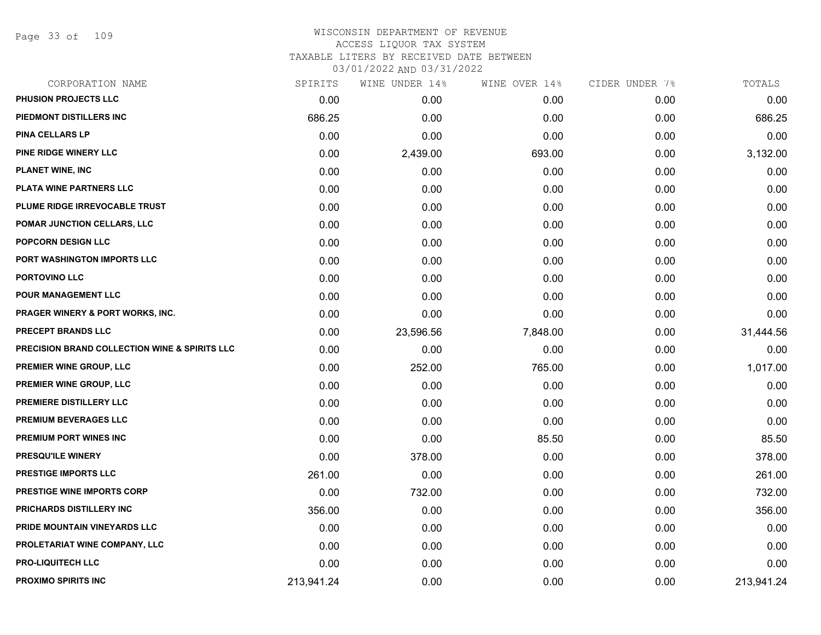Page 33 of 109

| CORPORATION NAME                                         | SPIRITS    | WINE UNDER 14% | WINE OVER 14% | CIDER UNDER 7% | TOTALS     |
|----------------------------------------------------------|------------|----------------|---------------|----------------|------------|
| PHUSION PROJECTS LLC                                     | 0.00       | 0.00           | 0.00          | 0.00           | 0.00       |
| PIEDMONT DISTILLERS INC                                  | 686.25     | 0.00           | 0.00          | 0.00           | 686.25     |
| PINA CELLARS LP                                          | 0.00       | 0.00           | 0.00          | 0.00           | 0.00       |
| PINE RIDGE WINERY LLC                                    | 0.00       | 2,439.00       | 693.00        | 0.00           | 3,132.00   |
| <b>PLANET WINE, INC</b>                                  | 0.00       | 0.00           | 0.00          | 0.00           | 0.00       |
| PLATA WINE PARTNERS LLC                                  | 0.00       | 0.00           | 0.00          | 0.00           | 0.00       |
| PLUME RIDGE IRREVOCABLE TRUST                            | 0.00       | 0.00           | 0.00          | 0.00           | 0.00       |
| POMAR JUNCTION CELLARS, LLC                              | 0.00       | 0.00           | 0.00          | 0.00           | 0.00       |
| <b>POPCORN DESIGN LLC</b>                                | 0.00       | 0.00           | 0.00          | 0.00           | 0.00       |
| PORT WASHINGTON IMPORTS LLC                              | 0.00       | 0.00           | 0.00          | 0.00           | 0.00       |
| PORTOVINO LLC                                            | 0.00       | 0.00           | 0.00          | 0.00           | 0.00       |
| <b>POUR MANAGEMENT LLC</b>                               | 0.00       | 0.00           | 0.00          | 0.00           | 0.00       |
| <b>PRAGER WINERY &amp; PORT WORKS, INC.</b>              | 0.00       | 0.00           | 0.00          | 0.00           | 0.00       |
| <b>PRECEPT BRANDS LLC</b>                                | 0.00       | 23,596.56      | 7,848.00      | 0.00           | 31,444.56  |
| <b>PRECISION BRAND COLLECTION WINE &amp; SPIRITS LLC</b> | 0.00       | 0.00           | 0.00          | 0.00           | 0.00       |
| PREMIER WINE GROUP, LLC                                  | 0.00       | 252.00         | 765.00        | 0.00           | 1,017.00   |
| PREMIER WINE GROUP, LLC                                  | 0.00       | 0.00           | 0.00          | 0.00           | 0.00       |
| PREMIERE DISTILLERY LLC                                  | 0.00       | 0.00           | 0.00          | 0.00           | 0.00       |
| PREMIUM BEVERAGES LLC                                    | 0.00       | 0.00           | 0.00          | 0.00           | 0.00       |
| PREMIUM PORT WINES INC                                   | 0.00       | 0.00           | 85.50         | 0.00           | 85.50      |
| PRESQU'ILE WINERY                                        | 0.00       | 378.00         | 0.00          | 0.00           | 378.00     |
| PRESTIGE IMPORTS LLC                                     | 261.00     | 0.00           | 0.00          | 0.00           | 261.00     |
| <b>PRESTIGE WINE IMPORTS CORP</b>                        | 0.00       | 732.00         | 0.00          | 0.00           | 732.00     |
| PRICHARDS DISTILLERY INC                                 | 356.00     | 0.00           | 0.00          | 0.00           | 356.00     |
| PRIDE MOUNTAIN VINEYARDS LLC                             | 0.00       | 0.00           | 0.00          | 0.00           | 0.00       |
| PROLETARIAT WINE COMPANY, LLC                            | 0.00       | 0.00           | 0.00          | 0.00           | 0.00       |
| <b>PRO-LIQUITECH LLC</b>                                 | 0.00       | 0.00           | 0.00          | 0.00           | 0.00       |
| <b>PROXIMO SPIRITS INC</b>                               | 213,941.24 | 0.00           | 0.00          | 0.00           | 213,941.24 |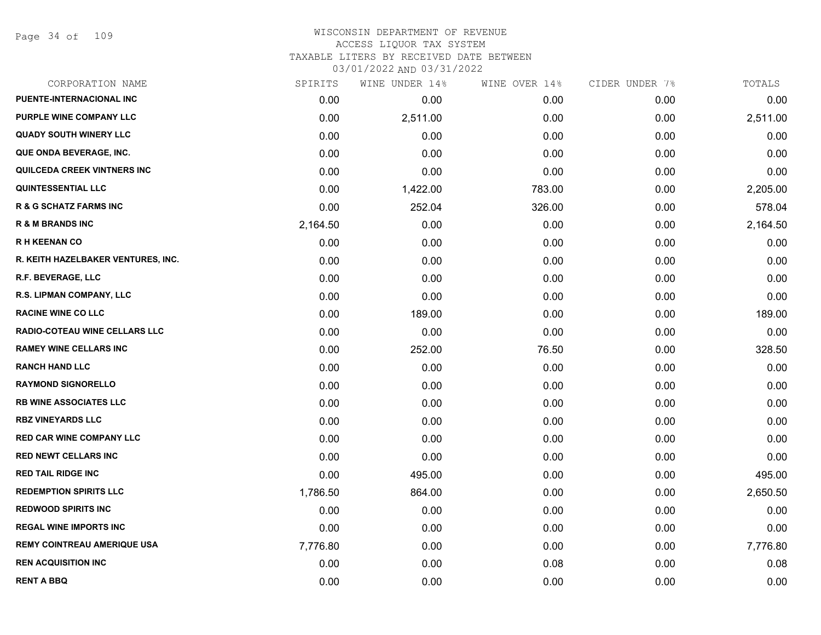Page 34 of 109

### WISCONSIN DEPARTMENT OF REVENUE ACCESS LIQUOR TAX SYSTEM TAXABLE LITERS BY RECEIVED DATE BETWEEN

| CORPORATION NAME                     | SPIRITS  | WINE UNDER 14% | WINE OVER 14% | CIDER UNDER 7% | TOTALS   |
|--------------------------------------|----------|----------------|---------------|----------------|----------|
| PUENTE-INTERNACIONAL INC             | 0.00     | 0.00           | 0.00          | 0.00           | 0.00     |
| PURPLE WINE COMPANY LLC              | 0.00     | 2,511.00       | 0.00          | 0.00           | 2,511.00 |
| <b>QUADY SOUTH WINERY LLC</b>        | 0.00     | 0.00           | 0.00          | 0.00           | 0.00     |
| QUE ONDA BEVERAGE, INC.              | 0.00     | 0.00           | 0.00          | 0.00           | 0.00     |
| QUILCEDA CREEK VINTNERS INC          | 0.00     | 0.00           | 0.00          | 0.00           | 0.00     |
| <b>QUINTESSENTIAL LLC</b>            | 0.00     | 1,422.00       | 783.00        | 0.00           | 2,205.00 |
| <b>R &amp; G SCHATZ FARMS INC</b>    | 0.00     | 252.04         | 326.00        | 0.00           | 578.04   |
| <b>R &amp; M BRANDS INC</b>          | 2,164.50 | 0.00           | 0.00          | 0.00           | 2,164.50 |
| <b>RH KEENAN CO</b>                  | 0.00     | 0.00           | 0.00          | 0.00           | 0.00     |
| R. KEITH HAZELBAKER VENTURES, INC.   | 0.00     | 0.00           | 0.00          | 0.00           | 0.00     |
| R.F. BEVERAGE, LLC                   | 0.00     | 0.00           | 0.00          | 0.00           | 0.00     |
| R.S. LIPMAN COMPANY, LLC             | 0.00     | 0.00           | 0.00          | 0.00           | 0.00     |
| <b>RACINE WINE CO LLC</b>            | 0.00     | 189.00         | 0.00          | 0.00           | 189.00   |
| <b>RADIO-COTEAU WINE CELLARS LLC</b> | 0.00     | 0.00           | 0.00          | 0.00           | 0.00     |
| <b>RAMEY WINE CELLARS INC</b>        | 0.00     | 252.00         | 76.50         | 0.00           | 328.50   |
| <b>RANCH HAND LLC</b>                | 0.00     | 0.00           | 0.00          | 0.00           | 0.00     |
| <b>RAYMOND SIGNORELLO</b>            | 0.00     | 0.00           | 0.00          | 0.00           | 0.00     |
| <b>RB WINE ASSOCIATES LLC</b>        | 0.00     | 0.00           | 0.00          | 0.00           | 0.00     |
| <b>RBZ VINEYARDS LLC</b>             | 0.00     | 0.00           | 0.00          | 0.00           | 0.00     |
| <b>RED CAR WINE COMPANY LLC</b>      | 0.00     | 0.00           | 0.00          | 0.00           | 0.00     |
| <b>RED NEWT CELLARS INC</b>          | 0.00     | 0.00           | 0.00          | 0.00           | 0.00     |
| <b>RED TAIL RIDGE INC</b>            | 0.00     | 495.00         | 0.00          | 0.00           | 495.00   |
| <b>REDEMPTION SPIRITS LLC</b>        | 1,786.50 | 864.00         | 0.00          | 0.00           | 2,650.50 |
| <b>REDWOOD SPIRITS INC</b>           | 0.00     | 0.00           | 0.00          | 0.00           | 0.00     |
| <b>REGAL WINE IMPORTS INC</b>        | 0.00     | 0.00           | 0.00          | 0.00           | 0.00     |
| <b>REMY COINTREAU AMERIQUE USA</b>   | 7,776.80 | 0.00           | 0.00          | 0.00           | 7,776.80 |
| <b>REN ACQUISITION INC</b>           | 0.00     | 0.00           | 0.08          | 0.00           | 0.08     |
| <b>RENT A BBQ</b>                    | 0.00     | 0.00           | 0.00          | 0.00           | 0.00     |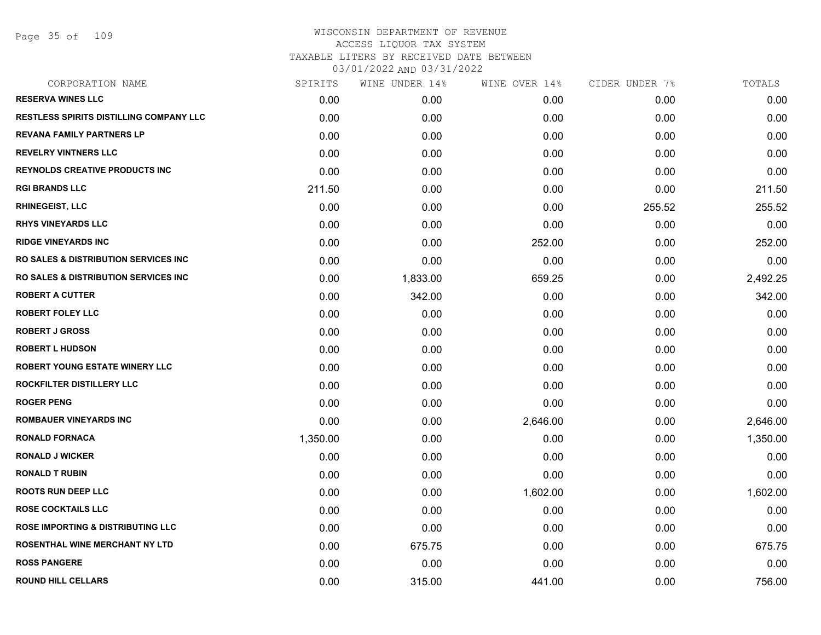Page 35 of 109

| CORPORATION NAME                                | SPIRITS  | WINE UNDER 14% | WINE OVER 14% | CIDER UNDER 7% | TOTALS   |
|-------------------------------------------------|----------|----------------|---------------|----------------|----------|
| <b>RESERVA WINES LLC</b>                        | 0.00     | 0.00           | 0.00          | 0.00           | 0.00     |
| <b>RESTLESS SPIRITS DISTILLING COMPANY LLC</b>  | 0.00     | 0.00           | 0.00          | 0.00           | 0.00     |
| <b>REVANA FAMILY PARTNERS LP</b>                | 0.00     | 0.00           | 0.00          | 0.00           | 0.00     |
| <b>REVELRY VINTNERS LLC</b>                     | 0.00     | 0.00           | 0.00          | 0.00           | 0.00     |
| <b>REYNOLDS CREATIVE PRODUCTS INC</b>           | 0.00     | 0.00           | 0.00          | 0.00           | 0.00     |
| <b>RGI BRANDS LLC</b>                           | 211.50   | 0.00           | 0.00          | 0.00           | 211.50   |
| <b>RHINEGEIST, LLC</b>                          | 0.00     | 0.00           | 0.00          | 255.52         | 255.52   |
| <b>RHYS VINEYARDS LLC</b>                       | 0.00     | 0.00           | 0.00          | 0.00           | 0.00     |
| <b>RIDGE VINEYARDS INC</b>                      | 0.00     | 0.00           | 252.00        | 0.00           | 252.00   |
| <b>RO SALES &amp; DISTRIBUTION SERVICES INC</b> | 0.00     | 0.00           | 0.00          | 0.00           | 0.00     |
| <b>RO SALES &amp; DISTRIBUTION SERVICES INC</b> | 0.00     | 1,833.00       | 659.25        | 0.00           | 2,492.25 |
| <b>ROBERT A CUTTER</b>                          | 0.00     | 342.00         | 0.00          | 0.00           | 342.00   |
| <b>ROBERT FOLEY LLC</b>                         | 0.00     | 0.00           | 0.00          | 0.00           | 0.00     |
| <b>ROBERT J GROSS</b>                           | 0.00     | 0.00           | 0.00          | 0.00           | 0.00     |
| <b>ROBERT L HUDSON</b>                          | 0.00     | 0.00           | 0.00          | 0.00           | 0.00     |
| ROBERT YOUNG ESTATE WINERY LLC                  | 0.00     | 0.00           | 0.00          | 0.00           | 0.00     |
| ROCKFILTER DISTILLERY LLC                       | 0.00     | 0.00           | 0.00          | 0.00           | 0.00     |
| <b>ROGER PENG</b>                               | 0.00     | 0.00           | 0.00          | 0.00           | 0.00     |
| <b>ROMBAUER VINEYARDS INC</b>                   | 0.00     | 0.00           | 2,646.00      | 0.00           | 2,646.00 |
| <b>RONALD FORNACA</b>                           | 1,350.00 | 0.00           | 0.00          | 0.00           | 1,350.00 |
| <b>RONALD J WICKER</b>                          | 0.00     | 0.00           | 0.00          | 0.00           | 0.00     |
| <b>RONALD T RUBIN</b>                           | 0.00     | 0.00           | 0.00          | 0.00           | 0.00     |
| <b>ROOTS RUN DEEP LLC</b>                       | 0.00     | 0.00           | 1,602.00      | 0.00           | 1,602.00 |
| <b>ROSE COCKTAILS LLC</b>                       | 0.00     | 0.00           | 0.00          | 0.00           | 0.00     |
| <b>ROSE IMPORTING &amp; DISTRIBUTING LLC</b>    | 0.00     | 0.00           | 0.00          | 0.00           | 0.00     |
| ROSENTHAL WINE MERCHANT NY LTD                  | 0.00     | 675.75         | 0.00          | 0.00           | 675.75   |
| <b>ROSS PANGERE</b>                             | 0.00     | 0.00           | 0.00          | 0.00           | 0.00     |
| <b>ROUND HILL CELLARS</b>                       | 0.00     | 315.00         | 441.00        | 0.00           | 756.00   |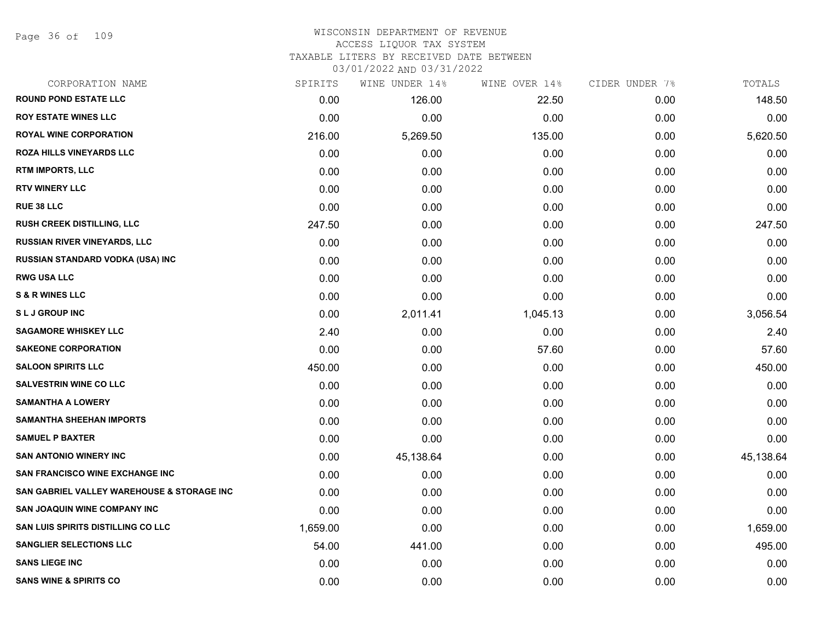Page 36 of 109

### WISCONSIN DEPARTMENT OF REVENUE ACCESS LIQUOR TAX SYSTEM TAXABLE LITERS BY RECEIVED DATE BETWEEN

| CORPORATION NAME                           | SPIRITS  | WINE UNDER 14% | WINE OVER 14% | CIDER UNDER 7% | TOTALS    |
|--------------------------------------------|----------|----------------|---------------|----------------|-----------|
| <b>ROUND POND ESTATE LLC</b>               | 0.00     | 126.00         | 22.50         | 0.00           | 148.50    |
| <b>ROY ESTATE WINES LLC</b>                | 0.00     | 0.00           | 0.00          | 0.00           | 0.00      |
| <b>ROYAL WINE CORPORATION</b>              | 216.00   | 5,269.50       | 135.00        | 0.00           | 5,620.50  |
| ROZA HILLS VINEYARDS LLC                   | 0.00     | 0.00           | 0.00          | 0.00           | 0.00      |
| <b>RTM IMPORTS, LLC</b>                    | 0.00     | 0.00           | 0.00          | 0.00           | 0.00      |
| <b>RTV WINERY LLC</b>                      | 0.00     | 0.00           | 0.00          | 0.00           | 0.00      |
| <b>RUE 38 LLC</b>                          | 0.00     | 0.00           | 0.00          | 0.00           | 0.00      |
| <b>RUSH CREEK DISTILLING, LLC</b>          | 247.50   | 0.00           | 0.00          | 0.00           | 247.50    |
| <b>RUSSIAN RIVER VINEYARDS, LLC</b>        | 0.00     | 0.00           | 0.00          | 0.00           | 0.00      |
| RUSSIAN STANDARD VODKA (USA) INC           | 0.00     | 0.00           | 0.00          | 0.00           | 0.00      |
| <b>RWG USA LLC</b>                         | 0.00     | 0.00           | 0.00          | 0.00           | 0.00      |
| <b>S &amp; R WINES LLC</b>                 | 0.00     | 0.00           | 0.00          | 0.00           | 0.00      |
| <b>SLJ GROUP INC</b>                       | 0.00     | 2,011.41       | 1,045.13      | 0.00           | 3,056.54  |
| <b>SAGAMORE WHISKEY LLC</b>                | 2.40     | 0.00           | 0.00          | 0.00           | 2.40      |
| <b>SAKEONE CORPORATION</b>                 | 0.00     | 0.00           | 57.60         | 0.00           | 57.60     |
| <b>SALOON SPIRITS LLC</b>                  | 450.00   | 0.00           | 0.00          | 0.00           | 450.00    |
| <b>SALVESTRIN WINE CO LLC</b>              | 0.00     | 0.00           | 0.00          | 0.00           | 0.00      |
| <b>SAMANTHA A LOWERY</b>                   | 0.00     | 0.00           | 0.00          | 0.00           | 0.00      |
| <b>SAMANTHA SHEEHAN IMPORTS</b>            | 0.00     | 0.00           | 0.00          | 0.00           | 0.00      |
| <b>SAMUEL P BAXTER</b>                     | 0.00     | 0.00           | 0.00          | 0.00           | 0.00      |
| <b>SAN ANTONIO WINERY INC</b>              | 0.00     | 45,138.64      | 0.00          | 0.00           | 45,138.64 |
| <b>SAN FRANCISCO WINE EXCHANGE INC</b>     | 0.00     | 0.00           | 0.00          | 0.00           | 0.00      |
| SAN GABRIEL VALLEY WAREHOUSE & STORAGE INC | 0.00     | 0.00           | 0.00          | 0.00           | 0.00      |
| <b>SAN JOAQUIN WINE COMPANY INC</b>        | 0.00     | 0.00           | 0.00          | 0.00           | 0.00      |
| SAN LUIS SPIRITS DISTILLING CO LLC         | 1,659.00 | 0.00           | 0.00          | 0.00           | 1,659.00  |
| <b>SANGLIER SELECTIONS LLC</b>             | 54.00    | 441.00         | 0.00          | 0.00           | 495.00    |
| <b>SANS LIEGE INC</b>                      | 0.00     | 0.00           | 0.00          | 0.00           | 0.00      |
| <b>SANS WINE &amp; SPIRITS CO</b>          | 0.00     | 0.00           | 0.00          | 0.00           | 0.00      |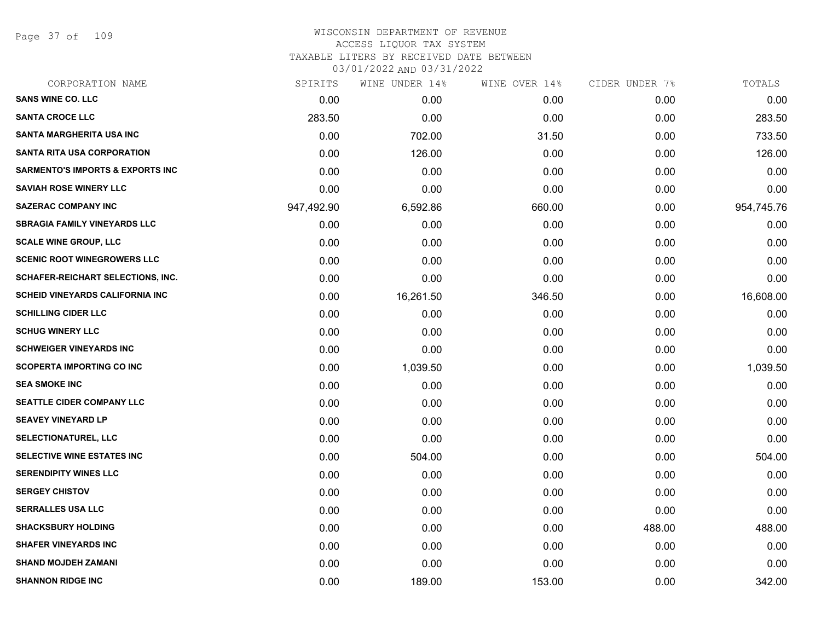Page 37 of 109

| CORPORATION NAME                            | SPIRITS    | WINE UNDER 14% | WINE OVER 14% | CIDER UNDER 7% | TOTALS     |
|---------------------------------------------|------------|----------------|---------------|----------------|------------|
| <b>SANS WINE CO. LLC</b>                    | 0.00       | 0.00           | 0.00          | 0.00           | 0.00       |
| <b>SANTA CROCE LLC</b>                      | 283.50     | 0.00           | 0.00          | 0.00           | 283.50     |
| <b>SANTA MARGHERITA USA INC</b>             | 0.00       | 702.00         | 31.50         | 0.00           | 733.50     |
| <b>SANTA RITA USA CORPORATION</b>           | 0.00       | 126.00         | 0.00          | 0.00           | 126.00     |
| <b>SARMENTO'S IMPORTS &amp; EXPORTS INC</b> | 0.00       | 0.00           | 0.00          | 0.00           | 0.00       |
| <b>SAVIAH ROSE WINERY LLC</b>               | 0.00       | 0.00           | 0.00          | 0.00           | 0.00       |
| <b>SAZERAC COMPANY INC</b>                  | 947,492.90 | 6,592.86       | 660.00        | 0.00           | 954,745.76 |
| <b>SBRAGIA FAMILY VINEYARDS LLC</b>         | 0.00       | 0.00           | 0.00          | 0.00           | 0.00       |
| <b>SCALE WINE GROUP, LLC</b>                | 0.00       | 0.00           | 0.00          | 0.00           | 0.00       |
| <b>SCENIC ROOT WINEGROWERS LLC</b>          | 0.00       | 0.00           | 0.00          | 0.00           | 0.00       |
| SCHAFER-REICHART SELECTIONS, INC.           | 0.00       | 0.00           | 0.00          | 0.00           | 0.00       |
| <b>SCHEID VINEYARDS CALIFORNIA INC</b>      | 0.00       | 16,261.50      | 346.50        | 0.00           | 16,608.00  |
| <b>SCHILLING CIDER LLC</b>                  | 0.00       | 0.00           | 0.00          | 0.00           | 0.00       |
| <b>SCHUG WINERY LLC</b>                     | 0.00       | 0.00           | 0.00          | 0.00           | 0.00       |
| <b>SCHWEIGER VINEYARDS INC</b>              | 0.00       | 0.00           | 0.00          | 0.00           | 0.00       |
| <b>SCOPERTA IMPORTING CO INC</b>            | 0.00       | 1,039.50       | 0.00          | 0.00           | 1,039.50   |
| <b>SEA SMOKE INC</b>                        | 0.00       | 0.00           | 0.00          | 0.00           | 0.00       |
| SEATTLE CIDER COMPANY LLC                   | 0.00       | 0.00           | 0.00          | 0.00           | 0.00       |
| <b>SEAVEY VINEYARD LP</b>                   | 0.00       | 0.00           | 0.00          | 0.00           | 0.00       |
| <b>SELECTIONATUREL, LLC</b>                 | 0.00       | 0.00           | 0.00          | 0.00           | 0.00       |
| SELECTIVE WINE ESTATES INC                  | 0.00       | 504.00         | 0.00          | 0.00           | 504.00     |
| <b>SERENDIPITY WINES LLC</b>                | 0.00       | 0.00           | 0.00          | 0.00           | 0.00       |
| <b>SERGEY CHISTOV</b>                       | 0.00       | 0.00           | 0.00          | 0.00           | 0.00       |
| <b>SERRALLES USA LLC</b>                    | 0.00       | 0.00           | 0.00          | 0.00           | 0.00       |
| <b>SHACKSBURY HOLDING</b>                   | 0.00       | 0.00           | 0.00          | 488.00         | 488.00     |
| <b>SHAFER VINEYARDS INC</b>                 | 0.00       | 0.00           | 0.00          | 0.00           | 0.00       |
| <b>SHAND MOJDEH ZAMANI</b>                  | 0.00       | 0.00           | 0.00          | 0.00           | 0.00       |
| <b>SHANNON RIDGE INC</b>                    | 0.00       | 189.00         | 153.00        | 0.00           | 342.00     |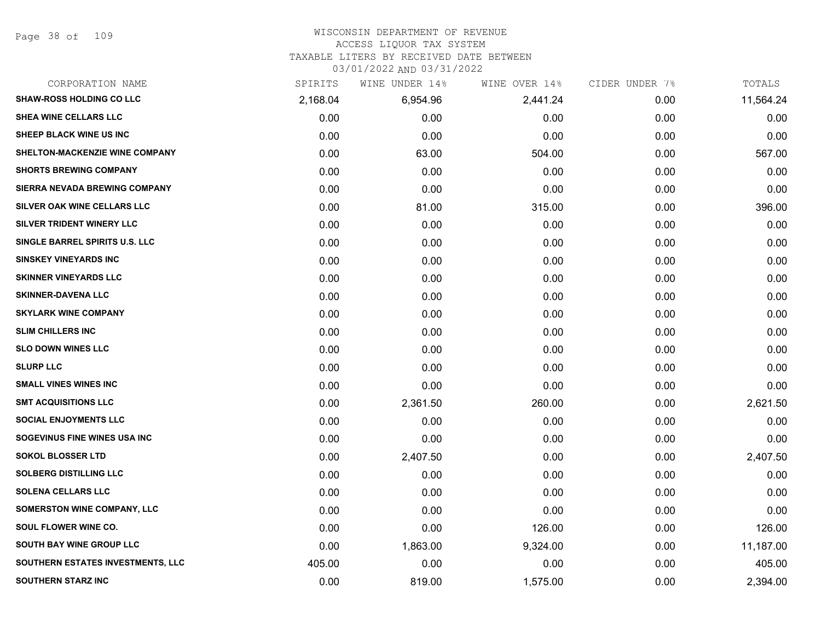#### WISCONSIN DEPARTMENT OF REVENUE ACCESS LIQUOR TAX SYSTEM

TAXABLE LITERS BY RECEIVED DATE BETWEEN

| CORPORATION NAME                      | SPIRITS  | WINE UNDER 14% | WINE OVER 14% | CIDER UNDER 7% | TOTALS    |
|---------------------------------------|----------|----------------|---------------|----------------|-----------|
| <b>SHAW-ROSS HOLDING CO LLC</b>       | 2,168.04 | 6,954.96       | 2,441.24      | 0.00           | 11,564.24 |
| SHEA WINE CELLARS LLC                 | 0.00     | 0.00           | 0.00          | 0.00           | 0.00      |
| SHEEP BLACK WINE US INC               | 0.00     | 0.00           | 0.00          | 0.00           | 0.00      |
| <b>SHELTON-MACKENZIE WINE COMPANY</b> | 0.00     | 63.00          | 504.00        | 0.00           | 567.00    |
| <b>SHORTS BREWING COMPANY</b>         | 0.00     | 0.00           | 0.00          | 0.00           | 0.00      |
| SIERRA NEVADA BREWING COMPANY         | 0.00     | 0.00           | 0.00          | 0.00           | 0.00      |
| SILVER OAK WINE CELLARS LLC           | 0.00     | 81.00          | 315.00        | 0.00           | 396.00    |
| <b>SILVER TRIDENT WINERY LLC</b>      | 0.00     | 0.00           | 0.00          | 0.00           | 0.00      |
| SINGLE BARREL SPIRITS U.S. LLC        | 0.00     | 0.00           | 0.00          | 0.00           | 0.00      |
| <b>SINSKEY VINEYARDS INC</b>          | 0.00     | 0.00           | 0.00          | 0.00           | 0.00      |
| <b>SKINNER VINEYARDS LLC</b>          | 0.00     | 0.00           | 0.00          | 0.00           | 0.00      |
| <b>SKINNER-DAVENA LLC</b>             | 0.00     | 0.00           | 0.00          | 0.00           | 0.00      |
| <b>SKYLARK WINE COMPANY</b>           | 0.00     | 0.00           | 0.00          | 0.00           | 0.00      |
| <b>SLIM CHILLERS INC</b>              | 0.00     | 0.00           | 0.00          | 0.00           | 0.00      |
| <b>SLO DOWN WINES LLC</b>             | 0.00     | 0.00           | 0.00          | 0.00           | 0.00      |
| <b>SLURP LLC</b>                      | 0.00     | 0.00           | 0.00          | 0.00           | 0.00      |
| <b>SMALL VINES WINES INC</b>          | 0.00     | 0.00           | 0.00          | 0.00           | 0.00      |
| <b>SMT ACQUISITIONS LLC</b>           | 0.00     | 2,361.50       | 260.00        | 0.00           | 2,621.50  |
| <b>SOCIAL ENJOYMENTS LLC</b>          | 0.00     | 0.00           | 0.00          | 0.00           | 0.00      |
| SOGEVINUS FINE WINES USA INC          | 0.00     | 0.00           | 0.00          | 0.00           | 0.00      |
| <b>SOKOL BLOSSER LTD</b>              | 0.00     | 2,407.50       | 0.00          | 0.00           | 2,407.50  |
| <b>SOLBERG DISTILLING LLC</b>         | 0.00     | 0.00           | 0.00          | 0.00           | 0.00      |
| <b>SOLENA CELLARS LLC</b>             | 0.00     | 0.00           | 0.00          | 0.00           | 0.00      |
| SOMERSTON WINE COMPANY, LLC           | 0.00     | 0.00           | 0.00          | 0.00           | 0.00      |
| SOUL FLOWER WINE CO.                  | 0.00     | 0.00           | 126.00        | 0.00           | 126.00    |
| <b>SOUTH BAY WINE GROUP LLC</b>       | 0.00     | 1,863.00       | 9,324.00      | 0.00           | 11,187.00 |
| SOUTHERN ESTATES INVESTMENTS, LLC     | 405.00   | 0.00           | 0.00          | 0.00           | 405.00    |
| <b>SOUTHERN STARZ INC</b>             | 0.00     | 819.00         | 1,575.00      | 0.00           | 2,394.00  |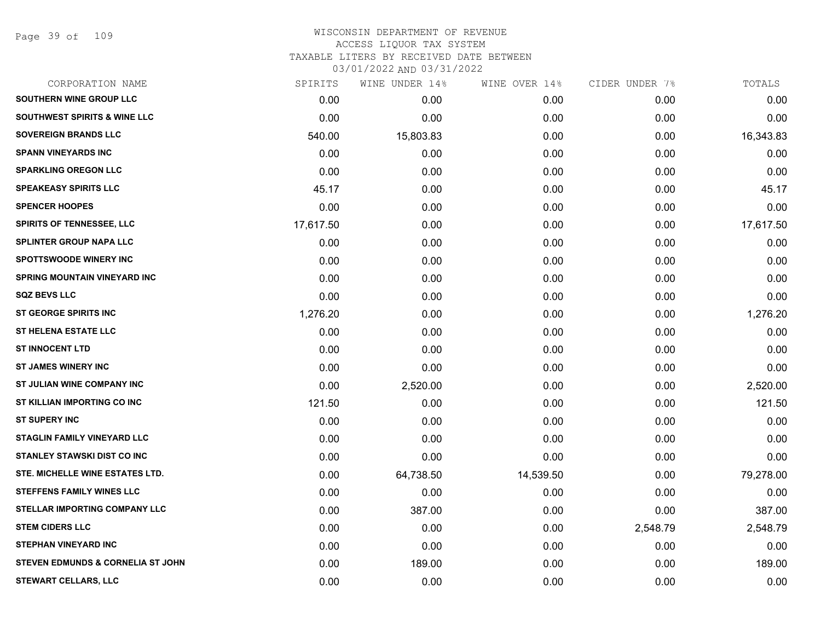Page 39 of 109

# WISCONSIN DEPARTMENT OF REVENUE ACCESS LIQUOR TAX SYSTEM TAXABLE LITERS BY RECEIVED DATE BETWEEN

| CORPORATION NAME                             | SPIRITS   | WINE UNDER 14% | WINE OVER 14% | CIDER UNDER 7% | TOTALS    |
|----------------------------------------------|-----------|----------------|---------------|----------------|-----------|
| SOUTHERN WINE GROUP LLC                      | 0.00      | 0.00           | 0.00          | 0.00           | 0.00      |
| <b>SOUTHWEST SPIRITS &amp; WINE LLC</b>      | 0.00      | 0.00           | 0.00          | 0.00           | 0.00      |
| <b>SOVEREIGN BRANDS LLC</b>                  | 540.00    | 15,803.83      | 0.00          | 0.00           | 16,343.83 |
| <b>SPANN VINEYARDS INC</b>                   | 0.00      | 0.00           | 0.00          | 0.00           | 0.00      |
| <b>SPARKLING OREGON LLC</b>                  | 0.00      | 0.00           | 0.00          | 0.00           | 0.00      |
| <b>SPEAKEASY SPIRITS LLC</b>                 | 45.17     | 0.00           | 0.00          | 0.00           | 45.17     |
| <b>SPENCER HOOPES</b>                        | 0.00      | 0.00           | 0.00          | 0.00           | 0.00      |
| <b>SPIRITS OF TENNESSEE, LLC</b>             | 17,617.50 | 0.00           | 0.00          | 0.00           | 17,617.50 |
| <b>SPLINTER GROUP NAPA LLC</b>               | 0.00      | 0.00           | 0.00          | 0.00           | 0.00      |
| <b>SPOTTSWOODE WINERY INC</b>                | 0.00      | 0.00           | 0.00          | 0.00           | 0.00      |
| <b>SPRING MOUNTAIN VINEYARD INC</b>          | 0.00      | 0.00           | 0.00          | 0.00           | 0.00      |
| <b>SQZ BEVS LLC</b>                          | 0.00      | 0.00           | 0.00          | 0.00           | 0.00      |
| <b>ST GEORGE SPIRITS INC</b>                 | 1,276.20  | 0.00           | 0.00          | 0.00           | 1,276.20  |
| <b>ST HELENA ESTATE LLC</b>                  | 0.00      | 0.00           | 0.00          | 0.00           | 0.00      |
| <b>ST INNOCENT LTD</b>                       | 0.00      | 0.00           | 0.00          | 0.00           | 0.00      |
| <b>ST JAMES WINERY INC</b>                   | 0.00      | 0.00           | 0.00          | 0.00           | 0.00      |
| ST JULIAN WINE COMPANY INC                   | 0.00      | 2,520.00       | 0.00          | 0.00           | 2,520.00  |
| ST KILLIAN IMPORTING CO INC                  | 121.50    | 0.00           | 0.00          | 0.00           | 121.50    |
| <b>ST SUPERY INC</b>                         | 0.00      | 0.00           | 0.00          | 0.00           | 0.00      |
| <b>STAGLIN FAMILY VINEYARD LLC</b>           | 0.00      | 0.00           | 0.00          | 0.00           | 0.00      |
| STANLEY STAWSKI DIST CO INC                  | 0.00      | 0.00           | 0.00          | 0.00           | 0.00      |
| STE. MICHELLE WINE ESTATES LTD.              | 0.00      | 64,738.50      | 14,539.50     | 0.00           | 79,278.00 |
| <b>STEFFENS FAMILY WINES LLC</b>             | 0.00      | 0.00           | 0.00          | 0.00           | 0.00      |
| <b>STELLAR IMPORTING COMPANY LLC</b>         | 0.00      | 387.00         | 0.00          | 0.00           | 387.00    |
| <b>STEM CIDERS LLC</b>                       | 0.00      | 0.00           | 0.00          | 2,548.79       | 2,548.79  |
| <b>STEPHAN VINEYARD INC</b>                  | 0.00      | 0.00           | 0.00          | 0.00           | 0.00      |
| <b>STEVEN EDMUNDS &amp; CORNELIA ST JOHN</b> | 0.00      | 189.00         | 0.00          | 0.00           | 189.00    |
| <b>STEWART CELLARS, LLC</b>                  | 0.00      | 0.00           | 0.00          | 0.00           | 0.00      |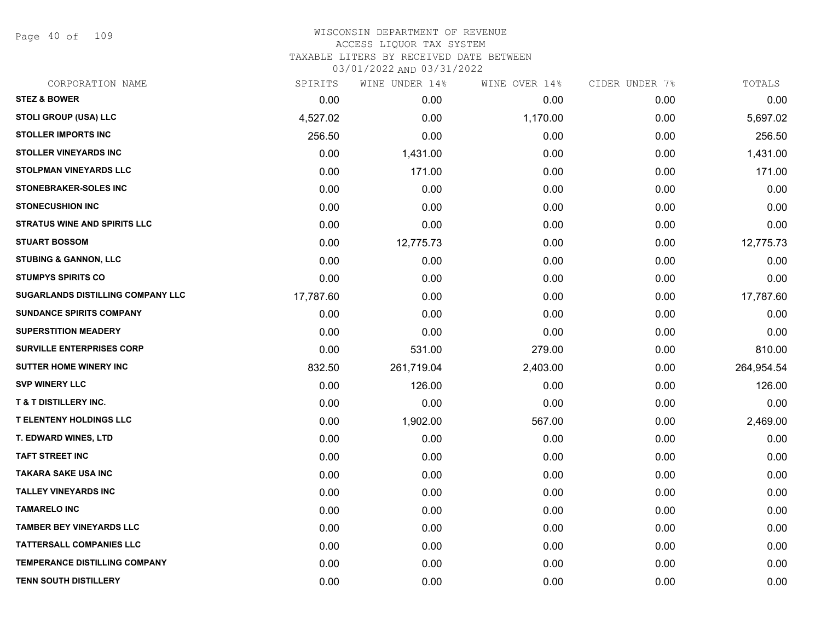Page 40 of 109

# WISCONSIN DEPARTMENT OF REVENUE ACCESS LIQUOR TAX SYSTEM TAXABLE LITERS BY RECEIVED DATE BETWEEN

| CORPORATION NAME                    | SPIRITS   | WINE UNDER 14% | WINE OVER 14% | CIDER UNDER 7% | TOTALS     |
|-------------------------------------|-----------|----------------|---------------|----------------|------------|
| <b>STEZ &amp; BOWER</b>             | 0.00      | 0.00           | 0.00          | 0.00           | 0.00       |
| STOLI GROUP (USA) LLC               | 4,527.02  | 0.00           | 1,170.00      | 0.00           | 5,697.02   |
| <b>STOLLER IMPORTS INC</b>          | 256.50    | 0.00           | 0.00          | 0.00           | 256.50     |
| <b>STOLLER VINEYARDS INC</b>        | 0.00      | 1,431.00       | 0.00          | 0.00           | 1,431.00   |
| <b>STOLPMAN VINEYARDS LLC</b>       | 0.00      | 171.00         | 0.00          | 0.00           | 171.00     |
| STONEBRAKER-SOLES INC               | 0.00      | 0.00           | 0.00          | 0.00           | 0.00       |
| <b>STONECUSHION INC</b>             | 0.00      | 0.00           | 0.00          | 0.00           | 0.00       |
| <b>STRATUS WINE AND SPIRITS LLC</b> | 0.00      | 0.00           | 0.00          | 0.00           | 0.00       |
| <b>STUART BOSSOM</b>                | 0.00      | 12,775.73      | 0.00          | 0.00           | 12,775.73  |
| <b>STUBING &amp; GANNON, LLC</b>    | 0.00      | 0.00           | 0.00          | 0.00           | 0.00       |
| <b>STUMPYS SPIRITS CO</b>           | 0.00      | 0.00           | 0.00          | 0.00           | 0.00       |
| SUGARLANDS DISTILLING COMPANY LLC   | 17,787.60 | 0.00           | 0.00          | 0.00           | 17,787.60  |
| <b>SUNDANCE SPIRITS COMPANY</b>     | 0.00      | 0.00           | 0.00          | 0.00           | 0.00       |
| <b>SUPERSTITION MEADERY</b>         | 0.00      | 0.00           | 0.00          | 0.00           | 0.00       |
| <b>SURVILLE ENTERPRISES CORP</b>    | 0.00      | 531.00         | 279.00        | 0.00           | 810.00     |
| <b>SUTTER HOME WINERY INC</b>       | 832.50    | 261,719.04     | 2,403.00      | 0.00           | 264,954.54 |
| <b>SVP WINERY LLC</b>               | 0.00      | 126.00         | 0.00          | 0.00           | 126.00     |
| <b>T &amp; T DISTILLERY INC.</b>    | 0.00      | 0.00           | 0.00          | 0.00           | 0.00       |
| <b>T ELENTENY HOLDINGS LLC</b>      | 0.00      | 1,902.00       | 567.00        | 0.00           | 2,469.00   |
| T. EDWARD WINES, LTD                | 0.00      | 0.00           | 0.00          | 0.00           | 0.00       |
| <b>TAFT STREET INC</b>              | 0.00      | 0.00           | 0.00          | 0.00           | 0.00       |
| <b>TAKARA SAKE USA INC</b>          | 0.00      | 0.00           | 0.00          | 0.00           | 0.00       |
| <b>TALLEY VINEYARDS INC</b>         | 0.00      | 0.00           | 0.00          | 0.00           | 0.00       |
| <b>TAMARELO INC</b>                 | 0.00      | 0.00           | 0.00          | 0.00           | 0.00       |
| <b>TAMBER BEY VINEYARDS LLC</b>     | 0.00      | 0.00           | 0.00          | 0.00           | 0.00       |
| <b>TATTERSALL COMPANIES LLC</b>     | 0.00      | 0.00           | 0.00          | 0.00           | 0.00       |
| TEMPERANCE DISTILLING COMPANY       | 0.00      | 0.00           | 0.00          | 0.00           | 0.00       |
| <b>TENN SOUTH DISTILLERY</b>        | 0.00      | 0.00           | 0.00          | 0.00           | 0.00       |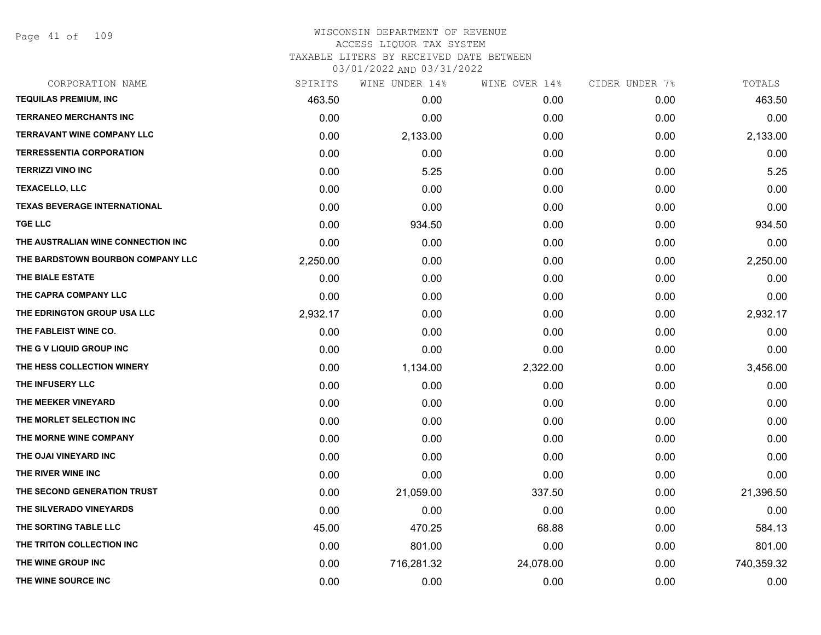Page 41 of 109

| SPIRITS  | WINE UNDER 14% | WINE OVER 14% | CIDER UNDER 7% | TOTALS     |
|----------|----------------|---------------|----------------|------------|
| 463.50   | 0.00           | 0.00          | 0.00           | 463.50     |
| 0.00     | 0.00           | 0.00          | 0.00           | 0.00       |
| 0.00     | 2,133.00       | 0.00          | 0.00           | 2,133.00   |
| 0.00     | 0.00           | 0.00          | 0.00           | 0.00       |
| 0.00     | 5.25           | 0.00          | 0.00           | 5.25       |
| 0.00     | 0.00           | 0.00          | 0.00           | 0.00       |
| 0.00     | 0.00           | 0.00          | 0.00           | 0.00       |
| 0.00     | 934.50         | 0.00          | 0.00           | 934.50     |
| 0.00     | 0.00           | 0.00          | 0.00           | 0.00       |
| 2,250.00 | 0.00           | 0.00          | 0.00           | 2,250.00   |
| 0.00     | 0.00           | 0.00          | 0.00           | 0.00       |
| 0.00     | 0.00           | 0.00          | 0.00           | 0.00       |
| 2,932.17 | 0.00           | 0.00          | 0.00           | 2,932.17   |
| 0.00     | 0.00           | 0.00          | 0.00           | 0.00       |
| 0.00     | 0.00           | 0.00          | 0.00           | 0.00       |
| 0.00     | 1,134.00       | 2,322.00      | 0.00           | 3,456.00   |
| 0.00     | 0.00           | 0.00          | 0.00           | 0.00       |
| 0.00     | 0.00           | 0.00          | 0.00           | 0.00       |
| 0.00     | 0.00           | 0.00          | 0.00           | 0.00       |
| 0.00     | 0.00           | 0.00          | 0.00           | 0.00       |
| 0.00     | 0.00           | 0.00          | 0.00           | 0.00       |
| 0.00     | 0.00           | 0.00          | 0.00           | 0.00       |
| 0.00     | 21,059.00      | 337.50        | 0.00           | 21,396.50  |
| 0.00     | 0.00           | 0.00          | 0.00           | 0.00       |
| 45.00    | 470.25         | 68.88         | 0.00           | 584.13     |
| 0.00     | 801.00         | 0.00          | 0.00           | 801.00     |
| 0.00     | 716,281.32     | 24,078.00     | 0.00           | 740,359.32 |
| 0.00     | 0.00           | 0.00          | 0.00           | 0.00       |
|          |                |               |                |            |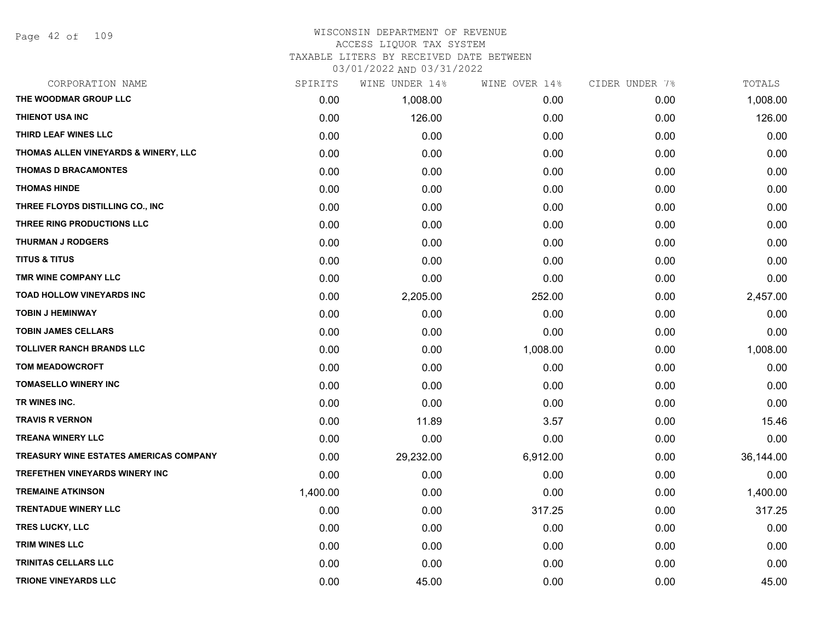#### WISCONSIN DEPARTMENT OF REVENUE ACCESS LIQUOR TAX SYSTEM TAXABLE LITERS BY RECEIVED DATE BETWEEN

| CORPORATION NAME                              | SPIRITS  | WINE UNDER 14% | WINE OVER 14% | CIDER UNDER 7% | TOTALS    |
|-----------------------------------------------|----------|----------------|---------------|----------------|-----------|
| THE WOODMAR GROUP LLC                         | 0.00     | 1,008.00       | 0.00          | 0.00           | 1,008.00  |
| <b>THIENOT USA INC</b>                        | 0.00     | 126.00         | 0.00          | 0.00           | 126.00    |
| THIRD LEAF WINES LLC                          | 0.00     | 0.00           | 0.00          | 0.00           | 0.00      |
| THOMAS ALLEN VINEYARDS & WINERY, LLC          | 0.00     | 0.00           | 0.00          | 0.00           | 0.00      |
| <b>THOMAS D BRACAMONTES</b>                   | 0.00     | 0.00           | 0.00          | 0.00           | 0.00      |
| <b>THOMAS HINDE</b>                           | 0.00     | 0.00           | 0.00          | 0.00           | 0.00      |
| THREE FLOYDS DISTILLING CO., INC              | 0.00     | 0.00           | 0.00          | 0.00           | 0.00      |
| THREE RING PRODUCTIONS LLC                    | 0.00     | 0.00           | 0.00          | 0.00           | 0.00      |
| <b>THURMAN J RODGERS</b>                      | 0.00     | 0.00           | 0.00          | 0.00           | 0.00      |
| <b>TITUS &amp; TITUS</b>                      | 0.00     | 0.00           | 0.00          | 0.00           | 0.00      |
| TMR WINE COMPANY LLC                          | 0.00     | 0.00           | 0.00          | 0.00           | 0.00      |
| TOAD HOLLOW VINEYARDS INC                     | 0.00     | 2,205.00       | 252.00        | 0.00           | 2,457.00  |
| <b>TOBIN J HEMINWAY</b>                       | 0.00     | 0.00           | 0.00          | 0.00           | 0.00      |
| <b>TOBIN JAMES CELLARS</b>                    | 0.00     | 0.00           | 0.00          | 0.00           | 0.00      |
| <b>TOLLIVER RANCH BRANDS LLC</b>              | 0.00     | 0.00           | 1,008.00      | 0.00           | 1,008.00  |
| <b>TOM MEADOWCROFT</b>                        | 0.00     | 0.00           | 0.00          | 0.00           | 0.00      |
| <b>TOMASELLO WINERY INC</b>                   | 0.00     | 0.00           | 0.00          | 0.00           | 0.00      |
| TR WINES INC.                                 | 0.00     | 0.00           | 0.00          | 0.00           | 0.00      |
| <b>TRAVIS R VERNON</b>                        | 0.00     | 11.89          | 3.57          | 0.00           | 15.46     |
| <b>TREANA WINERY LLC</b>                      | 0.00     | 0.00           | 0.00          | 0.00           | 0.00      |
| <b>TREASURY WINE ESTATES AMERICAS COMPANY</b> | 0.00     | 29,232.00      | 6,912.00      | 0.00           | 36,144.00 |
| <b>TREFETHEN VINEYARDS WINERY INC</b>         | 0.00     | 0.00           | 0.00          | 0.00           | 0.00      |
| <b>TREMAINE ATKINSON</b>                      | 1,400.00 | 0.00           | 0.00          | 0.00           | 1,400.00  |
| <b>TRENTADUE WINERY LLC</b>                   | 0.00     | 0.00           | 317.25        | 0.00           | 317.25    |
| <b>TRES LUCKY, LLC</b>                        | 0.00     | 0.00           | 0.00          | 0.00           | 0.00      |
| TRIM WINES LLC                                | 0.00     | 0.00           | 0.00          | 0.00           | 0.00      |
| TRINITAS CELLARS LLC                          | 0.00     | 0.00           | 0.00          | 0.00           | 0.00      |
| <b>TRIONE VINEYARDS LLC</b>                   | 0.00     | 45.00          | 0.00          | 0.00           | 45.00     |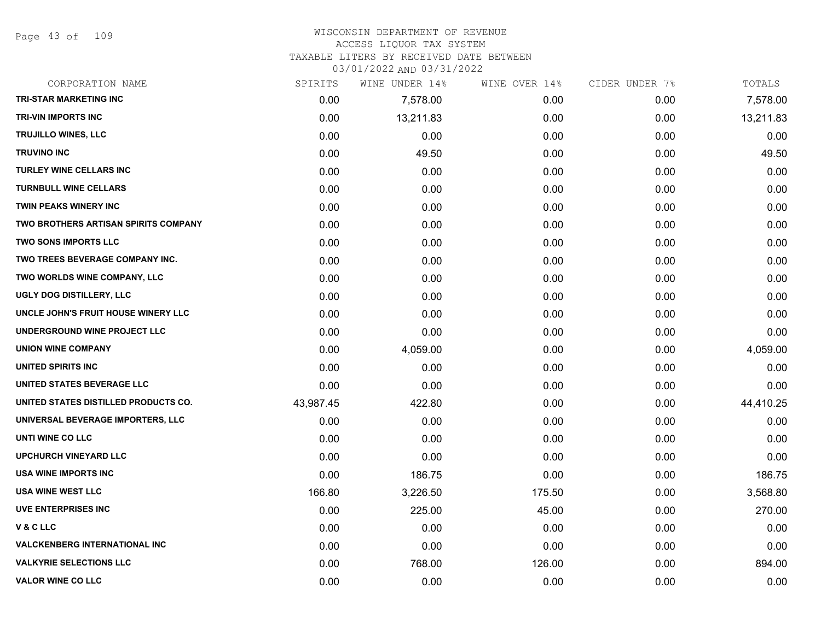Page 43 of 109

#### WISCONSIN DEPARTMENT OF REVENUE ACCESS LIQUOR TAX SYSTEM

TAXABLE LITERS BY RECEIVED DATE BETWEEN

| CORPORATION NAME                            | SPIRITS   | WINE UNDER 14% | WINE OVER 14% | CIDER UNDER 7% | TOTALS    |
|---------------------------------------------|-----------|----------------|---------------|----------------|-----------|
| <b>TRI-STAR MARKETING INC</b>               | 0.00      | 7,578.00       | 0.00          | 0.00           | 7,578.00  |
| <b>TRI-VIN IMPORTS INC</b>                  | 0.00      | 13,211.83      | 0.00          | 0.00           | 13,211.83 |
| TRUJILLO WINES, LLC                         | 0.00      | 0.00           | 0.00          | 0.00           | 0.00      |
| <b>TRUVINO INC</b>                          | 0.00      | 49.50          | 0.00          | 0.00           | 49.50     |
| <b>TURLEY WINE CELLARS INC</b>              | 0.00      | 0.00           | 0.00          | 0.00           | 0.00      |
| <b>TURNBULL WINE CELLARS</b>                | 0.00      | 0.00           | 0.00          | 0.00           | 0.00      |
| TWIN PEAKS WINERY INC                       | 0.00      | 0.00           | 0.00          | 0.00           | 0.00      |
| <b>TWO BROTHERS ARTISAN SPIRITS COMPANY</b> | 0.00      | 0.00           | 0.00          | 0.00           | 0.00      |
| <b>TWO SONS IMPORTS LLC</b>                 | 0.00      | 0.00           | 0.00          | 0.00           | 0.00      |
| TWO TREES BEVERAGE COMPANY INC.             | 0.00      | 0.00           | 0.00          | 0.00           | 0.00      |
| TWO WORLDS WINE COMPANY, LLC                | 0.00      | 0.00           | 0.00          | 0.00           | 0.00      |
| UGLY DOG DISTILLERY, LLC                    | 0.00      | 0.00           | 0.00          | 0.00           | 0.00      |
| UNCLE JOHN'S FRUIT HOUSE WINERY LLC         | 0.00      | 0.00           | 0.00          | 0.00           | 0.00      |
| UNDERGROUND WINE PROJECT LLC                | 0.00      | 0.00           | 0.00          | 0.00           | 0.00      |
| <b>UNION WINE COMPANY</b>                   | 0.00      | 4,059.00       | 0.00          | 0.00           | 4,059.00  |
| UNITED SPIRITS INC                          | 0.00      | 0.00           | 0.00          | 0.00           | 0.00      |
| UNITED STATES BEVERAGE LLC                  | 0.00      | 0.00           | 0.00          | 0.00           | 0.00      |
| UNITED STATES DISTILLED PRODUCTS CO.        | 43,987.45 | 422.80         | 0.00          | 0.00           | 44,410.25 |
| UNIVERSAL BEVERAGE IMPORTERS, LLC           | 0.00      | 0.00           | 0.00          | 0.00           | 0.00      |
| UNTI WINE CO LLC                            | 0.00      | 0.00           | 0.00          | 0.00           | 0.00      |
| <b>UPCHURCH VINEYARD LLC</b>                | 0.00      | 0.00           | 0.00          | 0.00           | 0.00      |
| <b>USA WINE IMPORTS INC</b>                 | 0.00      | 186.75         | 0.00          | 0.00           | 186.75    |
| <b>USA WINE WEST LLC</b>                    | 166.80    | 3,226.50       | 175.50        | 0.00           | 3,568.80  |
| <b>UVE ENTERPRISES INC</b>                  | 0.00      | 225.00         | 45.00         | 0.00           | 270.00    |
| V&CLLC                                      | 0.00      | 0.00           | 0.00          | 0.00           | 0.00      |
| <b>VALCKENBERG INTERNATIONAL INC</b>        | 0.00      | 0.00           | 0.00          | 0.00           | 0.00      |
| <b>VALKYRIE SELECTIONS LLC</b>              | 0.00      | 768.00         | 126.00        | 0.00           | 894.00    |
| <b>VALOR WINE CO LLC</b>                    | 0.00      | 0.00           | 0.00          | 0.00           | 0.00      |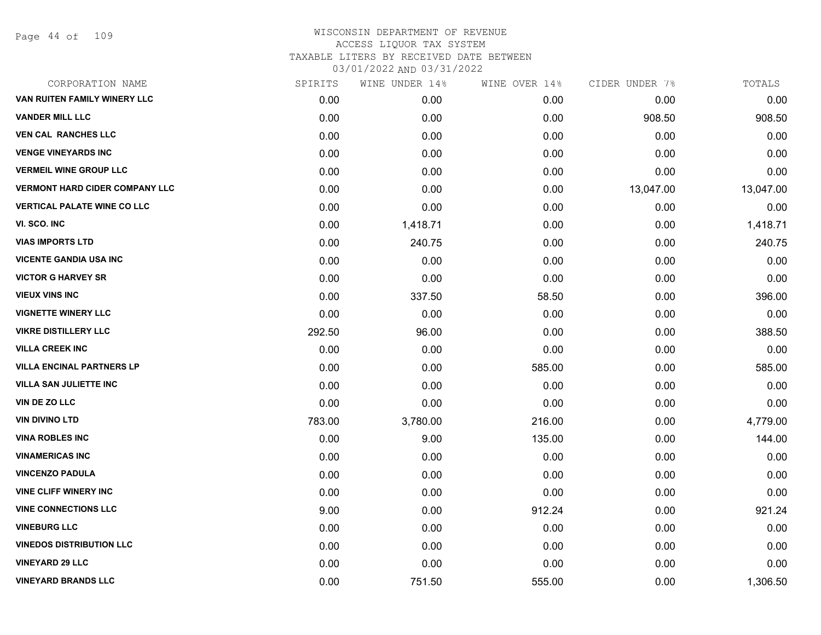| CORPORATION NAME                      | SPIRITS | WINE UNDER 14% | WINE OVER 14% | CIDER UNDER 7% | TOTALS    |
|---------------------------------------|---------|----------------|---------------|----------------|-----------|
| VAN RUITEN FAMILY WINERY LLC          | 0.00    | 0.00           | 0.00          | 0.00           | 0.00      |
| <b>VANDER MILL LLC</b>                | 0.00    | 0.00           | 0.00          | 908.50         | 908.50    |
| <b>VEN CAL RANCHES LLC</b>            | 0.00    | 0.00           | 0.00          | 0.00           | 0.00      |
| <b>VENGE VINEYARDS INC</b>            | 0.00    | 0.00           | 0.00          | 0.00           | 0.00      |
| <b>VERMEIL WINE GROUP LLC</b>         | 0.00    | 0.00           | 0.00          | 0.00           | 0.00      |
| <b>VERMONT HARD CIDER COMPANY LLC</b> | 0.00    | 0.00           | 0.00          | 13,047.00      | 13,047.00 |
| <b>VERTICAL PALATE WINE CO LLC</b>    | 0.00    | 0.00           | 0.00          | 0.00           | 0.00      |
| VI. SCO. INC                          | 0.00    | 1,418.71       | 0.00          | 0.00           | 1,418.71  |
| <b>VIAS IMPORTS LTD</b>               | 0.00    | 240.75         | 0.00          | 0.00           | 240.75    |
| <b>VICENTE GANDIA USA INC</b>         | 0.00    | 0.00           | 0.00          | 0.00           | 0.00      |
| <b>VICTOR G HARVEY SR</b>             | 0.00    | 0.00           | 0.00          | 0.00           | 0.00      |
| <b>VIEUX VINS INC</b>                 | 0.00    | 337.50         | 58.50         | 0.00           | 396.00    |
| <b>VIGNETTE WINERY LLC</b>            | 0.00    | 0.00           | 0.00          | 0.00           | 0.00      |
| <b>VIKRE DISTILLERY LLC</b>           | 292.50  | 96.00          | 0.00          | 0.00           | 388.50    |
| <b>VILLA CREEK INC</b>                | 0.00    | 0.00           | 0.00          | 0.00           | 0.00      |
| <b>VILLA ENCINAL PARTNERS LP</b>      | 0.00    | 0.00           | 585.00        | 0.00           | 585.00    |
| <b>VILLA SAN JULIETTE INC</b>         | 0.00    | 0.00           | 0.00          | 0.00           | 0.00      |
| VIN DE ZO LLC                         | 0.00    | 0.00           | 0.00          | 0.00           | 0.00      |
| <b>VIN DIVINO LTD</b>                 | 783.00  | 3,780.00       | 216.00        | 0.00           | 4,779.00  |
| <b>VINA ROBLES INC</b>                | 0.00    | 9.00           | 135.00        | 0.00           | 144.00    |
| <b>VINAMERICAS INC</b>                | 0.00    | 0.00           | 0.00          | 0.00           | 0.00      |
| <b>VINCENZO PADULA</b>                | 0.00    | 0.00           | 0.00          | 0.00           | 0.00      |
| <b>VINE CLIFF WINERY INC</b>          | 0.00    | 0.00           | 0.00          | 0.00           | 0.00      |
| <b>VINE CONNECTIONS LLC</b>           | 9.00    | 0.00           | 912.24        | 0.00           | 921.24    |
| <b>VINEBURG LLC</b>                   | 0.00    | 0.00           | 0.00          | 0.00           | 0.00      |
| <b>VINEDOS DISTRIBUTION LLC</b>       | 0.00    | 0.00           | 0.00          | 0.00           | 0.00      |
| <b>VINEYARD 29 LLC</b>                | 0.00    | 0.00           | 0.00          | 0.00           | 0.00      |
| <b>VINEYARD BRANDS LLC</b>            | 0.00    | 751.50         | 555.00        | 0.00           | 1,306.50  |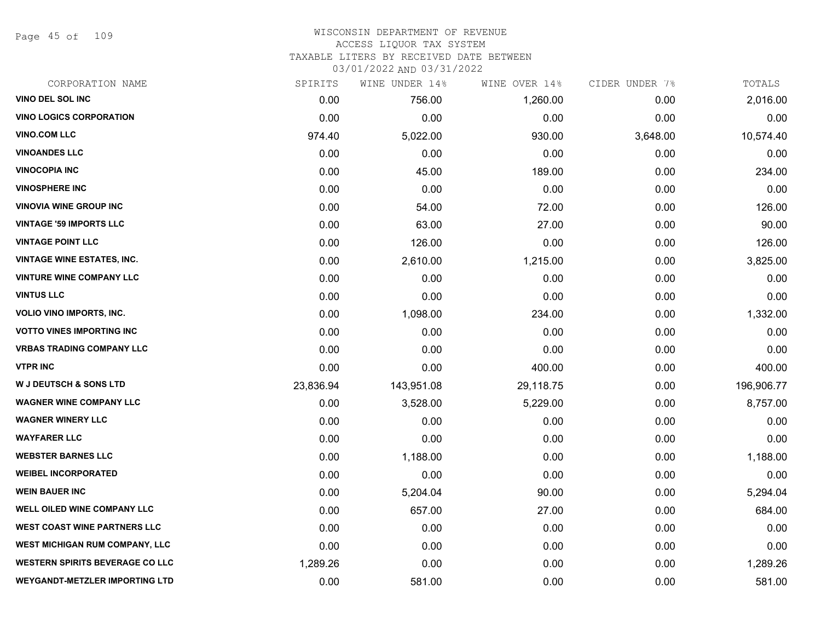Page 45 of 109

# WISCONSIN DEPARTMENT OF REVENUE ACCESS LIQUOR TAX SYSTEM TAXABLE LITERS BY RECEIVED DATE BETWEEN

| CORPORATION NAME                       | SPIRITS   | WINE UNDER 14% | WINE OVER 14% | CIDER UNDER 7% | TOTALS     |
|----------------------------------------|-----------|----------------|---------------|----------------|------------|
| VINO DEL SOL INC                       | 0.00      | 756.00         | 1,260.00      | 0.00           | 2,016.00   |
| <b>VINO LOGICS CORPORATION</b>         | 0.00      | 0.00           | 0.00          | 0.00           | 0.00       |
| <b>VINO.COM LLC</b>                    | 974.40    | 5,022.00       | 930.00        | 3,648.00       | 10,574.40  |
| <b>VINOANDES LLC</b>                   | 0.00      | 0.00           | 0.00          | 0.00           | 0.00       |
| <b>VINOCOPIA INC</b>                   | 0.00      | 45.00          | 189.00        | 0.00           | 234.00     |
| <b>VINOSPHERE INC</b>                  | 0.00      | 0.00           | 0.00          | 0.00           | 0.00       |
| <b>VINOVIA WINE GROUP INC</b>          | 0.00      | 54.00          | 72.00         | 0.00           | 126.00     |
| <b>VINTAGE '59 IMPORTS LLC</b>         | 0.00      | 63.00          | 27.00         | 0.00           | 90.00      |
| <b>VINTAGE POINT LLC</b>               | 0.00      | 126.00         | 0.00          | 0.00           | 126.00     |
| <b>VINTAGE WINE ESTATES, INC.</b>      | 0.00      | 2,610.00       | 1,215.00      | 0.00           | 3,825.00   |
| <b>VINTURE WINE COMPANY LLC</b>        | 0.00      | 0.00           | 0.00          | 0.00           | 0.00       |
| <b>VINTUS LLC</b>                      | 0.00      | 0.00           | 0.00          | 0.00           | 0.00       |
| VOLIO VINO IMPORTS, INC.               | 0.00      | 1,098.00       | 234.00        | 0.00           | 1,332.00   |
| <b>VOTTO VINES IMPORTING INC</b>       | 0.00      | 0.00           | 0.00          | 0.00           | 0.00       |
| <b>VRBAS TRADING COMPANY LLC</b>       | 0.00      | 0.00           | 0.00          | 0.00           | 0.00       |
| <b>VTPR INC</b>                        | 0.00      | 0.00           | 400.00        | 0.00           | 400.00     |
| <b>W J DEUTSCH &amp; SONS LTD</b>      | 23,836.94 | 143,951.08     | 29,118.75     | 0.00           | 196,906.77 |
| <b>WAGNER WINE COMPANY LLC</b>         | 0.00      | 3,528.00       | 5,229.00      | 0.00           | 8,757.00   |
| <b>WAGNER WINERY LLC</b>               | 0.00      | 0.00           | 0.00          | 0.00           | 0.00       |
| <b>WAYFARER LLC</b>                    | 0.00      | 0.00           | 0.00          | 0.00           | 0.00       |
| <b>WEBSTER BARNES LLC</b>              | 0.00      | 1,188.00       | 0.00          | 0.00           | 1,188.00   |
| <b>WEIBEL INCORPORATED</b>             | 0.00      | 0.00           | 0.00          | 0.00           | 0.00       |
| <b>WEIN BAUER INC</b>                  | 0.00      | 5,204.04       | 90.00         | 0.00           | 5,294.04   |
| <b>WELL OILED WINE COMPANY LLC</b>     | 0.00      | 657.00         | 27.00         | 0.00           | 684.00     |
| <b>WEST COAST WINE PARTNERS LLC</b>    | 0.00      | 0.00           | 0.00          | 0.00           | 0.00       |
| <b>WEST MICHIGAN RUM COMPANY, LLC</b>  | 0.00      | 0.00           | 0.00          | 0.00           | 0.00       |
| <b>WESTERN SPIRITS BEVERAGE CO LLC</b> | 1,289.26  | 0.00           | 0.00          | 0.00           | 1,289.26   |
| <b>WEYGANDT-METZLER IMPORTING LTD</b>  | 0.00      | 581.00         | 0.00          | 0.00           | 581.00     |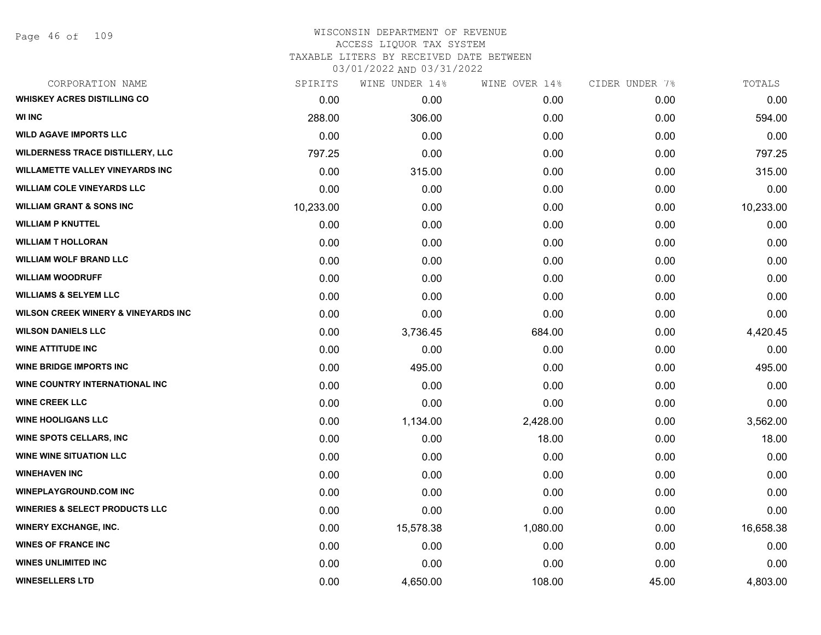| CORPORATION NAME                               | SPIRITS   | WINE UNDER 14% | WINE OVER 14% | CIDER UNDER 7% | TOTALS    |
|------------------------------------------------|-----------|----------------|---------------|----------------|-----------|
| <b>WHISKEY ACRES DISTILLING CO</b>             | 0.00      | 0.00           | 0.00          | 0.00           | 0.00      |
| <b>WI INC</b>                                  | 288.00    | 306.00         | 0.00          | 0.00           | 594.00    |
| <b>WILD AGAVE IMPORTS LLC</b>                  | 0.00      | 0.00           | 0.00          | 0.00           | 0.00      |
| <b>WILDERNESS TRACE DISTILLERY, LLC</b>        | 797.25    | 0.00           | 0.00          | 0.00           | 797.25    |
| <b>WILLAMETTE VALLEY VINEYARDS INC</b>         | 0.00      | 315.00         | 0.00          | 0.00           | 315.00    |
| <b>WILLIAM COLE VINEYARDS LLC</b>              | 0.00      | 0.00           | 0.00          | 0.00           | 0.00      |
| <b>WILLIAM GRANT &amp; SONS INC</b>            | 10,233.00 | 0.00           | 0.00          | 0.00           | 10,233.00 |
| <b>WILLIAM P KNUTTEL</b>                       | 0.00      | 0.00           | 0.00          | 0.00           | 0.00      |
| <b>WILLIAM T HOLLORAN</b>                      | 0.00      | 0.00           | 0.00          | 0.00           | 0.00      |
| <b>WILLIAM WOLF BRAND LLC</b>                  | 0.00      | 0.00           | 0.00          | 0.00           | 0.00      |
| <b>WILLIAM WOODRUFF</b>                        | 0.00      | 0.00           | 0.00          | 0.00           | 0.00      |
| <b>WILLIAMS &amp; SELYEM LLC</b>               | 0.00      | 0.00           | 0.00          | 0.00           | 0.00      |
| <b>WILSON CREEK WINERY &amp; VINEYARDS INC</b> | 0.00      | 0.00           | 0.00          | 0.00           | 0.00      |
| <b>WILSON DANIELS LLC</b>                      | 0.00      | 3,736.45       | 684.00        | 0.00           | 4,420.45  |
| <b>WINE ATTITUDE INC</b>                       | 0.00      | 0.00           | 0.00          | 0.00           | 0.00      |
| <b>WINE BRIDGE IMPORTS INC</b>                 | 0.00      | 495.00         | 0.00          | 0.00           | 495.00    |
| WINE COUNTRY INTERNATIONAL INC                 | 0.00      | 0.00           | 0.00          | 0.00           | 0.00      |
| <b>WINE CREEK LLC</b>                          | 0.00      | 0.00           | 0.00          | 0.00           | 0.00      |
| <b>WINE HOOLIGANS LLC</b>                      | 0.00      | 1,134.00       | 2,428.00      | 0.00           | 3,562.00  |
| <b>WINE SPOTS CELLARS, INC</b>                 | 0.00      | 0.00           | 18.00         | 0.00           | 18.00     |
| <b>WINE WINE SITUATION LLC</b>                 | 0.00      | 0.00           | 0.00          | 0.00           | 0.00      |
| <b>WINEHAVEN INC</b>                           | 0.00      | 0.00           | 0.00          | 0.00           | 0.00      |
| <b>WINEPLAYGROUND.COM INC</b>                  | 0.00      | 0.00           | 0.00          | 0.00           | 0.00      |
| <b>WINERIES &amp; SELECT PRODUCTS LLC</b>      | 0.00      | 0.00           | 0.00          | 0.00           | 0.00      |
| <b>WINERY EXCHANGE, INC.</b>                   | 0.00      | 15,578.38      | 1,080.00      | 0.00           | 16,658.38 |
| <b>WINES OF FRANCE INC</b>                     | 0.00      | 0.00           | 0.00          | 0.00           | 0.00      |
| <b>WINES UNLIMITED INC</b>                     | 0.00      | 0.00           | 0.00          | 0.00           | 0.00      |
| <b>WINESELLERS LTD</b>                         | 0.00      | 4,650.00       | 108.00        | 45.00          | 4,803.00  |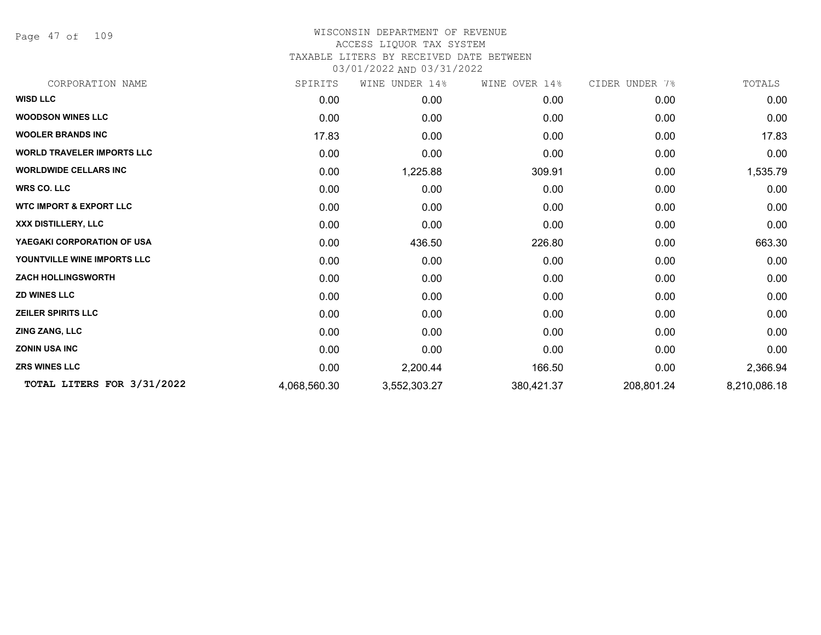Page 47 of 109

# WISCONSIN DEPARTMENT OF REVENUE ACCESS LIQUOR TAX SYSTEM TAXABLE LITERS BY RECEIVED DATE BETWEEN

| CORPORATION NAME                   | SPIRITS      | UNDER 14%<br>WINE | WINE OVER 14% | CIDER UNDER 7% | TOTALS       |
|------------------------------------|--------------|-------------------|---------------|----------------|--------------|
| <b>WISD LLC</b>                    | 0.00         | 0.00              | 0.00          | 0.00           | 0.00         |
| <b>WOODSON WINES LLC</b>           | 0.00         | 0.00              | 0.00          | 0.00           | 0.00         |
| <b>WOOLER BRANDS INC</b>           | 17.83        | 0.00              | 0.00          | 0.00           | 17.83        |
| <b>WORLD TRAVELER IMPORTS LLC</b>  | 0.00         | 0.00              | 0.00          | 0.00           | 0.00         |
| <b>WORLDWIDE CELLARS INC</b>       | 0.00         | 1,225.88          | 309.91        | 0.00           | 1,535.79     |
| <b>WRS CO. LLC</b>                 | 0.00         | 0.00              | 0.00          | 0.00           | 0.00         |
| <b>WTC IMPORT &amp; EXPORT LLC</b> | 0.00         | 0.00              | 0.00          | 0.00           | 0.00         |
| XXX DISTILLERY, LLC                | 0.00         | 0.00              | 0.00          | 0.00           | 0.00         |
| YAEGAKI CORPORATION OF USA         | 0.00         | 436.50            | 226.80        | 0.00           | 663.30       |
| YOUNTVILLE WINE IMPORTS LLC        | 0.00         | 0.00              | 0.00          | 0.00           | 0.00         |
| <b>ZACH HOLLINGSWORTH</b>          | 0.00         | 0.00              | 0.00          | 0.00           | 0.00         |
| <b>ZD WINES LLC</b>                | 0.00         | 0.00              | 0.00          | 0.00           | 0.00         |
| <b>ZEILER SPIRITS LLC</b>          | 0.00         | 0.00              | 0.00          | 0.00           | 0.00         |
| <b>ZING ZANG, LLC</b>              | 0.00         | 0.00              | 0.00          | 0.00           | 0.00         |
| <b>ZONIN USA INC</b>               | 0.00         | 0.00              | 0.00          | 0.00           | 0.00         |
| <b>ZRS WINES LLC</b>               | 0.00         | 2,200.44          | 166.50        | 0.00           | 2,366.94     |
| TOTAL LITERS FOR 3/31/2022         | 4,068,560.30 | 3,552,303.27      | 380,421.37    | 208,801.24     | 8,210,086.18 |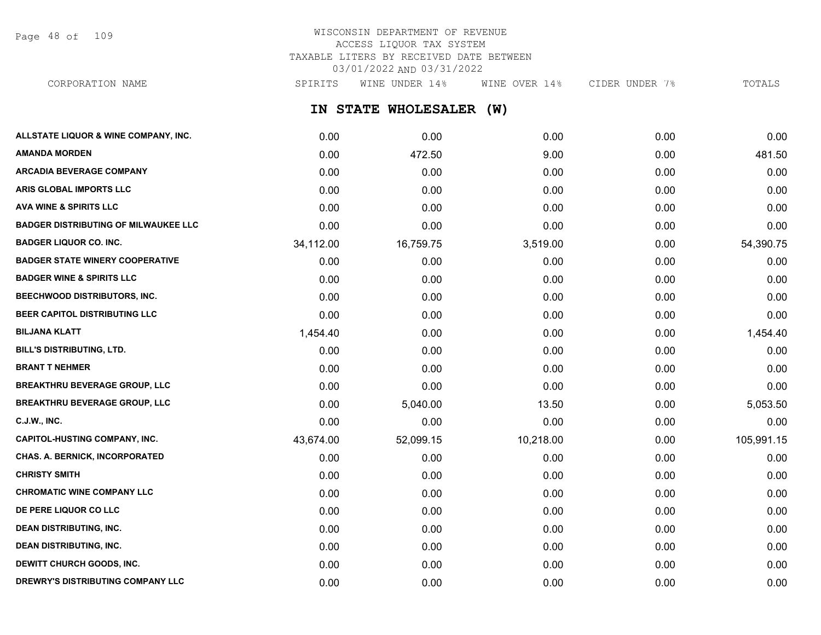Page 48 of 109

# WISCONSIN DEPARTMENT OF REVENUE ACCESS LIQUOR TAX SYSTEM TAXABLE LITERS BY RECEIVED DATE BETWEEN 03/01/2022 AND 03/31/2022

CORPORATION NAME SPIRITS WINE UNDER 14% WINE OVER 14% CIDER UNDER 7% TOTALS

**IN STATE WHOLESALER (W)**

| ALLSTATE LIQUOR & WINE COMPANY, INC.        | 0.00      | 0.00      | 0.00      | 0.00 | 0.00       |
|---------------------------------------------|-----------|-----------|-----------|------|------------|
| <b>AMANDA MORDEN</b>                        | 0.00      | 472.50    | 9.00      | 0.00 | 481.50     |
| <b>ARCADIA BEVERAGE COMPANY</b>             | 0.00      | 0.00      | 0.00      | 0.00 | 0.00       |
| ARIS GLOBAL IMPORTS LLC                     | 0.00      | 0.00      | 0.00      | 0.00 | 0.00       |
| <b>AVA WINE &amp; SPIRITS LLC</b>           | 0.00      | 0.00      | 0.00      | 0.00 | 0.00       |
| <b>BADGER DISTRIBUTING OF MILWAUKEE LLC</b> | 0.00      | 0.00      | 0.00      | 0.00 | 0.00       |
| <b>BADGER LIQUOR CO. INC.</b>               | 34,112.00 | 16,759.75 | 3,519.00  | 0.00 | 54,390.75  |
| <b>BADGER STATE WINERY COOPERATIVE</b>      | 0.00      | 0.00      | 0.00      | 0.00 | 0.00       |
| <b>BADGER WINE &amp; SPIRITS LLC</b>        | 0.00      | 0.00      | 0.00      | 0.00 | 0.00       |
| BEECHWOOD DISTRIBUTORS, INC.                | 0.00      | 0.00      | 0.00      | 0.00 | 0.00       |
| BEER CAPITOL DISTRIBUTING LLC               | 0.00      | 0.00      | 0.00      | 0.00 | 0.00       |
| <b>BILJANA KLATT</b>                        | 1,454.40  | 0.00      | 0.00      | 0.00 | 1,454.40   |
| BILL'S DISTRIBUTING, LTD.                   | 0.00      | 0.00      | 0.00      | 0.00 | 0.00       |
| <b>BRANT T NEHMER</b>                       | 0.00      | 0.00      | 0.00      | 0.00 | 0.00       |
| <b>BREAKTHRU BEVERAGE GROUP, LLC</b>        | 0.00      | 0.00      | 0.00      | 0.00 | 0.00       |
| <b>BREAKTHRU BEVERAGE GROUP, LLC</b>        | 0.00      | 5,040.00  | 13.50     | 0.00 | 5,053.50   |
| <b>C.J.W., INC.</b>                         | 0.00      | 0.00      | 0.00      | 0.00 | 0.00       |
| <b>CAPITOL-HUSTING COMPANY, INC.</b>        | 43,674.00 | 52,099.15 | 10,218.00 | 0.00 | 105,991.15 |
| <b>CHAS. A. BERNICK, INCORPORATED</b>       | 0.00      | 0.00      | 0.00      | 0.00 | 0.00       |
| <b>CHRISTY SMITH</b>                        | 0.00      | 0.00      | 0.00      | 0.00 | 0.00       |
| <b>CHROMATIC WINE COMPANY LLC</b>           | 0.00      | 0.00      | 0.00      | 0.00 | 0.00       |
| DE PERE LIQUOR CO LLC                       | 0.00      | 0.00      | 0.00      | 0.00 | 0.00       |
| <b>DEAN DISTRIBUTING, INC.</b>              | 0.00      | 0.00      | 0.00      | 0.00 | 0.00       |
| <b>DEAN DISTRIBUTING, INC.</b>              | 0.00      | 0.00      | 0.00      | 0.00 | 0.00       |
| DEWITT CHURCH GOODS, INC.                   | 0.00      | 0.00      | 0.00      | 0.00 | 0.00       |
| DREWRY'S DISTRIBUTING COMPANY LLC           | 0.00      | 0.00      | 0.00      | 0.00 | 0.00       |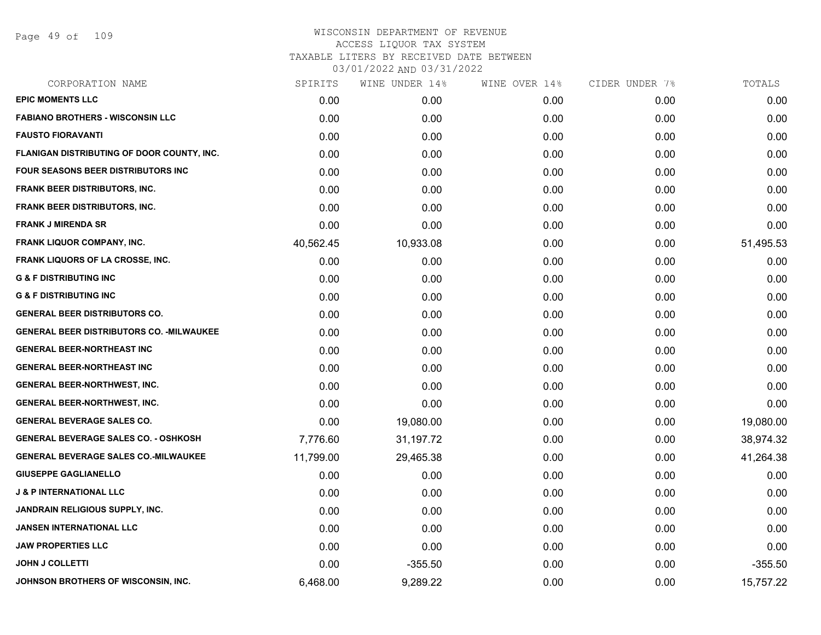Page 49 of 109

| CORPORATION NAME                                 | SPIRITS   | WINE UNDER 14% | WINE OVER 14% | CIDER UNDER 7% | TOTALS    |
|--------------------------------------------------|-----------|----------------|---------------|----------------|-----------|
| <b>EPIC MOMENTS LLC</b>                          | 0.00      | 0.00           | 0.00          | 0.00           | 0.00      |
| <b>FABIANO BROTHERS - WISCONSIN LLC</b>          | 0.00      | 0.00           | 0.00          | 0.00           | 0.00      |
| <b>FAUSTO FIORAVANTI</b>                         | 0.00      | 0.00           | 0.00          | 0.00           | 0.00      |
| FLANIGAN DISTRIBUTING OF DOOR COUNTY, INC.       | 0.00      | 0.00           | 0.00          | 0.00           | 0.00      |
| <b>FOUR SEASONS BEER DISTRIBUTORS INC</b>        | 0.00      | 0.00           | 0.00          | 0.00           | 0.00      |
| FRANK BEER DISTRIBUTORS, INC.                    | 0.00      | 0.00           | 0.00          | 0.00           | 0.00      |
| <b>FRANK BEER DISTRIBUTORS, INC.</b>             | 0.00      | 0.00           | 0.00          | 0.00           | 0.00      |
| <b>FRANK J MIRENDA SR</b>                        | 0.00      | 0.00           | 0.00          | 0.00           | 0.00      |
| <b>FRANK LIQUOR COMPANY, INC.</b>                | 40,562.45 | 10,933.08      | 0.00          | 0.00           | 51,495.53 |
| <b>FRANK LIQUORS OF LA CROSSE, INC.</b>          | 0.00      | 0.00           | 0.00          | 0.00           | 0.00      |
| <b>G &amp; F DISTRIBUTING INC</b>                | 0.00      | 0.00           | 0.00          | 0.00           | 0.00      |
| <b>G &amp; F DISTRIBUTING INC</b>                | 0.00      | 0.00           | 0.00          | 0.00           | 0.00      |
| <b>GENERAL BEER DISTRIBUTORS CO.</b>             | 0.00      | 0.00           | 0.00          | 0.00           | 0.00      |
| <b>GENERAL BEER DISTRIBUTORS CO. - MILWAUKEE</b> | 0.00      | 0.00           | 0.00          | 0.00           | 0.00      |
| <b>GENERAL BEER-NORTHEAST INC</b>                | 0.00      | 0.00           | 0.00          | 0.00           | 0.00      |
| <b>GENERAL BEER-NORTHEAST INC</b>                | 0.00      | 0.00           | 0.00          | 0.00           | 0.00      |
| <b>GENERAL BEER-NORTHWEST, INC.</b>              | 0.00      | 0.00           | 0.00          | 0.00           | 0.00      |
| <b>GENERAL BEER-NORTHWEST, INC.</b>              | 0.00      | 0.00           | 0.00          | 0.00           | 0.00      |
| <b>GENERAL BEVERAGE SALES CO.</b>                | 0.00      | 19,080.00      | 0.00          | 0.00           | 19,080.00 |
| <b>GENERAL BEVERAGE SALES CO. - OSHKOSH</b>      | 7,776.60  | 31,197.72      | 0.00          | 0.00           | 38,974.32 |
| <b>GENERAL BEVERAGE SALES CO.-MILWAUKEE</b>      | 11,799.00 | 29,465.38      | 0.00          | 0.00           | 41,264.38 |
| <b>GIUSEPPE GAGLIANELLO</b>                      | 0.00      | 0.00           | 0.00          | 0.00           | 0.00      |
| <b>J &amp; P INTERNATIONAL LLC</b>               | 0.00      | 0.00           | 0.00          | 0.00           | 0.00      |
| <b>JANDRAIN RELIGIOUS SUPPLY, INC.</b>           | 0.00      | 0.00           | 0.00          | 0.00           | 0.00      |
| <b>JANSEN INTERNATIONAL LLC</b>                  | 0.00      | 0.00           | 0.00          | 0.00           | 0.00      |
| <b>JAW PROPERTIES LLC</b>                        | 0.00      | 0.00           | 0.00          | 0.00           | 0.00      |
| <b>JOHN J COLLETTI</b>                           | 0.00      | $-355.50$      | 0.00          | 0.00           | $-355.50$ |
| JOHNSON BROTHERS OF WISCONSIN, INC.              | 6,468.00  | 9,289.22       | 0.00          | 0.00           | 15,757.22 |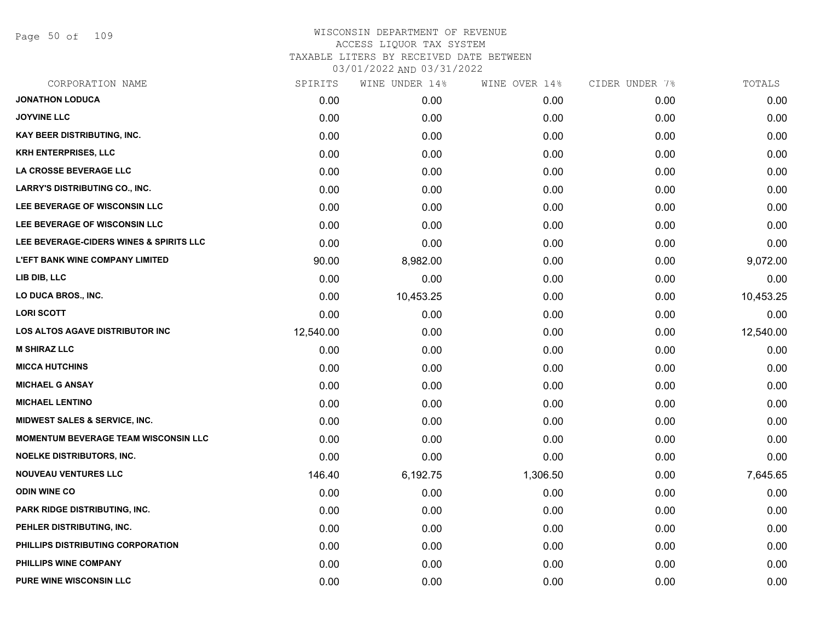Page 50 of 109

| CORPORATION NAME                            | SPIRITS   | WINE UNDER 14% | WINE OVER 14% | CIDER UNDER 7% | TOTALS    |
|---------------------------------------------|-----------|----------------|---------------|----------------|-----------|
| <b>JONATHON LODUCA</b>                      | 0.00      | 0.00           | 0.00          | 0.00           | 0.00      |
| <b>JOYVINE LLC</b>                          | 0.00      | 0.00           | 0.00          | 0.00           | 0.00      |
| <b>KAY BEER DISTRIBUTING, INC.</b>          | 0.00      | 0.00           | 0.00          | 0.00           | 0.00      |
| <b>KRH ENTERPRISES, LLC</b>                 | 0.00      | 0.00           | 0.00          | 0.00           | 0.00      |
| LA CROSSE BEVERAGE LLC                      | 0.00      | 0.00           | 0.00          | 0.00           | 0.00      |
| <b>LARRY'S DISTRIBUTING CO., INC.</b>       | 0.00      | 0.00           | 0.00          | 0.00           | 0.00      |
| LEE BEVERAGE OF WISCONSIN LLC               | 0.00      | 0.00           | 0.00          | 0.00           | 0.00      |
| LEE BEVERAGE OF WISCONSIN LLC               | 0.00      | 0.00           | 0.00          | 0.00           | 0.00      |
| LEE BEVERAGE-CIDERS WINES & SPIRITS LLC     | 0.00      | 0.00           | 0.00          | 0.00           | 0.00      |
| <b>L'EFT BANK WINE COMPANY LIMITED</b>      | 90.00     | 8,982.00       | 0.00          | 0.00           | 9,072.00  |
| LIB DIB, LLC                                | 0.00      | 0.00           | 0.00          | 0.00           | 0.00      |
| LO DUCA BROS., INC.                         | 0.00      | 10,453.25      | 0.00          | 0.00           | 10,453.25 |
| <b>LORI SCOTT</b>                           | 0.00      | 0.00           | 0.00          | 0.00           | 0.00      |
| <b>LOS ALTOS AGAVE DISTRIBUTOR INC</b>      | 12,540.00 | 0.00           | 0.00          | 0.00           | 12,540.00 |
| <b>M SHIRAZ LLC</b>                         | 0.00      | 0.00           | 0.00          | 0.00           | 0.00      |
| <b>MICCA HUTCHINS</b>                       | 0.00      | 0.00           | 0.00          | 0.00           | 0.00      |
| <b>MICHAEL G ANSAY</b>                      | 0.00      | 0.00           | 0.00          | 0.00           | 0.00      |
| <b>MICHAEL LENTINO</b>                      | 0.00      | 0.00           | 0.00          | 0.00           | 0.00      |
| MIDWEST SALES & SERVICE, INC.               | 0.00      | 0.00           | 0.00          | 0.00           | 0.00      |
| <b>MOMENTUM BEVERAGE TEAM WISCONSIN LLC</b> | 0.00      | 0.00           | 0.00          | 0.00           | 0.00      |
| NOELKE DISTRIBUTORS, INC.                   | 0.00      | 0.00           | 0.00          | 0.00           | 0.00      |
| <b>NOUVEAU VENTURES LLC</b>                 | 146.40    | 6,192.75       | 1,306.50      | 0.00           | 7,645.65  |
| <b>ODIN WINE CO</b>                         | 0.00      | 0.00           | 0.00          | 0.00           | 0.00      |
| PARK RIDGE DISTRIBUTING, INC.               | 0.00      | 0.00           | 0.00          | 0.00           | 0.00      |
| PEHLER DISTRIBUTING, INC.                   | 0.00      | 0.00           | 0.00          | 0.00           | 0.00      |
| PHILLIPS DISTRIBUTING CORPORATION           | 0.00      | 0.00           | 0.00          | 0.00           | 0.00      |
| PHILLIPS WINE COMPANY                       | 0.00      | 0.00           | 0.00          | 0.00           | 0.00      |
| <b>PURE WINE WISCONSIN LLC</b>              | 0.00      | 0.00           | 0.00          | 0.00           | 0.00      |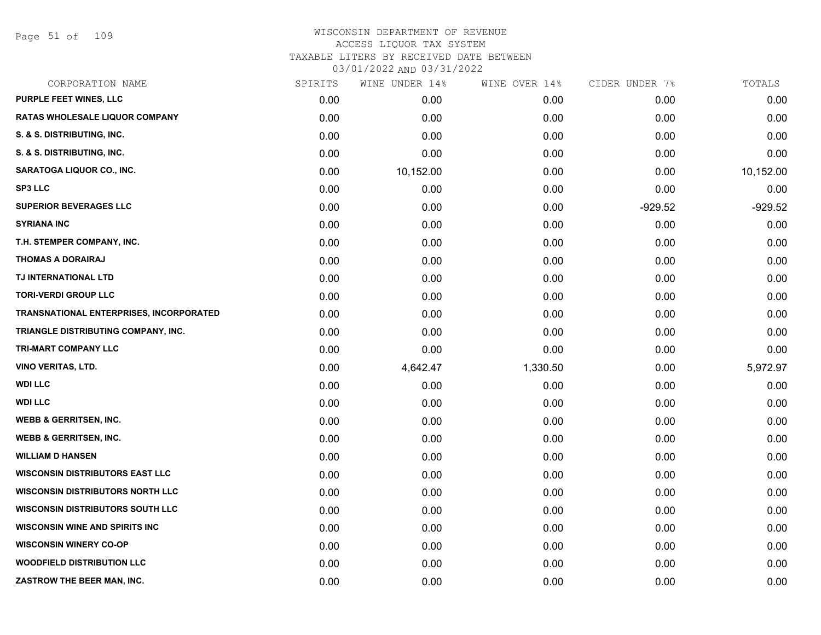Page 51 of 109

| CORPORATION NAME                               | SPIRITS | WINE UNDER 14% | WINE OVER 14% | CIDER UNDER 7% | TOTALS    |
|------------------------------------------------|---------|----------------|---------------|----------------|-----------|
| <b>PURPLE FEET WINES, LLC</b>                  | 0.00    | 0.00           | 0.00          | 0.00           | 0.00      |
| <b>RATAS WHOLESALE LIQUOR COMPANY</b>          | 0.00    | 0.00           | 0.00          | 0.00           | 0.00      |
| S. & S. DISTRIBUTING, INC.                     | 0.00    | 0.00           | 0.00          | 0.00           | 0.00      |
| S. & S. DISTRIBUTING, INC.                     | 0.00    | 0.00           | 0.00          | 0.00           | 0.00      |
| <b>SARATOGA LIQUOR CO., INC.</b>               | 0.00    | 10,152.00      | 0.00          | 0.00           | 10,152.00 |
| <b>SP3 LLC</b>                                 | 0.00    | 0.00           | 0.00          | 0.00           | 0.00      |
| <b>SUPERIOR BEVERAGES LLC</b>                  | 0.00    | 0.00           | 0.00          | $-929.52$      | $-929.52$ |
| <b>SYRIANA INC</b>                             | 0.00    | 0.00           | 0.00          | 0.00           | 0.00      |
| T.H. STEMPER COMPANY, INC.                     | 0.00    | 0.00           | 0.00          | 0.00           | 0.00      |
| <b>THOMAS A DORAIRAJ</b>                       | 0.00    | 0.00           | 0.00          | 0.00           | 0.00      |
| TJ INTERNATIONAL LTD                           | 0.00    | 0.00           | 0.00          | 0.00           | 0.00      |
| <b>TORI-VERDI GROUP LLC</b>                    | 0.00    | 0.00           | 0.00          | 0.00           | 0.00      |
| <b>TRANSNATIONAL ENTERPRISES, INCORPORATED</b> | 0.00    | 0.00           | 0.00          | 0.00           | 0.00      |
| TRIANGLE DISTRIBUTING COMPANY, INC.            | 0.00    | 0.00           | 0.00          | 0.00           | 0.00      |
| TRI-MART COMPANY LLC                           | 0.00    | 0.00           | 0.00          | 0.00           | 0.00      |
| VINO VERITAS, LTD.                             | 0.00    | 4,642.47       | 1,330.50      | 0.00           | 5,972.97  |
| <b>WDI LLC</b>                                 | 0.00    | 0.00           | 0.00          | 0.00           | 0.00      |
| <b>WDI LLC</b>                                 | 0.00    | 0.00           | 0.00          | 0.00           | 0.00      |
| <b>WEBB &amp; GERRITSEN, INC.</b>              | 0.00    | 0.00           | 0.00          | 0.00           | 0.00      |
| <b>WEBB &amp; GERRITSEN, INC.</b>              | 0.00    | 0.00           | 0.00          | 0.00           | 0.00      |
| <b>WILLIAM D HANSEN</b>                        | 0.00    | 0.00           | 0.00          | 0.00           | 0.00      |
| <b>WISCONSIN DISTRIBUTORS EAST LLC</b>         | 0.00    | 0.00           | 0.00          | 0.00           | 0.00      |
| <b>WISCONSIN DISTRIBUTORS NORTH LLC</b>        | 0.00    | 0.00           | 0.00          | 0.00           | 0.00      |
| <b>WISCONSIN DISTRIBUTORS SOUTH LLC</b>        | 0.00    | 0.00           | 0.00          | 0.00           | 0.00      |
| <b>WISCONSIN WINE AND SPIRITS INC</b>          | 0.00    | 0.00           | 0.00          | 0.00           | 0.00      |
| <b>WISCONSIN WINERY CO-OP</b>                  | 0.00    | 0.00           | 0.00          | 0.00           | 0.00      |
| <b>WOODFIELD DISTRIBUTION LLC</b>              | 0.00    | 0.00           | 0.00          | 0.00           | 0.00      |
| ZASTROW THE BEER MAN, INC.                     | 0.00    | 0.00           | 0.00          | 0.00           | 0.00      |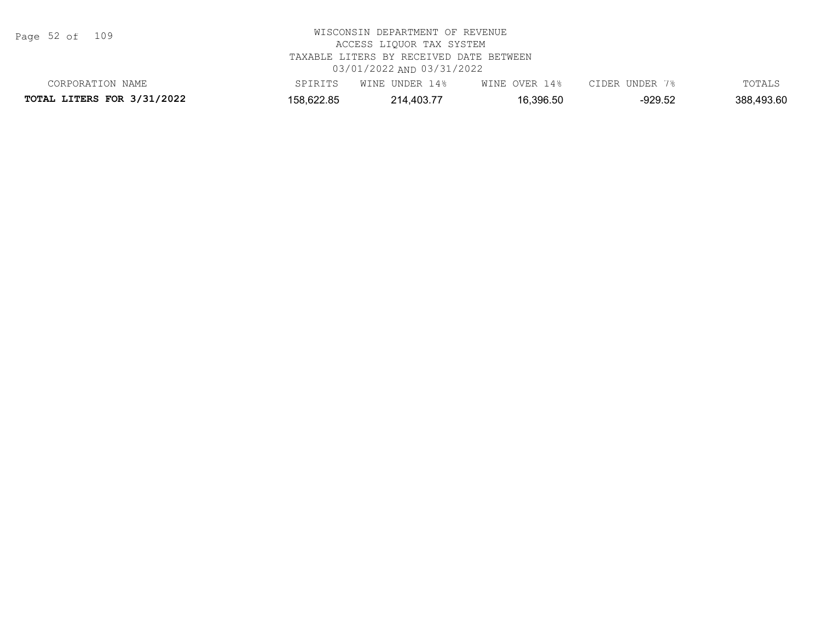Page 52 of 109

| CORPORATION NAME                  | SPIRITS    | WINE UNDER 14% | WINE OVER 14% | CIDER UNDER 7% | TOTALS     |
|-----------------------------------|------------|----------------|---------------|----------------|------------|
| <b>TOTAL LITERS FOR 3/31/2022</b> | 158,622.85 | 214.403.77     | 16,396.50     | -929.52        | 388,493.60 |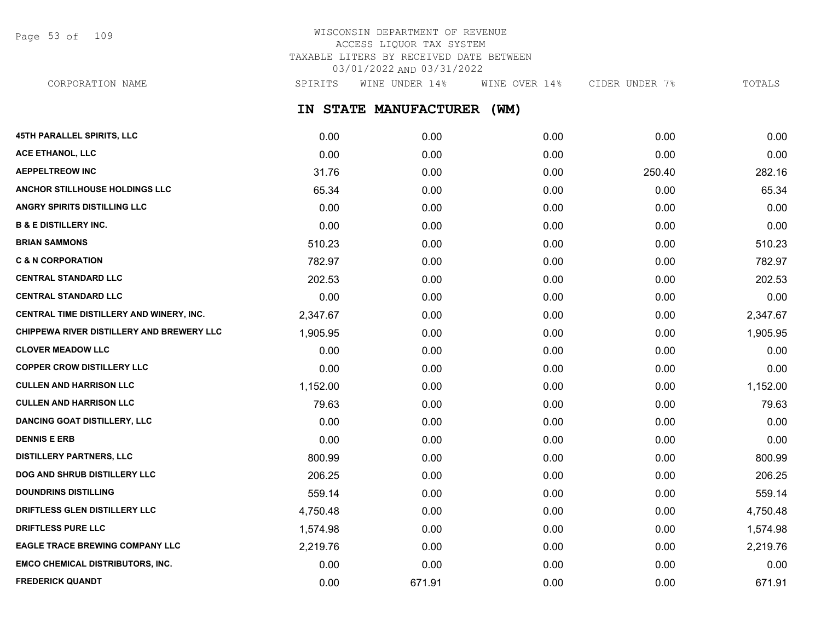Page 53 of 109

# WISCONSIN DEPARTMENT OF REVENUE ACCESS LIQUOR TAX SYSTEM TAXABLE LITERS BY RECEIVED DATE BETWEEN 03/01/2022 AND 03/31/2022

**IN STATE MANUFACTURER (WM) 45TH PARALLEL SPIRITS, LLC** 0.00 0.00 0.00 0.00 0.00 **ACE ETHANOL, LLC** 0.00 0.00 0.00 0.00 0.00 **AEPPELTREOW INC** 31.76 0.00 0.00 250.40 282.16 **ANCHOR STILLHOUSE HOLDINGS LLC** 65.34 0.00 0.00 0.00 65.34 **ANGRY SPIRITS DISTILLING LLC** 0.00 0.00 0.00 0.00 0.00 **B & E DISTILLERY INC.** 0.00 0.00 0.00 0.00 0.00 **BRIAN SAMMONS** 510.23 0.00 0.00 0.00 510.23 **C & N CORPORATION CONSUMED ASSESSED ASSESSED ASSOCIATE CONSUMING A CORPORATION CONSUMING A CORPORATION 782.97 CENTRAL STANDARD LLC** 202.53 0.00 0.00 0.00 202.53 **CENTRAL STANDARD LLC** 0.00 0.00 0.00 0.00 0.00 **CENTRAL TIME DISTILLERY AND WINERY, INC.**  $2.347.67$   $0.00$   $0.00$   $0.00$   $0.00$   $0.00$   $2.347.67$ **CHIPPEWA RIVER DISTILLERY AND BREWERY LLC**  $1.905.95$   $0.00$   $0.00$   $0.00$   $0.00$   $0.00$   $1.905.95$ **CLOVER MEADOW LLC** 0.00 0.00 0.00 0.00 0.00 **COPPER CROW DISTILLERY LLC** 0.00 0.00 0.00 0.00 0.00 **CULLEN AND HARRISON LLC** 1,152.00 0.00 0.00 0.00 1,152.00 **CULLEN AND HARRISON LLC** 79.63 0.00 0.00 0.00 79.63 CORPORATION NAME SPIRITS WINE UNDER 14% WINE OVER 14% CIDER UNDER 7% TOTALS

**DANCING GOAT DISTILLERY, LLC** 0.00 0.00 0.00 0.00 0.00 **DENNIS E ERB** 0.00 0.00 0.00 0.00 0.00 **DISTILLERY PARTNERS, LLC** 800.99 0.00 0.00 0.00 800.99 **DOG AND SHRUB DISTILLERY LLC** 206.25 206.25 0.00 0.00 0.00 0.00 0.00 0.00 0.00 206.25 **DOUNDRINS DISTILLING** 659.14 559.14 559.14 559.14 559.14 559.14 559.14 559.14 559.14 559.14 **DRIFTLESS GLEN DISTILLERY LLC**  $4.750.48$   $0.00$   $0.00$   $0.00$   $0.00$   $0.00$   $4.750.48$ **DRIFTLESS PURE LLC** 1,574.98 0.00 0.00 0.00 1,574.98 **EAGLE TRACE BREWING COMPANY LLC** 2,219.76 0.00 0.00 0.00 2,219.76 **EMCO CHEMICAL DISTRIBUTORS, INC.** 0.00 0.00 0.00 0.00 0.00 **FREDERICK QUANDT** 0.00 671.91 0.00 0.00 671.91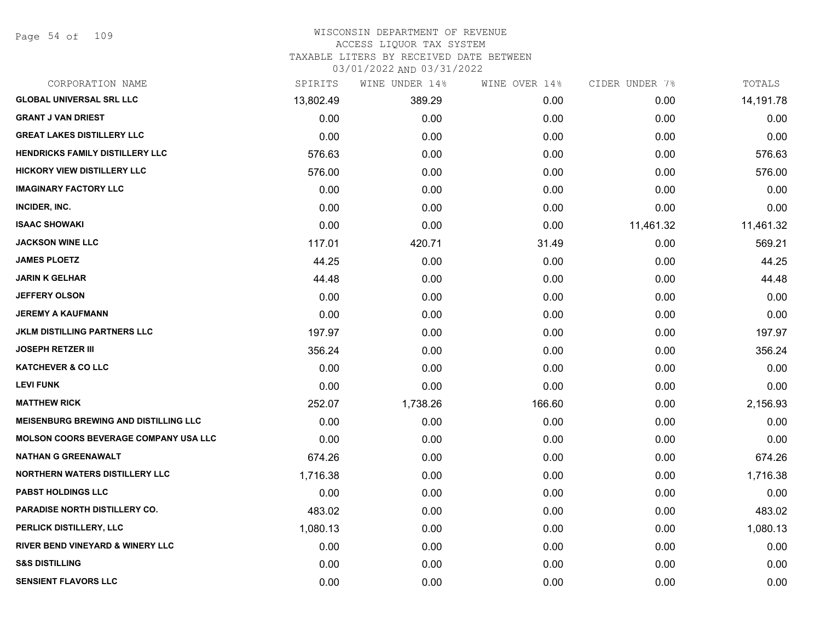Page 54 of 109

### WISCONSIN DEPARTMENT OF REVENUE ACCESS LIQUOR TAX SYSTEM TAXABLE LITERS BY RECEIVED DATE BETWEEN

| CORPORATION NAME                             | SPIRITS   | WINE UNDER 14% | WINE OVER 14% | CIDER UNDER 7% | TOTALS    |
|----------------------------------------------|-----------|----------------|---------------|----------------|-----------|
| <b>GLOBAL UNIVERSAL SRL LLC</b>              | 13,802.49 | 389.29         | 0.00          | 0.00           | 14,191.78 |
| <b>GRANT J VAN DRIEST</b>                    | 0.00      | 0.00           | 0.00          | 0.00           | 0.00      |
| <b>GREAT LAKES DISTILLERY LLC</b>            | 0.00      | 0.00           | 0.00          | 0.00           | 0.00      |
| <b>HENDRICKS FAMILY DISTILLERY LLC</b>       | 576.63    | 0.00           | 0.00          | 0.00           | 576.63    |
| <b>HICKORY VIEW DISTILLERY LLC</b>           | 576.00    | 0.00           | 0.00          | 0.00           | 576.00    |
| <b>IMAGINARY FACTORY LLC</b>                 | 0.00      | 0.00           | 0.00          | 0.00           | 0.00      |
| INCIDER, INC.                                | 0.00      | 0.00           | 0.00          | 0.00           | 0.00      |
| <b>ISAAC SHOWAKI</b>                         | 0.00      | 0.00           | 0.00          | 11,461.32      | 11,461.32 |
| <b>JACKSON WINE LLC</b>                      | 117.01    | 420.71         | 31.49         | 0.00           | 569.21    |
| <b>JAMES PLOETZ</b>                          | 44.25     | 0.00           | 0.00          | 0.00           | 44.25     |
| JARIN K GELHAR                               | 44.48     | 0.00           | 0.00          | 0.00           | 44.48     |
| <b>JEFFERY OLSON</b>                         | 0.00      | 0.00           | 0.00          | 0.00           | 0.00      |
| <b>JEREMY A KAUFMANN</b>                     | 0.00      | 0.00           | 0.00          | 0.00           | 0.00      |
| <b>JKLM DISTILLING PARTNERS LLC</b>          | 197.97    | 0.00           | 0.00          | 0.00           | 197.97    |
| <b>JOSEPH RETZER III</b>                     | 356.24    | 0.00           | 0.00          | 0.00           | 356.24    |
| <b>KATCHEVER &amp; CO LLC</b>                | 0.00      | 0.00           | 0.00          | 0.00           | 0.00      |
| <b>LEVI FUNK</b>                             | 0.00      | 0.00           | 0.00          | 0.00           | 0.00      |
| <b>MATTHEW RICK</b>                          | 252.07    | 1,738.26       | 166.60        | 0.00           | 2,156.93  |
| <b>MEISENBURG BREWING AND DISTILLING LLC</b> | 0.00      | 0.00           | 0.00          | 0.00           | 0.00      |
| <b>MOLSON COORS BEVERAGE COMPANY USA LLC</b> | 0.00      | 0.00           | 0.00          | 0.00           | 0.00      |
| <b>NATHAN G GREENAWALT</b>                   | 674.26    | 0.00           | 0.00          | 0.00           | 674.26    |
| <b>NORTHERN WATERS DISTILLERY LLC</b>        | 1,716.38  | 0.00           | 0.00          | 0.00           | 1,716.38  |
| <b>PABST HOLDINGS LLC</b>                    | 0.00      | 0.00           | 0.00          | 0.00           | 0.00      |
| <b>PARADISE NORTH DISTILLERY CO.</b>         | 483.02    | 0.00           | 0.00          | 0.00           | 483.02    |
| PERLICK DISTILLERY, LLC                      | 1,080.13  | 0.00           | 0.00          | 0.00           | 1,080.13  |
| RIVER BEND VINEYARD & WINERY LLC             | 0.00      | 0.00           | 0.00          | 0.00           | 0.00      |
| <b>S&amp;S DISTILLING</b>                    | 0.00      | 0.00           | 0.00          | 0.00           | 0.00      |
| <b>SENSIENT FLAVORS LLC</b>                  | 0.00      | 0.00           | 0.00          | 0.00           | 0.00      |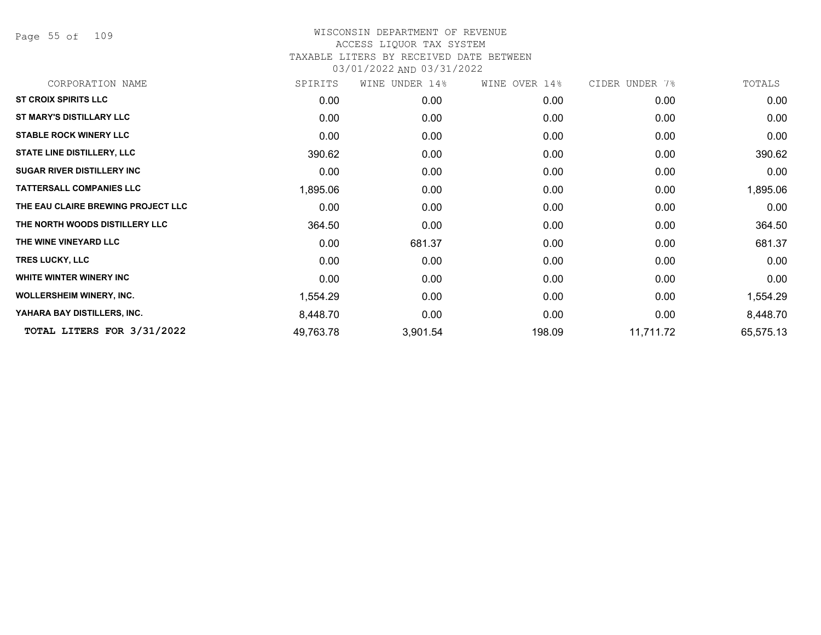Page 55 of 109

| CORPORATION NAME                   | SPIRITS   | WINE UNDER 14% | WINE OVER 14% | CIDER UNDER 7% | TOTALS    |
|------------------------------------|-----------|----------------|---------------|----------------|-----------|
| <b>ST CROIX SPIRITS LLC</b>        | 0.00      | 0.00           | 0.00          | 0.00           | 0.00      |
| ST MARY'S DISTILLARY LLC           | 0.00      | 0.00           | 0.00          | 0.00           | 0.00      |
| <b>STABLE ROCK WINERY LLC</b>      | 0.00      | 0.00           | 0.00          | 0.00           | 0.00      |
| <b>STATE LINE DISTILLERY, LLC</b>  | 390.62    | 0.00           | 0.00          | 0.00           | 390.62    |
| <b>SUGAR RIVER DISTILLERY INC</b>  | 0.00      | 0.00           | 0.00          | 0.00           | 0.00      |
| <b>TATTERSALL COMPANIES LLC</b>    | 1,895.06  | 0.00           | 0.00          | 0.00           | 1,895.06  |
| THE EAU CLAIRE BREWING PROJECT LLC | 0.00      | 0.00           | 0.00          | 0.00           | 0.00      |
| THE NORTH WOODS DISTILLERY LLC     | 364.50    | 0.00           | 0.00          | 0.00           | 364.50    |
| THE WINE VINEYARD LLC              | 0.00      | 681.37         | 0.00          | 0.00           | 681.37    |
| <b>TRES LUCKY, LLC</b>             | 0.00      | 0.00           | 0.00          | 0.00           | 0.00      |
| WHITE WINTER WINERY INC            | 0.00      | 0.00           | 0.00          | 0.00           | 0.00      |
| <b>WOLLERSHEIM WINERY, INC.</b>    | 1,554.29  | 0.00           | 0.00          | 0.00           | 1,554.29  |
| YAHARA BAY DISTILLERS, INC.        | 8,448.70  | 0.00           | 0.00          | 0.00           | 8,448.70  |
| TOTAL LITERS FOR 3/31/2022         | 49,763.78 | 3,901.54       | 198.09        | 11,711.72      | 65,575.13 |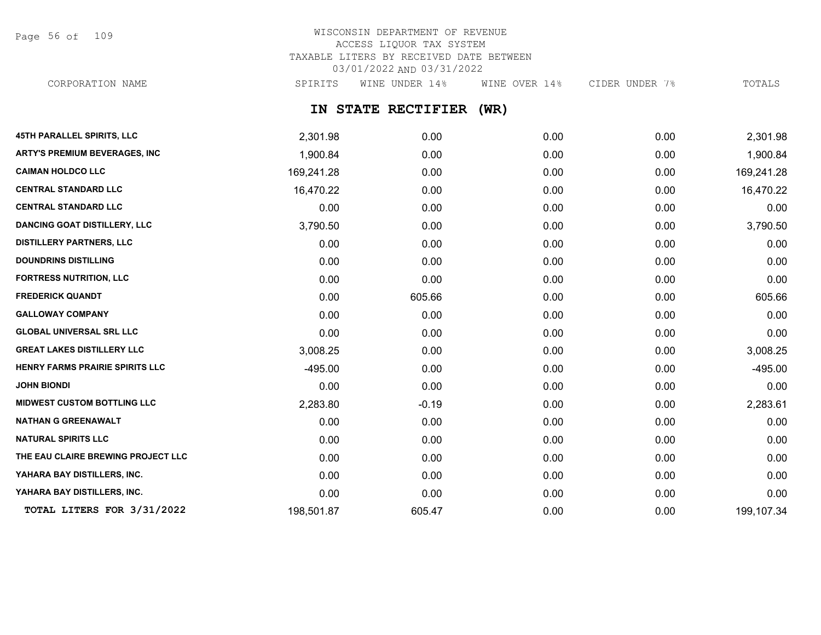Page 56 of 109

# WISCONSIN DEPARTMENT OF REVENUE ACCESS LIQUOR TAX SYSTEM TAXABLE LITERS BY RECEIVED DATE BETWEEN 03/01/2022 AND 03/31/2022

CORPORATION NAME SPIRITS WINE UNDER 14% WINE OVER 14% CIDER UNDER 7% TOTALS

# **IN STATE RECTIFIER (WR)**

| <b>45TH PARALLEL SPIRITS, LLC</b>   | 2,301.98   | 0.00    | 0.00 | 0.00 | 2,301.98   |
|-------------------------------------|------------|---------|------|------|------------|
| ARTY'S PREMIUM BEVERAGES, INC       | 1,900.84   | 0.00    | 0.00 | 0.00 | 1,900.84   |
| <b>CAIMAN HOLDCO LLC</b>            | 169,241.28 | 0.00    | 0.00 | 0.00 | 169,241.28 |
| <b>CENTRAL STANDARD LLC</b>         | 16,470.22  | 0.00    | 0.00 | 0.00 | 16,470.22  |
| <b>CENTRAL STANDARD LLC</b>         | 0.00       | 0.00    | 0.00 | 0.00 | 0.00       |
| <b>DANCING GOAT DISTILLERY, LLC</b> | 3,790.50   | 0.00    | 0.00 | 0.00 | 3,790.50   |
| <b>DISTILLERY PARTNERS, LLC</b>     | 0.00       | 0.00    | 0.00 | 0.00 | 0.00       |
| <b>DOUNDRINS DISTILLING</b>         | 0.00       | 0.00    | 0.00 | 0.00 | 0.00       |
| <b>FORTRESS NUTRITION, LLC</b>      | 0.00       | 0.00    | 0.00 | 0.00 | 0.00       |
| <b>FREDERICK QUANDT</b>             | 0.00       | 605.66  | 0.00 | 0.00 | 605.66     |
| <b>GALLOWAY COMPANY</b>             | 0.00       | 0.00    | 0.00 | 0.00 | 0.00       |
| <b>GLOBAL UNIVERSAL SRL LLC</b>     | 0.00       | 0.00    | 0.00 | 0.00 | 0.00       |
| <b>GREAT LAKES DISTILLERY LLC</b>   | 3,008.25   | 0.00    | 0.00 | 0.00 | 3,008.25   |
| HENRY FARMS PRAIRIE SPIRITS LLC     | $-495.00$  | 0.00    | 0.00 | 0.00 | $-495.00$  |
| <b>JOHN BIONDI</b>                  | 0.00       | 0.00    | 0.00 | 0.00 | 0.00       |
| <b>MIDWEST CUSTOM BOTTLING LLC</b>  | 2,283.80   | $-0.19$ | 0.00 | 0.00 | 2,283.61   |
| <b>NATHAN G GREENAWALT</b>          | 0.00       | 0.00    | 0.00 | 0.00 | 0.00       |
| <b>NATURAL SPIRITS LLC</b>          | 0.00       | 0.00    | 0.00 | 0.00 | 0.00       |
| THE EAU CLAIRE BREWING PROJECT LLC  | 0.00       | 0.00    | 0.00 | 0.00 | 0.00       |
| YAHARA BAY DISTILLERS, INC.         | 0.00       | 0.00    | 0.00 | 0.00 | 0.00       |
| YAHARA BAY DISTILLERS, INC.         | 0.00       | 0.00    | 0.00 | 0.00 | 0.00       |
| TOTAL LITERS FOR 3/31/2022          | 198,501.87 | 605.47  | 0.00 | 0.00 | 199,107.34 |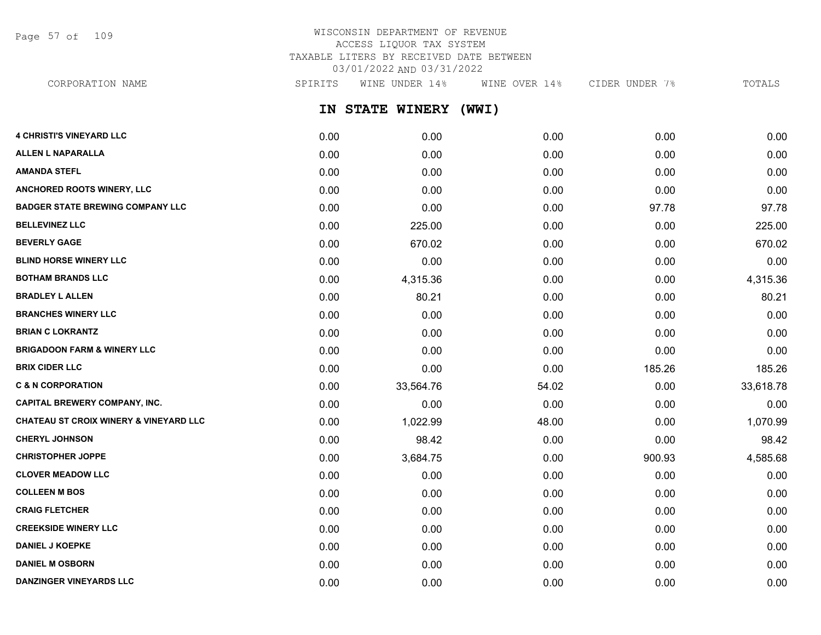Page 57 of 109

# WISCONSIN DEPARTMENT OF REVENUE ACCESS LIQUOR TAX SYSTEM TAXABLE LITERS BY RECEIVED DATE BETWEEN 03/01/2022 AND 03/31/2022

**IN STATE WINERY (WWI) 4 CHRISTI'S VINEYARD LLC** 0.00 0.00 0.00 0.00 0.00 CORPORATION NAME SPIRITS WINE UNDER 14% WINE OVER 14% CIDER UNDER 7% TOTALS

| <b>ALLEN L NAPARALLA</b>                          | 0.00 | 0.00      | 0.00  | 0.00   | 0.00      |
|---------------------------------------------------|------|-----------|-------|--------|-----------|
| <b>AMANDA STEFL</b>                               | 0.00 | 0.00      | 0.00  | 0.00   | 0.00      |
| ANCHORED ROOTS WINERY, LLC                        | 0.00 | 0.00      | 0.00  | 0.00   | 0.00      |
| <b>BADGER STATE BREWING COMPANY LLC</b>           | 0.00 | 0.00      | 0.00  | 97.78  | 97.78     |
| <b>BELLEVINEZ LLC</b>                             | 0.00 | 225.00    | 0.00  | 0.00   | 225.00    |
| <b>BEVERLY GAGE</b>                               | 0.00 | 670.02    | 0.00  | 0.00   | 670.02    |
| <b>BLIND HORSE WINERY LLC</b>                     | 0.00 | 0.00      | 0.00  | 0.00   | 0.00      |
| <b>BOTHAM BRANDS LLC</b>                          | 0.00 | 4,315.36  | 0.00  | 0.00   | 4,315.36  |
| <b>BRADLEY L ALLEN</b>                            | 0.00 | 80.21     | 0.00  | 0.00   | 80.21     |
| <b>BRANCHES WINERY LLC</b>                        | 0.00 | 0.00      | 0.00  | 0.00   | 0.00      |
| <b>BRIAN C LOKRANTZ</b>                           | 0.00 | 0.00      | 0.00  | 0.00   | 0.00      |
| <b>BRIGADOON FARM &amp; WINERY LLC</b>            | 0.00 | 0.00      | 0.00  | 0.00   | 0.00      |
| <b>BRIX CIDER LLC</b>                             | 0.00 | 0.00      | 0.00  | 185.26 | 185.26    |
| <b>C &amp; N CORPORATION</b>                      | 0.00 | 33,564.76 | 54.02 | 0.00   | 33,618.78 |
| <b>CAPITAL BREWERY COMPANY, INC.</b>              | 0.00 | 0.00      | 0.00  | 0.00   | 0.00      |
| <b>CHATEAU ST CROIX WINERY &amp; VINEYARD LLC</b> | 0.00 | 1,022.99  | 48.00 | 0.00   | 1,070.99  |
| <b>CHERYL JOHNSON</b>                             | 0.00 | 98.42     | 0.00  | 0.00   | 98.42     |
| <b>CHRISTOPHER JOPPE</b>                          | 0.00 | 3,684.75  | 0.00  | 900.93 | 4,585.68  |
| <b>CLOVER MEADOW LLC</b>                          | 0.00 | 0.00      | 0.00  | 0.00   | 0.00      |
| <b>COLLEEN M BOS</b>                              | 0.00 | 0.00      | 0.00  | 0.00   | 0.00      |
| <b>CRAIG FLETCHER</b>                             | 0.00 | 0.00      | 0.00  | 0.00   | 0.00      |
| <b>CREEKSIDE WINERY LLC</b>                       | 0.00 | 0.00      | 0.00  | 0.00   | 0.00      |
| <b>DANIEL J KOEPKE</b>                            | 0.00 | 0.00      | 0.00  | 0.00   | 0.00      |
| <b>DANIEL M OSBORN</b>                            | 0.00 | 0.00      | 0.00  | 0.00   | 0.00      |
| <b>DANZINGER VINEYARDS LLC</b>                    | 0.00 | 0.00      | 0.00  | 0.00   | 0.00      |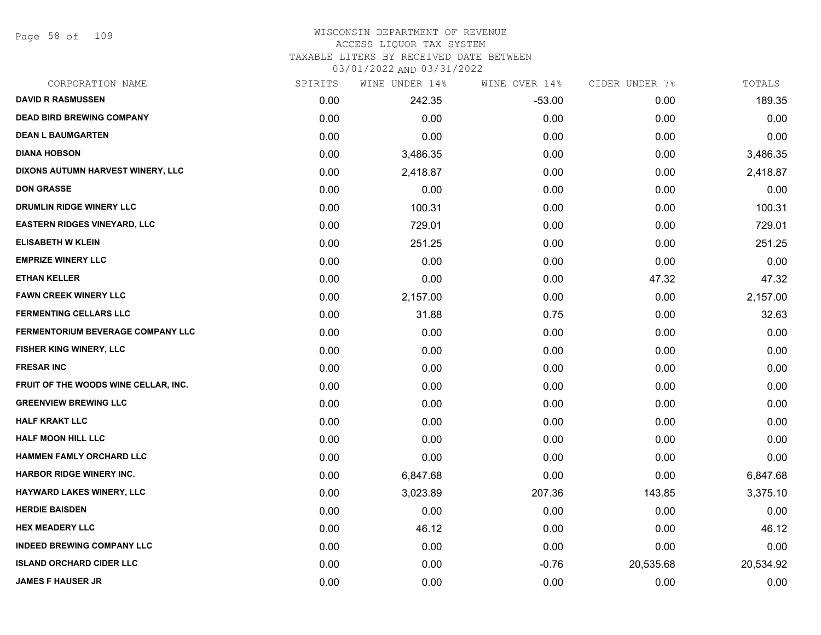Page 58 of 109

#### WISCONSIN DEPARTMENT OF REVENUE ACCESS LIQUOR TAX SYSTEM

TAXABLE LITERS BY RECEIVED DATE BETWEEN

| CORPORATION NAME                         | SPIRITS | WINE UNDER 14% | WINE OVER 14% | CIDER UNDER 7% | TOTALS    |
|------------------------------------------|---------|----------------|---------------|----------------|-----------|
| <b>DAVID R RASMUSSEN</b>                 | 0.00    | 242.35         | $-53.00$      | 0.00           | 189.35    |
| <b>DEAD BIRD BREWING COMPANY</b>         | 0.00    | 0.00           | 0.00          | 0.00           | 0.00      |
| <b>DEAN L BAUMGARTEN</b>                 | 0.00    | 0.00           | 0.00          | 0.00           | 0.00      |
| <b>DIANA HOBSON</b>                      | 0.00    | 3,486.35       | 0.00          | 0.00           | 3,486.35  |
| DIXONS AUTUMN HARVEST WINERY, LLC        | 0.00    | 2,418.87       | 0.00          | 0.00           | 2,418.87  |
| <b>DON GRASSE</b>                        | 0.00    | 0.00           | 0.00          | 0.00           | 0.00      |
| DRUMLIN RIDGE WINERY LLC                 | 0.00    | 100.31         | 0.00          | 0.00           | 100.31    |
| <b>EASTERN RIDGES VINEYARD, LLC</b>      | 0.00    | 729.01         | 0.00          | 0.00           | 729.01    |
| <b>ELISABETH W KLEIN</b>                 | 0.00    | 251.25         | 0.00          | 0.00           | 251.25    |
| <b>EMPRIZE WINERY LLC</b>                | 0.00    | 0.00           | 0.00          | 0.00           | 0.00      |
| <b>ETHAN KELLER</b>                      | 0.00    | 0.00           | 0.00          | 47.32          | 47.32     |
| <b>FAWN CREEK WINERY LLC</b>             | 0.00    | 2,157.00       | 0.00          | 0.00           | 2,157.00  |
| <b>FERMENTING CELLARS LLC</b>            | 0.00    | 31.88          | 0.75          | 0.00           | 32.63     |
| <b>FERMENTORIUM BEVERAGE COMPANY LLC</b> | 0.00    | 0.00           | 0.00          | 0.00           | 0.00      |
| FISHER KING WINERY, LLC                  | 0.00    | 0.00           | 0.00          | 0.00           | 0.00      |
| <b>FRESAR INC</b>                        | 0.00    | 0.00           | 0.00          | 0.00           | 0.00      |
| FRUIT OF THE WOODS WINE CELLAR, INC.     | 0.00    | 0.00           | 0.00          | 0.00           | 0.00      |
| <b>GREENVIEW BREWING LLC</b>             | 0.00    | 0.00           | 0.00          | 0.00           | 0.00      |
| <b>HALF KRAKT LLC</b>                    | 0.00    | 0.00           | 0.00          | 0.00           | 0.00      |
| <b>HALF MOON HILL LLC</b>                | 0.00    | 0.00           | 0.00          | 0.00           | 0.00      |
| HAMMEN FAMLY ORCHARD LLC                 | 0.00    | 0.00           | 0.00          | 0.00           | 0.00      |
| <b>HARBOR RIDGE WINERY INC.</b>          | 0.00    | 6,847.68       | 0.00          | 0.00           | 6,847.68  |
| HAYWARD LAKES WINERY, LLC                | 0.00    | 3,023.89       | 207.36        | 143.85         | 3,375.10  |
| <b>HERDIE BAISDEN</b>                    | 0.00    | 0.00           | 0.00          | 0.00           | 0.00      |
| <b>HEX MEADERY LLC</b>                   | 0.00    | 46.12          | 0.00          | 0.00           | 46.12     |
| <b>INDEED BREWING COMPANY LLC</b>        | 0.00    | 0.00           | 0.00          | 0.00           | 0.00      |
| <b>ISLAND ORCHARD CIDER LLC</b>          | 0.00    | 0.00           | $-0.76$       | 20,535.68      | 20,534.92 |
| <b>JAMES F HAUSER JR</b>                 | 0.00    | 0.00           | 0.00          | 0.00           | 0.00      |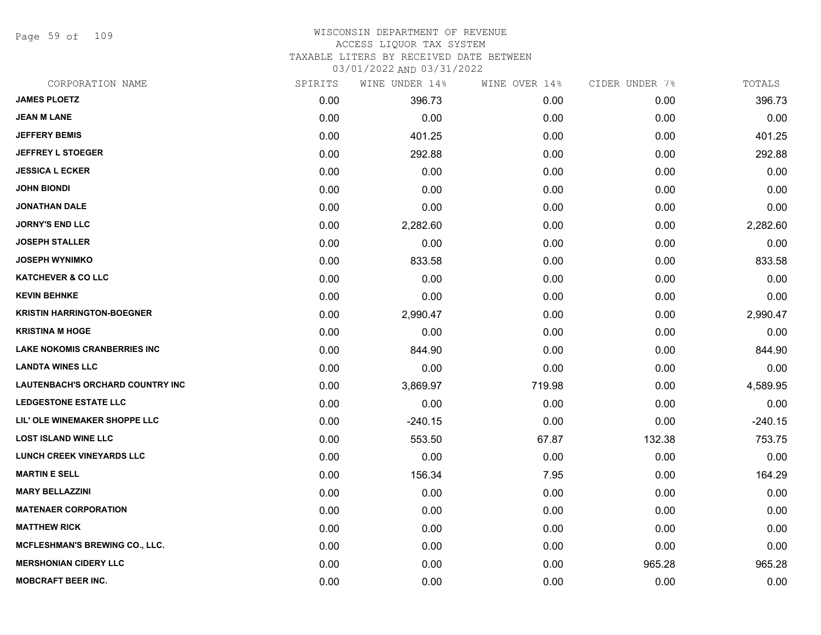Page 59 of 109

#### WISCONSIN DEPARTMENT OF REVENUE ACCESS LIQUOR TAX SYSTEM

TAXABLE LITERS BY RECEIVED DATE BETWEEN

| CORPORATION NAME                      | SPIRITS | WINE UNDER 14% | WINE OVER 14% | CIDER UNDER 7% | TOTALS    |
|---------------------------------------|---------|----------------|---------------|----------------|-----------|
| <b>JAMES PLOETZ</b>                   | 0.00    | 396.73         | 0.00          | 0.00           | 396.73    |
| <b>JEAN M LANE</b>                    | 0.00    | 0.00           | 0.00          | 0.00           | 0.00      |
| <b>JEFFERY BEMIS</b>                  | 0.00    | 401.25         | 0.00          | 0.00           | 401.25    |
| <b>JEFFREY L STOEGER</b>              | 0.00    | 292.88         | 0.00          | 0.00           | 292.88    |
| <b>JESSICA L ECKER</b>                | 0.00    | 0.00           | 0.00          | 0.00           | 0.00      |
| <b>JOHN BIONDI</b>                    | 0.00    | 0.00           | 0.00          | 0.00           | 0.00      |
| <b>JONATHAN DALE</b>                  | 0.00    | 0.00           | 0.00          | 0.00           | 0.00      |
| <b>JORNY'S END LLC</b>                | 0.00    | 2,282.60       | 0.00          | 0.00           | 2,282.60  |
| <b>JOSEPH STALLER</b>                 | 0.00    | 0.00           | 0.00          | 0.00           | 0.00      |
| <b>JOSEPH WYNIMKO</b>                 | 0.00    | 833.58         | 0.00          | 0.00           | 833.58    |
| <b>KATCHEVER &amp; CO LLC</b>         | 0.00    | 0.00           | 0.00          | 0.00           | 0.00      |
| <b>KEVIN BEHNKE</b>                   | 0.00    | 0.00           | 0.00          | 0.00           | 0.00      |
| <b>KRISTIN HARRINGTON-BOEGNER</b>     | 0.00    | 2,990.47       | 0.00          | 0.00           | 2,990.47  |
| <b>KRISTINA M HOGE</b>                | 0.00    | 0.00           | 0.00          | 0.00           | 0.00      |
| <b>LAKE NOKOMIS CRANBERRIES INC</b>   | 0.00    | 844.90         | 0.00          | 0.00           | 844.90    |
| <b>LANDTA WINES LLC</b>               | 0.00    | 0.00           | 0.00          | 0.00           | 0.00      |
| LAUTENBACH'S ORCHARD COUNTRY INC      | 0.00    | 3,869.97       | 719.98        | 0.00           | 4,589.95  |
| <b>LEDGESTONE ESTATE LLC</b>          | 0.00    | 0.00           | 0.00          | 0.00           | 0.00      |
| LIL' OLE WINEMAKER SHOPPE LLC         | 0.00    | $-240.15$      | 0.00          | 0.00           | $-240.15$ |
| <b>LOST ISLAND WINE LLC</b>           | 0.00    | 553.50         | 67.87         | 132.38         | 753.75    |
| <b>LUNCH CREEK VINEYARDS LLC</b>      | 0.00    | 0.00           | 0.00          | 0.00           | 0.00      |
| <b>MARTIN E SELL</b>                  | 0.00    | 156.34         | 7.95          | 0.00           | 164.29    |
| <b>MARY BELLAZZINI</b>                | 0.00    | 0.00           | 0.00          | 0.00           | 0.00      |
| <b>MATENAER CORPORATION</b>           | 0.00    | 0.00           | 0.00          | 0.00           | 0.00      |
| <b>MATTHEW RICK</b>                   | 0.00    | 0.00           | 0.00          | 0.00           | 0.00      |
| <b>MCFLESHMAN'S BREWING CO., LLC.</b> | 0.00    | 0.00           | 0.00          | 0.00           | 0.00      |
| <b>MERSHONIAN CIDERY LLC</b>          | 0.00    | 0.00           | 0.00          | 965.28         | 965.28    |
| <b>MOBCRAFT BEER INC.</b>             | 0.00    | 0.00           | 0.00          | 0.00           | 0.00      |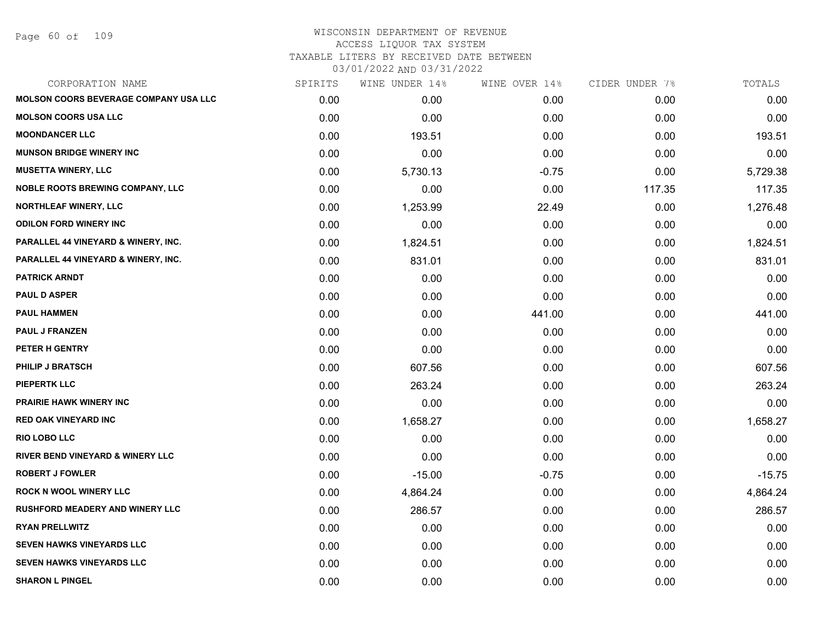### WISCONSIN DEPARTMENT OF REVENUE ACCESS LIQUOR TAX SYSTEM TAXABLE LITERS BY RECEIVED DATE BETWEEN

| CORPORATION NAME                             | SPIRITS | WINE UNDER 14% | WINE OVER 14% | CIDER UNDER 7% | TOTALS   |
|----------------------------------------------|---------|----------------|---------------|----------------|----------|
| <b>MOLSON COORS BEVERAGE COMPANY USA LLC</b> | 0.00    | 0.00           | 0.00          | 0.00           | 0.00     |
| <b>MOLSON COORS USA LLC</b>                  | 0.00    | 0.00           | 0.00          | 0.00           | 0.00     |
| <b>MOONDANCER LLC</b>                        | 0.00    | 193.51         | 0.00          | 0.00           | 193.51   |
| <b>MUNSON BRIDGE WINERY INC</b>              | 0.00    | 0.00           | 0.00          | 0.00           | 0.00     |
| <b>MUSETTA WINERY, LLC</b>                   | 0.00    | 5,730.13       | $-0.75$       | 0.00           | 5,729.38 |
| <b>NOBLE ROOTS BREWING COMPANY, LLC</b>      | 0.00    | 0.00           | 0.00          | 117.35         | 117.35   |
| NORTHLEAF WINERY, LLC                        | 0.00    | 1,253.99       | 22.49         | 0.00           | 1,276.48 |
| <b>ODILON FORD WINERY INC</b>                | 0.00    | 0.00           | 0.00          | 0.00           | 0.00     |
| PARALLEL 44 VINEYARD & WINERY, INC.          | 0.00    | 1,824.51       | 0.00          | 0.00           | 1,824.51 |
| PARALLEL 44 VINEYARD & WINERY, INC.          | 0.00    | 831.01         | 0.00          | 0.00           | 831.01   |
| <b>PATRICK ARNDT</b>                         | 0.00    | 0.00           | 0.00          | 0.00           | 0.00     |
| <b>PAUL D ASPER</b>                          | 0.00    | 0.00           | 0.00          | 0.00           | 0.00     |
| <b>PAUL HAMMEN</b>                           | 0.00    | 0.00           | 441.00        | 0.00           | 441.00   |
| <b>PAUL J FRANZEN</b>                        | 0.00    | 0.00           | 0.00          | 0.00           | 0.00     |
| PETER H GENTRY                               | 0.00    | 0.00           | 0.00          | 0.00           | 0.00     |
| <b>PHILIP J BRATSCH</b>                      | 0.00    | 607.56         | 0.00          | 0.00           | 607.56   |
| <b>PIEPERTK LLC</b>                          | 0.00    | 263.24         | 0.00          | 0.00           | 263.24   |
| <b>PRAIRIE HAWK WINERY INC</b>               | 0.00    | 0.00           | 0.00          | 0.00           | 0.00     |
| <b>RED OAK VINEYARD INC</b>                  | 0.00    | 1,658.27       | 0.00          | 0.00           | 1,658.27 |
| <b>RIO LOBO LLC</b>                          | 0.00    | 0.00           | 0.00          | 0.00           | 0.00     |
| <b>RIVER BEND VINEYARD &amp; WINERY LLC</b>  | 0.00    | 0.00           | 0.00          | 0.00           | 0.00     |
| <b>ROBERT J FOWLER</b>                       | 0.00    | $-15.00$       | $-0.75$       | 0.00           | $-15.75$ |
| <b>ROCK N WOOL WINERY LLC</b>                | 0.00    | 4,864.24       | 0.00          | 0.00           | 4,864.24 |
| <b>RUSHFORD MEADERY AND WINERY LLC</b>       | 0.00    | 286.57         | 0.00          | 0.00           | 286.57   |
| <b>RYAN PRELLWITZ</b>                        | 0.00    | 0.00           | 0.00          | 0.00           | 0.00     |
| <b>SEVEN HAWKS VINEYARDS LLC</b>             | 0.00    | 0.00           | 0.00          | 0.00           | 0.00     |
| <b>SEVEN HAWKS VINEYARDS LLC</b>             | 0.00    | 0.00           | 0.00          | 0.00           | 0.00     |
| <b>SHARON L PINGEL</b>                       | 0.00    | 0.00           | 0.00          | 0.00           | 0.00     |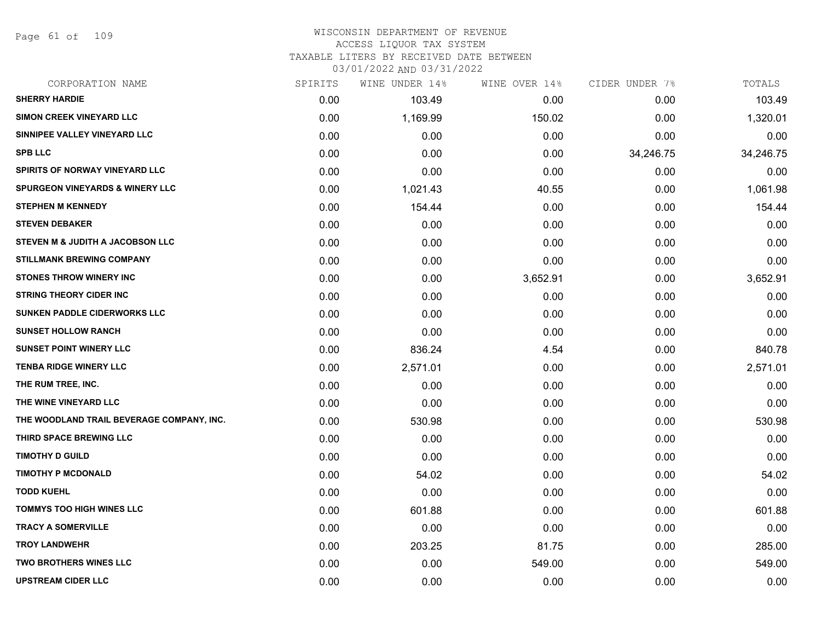Page 61 of 109

#### WISCONSIN DEPARTMENT OF REVENUE ACCESS LIQUOR TAX SYSTEM

TAXABLE LITERS BY RECEIVED DATE BETWEEN

| CORPORATION NAME                           | SPIRITS | WINE UNDER 14% | WINE OVER 14% | CIDER UNDER 7% | TOTALS    |
|--------------------------------------------|---------|----------------|---------------|----------------|-----------|
| <b>SHERRY HARDIE</b>                       | 0.00    | 103.49         | 0.00          | 0.00           | 103.49    |
| <b>SIMON CREEK VINEYARD LLC</b>            | 0.00    | 1,169.99       | 150.02        | 0.00           | 1,320.01  |
| SINNIPEE VALLEY VINEYARD LLC               | 0.00    | 0.00           | 0.00          | 0.00           | 0.00      |
| <b>SPB LLC</b>                             | 0.00    | 0.00           | 0.00          | 34,246.75      | 34,246.75 |
| <b>SPIRITS OF NORWAY VINEYARD LLC</b>      | 0.00    | 0.00           | 0.00          | 0.00           | 0.00      |
| <b>SPURGEON VINEYARDS &amp; WINERY LLC</b> | 0.00    | 1,021.43       | 40.55         | 0.00           | 1,061.98  |
| <b>STEPHEN M KENNEDY</b>                   | 0.00    | 154.44         | 0.00          | 0.00           | 154.44    |
| <b>STEVEN DEBAKER</b>                      | 0.00    | 0.00           | 0.00          | 0.00           | 0.00      |
| STEVEN M & JUDITH A JACOBSON LLC           | 0.00    | 0.00           | 0.00          | 0.00           | 0.00      |
| <b>STILLMANK BREWING COMPANY</b>           | 0.00    | 0.00           | 0.00          | 0.00           | 0.00      |
| <b>STONES THROW WINERY INC</b>             | 0.00    | 0.00           | 3,652.91      | 0.00           | 3,652.91  |
| <b>STRING THEORY CIDER INC</b>             | 0.00    | 0.00           | 0.00          | 0.00           | 0.00      |
| <b>SUNKEN PADDLE CIDERWORKS LLC</b>        | 0.00    | 0.00           | 0.00          | 0.00           | 0.00      |
| <b>SUNSET HOLLOW RANCH</b>                 | 0.00    | 0.00           | 0.00          | 0.00           | 0.00      |
| <b>SUNSET POINT WINERY LLC</b>             | 0.00    | 836.24         | 4.54          | 0.00           | 840.78    |
| <b>TENBA RIDGE WINERY LLC</b>              | 0.00    | 2,571.01       | 0.00          | 0.00           | 2,571.01  |
| THE RUM TREE, INC.                         | 0.00    | 0.00           | 0.00          | 0.00           | 0.00      |
| THE WINE VINEYARD LLC                      | 0.00    | 0.00           | 0.00          | 0.00           | 0.00      |
| THE WOODLAND TRAIL BEVERAGE COMPANY, INC.  | 0.00    | 530.98         | 0.00          | 0.00           | 530.98    |
| THIRD SPACE BREWING LLC                    | 0.00    | 0.00           | 0.00          | 0.00           | 0.00      |
| <b>TIMOTHY D GUILD</b>                     | 0.00    | 0.00           | 0.00          | 0.00           | 0.00      |
| <b>TIMOTHY P MCDONALD</b>                  | 0.00    | 54.02          | 0.00          | 0.00           | 54.02     |
| <b>TODD KUEHL</b>                          | 0.00    | 0.00           | 0.00          | 0.00           | 0.00      |
| <b>TOMMYS TOO HIGH WINES LLC</b>           | 0.00    | 601.88         | 0.00          | 0.00           | 601.88    |
| <b>TRACY A SOMERVILLE</b>                  | 0.00    | 0.00           | 0.00          | 0.00           | 0.00      |
| <b>TROY LANDWEHR</b>                       | 0.00    | 203.25         | 81.75         | 0.00           | 285.00    |
| <b>TWO BROTHERS WINES LLC</b>              | 0.00    | 0.00           | 549.00        | 0.00           | 549.00    |
| <b>UPSTREAM CIDER LLC</b>                  | 0.00    | 0.00           | 0.00          | 0.00           | 0.00      |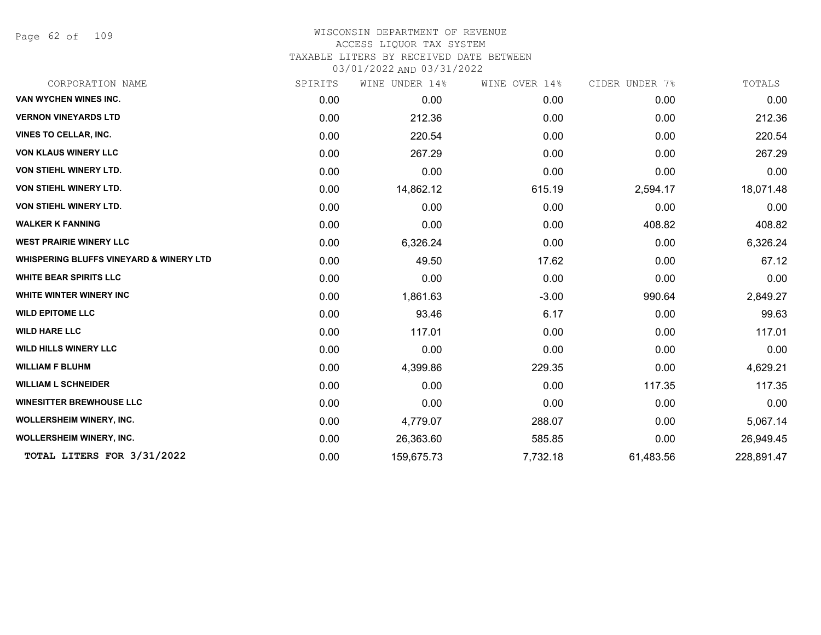Page 62 of 109

### WISCONSIN DEPARTMENT OF REVENUE ACCESS LIQUOR TAX SYSTEM TAXABLE LITERS BY RECEIVED DATE BETWEEN

| CORPORATION NAME                                   | SPIRITS | WINE UNDER 14% | WINE OVER 14% | CIDER UNDER 7% | TOTALS     |
|----------------------------------------------------|---------|----------------|---------------|----------------|------------|
| <b>VAN WYCHEN WINES INC.</b>                       | 0.00    | 0.00           | 0.00          | 0.00           | 0.00       |
| <b>VERNON VINEYARDS LTD</b>                        | 0.00    | 212.36         | 0.00          | 0.00           | 212.36     |
| <b>VINES TO CELLAR, INC.</b>                       | 0.00    | 220.54         | 0.00          | 0.00           | 220.54     |
| <b>VON KLAUS WINERY LLC</b>                        | 0.00    | 267.29         | 0.00          | 0.00           | 267.29     |
| <b>VON STIEHL WINERY LTD.</b>                      | 0.00    | 0.00           | 0.00          | 0.00           | 0.00       |
| VON STIEHL WINERY LTD.                             | 0.00    | 14,862.12      | 615.19        | 2,594.17       | 18,071.48  |
| <b>VON STIEHL WINERY LTD.</b>                      | 0.00    | 0.00           | 0.00          | 0.00           | 0.00       |
| <b>WALKER K FANNING</b>                            | 0.00    | 0.00           | 0.00          | 408.82         | 408.82     |
| <b>WEST PRAIRIE WINERY LLC</b>                     | 0.00    | 6,326.24       | 0.00          | 0.00           | 6,326.24   |
| <b>WHISPERING BLUFFS VINEYARD &amp; WINERY LTD</b> | 0.00    | 49.50          | 17.62         | 0.00           | 67.12      |
| <b>WHITE BEAR SPIRITS LLC</b>                      | 0.00    | 0.00           | 0.00          | 0.00           | 0.00       |
| <b>WHITE WINTER WINERY INC</b>                     | 0.00    | 1,861.63       | $-3.00$       | 990.64         | 2,849.27   |
| <b>WILD EPITOME LLC</b>                            | 0.00    | 93.46          | 6.17          | 0.00           | 99.63      |
| <b>WILD HARE LLC</b>                               | 0.00    | 117.01         | 0.00          | 0.00           | 117.01     |
| <b>WILD HILLS WINERY LLC</b>                       | 0.00    | 0.00           | 0.00          | 0.00           | 0.00       |
| <b>WILLIAM F BLUHM</b>                             | 0.00    | 4,399.86       | 229.35        | 0.00           | 4,629.21   |
| <b>WILLIAM L SCHNEIDER</b>                         | 0.00    | 0.00           | 0.00          | 117.35         | 117.35     |
| <b>WINESITTER BREWHOUSE LLC</b>                    | 0.00    | 0.00           | 0.00          | 0.00           | 0.00       |
| WOLLERSHEIM WINERY, INC.                           | 0.00    | 4,779.07       | 288.07        | 0.00           | 5,067.14   |
| WOLLERSHEIM WINERY, INC.                           | 0.00    | 26,363.60      | 585.85        | 0.00           | 26,949.45  |
| TOTAL LITERS FOR 3/31/2022                         | 0.00    | 159,675.73     | 7,732.18      | 61,483.56      | 228,891.47 |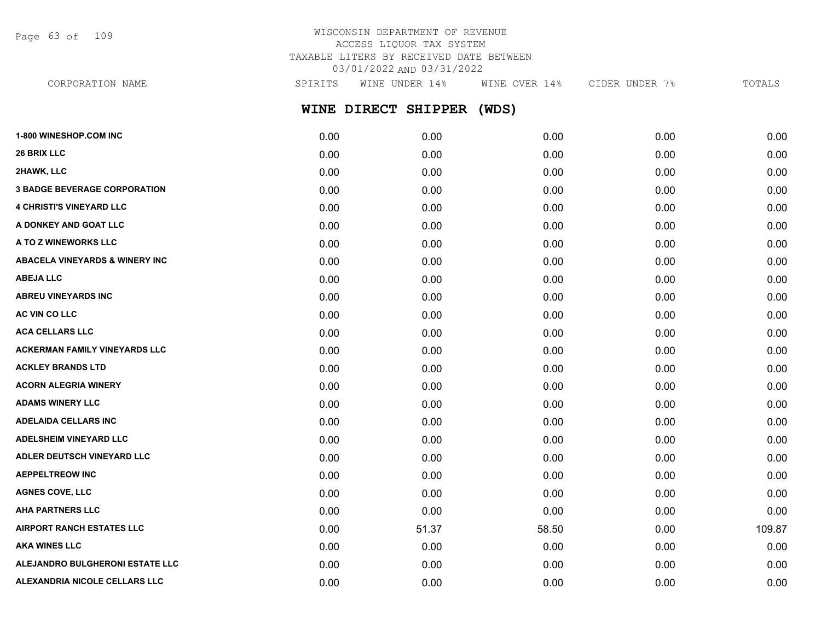Page 63 of 109

# WISCONSIN DEPARTMENT OF REVENUE ACCESS LIQUOR TAX SYSTEM TAXABLE LITERS BY RECEIVED DATE BETWEEN 03/01/2022 AND 03/31/2022

| CORPORATION NAME                           | SPIRITS | WINE UNDER 14%      | WINE OVER 14% | CIDER UNDER 7% | TOTALS |
|--------------------------------------------|---------|---------------------|---------------|----------------|--------|
|                                            |         | WINE DIRECT SHIPPER | (WDS)         |                |        |
| <b>1-800 WINESHOP.COM INC</b>              | 0.00    | 0.00                | 0.00          | 0.00           | 0.00   |
| <b>26 BRIX LLC</b>                         | 0.00    | 0.00                | 0.00          | 0.00           | 0.00   |
| 2HAWK, LLC                                 | 0.00    | 0.00                | 0.00          | 0.00           | 0.00   |
| <b>3 BADGE BEVERAGE CORPORATION</b>        | 0.00    | 0.00                | 0.00          | 0.00           | 0.00   |
| <b>4 CHRISTI'S VINEYARD LLC</b>            | 0.00    | 0.00                | 0.00          | 0.00           | 0.00   |
| A DONKEY AND GOAT LLC                      | 0.00    | 0.00                | 0.00          | 0.00           | 0.00   |
| A TO Z WINEWORKS LLC                       | 0.00    | 0.00                | 0.00          | 0.00           | 0.00   |
| <b>ABACELA VINEYARDS &amp; WINERY INC.</b> | 0.00    | 0.00                | 0.00          | 0.00           | 0.00   |
| <b>ABEJA LLC</b>                           | 0.00    | 0.00                | 0.00          | 0.00           | 0.00   |
| <b>ABREU VINEYARDS INC</b>                 | 0.00    | 0.00                | 0.00          | 0.00           | 0.00   |
| AC VIN CO LLC                              | 0.00    | 0.00                | 0.00          | 0.00           | 0.00   |
| <b>ACA CELLARS LLC</b>                     | 0.00    | 0.00                | 0.00          | 0.00           | 0.00   |
| <b>ACKERMAN FAMILY VINEYARDS LLC</b>       | 0.00    | 0.00                | 0.00          | 0.00           | 0.00   |
| <b>ACKLEY BRANDS LTD</b>                   | 0.00    | 0.00                | 0.00          | 0.00           | 0.00   |

**ACORN ALEGRIA WINERY** 0.00 0.00 0.00 0.00 0.00 **ADAMS WINERY LLC** 0.00 0.00 0.00 0.00 0.00 **ADELAIDA CELLARS INC** 0.00 0.00 0.00 0.00 0.00 **ADELSHEIM VINEYARD LLC** 0.00 0.00 0.00 0.00 0.00 **ADLER DEUTSCH VINEYARD LLC** 0.00 0.00 0.00 0.00 0.00 **AEPPELTREOW INC** 0.00 0.00 0.00 0.00 0.00 **AGNES COVE, LLC** 0.00 0.00 0.00 0.00 0.00 **AHA PARTNERS LLC** 0.00 0.00 0.00 0.00 0.00 **AIRPORT RANCH ESTATES LLC** 0.00 51.37 58.50 0.00 109.87 **AKA WINES LLC** 0.00 0.00 0.00 0.00 0.00 **ALEJANDRO BULGHERONI ESTATE LLC** 0.00 0.00 0.00 0.00 0.00 **ALEXANDRIA NICOLE CELLARS LLC** 0.00 0.00 0.00 0.00 0.00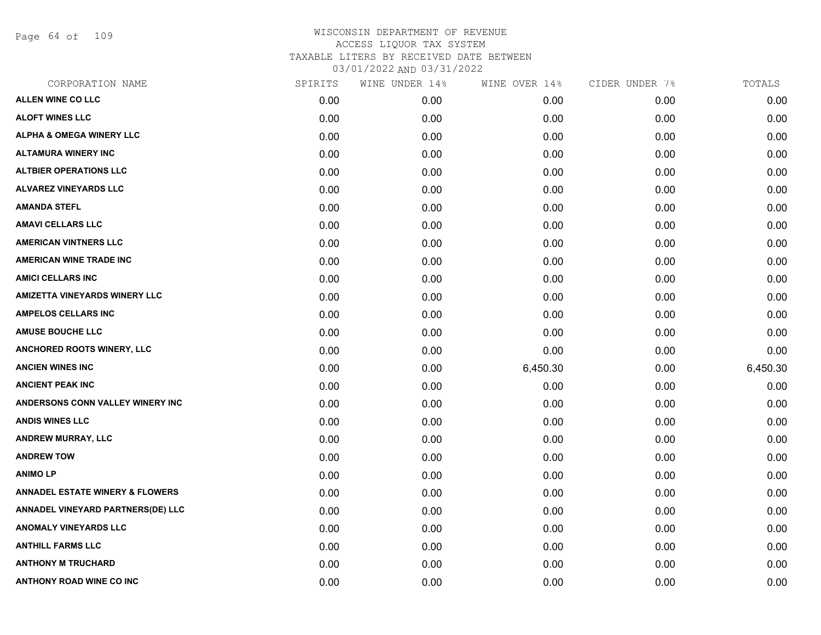Page 64 of 109

| CORPORATION NAME                           | SPIRITS | WINE UNDER 14% | WINE OVER 14% | CIDER UNDER 7% | TOTALS   |
|--------------------------------------------|---------|----------------|---------------|----------------|----------|
| <b>ALLEN WINE CO LLC</b>                   | 0.00    | 0.00           | 0.00          | 0.00           | 0.00     |
| <b>ALOFT WINES LLC</b>                     | 0.00    | 0.00           | 0.00          | 0.00           | 0.00     |
| <b>ALPHA &amp; OMEGA WINERY LLC</b>        | 0.00    | 0.00           | 0.00          | 0.00           | 0.00     |
| <b>ALTAMURA WINERY INC</b>                 | 0.00    | 0.00           | 0.00          | 0.00           | 0.00     |
| <b>ALTBIER OPERATIONS LLC</b>              | 0.00    | 0.00           | 0.00          | 0.00           | 0.00     |
| <b>ALVAREZ VINEYARDS LLC</b>               | 0.00    | 0.00           | 0.00          | 0.00           | 0.00     |
| <b>AMANDA STEFL</b>                        | 0.00    | 0.00           | 0.00          | 0.00           | 0.00     |
| <b>AMAVI CELLARS LLC</b>                   | 0.00    | 0.00           | 0.00          | 0.00           | 0.00     |
| <b>AMERICAN VINTNERS LLC</b>               | 0.00    | 0.00           | 0.00          | 0.00           | 0.00     |
| <b>AMERICAN WINE TRADE INC</b>             | 0.00    | 0.00           | 0.00          | 0.00           | 0.00     |
| <b>AMICI CELLARS INC</b>                   | 0.00    | 0.00           | 0.00          | 0.00           | 0.00     |
| <b>AMIZETTA VINEYARDS WINERY LLC</b>       | 0.00    | 0.00           | 0.00          | 0.00           | 0.00     |
| <b>AMPELOS CELLARS INC</b>                 | 0.00    | 0.00           | 0.00          | 0.00           | 0.00     |
| <b>AMUSE BOUCHE LLC</b>                    | 0.00    | 0.00           | 0.00          | 0.00           | 0.00     |
| <b>ANCHORED ROOTS WINERY, LLC</b>          | 0.00    | 0.00           | 0.00          | 0.00           | 0.00     |
| <b>ANCIEN WINES INC</b>                    | 0.00    | 0.00           | 6,450.30      | 0.00           | 6,450.30 |
| <b>ANCIENT PEAK INC</b>                    | 0.00    | 0.00           | 0.00          | 0.00           | 0.00     |
| ANDERSONS CONN VALLEY WINERY INC           | 0.00    | 0.00           | 0.00          | 0.00           | 0.00     |
| <b>ANDIS WINES LLC</b>                     | 0.00    | 0.00           | 0.00          | 0.00           | 0.00     |
| <b>ANDREW MURRAY, LLC</b>                  | 0.00    | 0.00           | 0.00          | 0.00           | 0.00     |
| <b>ANDREW TOW</b>                          | 0.00    | 0.00           | 0.00          | 0.00           | 0.00     |
| <b>ANIMOLP</b>                             | 0.00    | 0.00           | 0.00          | 0.00           | 0.00     |
| <b>ANNADEL ESTATE WINERY &amp; FLOWERS</b> | 0.00    | 0.00           | 0.00          | 0.00           | 0.00     |
| ANNADEL VINEYARD PARTNERS(DE) LLC          | 0.00    | 0.00           | 0.00          | 0.00           | 0.00     |
| ANOMALY VINEYARDS LLC                      | 0.00    | 0.00           | 0.00          | 0.00           | 0.00     |
| <b>ANTHILL FARMS LLC</b>                   | 0.00    | 0.00           | 0.00          | 0.00           | 0.00     |
| <b>ANTHONY M TRUCHARD</b>                  | 0.00    | 0.00           | 0.00          | 0.00           | 0.00     |
| ANTHONY ROAD WINE CO INC                   | 0.00    | 0.00           | 0.00          | 0.00           | 0.00     |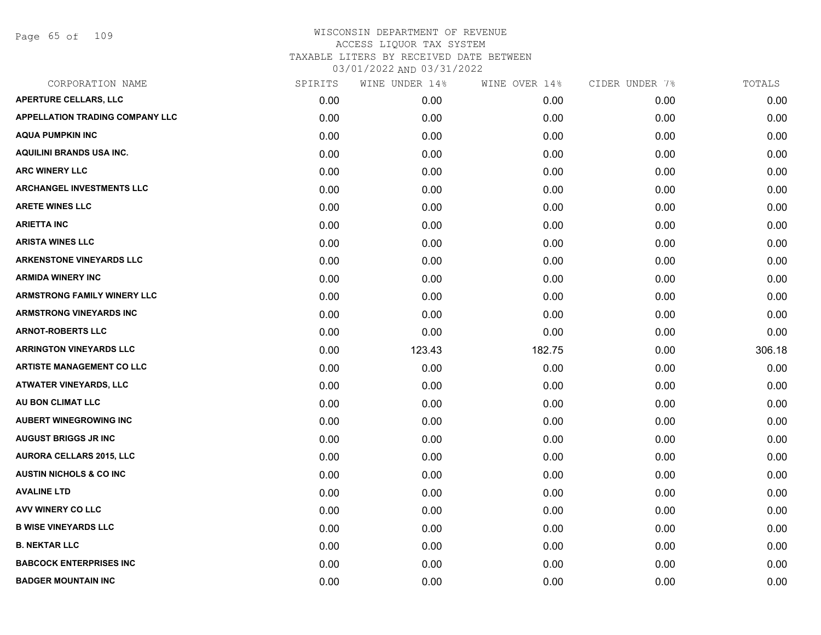Page 65 of 109

| CORPORATION NAME                       | SPIRITS | WINE UNDER 14% | WINE OVER 14% | CIDER UNDER 7% | TOTALS |
|----------------------------------------|---------|----------------|---------------|----------------|--------|
| APERTURE CELLARS, LLC                  | 0.00    | 0.00           | 0.00          | 0.00           | 0.00   |
| <b>APPELLATION TRADING COMPANY LLC</b> | 0.00    | 0.00           | 0.00          | 0.00           | 0.00   |
| <b>AQUA PUMPKIN INC</b>                | 0.00    | 0.00           | 0.00          | 0.00           | 0.00   |
| <b>AQUILINI BRANDS USA INC.</b>        | 0.00    | 0.00           | 0.00          | 0.00           | 0.00   |
| <b>ARC WINERY LLC</b>                  | 0.00    | 0.00           | 0.00          | 0.00           | 0.00   |
| <b>ARCHANGEL INVESTMENTS LLC</b>       | 0.00    | 0.00           | 0.00          | 0.00           | 0.00   |
| <b>ARETE WINES LLC</b>                 | 0.00    | 0.00           | 0.00          | 0.00           | 0.00   |
| <b>ARIETTA INC</b>                     | 0.00    | 0.00           | 0.00          | 0.00           | 0.00   |
| <b>ARISTA WINES LLC</b>                | 0.00    | 0.00           | 0.00          | 0.00           | 0.00   |
| <b>ARKENSTONE VINEYARDS LLC</b>        | 0.00    | 0.00           | 0.00          | 0.00           | 0.00   |
| <b>ARMIDA WINERY INC</b>               | 0.00    | 0.00           | 0.00          | 0.00           | 0.00   |
| <b>ARMSTRONG FAMILY WINERY LLC</b>     | 0.00    | 0.00           | 0.00          | 0.00           | 0.00   |
| <b>ARMSTRONG VINEYARDS INC</b>         | 0.00    | 0.00           | 0.00          | 0.00           | 0.00   |
| <b>ARNOT-ROBERTS LLC</b>               | 0.00    | 0.00           | 0.00          | 0.00           | 0.00   |
| <b>ARRINGTON VINEYARDS LLC</b>         | 0.00    | 123.43         | 182.75        | 0.00           | 306.18 |
| <b>ARTISTE MANAGEMENT CO LLC</b>       | 0.00    | 0.00           | 0.00          | 0.00           | 0.00   |
| <b>ATWATER VINEYARDS, LLC</b>          | 0.00    | 0.00           | 0.00          | 0.00           | 0.00   |
| AU BON CLIMAT LLC                      | 0.00    | 0.00           | 0.00          | 0.00           | 0.00   |
| <b>AUBERT WINEGROWING INC</b>          | 0.00    | 0.00           | 0.00          | 0.00           | 0.00   |
| <b>AUGUST BRIGGS JR INC</b>            | 0.00    | 0.00           | 0.00          | 0.00           | 0.00   |
| <b>AURORA CELLARS 2015, LLC</b>        | 0.00    | 0.00           | 0.00          | 0.00           | 0.00   |
| <b>AUSTIN NICHOLS &amp; CO INC</b>     | 0.00    | 0.00           | 0.00          | 0.00           | 0.00   |
| <b>AVALINE LTD</b>                     | 0.00    | 0.00           | 0.00          | 0.00           | 0.00   |
| AVV WINERY CO LLC                      | 0.00    | 0.00           | 0.00          | 0.00           | 0.00   |
| <b>B WISE VINEYARDS LLC</b>            | 0.00    | 0.00           | 0.00          | 0.00           | 0.00   |
| <b>B. NEKTAR LLC</b>                   | 0.00    | 0.00           | 0.00          | 0.00           | 0.00   |
| <b>BABCOCK ENTERPRISES INC</b>         | 0.00    | 0.00           | 0.00          | 0.00           | 0.00   |
| <b>BADGER MOUNTAIN INC</b>             | 0.00    | 0.00           | 0.00          | 0.00           | 0.00   |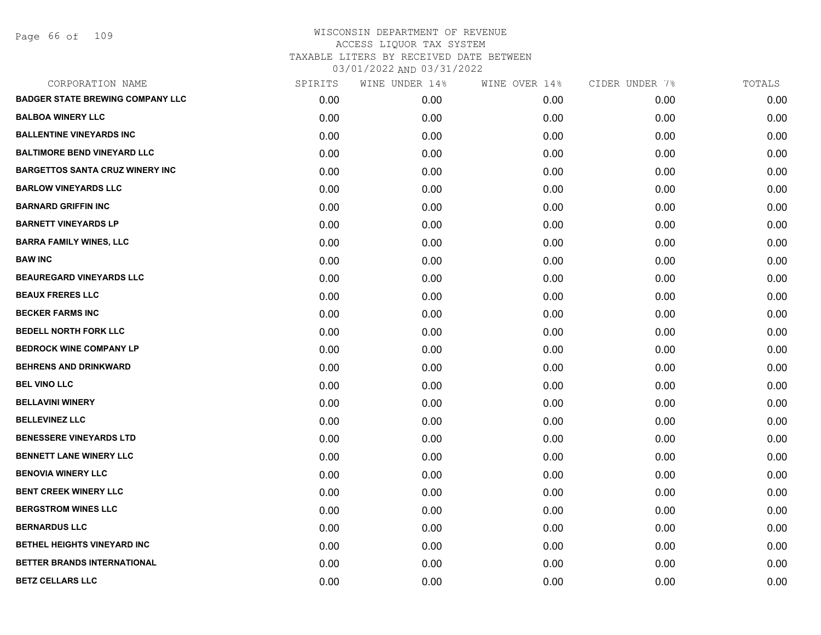| CORPORATION NAME                        | SPIRITS | WINE UNDER 14% | WINE OVER 14% | CIDER UNDER 7% | TOTALS |
|-----------------------------------------|---------|----------------|---------------|----------------|--------|
| <b>BADGER STATE BREWING COMPANY LLC</b> | 0.00    | 0.00           | 0.00          | 0.00           | 0.00   |
| <b>BALBOA WINERY LLC</b>                | 0.00    | 0.00           | 0.00          | 0.00           | 0.00   |
| <b>BALLENTINE VINEYARDS INC</b>         | 0.00    | 0.00           | 0.00          | 0.00           | 0.00   |
| <b>BALTIMORE BEND VINEYARD LLC</b>      | 0.00    | 0.00           | 0.00          | 0.00           | 0.00   |
| <b>BARGETTOS SANTA CRUZ WINERY INC</b>  | 0.00    | 0.00           | 0.00          | 0.00           | 0.00   |
| <b>BARLOW VINEYARDS LLC</b>             | 0.00    | 0.00           | 0.00          | 0.00           | 0.00   |
| <b>BARNARD GRIFFIN INC</b>              | 0.00    | 0.00           | 0.00          | 0.00           | 0.00   |
| <b>BARNETT VINEYARDS LP</b>             | 0.00    | 0.00           | 0.00          | 0.00           | 0.00   |
| <b>BARRA FAMILY WINES, LLC</b>          | 0.00    | 0.00           | 0.00          | 0.00           | 0.00   |
| <b>BAW INC</b>                          | 0.00    | 0.00           | 0.00          | 0.00           | 0.00   |
| <b>BEAUREGARD VINEYARDS LLC</b>         | 0.00    | 0.00           | 0.00          | 0.00           | 0.00   |
| <b>BEAUX FRERES LLC</b>                 | 0.00    | 0.00           | 0.00          | 0.00           | 0.00   |
| <b>BECKER FARMS INC</b>                 | 0.00    | 0.00           | 0.00          | 0.00           | 0.00   |
| <b>BEDELL NORTH FORK LLC</b>            | 0.00    | 0.00           | 0.00          | 0.00           | 0.00   |
| <b>BEDROCK WINE COMPANY LP</b>          | 0.00    | 0.00           | 0.00          | 0.00           | 0.00   |
| <b>BEHRENS AND DRINKWARD</b>            | 0.00    | 0.00           | 0.00          | 0.00           | 0.00   |
| <b>BEL VINO LLC</b>                     | 0.00    | 0.00           | 0.00          | 0.00           | 0.00   |
| <b>BELLAVINI WINERY</b>                 | 0.00    | 0.00           | 0.00          | 0.00           | 0.00   |
| <b>BELLEVINEZ LLC</b>                   | 0.00    | 0.00           | 0.00          | 0.00           | 0.00   |
| <b>BENESSERE VINEYARDS LTD</b>          | 0.00    | 0.00           | 0.00          | 0.00           | 0.00   |
| <b>BENNETT LANE WINERY LLC</b>          | 0.00    | 0.00           | 0.00          | 0.00           | 0.00   |
| <b>BENOVIA WINERY LLC</b>               | 0.00    | 0.00           | 0.00          | 0.00           | 0.00   |
| <b>BENT CREEK WINERY LLC</b>            | 0.00    | 0.00           | 0.00          | 0.00           | 0.00   |
| <b>BERGSTROM WINES LLC</b>              | 0.00    | 0.00           | 0.00          | 0.00           | 0.00   |
| <b>BERNARDUS LLC</b>                    | 0.00    | 0.00           | 0.00          | 0.00           | 0.00   |
| BETHEL HEIGHTS VINEYARD INC             | 0.00    | 0.00           | 0.00          | 0.00           | 0.00   |
| BETTER BRANDS INTERNATIONAL             | 0.00    | 0.00           | 0.00          | 0.00           | 0.00   |
| <b>BETZ CELLARS LLC</b>                 | 0.00    | 0.00           | 0.00          | 0.00           | 0.00   |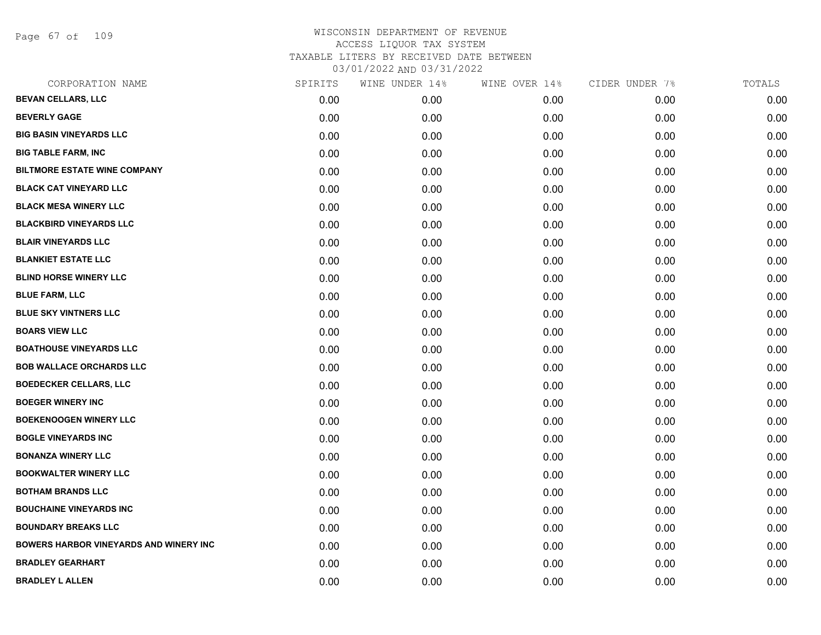Page 67 of 109

| CORPORATION NAME                              | SPIRITS | WINE UNDER 14% | WINE OVER 14% | CIDER UNDER 7% | TOTALS |
|-----------------------------------------------|---------|----------------|---------------|----------------|--------|
| <b>BEVAN CELLARS, LLC</b>                     | 0.00    | 0.00           | 0.00          | 0.00           | 0.00   |
| <b>BEVERLY GAGE</b>                           | 0.00    | 0.00           | 0.00          | 0.00           | 0.00   |
| <b>BIG BASIN VINEYARDS LLC</b>                | 0.00    | 0.00           | 0.00          | 0.00           | 0.00   |
| <b>BIG TABLE FARM, INC</b>                    | 0.00    | 0.00           | 0.00          | 0.00           | 0.00   |
| <b>BILTMORE ESTATE WINE COMPANY</b>           | 0.00    | 0.00           | 0.00          | 0.00           | 0.00   |
| <b>BLACK CAT VINEYARD LLC</b>                 | 0.00    | 0.00           | 0.00          | 0.00           | 0.00   |
| <b>BLACK MESA WINERY LLC</b>                  | 0.00    | 0.00           | 0.00          | 0.00           | 0.00   |
| <b>BLACKBIRD VINEYARDS LLC</b>                | 0.00    | 0.00           | 0.00          | 0.00           | 0.00   |
| <b>BLAIR VINEYARDS LLC</b>                    | 0.00    | 0.00           | 0.00          | 0.00           | 0.00   |
| <b>BLANKIET ESTATE LLC</b>                    | 0.00    | 0.00           | 0.00          | 0.00           | 0.00   |
| <b>BLIND HORSE WINERY LLC</b>                 | 0.00    | 0.00           | 0.00          | 0.00           | 0.00   |
| <b>BLUE FARM, LLC</b>                         | 0.00    | 0.00           | 0.00          | 0.00           | 0.00   |
| <b>BLUE SKY VINTNERS LLC</b>                  | 0.00    | 0.00           | 0.00          | 0.00           | 0.00   |
| <b>BOARS VIEW LLC</b>                         | 0.00    | 0.00           | 0.00          | 0.00           | 0.00   |
| <b>BOATHOUSE VINEYARDS LLC</b>                | 0.00    | 0.00           | 0.00          | 0.00           | 0.00   |
| <b>BOB WALLACE ORCHARDS LLC</b>               | 0.00    | 0.00           | 0.00          | 0.00           | 0.00   |
| <b>BOEDECKER CELLARS, LLC</b>                 | 0.00    | 0.00           | 0.00          | 0.00           | 0.00   |
| <b>BOEGER WINERY INC</b>                      | 0.00    | 0.00           | 0.00          | 0.00           | 0.00   |
| <b>BOEKENOOGEN WINERY LLC</b>                 | 0.00    | 0.00           | 0.00          | 0.00           | 0.00   |
| <b>BOGLE VINEYARDS INC</b>                    | 0.00    | 0.00           | 0.00          | 0.00           | 0.00   |
| <b>BONANZA WINERY LLC</b>                     | 0.00    | 0.00           | 0.00          | 0.00           | 0.00   |
| <b>BOOKWALTER WINERY LLC</b>                  | 0.00    | 0.00           | 0.00          | 0.00           | 0.00   |
| <b>BOTHAM BRANDS LLC</b>                      | 0.00    | 0.00           | 0.00          | 0.00           | 0.00   |
| <b>BOUCHAINE VINEYARDS INC</b>                | 0.00    | 0.00           | 0.00          | 0.00           | 0.00   |
| <b>BOUNDARY BREAKS LLC</b>                    | 0.00    | 0.00           | 0.00          | 0.00           | 0.00   |
| <b>BOWERS HARBOR VINEYARDS AND WINERY INC</b> | 0.00    | 0.00           | 0.00          | 0.00           | 0.00   |
| <b>BRADLEY GEARHART</b>                       | 0.00    | 0.00           | 0.00          | 0.00           | 0.00   |
| <b>BRADLEY L ALLEN</b>                        | 0.00    | 0.00           | 0.00          | 0.00           | 0.00   |
|                                               |         |                |               |                |        |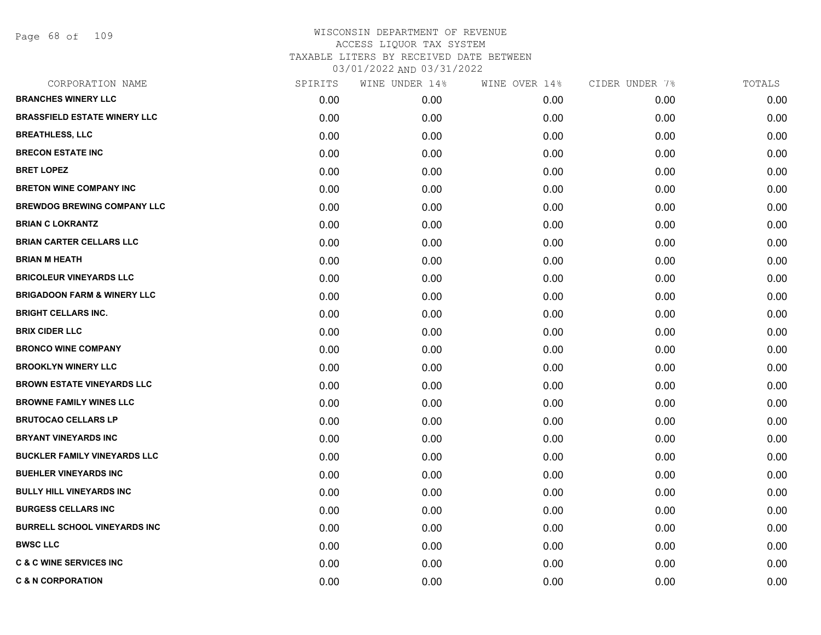Page 68 of 109

| CORPORATION NAME                       | SPIRITS | WINE UNDER 14% | WINE OVER 14% | CIDER UNDER 7% | TOTALS |
|----------------------------------------|---------|----------------|---------------|----------------|--------|
| <b>BRANCHES WINERY LLC</b>             | 0.00    | 0.00           | 0.00          | 0.00           | 0.00   |
| <b>BRASSFIELD ESTATE WINERY LLC</b>    | 0.00    | 0.00           | 0.00          | 0.00           | 0.00   |
| <b>BREATHLESS, LLC</b>                 | 0.00    | 0.00           | 0.00          | 0.00           | 0.00   |
| <b>BRECON ESTATE INC</b>               | 0.00    | 0.00           | 0.00          | 0.00           | 0.00   |
| <b>BRET LOPEZ</b>                      | 0.00    | 0.00           | 0.00          | 0.00           | 0.00   |
| <b>BRETON WINE COMPANY INC</b>         | 0.00    | 0.00           | 0.00          | 0.00           | 0.00   |
| <b>BREWDOG BREWING COMPANY LLC</b>     | 0.00    | 0.00           | 0.00          | 0.00           | 0.00   |
| <b>BRIAN C LOKRANTZ</b>                | 0.00    | 0.00           | 0.00          | 0.00           | 0.00   |
| <b>BRIAN CARTER CELLARS LLC</b>        | 0.00    | 0.00           | 0.00          | 0.00           | 0.00   |
| <b>BRIAN M HEATH</b>                   | 0.00    | 0.00           | 0.00          | 0.00           | 0.00   |
| <b>BRICOLEUR VINEYARDS LLC</b>         | 0.00    | 0.00           | 0.00          | 0.00           | 0.00   |
| <b>BRIGADOON FARM &amp; WINERY LLC</b> | 0.00    | 0.00           | 0.00          | 0.00           | 0.00   |
| <b>BRIGHT CELLARS INC.</b>             | 0.00    | 0.00           | 0.00          | 0.00           | 0.00   |
| <b>BRIX CIDER LLC</b>                  | 0.00    | 0.00           | 0.00          | 0.00           | 0.00   |
| <b>BRONCO WINE COMPANY</b>             | 0.00    | 0.00           | 0.00          | 0.00           | 0.00   |
| <b>BROOKLYN WINERY LLC</b>             | 0.00    | 0.00           | 0.00          | 0.00           | 0.00   |
| <b>BROWN ESTATE VINEYARDS LLC</b>      | 0.00    | 0.00           | 0.00          | 0.00           | 0.00   |
| <b>BROWNE FAMILY WINES LLC</b>         | 0.00    | 0.00           | 0.00          | 0.00           | 0.00   |
| <b>BRUTOCAO CELLARS LP</b>             | 0.00    | 0.00           | 0.00          | 0.00           | 0.00   |
| <b>BRYANT VINEYARDS INC</b>            | 0.00    | 0.00           | 0.00          | 0.00           | 0.00   |
| <b>BUCKLER FAMILY VINEYARDS LLC</b>    | 0.00    | 0.00           | 0.00          | 0.00           | 0.00   |
| <b>BUEHLER VINEYARDS INC</b>           | 0.00    | 0.00           | 0.00          | 0.00           | 0.00   |
| <b>BULLY HILL VINEYARDS INC</b>        | 0.00    | 0.00           | 0.00          | 0.00           | 0.00   |
| <b>BURGESS CELLARS INC</b>             | 0.00    | 0.00           | 0.00          | 0.00           | 0.00   |
| <b>BURRELL SCHOOL VINEYARDS INC</b>    | 0.00    | 0.00           | 0.00          | 0.00           | 0.00   |
| <b>BWSC LLC</b>                        | 0.00    | 0.00           | 0.00          | 0.00           | 0.00   |
| <b>C &amp; C WINE SERVICES INC</b>     | 0.00    | 0.00           | 0.00          | 0.00           | 0.00   |
| <b>C &amp; N CORPORATION</b>           | 0.00    | 0.00           | 0.00          | 0.00           | 0.00   |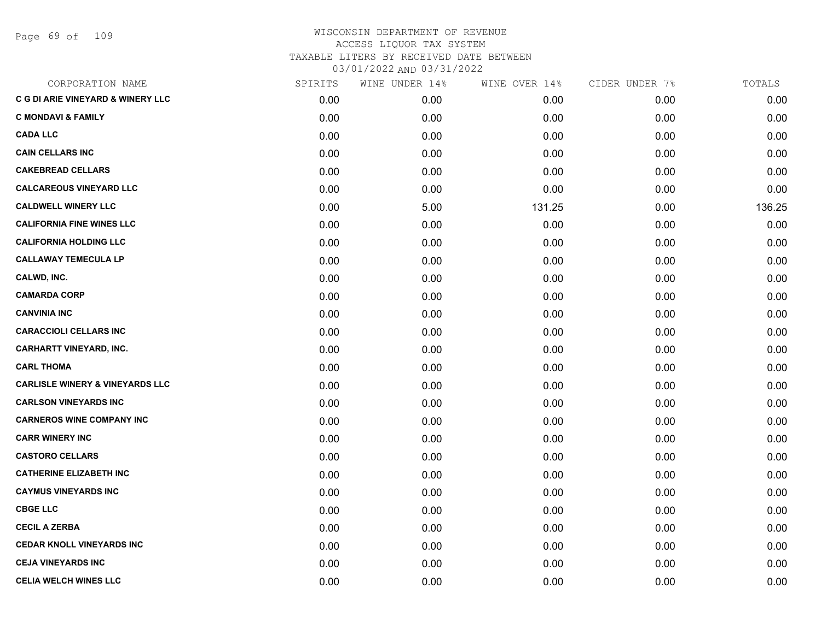Page 69 of 109

| CORPORATION NAME                             | SPIRITS | WINE UNDER 14% | WINE OVER 14% | CIDER UNDER 7% | TOTALS |
|----------------------------------------------|---------|----------------|---------------|----------------|--------|
| <b>C G DI ARIE VINEYARD &amp; WINERY LLC</b> | 0.00    | 0.00           | 0.00          | 0.00           | 0.00   |
| <b>C MONDAVI &amp; FAMILY</b>                | 0.00    | 0.00           | 0.00          | 0.00           | 0.00   |
| <b>CADA LLC</b>                              | 0.00    | 0.00           | 0.00          | 0.00           | 0.00   |
| <b>CAIN CELLARS INC</b>                      | 0.00    | 0.00           | 0.00          | 0.00           | 0.00   |
| <b>CAKEBREAD CELLARS</b>                     | 0.00    | 0.00           | 0.00          | 0.00           | 0.00   |
| <b>CALCAREOUS VINEYARD LLC</b>               | 0.00    | 0.00           | 0.00          | 0.00           | 0.00   |
| <b>CALDWELL WINERY LLC</b>                   | 0.00    | 5.00           | 131.25        | 0.00           | 136.25 |
| <b>CALIFORNIA FINE WINES LLC</b>             | 0.00    | 0.00           | 0.00          | 0.00           | 0.00   |
| <b>CALIFORNIA HOLDING LLC</b>                | 0.00    | 0.00           | 0.00          | 0.00           | 0.00   |
| <b>CALLAWAY TEMECULA LP</b>                  | 0.00    | 0.00           | 0.00          | 0.00           | 0.00   |
| CALWD, INC.                                  | 0.00    | 0.00           | 0.00          | 0.00           | 0.00   |
| <b>CAMARDA CORP</b>                          | 0.00    | 0.00           | 0.00          | 0.00           | 0.00   |
| <b>CANVINIA INC</b>                          | 0.00    | 0.00           | 0.00          | 0.00           | 0.00   |
| <b>CARACCIOLI CELLARS INC</b>                | 0.00    | 0.00           | 0.00          | 0.00           | 0.00   |
| <b>CARHARTT VINEYARD, INC.</b>               | 0.00    | 0.00           | 0.00          | 0.00           | 0.00   |
| <b>CARL THOMA</b>                            | 0.00    | 0.00           | 0.00          | 0.00           | 0.00   |
| <b>CARLISLE WINERY &amp; VINEYARDS LLC</b>   | 0.00    | 0.00           | 0.00          | 0.00           | 0.00   |
| <b>CARLSON VINEYARDS INC</b>                 | 0.00    | 0.00           | 0.00          | 0.00           | 0.00   |
| <b>CARNEROS WINE COMPANY INC</b>             | 0.00    | 0.00           | 0.00          | 0.00           | 0.00   |
| <b>CARR WINERY INC</b>                       | 0.00    | 0.00           | 0.00          | 0.00           | 0.00   |
| <b>CASTORO CELLARS</b>                       | 0.00    | 0.00           | 0.00          | 0.00           | 0.00   |
| <b>CATHERINE ELIZABETH INC</b>               | 0.00    | 0.00           | 0.00          | 0.00           | 0.00   |
| <b>CAYMUS VINEYARDS INC</b>                  | 0.00    | 0.00           | 0.00          | 0.00           | 0.00   |
| <b>CBGE LLC</b>                              | 0.00    | 0.00           | 0.00          | 0.00           | 0.00   |
| <b>CECIL A ZERBA</b>                         | 0.00    | 0.00           | 0.00          | 0.00           | 0.00   |
| <b>CEDAR KNOLL VINEYARDS INC</b>             | 0.00    | 0.00           | 0.00          | 0.00           | 0.00   |
| <b>CEJA VINEYARDS INC</b>                    | 0.00    | 0.00           | 0.00          | 0.00           | 0.00   |
| <b>CELIA WELCH WINES LLC</b>                 | 0.00    | 0.00           | 0.00          | 0.00           | 0.00   |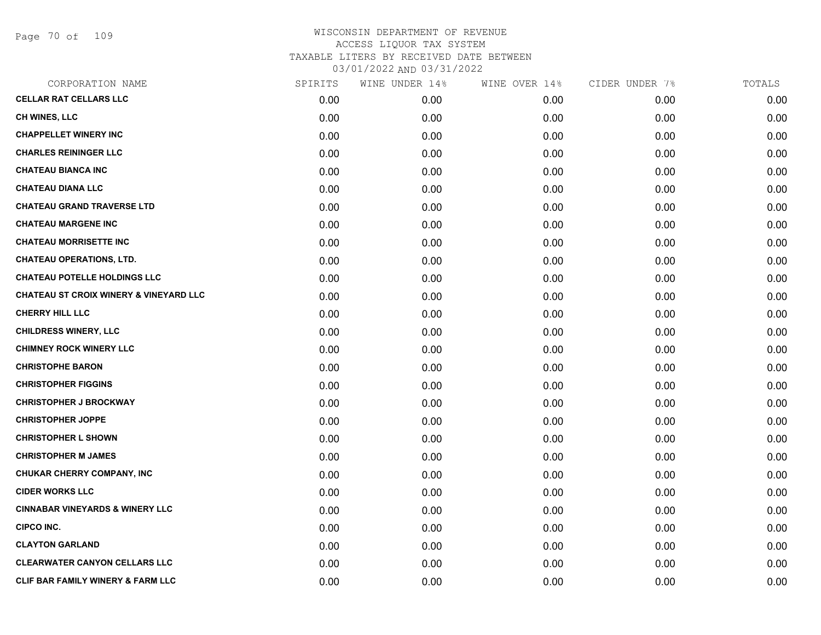Page 70 of 109

| CORPORATION NAME                                  | SPIRITS | WINE UNDER 14% | WINE OVER 14% | CIDER UNDER 7% | TOTALS |
|---------------------------------------------------|---------|----------------|---------------|----------------|--------|
| <b>CELLAR RAT CELLARS LLC</b>                     | 0.00    | 0.00           | 0.00          | 0.00           | 0.00   |
| CH WINES, LLC                                     | 0.00    | 0.00           | 0.00          | 0.00           | 0.00   |
| <b>CHAPPELLET WINERY INC</b>                      | 0.00    | 0.00           | 0.00          | 0.00           | 0.00   |
| <b>CHARLES REININGER LLC</b>                      | 0.00    | 0.00           | 0.00          | 0.00           | 0.00   |
| <b>CHATEAU BIANCA INC</b>                         | 0.00    | 0.00           | 0.00          | 0.00           | 0.00   |
| <b>CHATEAU DIANA LLC</b>                          | 0.00    | 0.00           | 0.00          | 0.00           | 0.00   |
| <b>CHATEAU GRAND TRAVERSE LTD</b>                 | 0.00    | 0.00           | 0.00          | 0.00           | 0.00   |
| <b>CHATEAU MARGENE INC</b>                        | 0.00    | 0.00           | 0.00          | 0.00           | 0.00   |
| <b>CHATEAU MORRISETTE INC</b>                     | 0.00    | 0.00           | 0.00          | 0.00           | 0.00   |
| <b>CHATEAU OPERATIONS, LTD.</b>                   | 0.00    | 0.00           | 0.00          | 0.00           | 0.00   |
| <b>CHATEAU POTELLE HOLDINGS LLC</b>               | 0.00    | 0.00           | 0.00          | 0.00           | 0.00   |
| <b>CHATEAU ST CROIX WINERY &amp; VINEYARD LLC</b> | 0.00    | 0.00           | 0.00          | 0.00           | 0.00   |
| <b>CHERRY HILL LLC</b>                            | 0.00    | 0.00           | 0.00          | 0.00           | 0.00   |
| <b>CHILDRESS WINERY, LLC</b>                      | 0.00    | 0.00           | 0.00          | 0.00           | 0.00   |
| <b>CHIMNEY ROCK WINERY LLC</b>                    | 0.00    | 0.00           | 0.00          | 0.00           | 0.00   |
| <b>CHRISTOPHE BARON</b>                           | 0.00    | 0.00           | 0.00          | 0.00           | 0.00   |
| <b>CHRISTOPHER FIGGINS</b>                        | 0.00    | 0.00           | 0.00          | 0.00           | 0.00   |
| <b>CHRISTOPHER J BROCKWAY</b>                     | 0.00    | 0.00           | 0.00          | 0.00           | 0.00   |
| <b>CHRISTOPHER JOPPE</b>                          | 0.00    | 0.00           | 0.00          | 0.00           | 0.00   |
| <b>CHRISTOPHER L SHOWN</b>                        | 0.00    | 0.00           | 0.00          | 0.00           | 0.00   |
| <b>CHRISTOPHER M JAMES</b>                        | 0.00    | 0.00           | 0.00          | 0.00           | 0.00   |
| CHUKAR CHERRY COMPANY, INC                        | 0.00    | 0.00           | 0.00          | 0.00           | 0.00   |
| <b>CIDER WORKS LLC</b>                            | 0.00    | 0.00           | 0.00          | 0.00           | 0.00   |
| <b>CINNABAR VINEYARDS &amp; WINERY LLC</b>        | 0.00    | 0.00           | 0.00          | 0.00           | 0.00   |
| <b>CIPCO INC.</b>                                 | 0.00    | 0.00           | 0.00          | 0.00           | 0.00   |
| <b>CLAYTON GARLAND</b>                            | 0.00    | 0.00           | 0.00          | 0.00           | 0.00   |
| <b>CLEARWATER CANYON CELLARS LLC</b>              | 0.00    | 0.00           | 0.00          | 0.00           | 0.00   |
| <b>CLIF BAR FAMILY WINERY &amp; FARM LLC</b>      | 0.00    | 0.00           | 0.00          | 0.00           | 0.00   |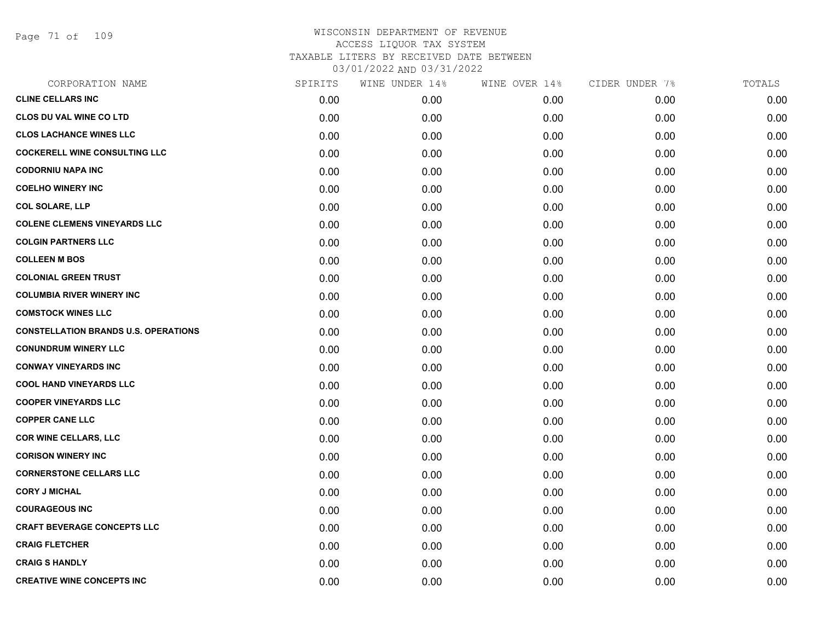Page 71 of 109

| CORPORATION NAME                            | SPIRITS | WINE UNDER 14% | WINE OVER 14% | CIDER UNDER 7% | TOTALS |
|---------------------------------------------|---------|----------------|---------------|----------------|--------|
| <b>CLINE CELLARS INC</b>                    | 0.00    | 0.00           | 0.00          | 0.00           | 0.00   |
| <b>CLOS DU VAL WINE CO LTD</b>              | 0.00    | 0.00           | 0.00          | 0.00           | 0.00   |
| <b>CLOS LACHANCE WINES LLC</b>              | 0.00    | 0.00           | 0.00          | 0.00           | 0.00   |
| <b>COCKERELL WINE CONSULTING LLC</b>        | 0.00    | 0.00           | 0.00          | 0.00           | 0.00   |
| <b>CODORNIU NAPA INC</b>                    | 0.00    | 0.00           | 0.00          | 0.00           | 0.00   |
| <b>COELHO WINERY INC</b>                    | 0.00    | 0.00           | 0.00          | 0.00           | 0.00   |
| <b>COL SOLARE, LLP</b>                      | 0.00    | 0.00           | 0.00          | 0.00           | 0.00   |
| <b>COLENE CLEMENS VINEYARDS LLC</b>         | 0.00    | 0.00           | 0.00          | 0.00           | 0.00   |
| <b>COLGIN PARTNERS LLC</b>                  | 0.00    | 0.00           | 0.00          | 0.00           | 0.00   |
| <b>COLLEEN M BOS</b>                        | 0.00    | 0.00           | 0.00          | 0.00           | 0.00   |
| <b>COLONIAL GREEN TRUST</b>                 | 0.00    | 0.00           | 0.00          | 0.00           | 0.00   |
| <b>COLUMBIA RIVER WINERY INC</b>            | 0.00    | 0.00           | 0.00          | 0.00           | 0.00   |
| <b>COMSTOCK WINES LLC</b>                   | 0.00    | 0.00           | 0.00          | 0.00           | 0.00   |
| <b>CONSTELLATION BRANDS U.S. OPERATIONS</b> | 0.00    | 0.00           | 0.00          | 0.00           | 0.00   |
| <b>CONUNDRUM WINERY LLC</b>                 | 0.00    | 0.00           | 0.00          | 0.00           | 0.00   |
| <b>CONWAY VINEYARDS INC</b>                 | 0.00    | 0.00           | 0.00          | 0.00           | 0.00   |
| <b>COOL HAND VINEYARDS LLC</b>              | 0.00    | 0.00           | 0.00          | 0.00           | 0.00   |
| <b>COOPER VINEYARDS LLC</b>                 | 0.00    | 0.00           | 0.00          | 0.00           | 0.00   |
| <b>COPPER CANE LLC</b>                      | 0.00    | 0.00           | 0.00          | 0.00           | 0.00   |
| <b>COR WINE CELLARS, LLC</b>                | 0.00    | 0.00           | 0.00          | 0.00           | 0.00   |
| <b>CORISON WINERY INC</b>                   | 0.00    | 0.00           | 0.00          | 0.00           | 0.00   |
| <b>CORNERSTONE CELLARS LLC</b>              | 0.00    | 0.00           | 0.00          | 0.00           | 0.00   |
| <b>CORY J MICHAL</b>                        | 0.00    | 0.00           | 0.00          | 0.00           | 0.00   |
| <b>COURAGEOUS INC</b>                       | 0.00    | 0.00           | 0.00          | 0.00           | 0.00   |
| <b>CRAFT BEVERAGE CONCEPTS LLC</b>          | 0.00    | 0.00           | 0.00          | 0.00           | 0.00   |
| <b>CRAIG FLETCHER</b>                       | 0.00    | 0.00           | 0.00          | 0.00           | 0.00   |
| <b>CRAIG S HANDLY</b>                       | 0.00    | 0.00           | 0.00          | 0.00           | 0.00   |
| <b>CREATIVE WINE CONCEPTS INC</b>           | 0.00    | 0.00           | 0.00          | 0.00           | 0.00   |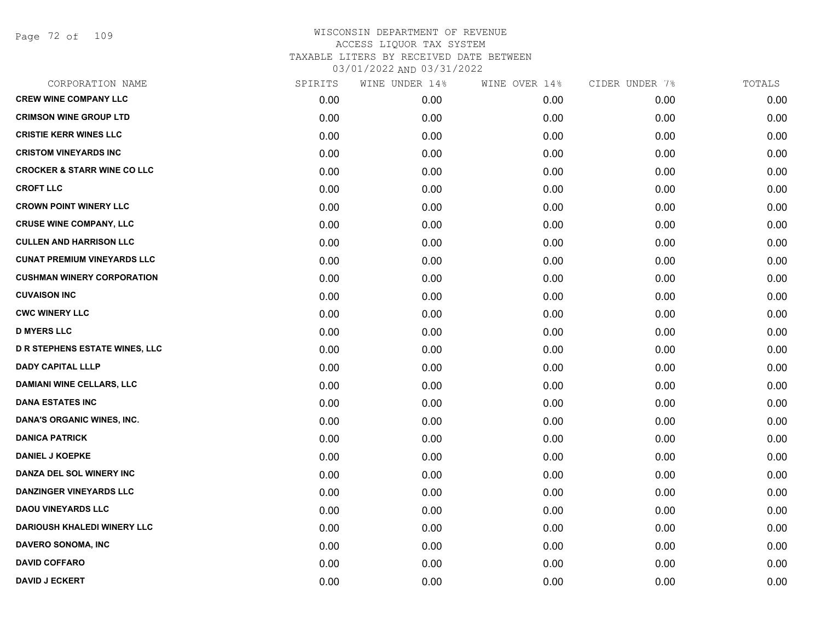Page 72 of 109

| CORPORATION NAME                       | SPIRITS | WINE UNDER 14% | WINE OVER 14% | CIDER UNDER 7% | TOTALS |
|----------------------------------------|---------|----------------|---------------|----------------|--------|
| <b>CREW WINE COMPANY LLC</b>           | 0.00    | 0.00           | 0.00          | 0.00           | 0.00   |
| <b>CRIMSON WINE GROUP LTD</b>          | 0.00    | 0.00           | 0.00          | 0.00           | 0.00   |
| <b>CRISTIE KERR WINES LLC</b>          | 0.00    | 0.00           | 0.00          | 0.00           | 0.00   |
| <b>CRISTOM VINEYARDS INC</b>           | 0.00    | 0.00           | 0.00          | 0.00           | 0.00   |
| <b>CROCKER &amp; STARR WINE CO LLC</b> | 0.00    | 0.00           | 0.00          | 0.00           | 0.00   |
| <b>CROFT LLC</b>                       | 0.00    | 0.00           | 0.00          | 0.00           | 0.00   |
| <b>CROWN POINT WINERY LLC</b>          | 0.00    | 0.00           | 0.00          | 0.00           | 0.00   |
| <b>CRUSE WINE COMPANY, LLC</b>         | 0.00    | 0.00           | 0.00          | 0.00           | 0.00   |
| <b>CULLEN AND HARRISON LLC</b>         | 0.00    | 0.00           | 0.00          | 0.00           | 0.00   |
| <b>CUNAT PREMIUM VINEYARDS LLC</b>     | 0.00    | 0.00           | 0.00          | 0.00           | 0.00   |
| <b>CUSHMAN WINERY CORPORATION</b>      | 0.00    | 0.00           | 0.00          | 0.00           | 0.00   |
| <b>CUVAISON INC</b>                    | 0.00    | 0.00           | 0.00          | 0.00           | 0.00   |
| <b>CWC WINERY LLC</b>                  | 0.00    | 0.00           | 0.00          | 0.00           | 0.00   |
| <b>D MYERS LLC</b>                     | 0.00    | 0.00           | 0.00          | 0.00           | 0.00   |
| <b>D R STEPHENS ESTATE WINES, LLC</b>  | 0.00    | 0.00           | 0.00          | 0.00           | 0.00   |
| <b>DADY CAPITAL LLLP</b>               | 0.00    | 0.00           | 0.00          | 0.00           | 0.00   |
| <b>DAMIANI WINE CELLARS, LLC</b>       | 0.00    | 0.00           | 0.00          | 0.00           | 0.00   |
| <b>DANA ESTATES INC</b>                | 0.00    | 0.00           | 0.00          | 0.00           | 0.00   |
| DANA'S ORGANIC WINES, INC.             | 0.00    | 0.00           | 0.00          | 0.00           | 0.00   |
| <b>DANICA PATRICK</b>                  | 0.00    | 0.00           | 0.00          | 0.00           | 0.00   |
| <b>DANIEL J KOEPKE</b>                 | 0.00    | 0.00           | 0.00          | 0.00           | 0.00   |
| DANZA DEL SOL WINERY INC               | 0.00    | 0.00           | 0.00          | 0.00           | 0.00   |
| <b>DANZINGER VINEYARDS LLC</b>         | 0.00    | 0.00           | 0.00          | 0.00           | 0.00   |
| <b>DAOU VINEYARDS LLC</b>              | 0.00    | 0.00           | 0.00          | 0.00           | 0.00   |
| <b>DARIOUSH KHALEDI WINERY LLC</b>     | 0.00    | 0.00           | 0.00          | 0.00           | 0.00   |
| DAVERO SONOMA, INC                     | 0.00    | 0.00           | 0.00          | 0.00           | 0.00   |
| <b>DAVID COFFARO</b>                   | 0.00    | 0.00           | 0.00          | 0.00           | 0.00   |
| <b>DAVID J ECKERT</b>                  | 0.00    | 0.00           | 0.00          | 0.00           | 0.00   |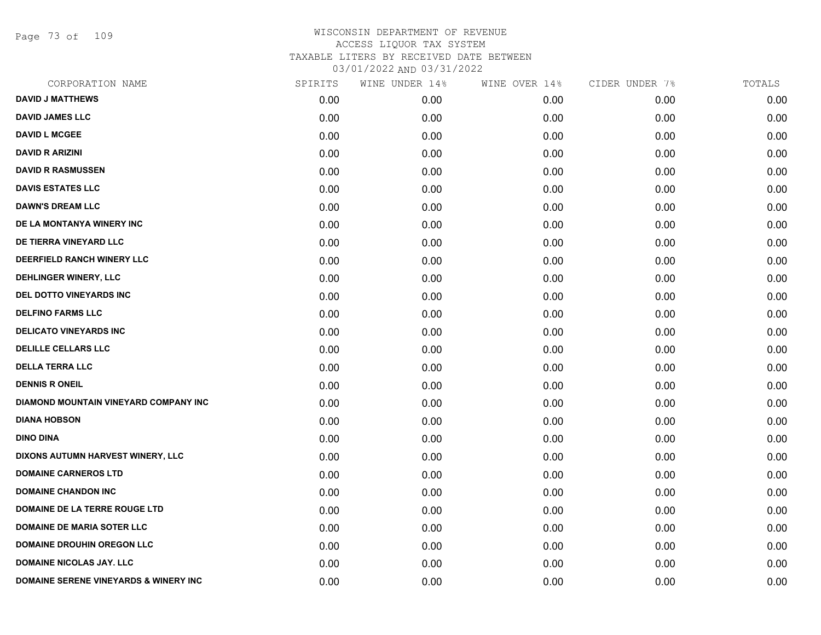Page 73 of 109

| CORPORATION NAME                                 | SPIRITS | WINE UNDER 14% | WINE OVER 14% | CIDER UNDER 7% | TOTALS |
|--------------------------------------------------|---------|----------------|---------------|----------------|--------|
| <b>DAVID J MATTHEWS</b>                          | 0.00    | 0.00           | 0.00          | 0.00           | 0.00   |
| <b>DAVID JAMES LLC</b>                           | 0.00    | 0.00           | 0.00          | 0.00           | 0.00   |
| <b>DAVID L MCGEE</b>                             | 0.00    | 0.00           | 0.00          | 0.00           | 0.00   |
| <b>DAVID R ARIZINI</b>                           | 0.00    | 0.00           | 0.00          | 0.00           | 0.00   |
| <b>DAVID R RASMUSSEN</b>                         | 0.00    | 0.00           | 0.00          | 0.00           | 0.00   |
| <b>DAVIS ESTATES LLC</b>                         | 0.00    | 0.00           | 0.00          | 0.00           | 0.00   |
| <b>DAWN'S DREAM LLC</b>                          | 0.00    | 0.00           | 0.00          | 0.00           | 0.00   |
| DE LA MONTANYA WINERY INC                        | 0.00    | 0.00           | 0.00          | 0.00           | 0.00   |
| DE TIERRA VINEYARD LLC                           | 0.00    | 0.00           | 0.00          | 0.00           | 0.00   |
| DEERFIELD RANCH WINERY LLC                       | 0.00    | 0.00           | 0.00          | 0.00           | 0.00   |
| DEHLINGER WINERY, LLC                            | 0.00    | 0.00           | 0.00          | 0.00           | 0.00   |
| DEL DOTTO VINEYARDS INC                          | 0.00    | 0.00           | 0.00          | 0.00           | 0.00   |
| <b>DELFINO FARMS LLC</b>                         | 0.00    | 0.00           | 0.00          | 0.00           | 0.00   |
| <b>DELICATO VINEYARDS INC</b>                    | 0.00    | 0.00           | 0.00          | 0.00           | 0.00   |
| <b>DELILLE CELLARS LLC</b>                       | 0.00    | 0.00           | 0.00          | 0.00           | 0.00   |
| <b>DELLA TERRA LLC</b>                           | 0.00    | 0.00           | 0.00          | 0.00           | 0.00   |
| <b>DENNIS R ONEIL</b>                            | 0.00    | 0.00           | 0.00          | 0.00           | 0.00   |
| DIAMOND MOUNTAIN VINEYARD COMPANY INC            | 0.00    | 0.00           | 0.00          | 0.00           | 0.00   |
| <b>DIANA HOBSON</b>                              | 0.00    | 0.00           | 0.00          | 0.00           | 0.00   |
| <b>DINO DINA</b>                                 | 0.00    | 0.00           | 0.00          | 0.00           | 0.00   |
| DIXONS AUTUMN HARVEST WINERY, LLC                | 0.00    | 0.00           | 0.00          | 0.00           | 0.00   |
| <b>DOMAINE CARNEROS LTD</b>                      | 0.00    | 0.00           | 0.00          | 0.00           | 0.00   |
| <b>DOMAINE CHANDON INC</b>                       | 0.00    | 0.00           | 0.00          | 0.00           | 0.00   |
| DOMAINE DE LA TERRE ROUGE LTD                    | 0.00    | 0.00           | 0.00          | 0.00           | 0.00   |
| <b>DOMAINE DE MARIA SOTER LLC</b>                | 0.00    | 0.00           | 0.00          | 0.00           | 0.00   |
| <b>DOMAINE DROUHIN OREGON LLC</b>                | 0.00    | 0.00           | 0.00          | 0.00           | 0.00   |
| <b>DOMAINE NICOLAS JAY. LLC</b>                  | 0.00    | 0.00           | 0.00          | 0.00           | 0.00   |
| <b>DOMAINE SERENE VINEYARDS &amp; WINERY INC</b> | 0.00    | 0.00           | 0.00          | 0.00           | 0.00   |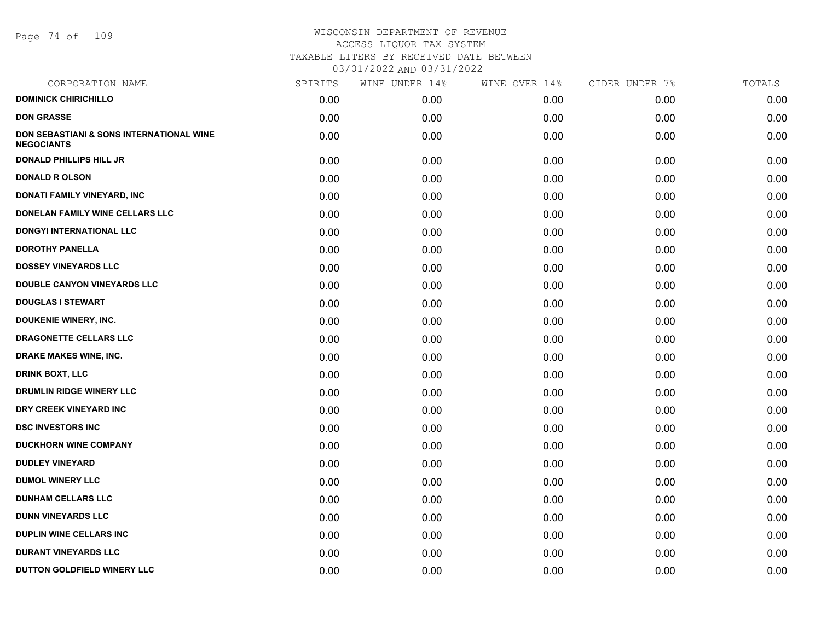Page 74 of 109

| CORPORATION NAME                                              | SPIRITS | WINE UNDER 14% | WINE OVER 14% | CIDER UNDER 7% | TOTALS |
|---------------------------------------------------------------|---------|----------------|---------------|----------------|--------|
| <b>DOMINICK CHIRICHILLO</b>                                   | 0.00    | 0.00           | 0.00          | 0.00           | 0.00   |
| <b>DON GRASSE</b>                                             | 0.00    | 0.00           | 0.00          | 0.00           | 0.00   |
| DON SEBASTIANI & SONS INTERNATIONAL WINE<br><b>NEGOCIANTS</b> | 0.00    | 0.00           | 0.00          | 0.00           | 0.00   |
| <b>DONALD PHILLIPS HILL JR</b>                                | 0.00    | 0.00           | 0.00          | 0.00           | 0.00   |
| <b>DONALD R OLSON</b>                                         | 0.00    | 0.00           | 0.00          | 0.00           | 0.00   |
| <b>DONATI FAMILY VINEYARD, INC</b>                            | 0.00    | 0.00           | 0.00          | 0.00           | 0.00   |
| DONELAN FAMILY WINE CELLARS LLC                               | 0.00    | 0.00           | 0.00          | 0.00           | 0.00   |
| DONGYI INTERNATIONAL LLC                                      | 0.00    | 0.00           | 0.00          | 0.00           | 0.00   |
| <b>DOROTHY PANELLA</b>                                        | 0.00    | 0.00           | 0.00          | 0.00           | 0.00   |
| <b>DOSSEY VINEYARDS LLC</b>                                   | 0.00    | 0.00           | 0.00          | 0.00           | 0.00   |
| <b>DOUBLE CANYON VINEYARDS LLC</b>                            | 0.00    | 0.00           | 0.00          | 0.00           | 0.00   |
| <b>DOUGLAS I STEWART</b>                                      | 0.00    | 0.00           | 0.00          | 0.00           | 0.00   |
| <b>DOUKENIE WINERY, INC.</b>                                  | 0.00    | 0.00           | 0.00          | 0.00           | 0.00   |
| DRAGONETTE CELLARS LLC                                        | 0.00    | 0.00           | 0.00          | 0.00           | 0.00   |
| DRAKE MAKES WINE, INC.                                        | 0.00    | 0.00           | 0.00          | 0.00           | 0.00   |
| <b>DRINK BOXT, LLC</b>                                        | 0.00    | 0.00           | 0.00          | 0.00           | 0.00   |
| <b>DRUMLIN RIDGE WINERY LLC</b>                               | 0.00    | 0.00           | 0.00          | 0.00           | 0.00   |
| DRY CREEK VINEYARD INC                                        | 0.00    | 0.00           | 0.00          | 0.00           | 0.00   |
| <b>DSC INVESTORS INC</b>                                      | 0.00    | 0.00           | 0.00          | 0.00           | 0.00   |
| <b>DUCKHORN WINE COMPANY</b>                                  | 0.00    | 0.00           | 0.00          | 0.00           | 0.00   |
| <b>DUDLEY VINEYARD</b>                                        | 0.00    | 0.00           | 0.00          | 0.00           | 0.00   |
| <b>DUMOL WINERY LLC</b>                                       | 0.00    | 0.00           | 0.00          | 0.00           | 0.00   |
| <b>DUNHAM CELLARS LLC</b>                                     | 0.00    | 0.00           | 0.00          | 0.00           | 0.00   |
| <b>DUNN VINEYARDS LLC</b>                                     | 0.00    | 0.00           | 0.00          | 0.00           | 0.00   |
| <b>DUPLIN WINE CELLARS INC</b>                                | 0.00    | 0.00           | 0.00          | 0.00           | 0.00   |
| <b>DURANT VINEYARDS LLC</b>                                   | 0.00    | 0.00           | 0.00          | 0.00           | 0.00   |
| DUTTON GOLDFIELD WINERY LLC                                   | 0.00    | 0.00           | 0.00          | 0.00           | 0.00   |
|                                                               |         |                |               |                |        |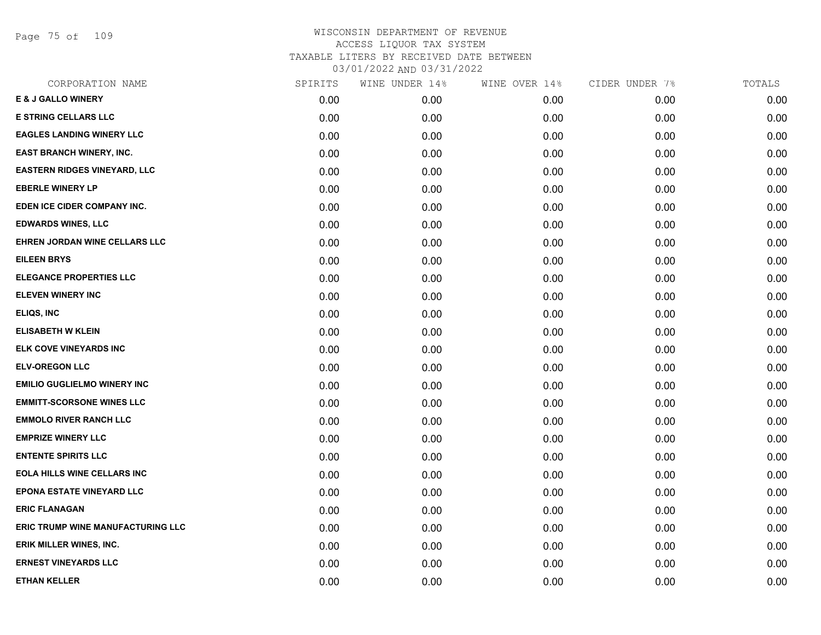Page 75 of 109

| CORPORATION NAME                    | SPIRITS | WINE UNDER 14% | WINE OVER 14% | CIDER UNDER 7% | TOTALS |
|-------------------------------------|---------|----------------|---------------|----------------|--------|
| <b>E &amp; J GALLO WINERY</b>       | 0.00    | 0.00           | 0.00          | 0.00           | 0.00   |
| <b>E STRING CELLARS LLC</b>         | 0.00    | 0.00           | 0.00          | 0.00           | 0.00   |
| <b>EAGLES LANDING WINERY LLC</b>    | 0.00    | 0.00           | 0.00          | 0.00           | 0.00   |
| <b>EAST BRANCH WINERY, INC.</b>     | 0.00    | 0.00           | 0.00          | 0.00           | 0.00   |
| <b>EASTERN RIDGES VINEYARD, LLC</b> | 0.00    | 0.00           | 0.00          | 0.00           | 0.00   |
| <b>EBERLE WINERY LP</b>             | 0.00    | 0.00           | 0.00          | 0.00           | 0.00   |
| EDEN ICE CIDER COMPANY INC.         | 0.00    | 0.00           | 0.00          | 0.00           | 0.00   |
| <b>EDWARDS WINES, LLC</b>           | 0.00    | 0.00           | 0.00          | 0.00           | 0.00   |
| EHREN JORDAN WINE CELLARS LLC       | 0.00    | 0.00           | 0.00          | 0.00           | 0.00   |
| <b>EILEEN BRYS</b>                  | 0.00    | 0.00           | 0.00          | 0.00           | 0.00   |
| <b>ELEGANCE PROPERTIES LLC</b>      | 0.00    | 0.00           | 0.00          | 0.00           | 0.00   |
| <b>ELEVEN WINERY INC</b>            | 0.00    | 0.00           | 0.00          | 0.00           | 0.00   |
| ELIQS, INC                          | 0.00    | 0.00           | 0.00          | 0.00           | 0.00   |
| <b>ELISABETH W KLEIN</b>            | 0.00    | 0.00           | 0.00          | 0.00           | 0.00   |
| ELK COVE VINEYARDS INC              | 0.00    | 0.00           | 0.00          | 0.00           | 0.00   |
| <b>ELV-OREGON LLC</b>               | 0.00    | 0.00           | 0.00          | 0.00           | 0.00   |
| <b>EMILIO GUGLIELMO WINERY INC</b>  | 0.00    | 0.00           | 0.00          | 0.00           | 0.00   |
| <b>EMMITT-SCORSONE WINES LLC</b>    | 0.00    | 0.00           | 0.00          | 0.00           | 0.00   |
| <b>EMMOLO RIVER RANCH LLC</b>       | 0.00    | 0.00           | 0.00          | 0.00           | 0.00   |
| <b>EMPRIZE WINERY LLC</b>           | 0.00    | 0.00           | 0.00          | 0.00           | 0.00   |
| <b>ENTENTE SPIRITS LLC</b>          | 0.00    | 0.00           | 0.00          | 0.00           | 0.00   |
| <b>EOLA HILLS WINE CELLARS INC</b>  | 0.00    | 0.00           | 0.00          | 0.00           | 0.00   |
| <b>EPONA ESTATE VINEYARD LLC</b>    | 0.00    | 0.00           | 0.00          | 0.00           | 0.00   |
| <b>ERIC FLANAGAN</b>                | 0.00    | 0.00           | 0.00          | 0.00           | 0.00   |
| ERIC TRUMP WINE MANUFACTURING LLC   | 0.00    | 0.00           | 0.00          | 0.00           | 0.00   |
| ERIK MILLER WINES, INC.             | 0.00    | 0.00           | 0.00          | 0.00           | 0.00   |
| <b>ERNEST VINEYARDS LLC</b>         | 0.00    | 0.00           | 0.00          | 0.00           | 0.00   |
| <b>ETHAN KELLER</b>                 | 0.00    | 0.00           | 0.00          | 0.00           | 0.00   |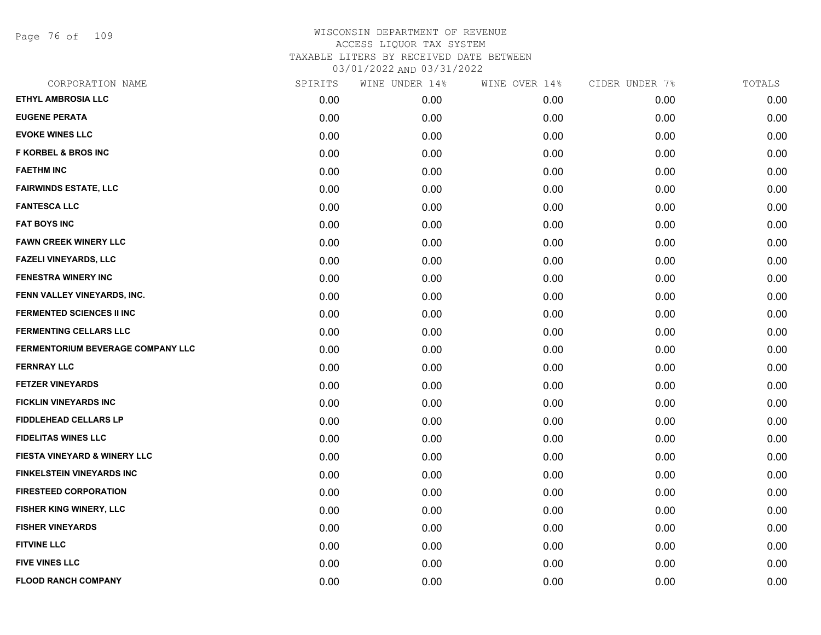Page 76 of 109

| CORPORATION NAME                        | SPIRITS | WINE UNDER 14% | WINE OVER 14% | CIDER UNDER 7% | TOTALS |
|-----------------------------------------|---------|----------------|---------------|----------------|--------|
| ETHYL AMBROSIA LLC                      | 0.00    | 0.00           | 0.00          | 0.00           | 0.00   |
| <b>EUGENE PERATA</b>                    | 0.00    | 0.00           | 0.00          | 0.00           | 0.00   |
| <b>EVOKE WINES LLC</b>                  | 0.00    | 0.00           | 0.00          | 0.00           | 0.00   |
| <b>F KORBEL &amp; BROS INC</b>          | 0.00    | 0.00           | 0.00          | 0.00           | 0.00   |
| <b>FAETHM INC</b>                       | 0.00    | 0.00           | 0.00          | 0.00           | 0.00   |
| <b>FAIRWINDS ESTATE, LLC</b>            | 0.00    | 0.00           | 0.00          | 0.00           | 0.00   |
| <b>FANTESCA LLC</b>                     | 0.00    | 0.00           | 0.00          | 0.00           | 0.00   |
| <b>FAT BOYS INC</b>                     | 0.00    | 0.00           | 0.00          | 0.00           | 0.00   |
| <b>FAWN CREEK WINERY LLC</b>            | 0.00    | 0.00           | 0.00          | 0.00           | 0.00   |
| <b>FAZELI VINEYARDS, LLC</b>            | 0.00    | 0.00           | 0.00          | 0.00           | 0.00   |
| <b>FENESTRA WINERY INC</b>              | 0.00    | 0.00           | 0.00          | 0.00           | 0.00   |
| FENN VALLEY VINEYARDS, INC.             | 0.00    | 0.00           | 0.00          | 0.00           | 0.00   |
| <b>FERMENTED SCIENCES II INC</b>        | 0.00    | 0.00           | 0.00          | 0.00           | 0.00   |
| <b>FERMENTING CELLARS LLC</b>           | 0.00    | 0.00           | 0.00          | 0.00           | 0.00   |
| FERMENTORIUM BEVERAGE COMPANY LLC       | 0.00    | 0.00           | 0.00          | 0.00           | 0.00   |
| <b>FERNRAY LLC</b>                      | 0.00    | 0.00           | 0.00          | 0.00           | 0.00   |
| <b>FETZER VINEYARDS</b>                 | 0.00    | 0.00           | 0.00          | 0.00           | 0.00   |
| <b>FICKLIN VINEYARDS INC</b>            | 0.00    | 0.00           | 0.00          | 0.00           | 0.00   |
| <b>FIDDLEHEAD CELLARS LP</b>            | 0.00    | 0.00           | 0.00          | 0.00           | 0.00   |
| <b>FIDELITAS WINES LLC</b>              | 0.00    | 0.00           | 0.00          | 0.00           | 0.00   |
| <b>FIESTA VINEYARD &amp; WINERY LLC</b> | 0.00    | 0.00           | 0.00          | 0.00           | 0.00   |
| <b>FINKELSTEIN VINEYARDS INC</b>        | 0.00    | 0.00           | 0.00          | 0.00           | 0.00   |
| <b>FIRESTEED CORPORATION</b>            | 0.00    | 0.00           | 0.00          | 0.00           | 0.00   |
| FISHER KING WINERY, LLC                 | 0.00    | 0.00           | 0.00          | 0.00           | 0.00   |
| <b>FISHER VINEYARDS</b>                 | 0.00    | 0.00           | 0.00          | 0.00           | 0.00   |
| <b>FITVINE LLC</b>                      | 0.00    | 0.00           | 0.00          | 0.00           | 0.00   |
| <b>FIVE VINES LLC</b>                   | 0.00    | 0.00           | 0.00          | 0.00           | 0.00   |
| <b>FLOOD RANCH COMPANY</b>              | 0.00    | 0.00           | 0.00          | 0.00           | 0.00   |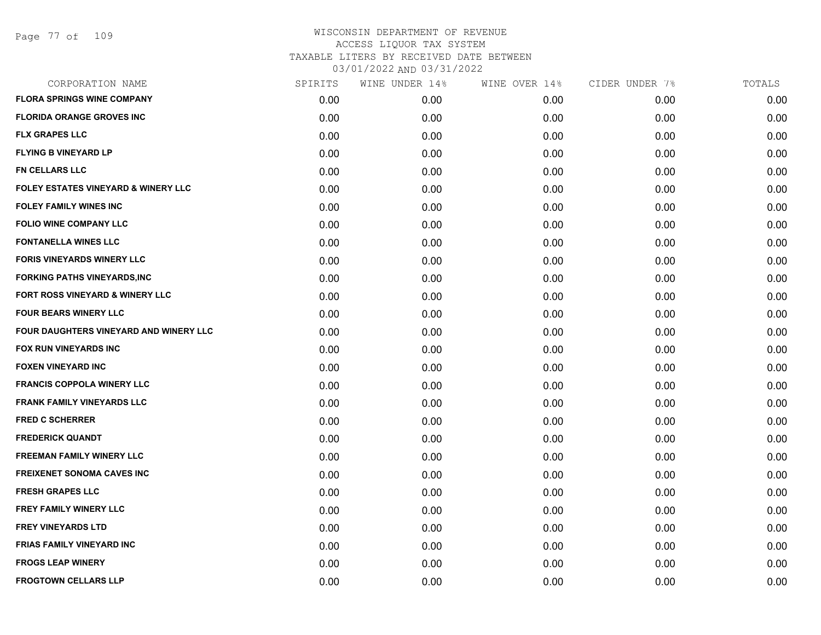| CORPORATION NAME                              | SPIRITS | WINE UNDER 14% | WINE OVER 14% | CIDER UNDER 7% | TOTALS |
|-----------------------------------------------|---------|----------------|---------------|----------------|--------|
| <b>FLORA SPRINGS WINE COMPANY</b>             | 0.00    | 0.00           | 0.00          | 0.00           | 0.00   |
| <b>FLORIDA ORANGE GROVES INC</b>              | 0.00    | 0.00           | 0.00          | 0.00           | 0.00   |
| <b>FLX GRAPES LLC</b>                         | 0.00    | 0.00           | 0.00          | 0.00           | 0.00   |
| <b>FLYING B VINEYARD LP</b>                   | 0.00    | 0.00           | 0.00          | 0.00           | 0.00   |
| <b>FN CELLARS LLC</b>                         | 0.00    | 0.00           | 0.00          | 0.00           | 0.00   |
| FOLEY ESTATES VINEYARD & WINERY LLC           | 0.00    | 0.00           | 0.00          | 0.00           | 0.00   |
| <b>FOLEY FAMILY WINES INC</b>                 | 0.00    | 0.00           | 0.00          | 0.00           | 0.00   |
| <b>FOLIO WINE COMPANY LLC</b>                 | 0.00    | 0.00           | 0.00          | 0.00           | 0.00   |
| <b>FONTANELLA WINES LLC</b>                   | 0.00    | 0.00           | 0.00          | 0.00           | 0.00   |
| <b>FORIS VINEYARDS WINERY LLC</b>             | 0.00    | 0.00           | 0.00          | 0.00           | 0.00   |
| <b>FORKING PATHS VINEYARDS, INC</b>           | 0.00    | 0.00           | 0.00          | 0.00           | 0.00   |
| FORT ROSS VINEYARD & WINERY LLC               | 0.00    | 0.00           | 0.00          | 0.00           | 0.00   |
| <b>FOUR BEARS WINERY LLC</b>                  | 0.00    | 0.00           | 0.00          | 0.00           | 0.00   |
| <b>FOUR DAUGHTERS VINEYARD AND WINERY LLC</b> | 0.00    | 0.00           | 0.00          | 0.00           | 0.00   |
| FOX RUN VINEYARDS INC                         | 0.00    | 0.00           | 0.00          | 0.00           | 0.00   |
| <b>FOXEN VINEYARD INC</b>                     | 0.00    | 0.00           | 0.00          | 0.00           | 0.00   |
| <b>FRANCIS COPPOLA WINERY LLC</b>             | 0.00    | 0.00           | 0.00          | 0.00           | 0.00   |
| <b>FRANK FAMILY VINEYARDS LLC</b>             | 0.00    | 0.00           | 0.00          | 0.00           | 0.00   |
| <b>FRED C SCHERRER</b>                        | 0.00    | 0.00           | 0.00          | 0.00           | 0.00   |
| <b>FREDERICK QUANDT</b>                       | 0.00    | 0.00           | 0.00          | 0.00           | 0.00   |
| <b>FREEMAN FAMILY WINERY LLC</b>              | 0.00    | 0.00           | 0.00          | 0.00           | 0.00   |
| <b>FREIXENET SONOMA CAVES INC</b>             | 0.00    | 0.00           | 0.00          | 0.00           | 0.00   |
| <b>FRESH GRAPES LLC</b>                       | 0.00    | 0.00           | 0.00          | 0.00           | 0.00   |
| <b>FREY FAMILY WINERY LLC</b>                 | 0.00    | 0.00           | 0.00          | 0.00           | 0.00   |
| <b>FREY VINEYARDS LTD</b>                     | 0.00    | 0.00           | 0.00          | 0.00           | 0.00   |
| <b>FRIAS FAMILY VINEYARD INC</b>              | 0.00    | 0.00           | 0.00          | 0.00           | 0.00   |
| <b>FROGS LEAP WINERY</b>                      | 0.00    | 0.00           | 0.00          | 0.00           | 0.00   |
| <b>FROGTOWN CELLARS LLP</b>                   | 0.00    | 0.00           | 0.00          | 0.00           | 0.00   |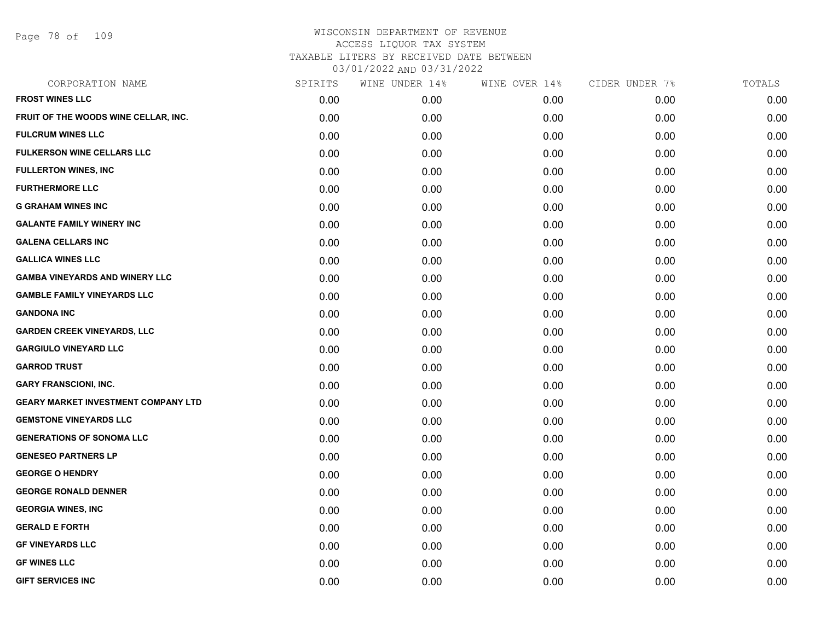Page 78 of 109

| CORPORATION NAME                           | SPIRITS | WINE UNDER 14% | WINE OVER 14% | CIDER UNDER 7% | TOTALS |
|--------------------------------------------|---------|----------------|---------------|----------------|--------|
| <b>FROST WINES LLC</b>                     | 0.00    | 0.00           | 0.00          | 0.00           | 0.00   |
| FRUIT OF THE WOODS WINE CELLAR, INC.       | 0.00    | 0.00           | 0.00          | 0.00           | 0.00   |
| <b>FULCRUM WINES LLC</b>                   | 0.00    | 0.00           | 0.00          | 0.00           | 0.00   |
| <b>FULKERSON WINE CELLARS LLC</b>          | 0.00    | 0.00           | 0.00          | 0.00           | 0.00   |
| <b>FULLERTON WINES, INC</b>                | 0.00    | 0.00           | 0.00          | 0.00           | 0.00   |
| <b>FURTHERMORE LLC</b>                     | 0.00    | 0.00           | 0.00          | 0.00           | 0.00   |
| <b>G GRAHAM WINES INC</b>                  | 0.00    | 0.00           | 0.00          | 0.00           | 0.00   |
| <b>GALANTE FAMILY WINERY INC</b>           | 0.00    | 0.00           | 0.00          | 0.00           | 0.00   |
| <b>GALENA CELLARS INC</b>                  | 0.00    | 0.00           | 0.00          | 0.00           | 0.00   |
| <b>GALLICA WINES LLC</b>                   | 0.00    | 0.00           | 0.00          | 0.00           | 0.00   |
| <b>GAMBA VINEYARDS AND WINERY LLC</b>      | 0.00    | 0.00           | 0.00          | 0.00           | 0.00   |
| <b>GAMBLE FAMILY VINEYARDS LLC</b>         | 0.00    | 0.00           | 0.00          | 0.00           | 0.00   |
| <b>GANDONA INC</b>                         | 0.00    | 0.00           | 0.00          | 0.00           | 0.00   |
| <b>GARDEN CREEK VINEYARDS, LLC</b>         | 0.00    | 0.00           | 0.00          | 0.00           | 0.00   |
| <b>GARGIULO VINEYARD LLC</b>               | 0.00    | 0.00           | 0.00          | 0.00           | 0.00   |
| <b>GARROD TRUST</b>                        | 0.00    | 0.00           | 0.00          | 0.00           | 0.00   |
| <b>GARY FRANSCIONI, INC.</b>               | 0.00    | 0.00           | 0.00          | 0.00           | 0.00   |
| <b>GEARY MARKET INVESTMENT COMPANY LTD</b> | 0.00    | 0.00           | 0.00          | 0.00           | 0.00   |
| <b>GEMSTONE VINEYARDS LLC</b>              | 0.00    | 0.00           | 0.00          | 0.00           | 0.00   |
| <b>GENERATIONS OF SONOMA LLC</b>           | 0.00    | 0.00           | 0.00          | 0.00           | 0.00   |
| <b>GENESEO PARTNERS LP</b>                 | 0.00    | 0.00           | 0.00          | 0.00           | 0.00   |
| <b>GEORGE O HENDRY</b>                     | 0.00    | 0.00           | 0.00          | 0.00           | 0.00   |
| <b>GEORGE RONALD DENNER</b>                | 0.00    | 0.00           | 0.00          | 0.00           | 0.00   |
| <b>GEORGIA WINES, INC</b>                  | 0.00    | 0.00           | 0.00          | 0.00           | 0.00   |
| <b>GERALD E FORTH</b>                      | 0.00    | 0.00           | 0.00          | 0.00           | 0.00   |
| <b>GF VINEYARDS LLC</b>                    | 0.00    | 0.00           | 0.00          | 0.00           | 0.00   |
| <b>GF WINES LLC</b>                        | 0.00    | 0.00           | 0.00          | 0.00           | 0.00   |
| <b>GIFT SERVICES INC</b>                   | 0.00    | 0.00           | 0.00          | 0.00           | 0.00   |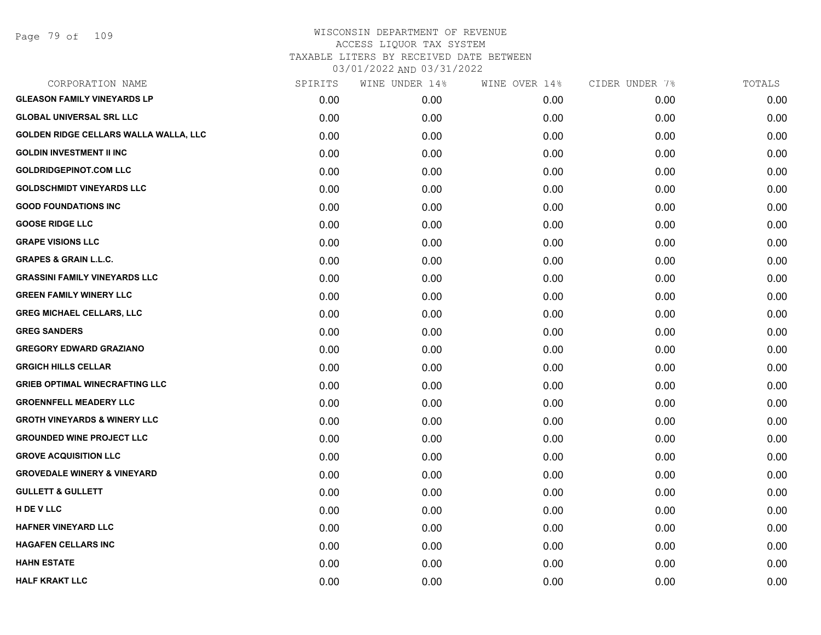| CORPORATION NAME                        | SPIRITS | WINE UNDER 14% | WINE OVER 14% | CIDER UNDER 7% | TOTALS |
|-----------------------------------------|---------|----------------|---------------|----------------|--------|
| <b>GLEASON FAMILY VINEYARDS LP</b>      | 0.00    | 0.00           | 0.00          | 0.00           | 0.00   |
| <b>GLOBAL UNIVERSAL SRL LLC</b>         | 0.00    | 0.00           | 0.00          | 0.00           | 0.00   |
| GOLDEN RIDGE CELLARS WALLA WALLA, LLC   | 0.00    | 0.00           | 0.00          | 0.00           | 0.00   |
| <b>GOLDIN INVESTMENT II INC</b>         | 0.00    | 0.00           | 0.00          | 0.00           | 0.00   |
| <b>GOLDRIDGEPINOT.COM LLC</b>           | 0.00    | 0.00           | 0.00          | 0.00           | 0.00   |
| <b>GOLDSCHMIDT VINEYARDS LLC</b>        | 0.00    | 0.00           | 0.00          | 0.00           | 0.00   |
| <b>GOOD FOUNDATIONS INC</b>             | 0.00    | 0.00           | 0.00          | 0.00           | 0.00   |
| <b>GOOSE RIDGE LLC</b>                  | 0.00    | 0.00           | 0.00          | 0.00           | 0.00   |
| <b>GRAPE VISIONS LLC</b>                | 0.00    | 0.00           | 0.00          | 0.00           | 0.00   |
| <b>GRAPES &amp; GRAIN L.L.C.</b>        | 0.00    | 0.00           | 0.00          | 0.00           | 0.00   |
| <b>GRASSINI FAMILY VINEYARDS LLC</b>    | 0.00    | 0.00           | 0.00          | 0.00           | 0.00   |
| <b>GREEN FAMILY WINERY LLC</b>          | 0.00    | 0.00           | 0.00          | 0.00           | 0.00   |
| <b>GREG MICHAEL CELLARS, LLC</b>        | 0.00    | 0.00           | 0.00          | 0.00           | 0.00   |
| <b>GREG SANDERS</b>                     | 0.00    | 0.00           | 0.00          | 0.00           | 0.00   |
| <b>GREGORY EDWARD GRAZIANO</b>          | 0.00    | 0.00           | 0.00          | 0.00           | 0.00   |
| <b>GRGICH HILLS CELLAR</b>              | 0.00    | 0.00           | 0.00          | 0.00           | 0.00   |
| <b>GRIEB OPTIMAL WINECRAFTING LLC</b>   | 0.00    | 0.00           | 0.00          | 0.00           | 0.00   |
| <b>GROENNFELL MEADERY LLC</b>           | 0.00    | 0.00           | 0.00          | 0.00           | 0.00   |
| <b>GROTH VINEYARDS &amp; WINERY LLC</b> | 0.00    | 0.00           | 0.00          | 0.00           | 0.00   |
| <b>GROUNDED WINE PROJECT LLC</b>        | 0.00    | 0.00           | 0.00          | 0.00           | 0.00   |
| <b>GROVE ACQUISITION LLC</b>            | 0.00    | 0.00           | 0.00          | 0.00           | 0.00   |
| <b>GROVEDALE WINERY &amp; VINEYARD</b>  | 0.00    | 0.00           | 0.00          | 0.00           | 0.00   |
| <b>GULLETT &amp; GULLETT</b>            | 0.00    | 0.00           | 0.00          | 0.00           | 0.00   |
| H DE V LLC                              | 0.00    | 0.00           | 0.00          | 0.00           | 0.00   |
| <b>HAFNER VINEYARD LLC</b>              | 0.00    | 0.00           | 0.00          | 0.00           | 0.00   |
| <b>HAGAFEN CELLARS INC</b>              | 0.00    | 0.00           | 0.00          | 0.00           | 0.00   |
| <b>HAHN ESTATE</b>                      | 0.00    | 0.00           | 0.00          | 0.00           | 0.00   |
| <b>HALF KRAKT LLC</b>                   | 0.00    | 0.00           | 0.00          | 0.00           | 0.00   |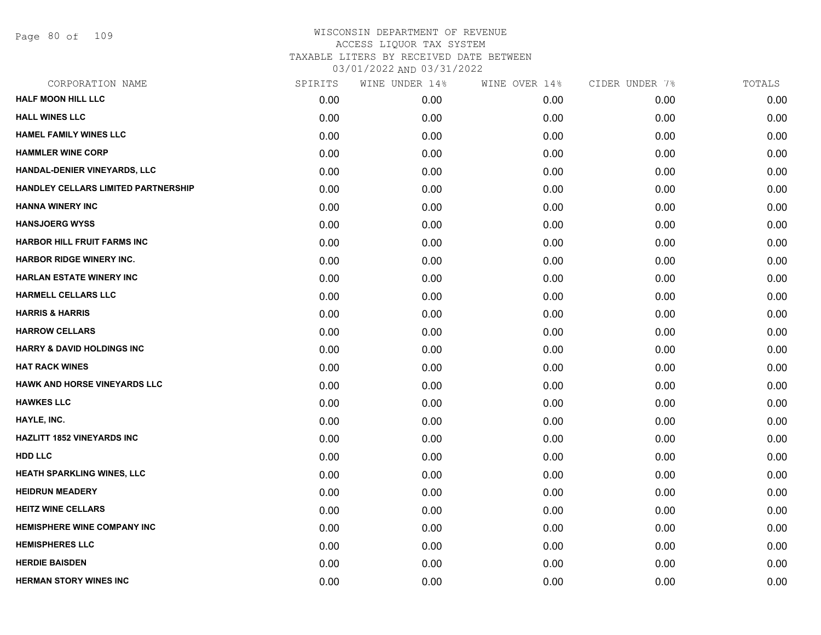Page 80 of 109

| CORPORATION NAME                      | SPIRITS | WINE UNDER 14% | WINE OVER 14% | CIDER UNDER 7% | TOTALS |
|---------------------------------------|---------|----------------|---------------|----------------|--------|
| <b>HALF MOON HILL LLC</b>             | 0.00    | 0.00           | 0.00          | 0.00           | 0.00   |
| <b>HALL WINES LLC</b>                 | 0.00    | 0.00           | 0.00          | 0.00           | 0.00   |
| <b>HAMEL FAMILY WINES LLC</b>         | 0.00    | 0.00           | 0.00          | 0.00           | 0.00   |
| <b>HAMMLER WINE CORP</b>              | 0.00    | 0.00           | 0.00          | 0.00           | 0.00   |
| HANDAL-DENIER VINEYARDS, LLC          | 0.00    | 0.00           | 0.00          | 0.00           | 0.00   |
| HANDLEY CELLARS LIMITED PARTNERSHIP   | 0.00    | 0.00           | 0.00          | 0.00           | 0.00   |
| <b>HANNA WINERY INC</b>               | 0.00    | 0.00           | 0.00          | 0.00           | 0.00   |
| <b>HANSJOERG WYSS</b>                 | 0.00    | 0.00           | 0.00          | 0.00           | 0.00   |
| HARBOR HILL FRUIT FARMS INC           | 0.00    | 0.00           | 0.00          | 0.00           | 0.00   |
| <b>HARBOR RIDGE WINERY INC.</b>       | 0.00    | 0.00           | 0.00          | 0.00           | 0.00   |
| <b>HARLAN ESTATE WINERY INC</b>       | 0.00    | 0.00           | 0.00          | 0.00           | 0.00   |
| <b>HARMELL CELLARS LLC</b>            | 0.00    | 0.00           | 0.00          | 0.00           | 0.00   |
| <b>HARRIS &amp; HARRIS</b>            | 0.00    | 0.00           | 0.00          | 0.00           | 0.00   |
| <b>HARROW CELLARS</b>                 | 0.00    | 0.00           | 0.00          | 0.00           | 0.00   |
| <b>HARRY &amp; DAVID HOLDINGS INC</b> | 0.00    | 0.00           | 0.00          | 0.00           | 0.00   |
| <b>HAT RACK WINES</b>                 | 0.00    | 0.00           | 0.00          | 0.00           | 0.00   |
| HAWK AND HORSE VINEYARDS LLC          | 0.00    | 0.00           | 0.00          | 0.00           | 0.00   |
| <b>HAWKES LLC</b>                     | 0.00    | 0.00           | 0.00          | 0.00           | 0.00   |
| HAYLE, INC.                           | 0.00    | 0.00           | 0.00          | 0.00           | 0.00   |
| <b>HAZLITT 1852 VINEYARDS INC</b>     | 0.00    | 0.00           | 0.00          | 0.00           | 0.00   |
| HDD LLC                               | 0.00    | 0.00           | 0.00          | 0.00           | 0.00   |
| <b>HEATH SPARKLING WINES, LLC</b>     | 0.00    | 0.00           | 0.00          | 0.00           | 0.00   |
| <b>HEIDRUN MEADERY</b>                | 0.00    | 0.00           | 0.00          | 0.00           | 0.00   |
| <b>HEITZ WINE CELLARS</b>             | 0.00    | 0.00           | 0.00          | 0.00           | 0.00   |
| HEMISPHERE WINE COMPANY INC           | 0.00    | 0.00           | 0.00          | 0.00           | 0.00   |
| <b>HEMISPHERES LLC</b>                | 0.00    | 0.00           | 0.00          | 0.00           | 0.00   |
| <b>HERDIE BAISDEN</b>                 | 0.00    | 0.00           | 0.00          | 0.00           | 0.00   |
| <b>HERMAN STORY WINES INC</b>         | 0.00    | 0.00           | 0.00          | 0.00           | 0.00   |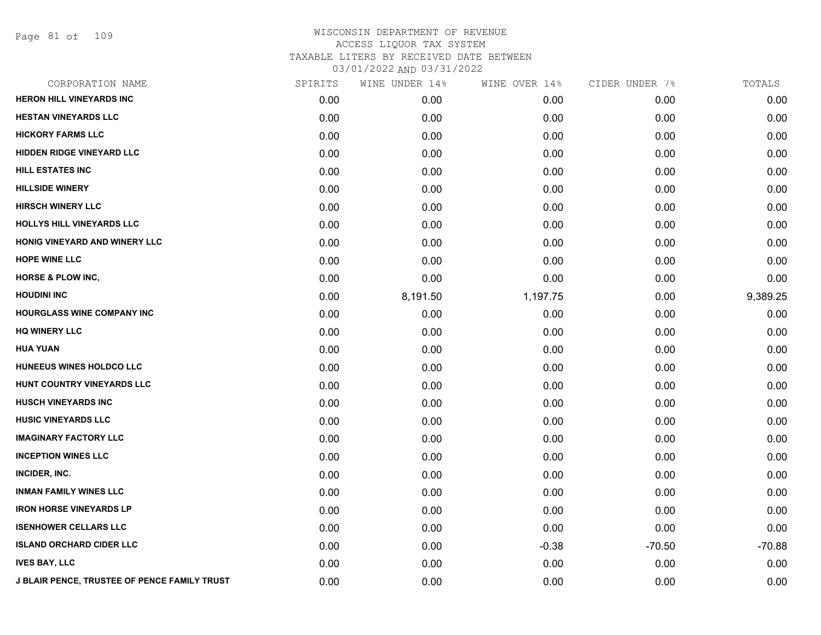Page 81 of 109

| CORPORATION NAME                                    | SPIRITS | WINE UNDER 14% | WINE OVER 14% | CIDER UNDER 7% | TOTALS   |
|-----------------------------------------------------|---------|----------------|---------------|----------------|----------|
| <b>HERON HILL VINEYARDS INC</b>                     | 0.00    | 0.00           | 0.00          | 0.00           | 0.00     |
| <b>HESTAN VINEYARDS LLC</b>                         | 0.00    | 0.00           | 0.00          | 0.00           | 0.00     |
| <b>HICKORY FARMS LLC</b>                            | 0.00    | 0.00           | 0.00          | 0.00           | 0.00     |
| <b>HIDDEN RIDGE VINEYARD LLC</b>                    | 0.00    | 0.00           | 0.00          | 0.00           | 0.00     |
| <b>HILL ESTATES INC</b>                             | 0.00    | 0.00           | 0.00          | 0.00           | 0.00     |
| <b>HILLSIDE WINERY</b>                              | 0.00    | 0.00           | 0.00          | 0.00           | 0.00     |
| <b>HIRSCH WINERY LLC</b>                            | 0.00    | 0.00           | 0.00          | 0.00           | 0.00     |
| HOLLYS HILL VINEYARDS LLC                           | 0.00    | 0.00           | 0.00          | 0.00           | 0.00     |
| HONIG VINEYARD AND WINERY LLC                       | 0.00    | 0.00           | 0.00          | 0.00           | 0.00     |
| <b>HOPE WINE LLC</b>                                | 0.00    | 0.00           | 0.00          | 0.00           | 0.00     |
| <b>HORSE &amp; PLOW INC,</b>                        | 0.00    | 0.00           | 0.00          | 0.00           | 0.00     |
| <b>HOUDINI INC</b>                                  | 0.00    | 8,191.50       | 1,197.75      | 0.00           | 9,389.25 |
| <b>HOURGLASS WINE COMPANY INC</b>                   | 0.00    | 0.00           | 0.00          | 0.00           | 0.00     |
| <b>HQ WINERY LLC</b>                                | 0.00    | 0.00           | 0.00          | 0.00           | 0.00     |
| <b>HUA YUAN</b>                                     | 0.00    | 0.00           | 0.00          | 0.00           | 0.00     |
| HUNEEUS WINES HOLDCO LLC                            | 0.00    | 0.00           | 0.00          | 0.00           | 0.00     |
| HUNT COUNTRY VINEYARDS LLC                          | 0.00    | 0.00           | 0.00          | 0.00           | 0.00     |
| <b>HUSCH VINEYARDS INC</b>                          | 0.00    | 0.00           | 0.00          | 0.00           | 0.00     |
| <b>HUSIC VINEYARDS LLC</b>                          | 0.00    | 0.00           | 0.00          | 0.00           | 0.00     |
| <b>IMAGINARY FACTORY LLC</b>                        | 0.00    | 0.00           | 0.00          | 0.00           | 0.00     |
| <b>INCEPTION WINES LLC</b>                          | 0.00    | 0.00           | 0.00          | 0.00           | 0.00     |
| INCIDER, INC.                                       | 0.00    | 0.00           | 0.00          | 0.00           | 0.00     |
| <b>INMAN FAMILY WINES LLC</b>                       | 0.00    | 0.00           | 0.00          | 0.00           | 0.00     |
| <b>IRON HORSE VINEYARDS LP</b>                      | 0.00    | 0.00           | 0.00          | 0.00           | 0.00     |
| <b>ISENHOWER CELLARS LLC</b>                        | 0.00    | 0.00           | 0.00          | 0.00           | 0.00     |
| <b>ISLAND ORCHARD CIDER LLC</b>                     | 0.00    | 0.00           | $-0.38$       | $-70.50$       | $-70.88$ |
| <b>IVES BAY, LLC</b>                                | 0.00    | 0.00           | 0.00          | 0.00           | 0.00     |
| <b>J BLAIR PENCE, TRUSTEE OF PENCE FAMILY TRUST</b> | 0.00    | 0.00           | 0.00          | 0.00           | 0.00     |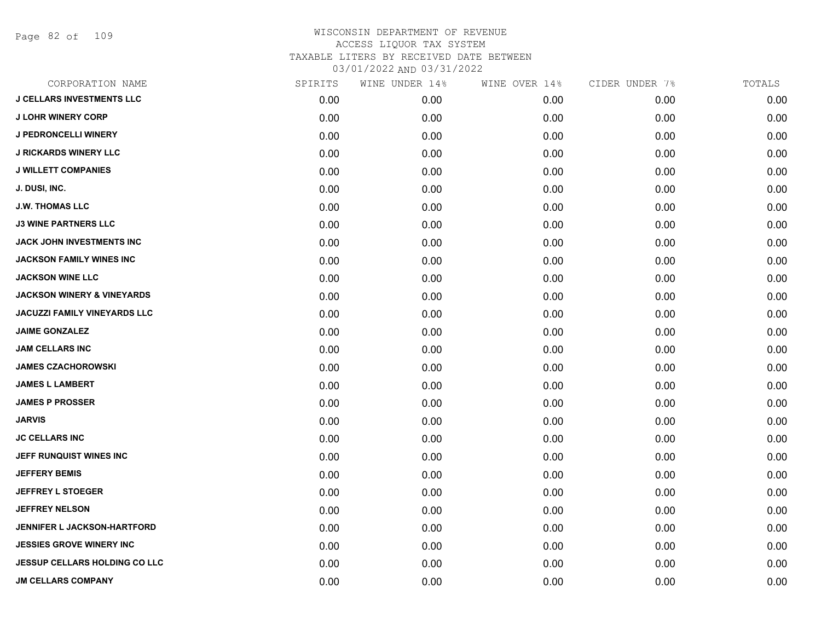Page 82 of 109

| CORPORATION NAME                      | SPIRITS | WINE UNDER 14% | WINE OVER 14% | CIDER UNDER 7% | TOTALS |
|---------------------------------------|---------|----------------|---------------|----------------|--------|
| <b>J CELLARS INVESTMENTS LLC</b>      | 0.00    | 0.00           | 0.00          | 0.00           | 0.00   |
| <b>J LOHR WINERY CORP</b>             | 0.00    | 0.00           | 0.00          | 0.00           | 0.00   |
| <b>J PEDRONCELLI WINERY</b>           | 0.00    | 0.00           | 0.00          | 0.00           | 0.00   |
| <b>J RICKARDS WINERY LLC</b>          | 0.00    | 0.00           | 0.00          | 0.00           | 0.00   |
| <b>J WILLETT COMPANIES</b>            | 0.00    | 0.00           | 0.00          | 0.00           | 0.00   |
| J. DUSI, INC.                         | 0.00    | 0.00           | 0.00          | 0.00           | 0.00   |
| <b>J.W. THOMAS LLC</b>                | 0.00    | 0.00           | 0.00          | 0.00           | 0.00   |
| <b>J3 WINE PARTNERS LLC</b>           | 0.00    | 0.00           | 0.00          | 0.00           | 0.00   |
| JACK JOHN INVESTMENTS INC             | 0.00    | 0.00           | 0.00          | 0.00           | 0.00   |
| JACKSON FAMILY WINES INC              | 0.00    | 0.00           | 0.00          | 0.00           | 0.00   |
| <b>JACKSON WINE LLC</b>               | 0.00    | 0.00           | 0.00          | 0.00           | 0.00   |
| <b>JACKSON WINERY &amp; VINEYARDS</b> | 0.00    | 0.00           | 0.00          | 0.00           | 0.00   |
| <b>JACUZZI FAMILY VINEYARDS LLC</b>   | 0.00    | 0.00           | 0.00          | 0.00           | 0.00   |
| <b>JAIME GONZALEZ</b>                 | 0.00    | 0.00           | 0.00          | 0.00           | 0.00   |
| <b>JAM CELLARS INC</b>                | 0.00    | 0.00           | 0.00          | 0.00           | 0.00   |
| <b>JAMES CZACHOROWSKI</b>             | 0.00    | 0.00           | 0.00          | 0.00           | 0.00   |
| <b>JAMES L LAMBERT</b>                | 0.00    | 0.00           | 0.00          | 0.00           | 0.00   |
| <b>JAMES P PROSSER</b>                | 0.00    | 0.00           | 0.00          | 0.00           | 0.00   |
| JARVIS                                | 0.00    | 0.00           | 0.00          | 0.00           | 0.00   |
| <b>JC CELLARS INC</b>                 | 0.00    | 0.00           | 0.00          | 0.00           | 0.00   |
| JEFF RUNQUIST WINES INC               | 0.00    | 0.00           | 0.00          | 0.00           | 0.00   |
| <b>JEFFERY BEMIS</b>                  | 0.00    | 0.00           | 0.00          | 0.00           | 0.00   |
| <b>JEFFREY L STOEGER</b>              | 0.00    | 0.00           | 0.00          | 0.00           | 0.00   |
| <b>JEFFREY NELSON</b>                 | 0.00    | 0.00           | 0.00          | 0.00           | 0.00   |
| JENNIFER L JACKSON-HARTFORD           | 0.00    | 0.00           | 0.00          | 0.00           | 0.00   |
| <b>JESSIES GROVE WINERY INC</b>       | 0.00    | 0.00           | 0.00          | 0.00           | 0.00   |
| <b>JESSUP CELLARS HOLDING CO LLC</b>  | 0.00    | 0.00           | 0.00          | 0.00           | 0.00   |
| <b>JM CELLARS COMPANY</b>             | 0.00    | 0.00           | 0.00          | 0.00           | 0.00   |
|                                       |         |                |               |                |        |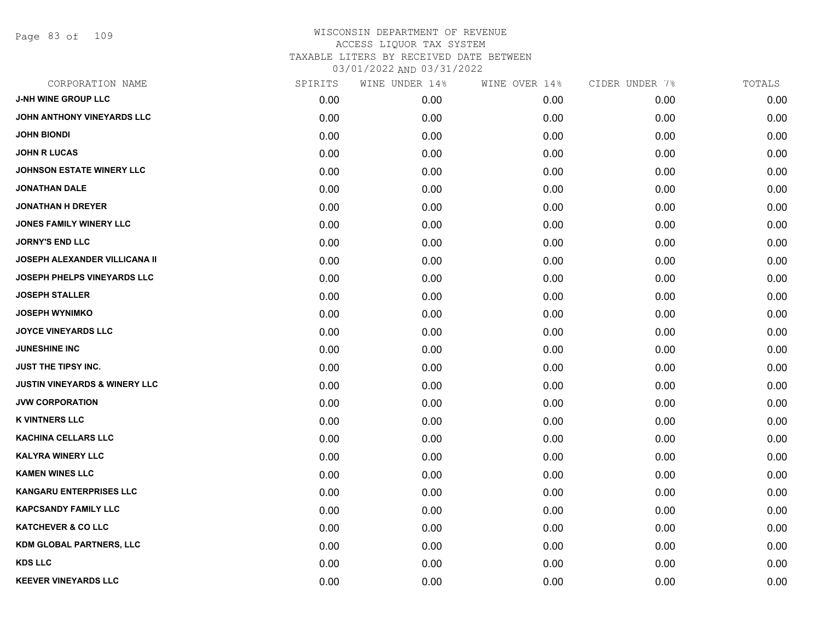Page 83 of 109

| CORPORATION NAME                         | SPIRITS | WINE UNDER 14% | WINE OVER 14% | CIDER UNDER 7% | TOTALS |
|------------------------------------------|---------|----------------|---------------|----------------|--------|
| <b>J-NH WINE GROUP LLC</b>               | 0.00    | 0.00           | 0.00          | 0.00           | 0.00   |
| JOHN ANTHONY VINEYARDS LLC               | 0.00    | 0.00           | 0.00          | 0.00           | 0.00   |
| <b>JOHN BIONDI</b>                       | 0.00    | 0.00           | 0.00          | 0.00           | 0.00   |
| <b>JOHN R LUCAS</b>                      | 0.00    | 0.00           | 0.00          | 0.00           | 0.00   |
| <b>JOHNSON ESTATE WINERY LLC</b>         | 0.00    | 0.00           | 0.00          | 0.00           | 0.00   |
| <b>JONATHAN DALE</b>                     | 0.00    | 0.00           | 0.00          | 0.00           | 0.00   |
| <b>JONATHAN H DREYER</b>                 | 0.00    | 0.00           | 0.00          | 0.00           | 0.00   |
| <b>JONES FAMILY WINERY LLC</b>           | 0.00    | 0.00           | 0.00          | 0.00           | 0.00   |
| <b>JORNY'S END LLC</b>                   | 0.00    | 0.00           | 0.00          | 0.00           | 0.00   |
| JOSEPH ALEXANDER VILLICANA II            | 0.00    | 0.00           | 0.00          | 0.00           | 0.00   |
| JOSEPH PHELPS VINEYARDS LLC              | 0.00    | 0.00           | 0.00          | 0.00           | 0.00   |
| <b>JOSEPH STALLER</b>                    | 0.00    | 0.00           | 0.00          | 0.00           | 0.00   |
| <b>JOSEPH WYNIMKO</b>                    | 0.00    | 0.00           | 0.00          | 0.00           | 0.00   |
| <b>JOYCE VINEYARDS LLC</b>               | 0.00    | 0.00           | 0.00          | 0.00           | 0.00   |
| <b>JUNESHINE INC</b>                     | 0.00    | 0.00           | 0.00          | 0.00           | 0.00   |
| <b>JUST THE TIPSY INC.</b>               | 0.00    | 0.00           | 0.00          | 0.00           | 0.00   |
| <b>JUSTIN VINEYARDS &amp; WINERY LLC</b> | 0.00    | 0.00           | 0.00          | 0.00           | 0.00   |
| <b>JVW CORPORATION</b>                   | 0.00    | 0.00           | 0.00          | 0.00           | 0.00   |
| <b>K VINTNERS LLC</b>                    | 0.00    | 0.00           | 0.00          | 0.00           | 0.00   |
| KACHINA CELLARS LLC                      | 0.00    | 0.00           | 0.00          | 0.00           | 0.00   |
| <b>KALYRA WINERY LLC</b>                 | 0.00    | 0.00           | 0.00          | 0.00           | 0.00   |
| <b>KAMEN WINES LLC</b>                   | 0.00    | 0.00           | 0.00          | 0.00           | 0.00   |
| <b>KANGARU ENTERPRISES LLC</b>           | 0.00    | 0.00           | 0.00          | 0.00           | 0.00   |
| <b>KAPCSANDY FAMILY LLC</b>              | 0.00    | 0.00           | 0.00          | 0.00           | 0.00   |
| <b>KATCHEVER &amp; CO LLC</b>            | 0.00    | 0.00           | 0.00          | 0.00           | 0.00   |
| KDM GLOBAL PARTNERS, LLC                 | 0.00    | 0.00           | 0.00          | 0.00           | 0.00   |
| <b>KDS LLC</b>                           | 0.00    | 0.00           | 0.00          | 0.00           | 0.00   |
| <b>KEEVER VINEYARDS LLC</b>              | 0.00    | 0.00           | 0.00          | 0.00           | 0.00   |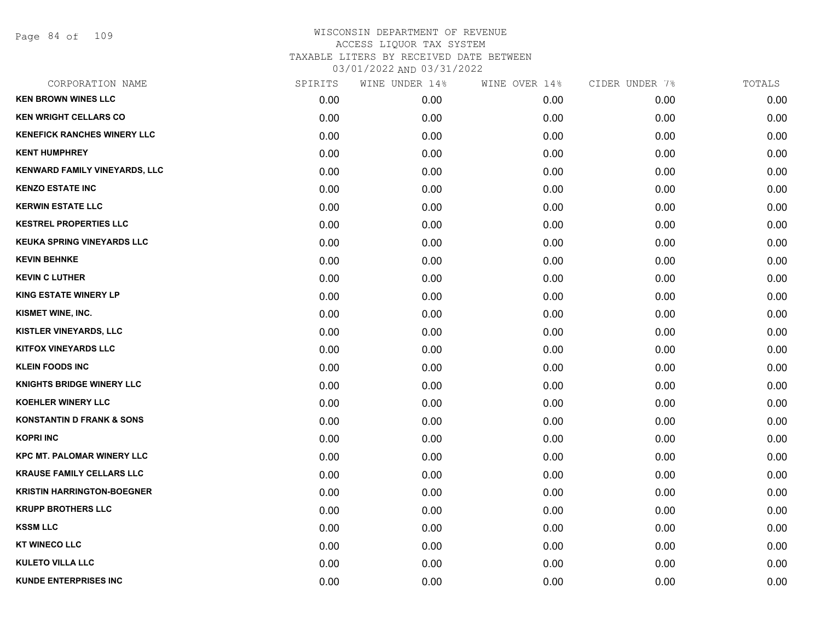Page 84 of 109

| CORPORATION NAME                     | SPIRITS | WINE UNDER 14% | WINE OVER 14% | CIDER UNDER 7% | TOTALS |
|--------------------------------------|---------|----------------|---------------|----------------|--------|
| <b>KEN BROWN WINES LLC</b>           | 0.00    | 0.00           | 0.00          | 0.00           | 0.00   |
| <b>KEN WRIGHT CELLARS CO</b>         | 0.00    | 0.00           | 0.00          | 0.00           | 0.00   |
| <b>KENEFICK RANCHES WINERY LLC</b>   | 0.00    | 0.00           | 0.00          | 0.00           | 0.00   |
| <b>KENT HUMPHREY</b>                 | 0.00    | 0.00           | 0.00          | 0.00           | 0.00   |
| KENWARD FAMILY VINEYARDS, LLC        | 0.00    | 0.00           | 0.00          | 0.00           | 0.00   |
| <b>KENZO ESTATE INC</b>              | 0.00    | 0.00           | 0.00          | 0.00           | 0.00   |
| <b>KERWIN ESTATE LLC</b>             | 0.00    | 0.00           | 0.00          | 0.00           | 0.00   |
| <b>KESTREL PROPERTIES LLC</b>        | 0.00    | 0.00           | 0.00          | 0.00           | 0.00   |
| <b>KEUKA SPRING VINEYARDS LLC</b>    | 0.00    | 0.00           | 0.00          | 0.00           | 0.00   |
| <b>KEVIN BEHNKE</b>                  | 0.00    | 0.00           | 0.00          | 0.00           | 0.00   |
| <b>KEVIN C LUTHER</b>                | 0.00    | 0.00           | 0.00          | 0.00           | 0.00   |
| <b>KING ESTATE WINERY LP</b>         | 0.00    | 0.00           | 0.00          | 0.00           | 0.00   |
| KISMET WINE, INC.                    | 0.00    | 0.00           | 0.00          | 0.00           | 0.00   |
| KISTLER VINEYARDS, LLC               | 0.00    | 0.00           | 0.00          | 0.00           | 0.00   |
| <b>KITFOX VINEYARDS LLC</b>          | 0.00    | 0.00           | 0.00          | 0.00           | 0.00   |
| <b>KLEIN FOODS INC</b>               | 0.00    | 0.00           | 0.00          | 0.00           | 0.00   |
| <b>KNIGHTS BRIDGE WINERY LLC</b>     | 0.00    | 0.00           | 0.00          | 0.00           | 0.00   |
| <b>KOEHLER WINERY LLC</b>            | 0.00    | 0.00           | 0.00          | 0.00           | 0.00   |
| <b>KONSTANTIN D FRANK &amp; SONS</b> | 0.00    | 0.00           | 0.00          | 0.00           | 0.00   |
| <b>KOPRI INC</b>                     | 0.00    | 0.00           | 0.00          | 0.00           | 0.00   |
| <b>KPC MT. PALOMAR WINERY LLC</b>    | 0.00    | 0.00           | 0.00          | 0.00           | 0.00   |
| <b>KRAUSE FAMILY CELLARS LLC</b>     | 0.00    | 0.00           | 0.00          | 0.00           | 0.00   |
| <b>KRISTIN HARRINGTON-BOEGNER</b>    | 0.00    | 0.00           | 0.00          | 0.00           | 0.00   |
| <b>KRUPP BROTHERS LLC</b>            | 0.00    | 0.00           | 0.00          | 0.00           | 0.00   |
| <b>KSSM LLC</b>                      | 0.00    | 0.00           | 0.00          | 0.00           | 0.00   |
| <b>KT WINECO LLC</b>                 | 0.00    | 0.00           | 0.00          | 0.00           | 0.00   |
| <b>KULETO VILLA LLC</b>              | 0.00    | 0.00           | 0.00          | 0.00           | 0.00   |
| <b>KUNDE ENTERPRISES INC</b>         | 0.00    | 0.00           | 0.00          | 0.00           | 0.00   |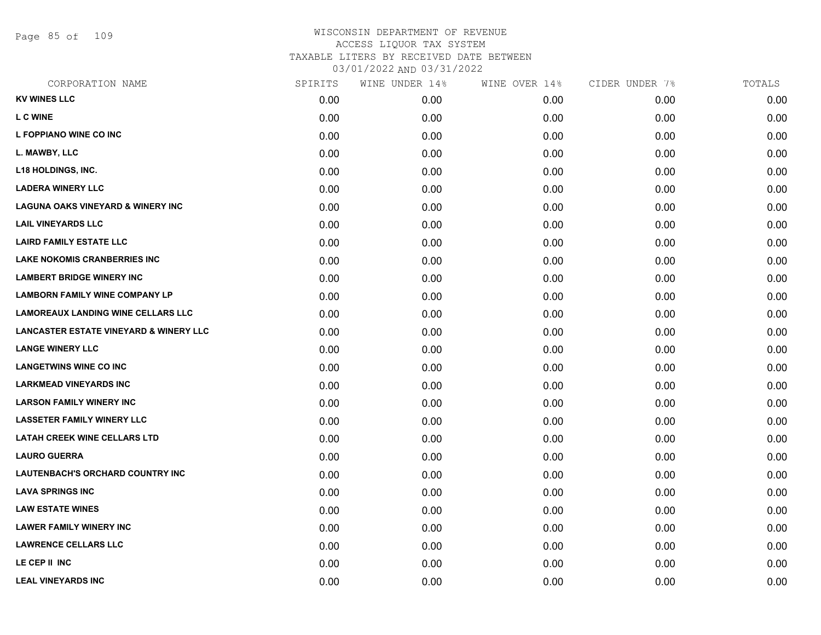Page 85 of 109

| CORPORATION NAME                                  | SPIRITS | WINE UNDER 14% | WINE OVER 14% | CIDER UNDER 7% | TOTALS |
|---------------------------------------------------|---------|----------------|---------------|----------------|--------|
| <b>KV WINES LLC</b>                               | 0.00    | 0.00           | 0.00          | 0.00           | 0.00   |
| <b>L C WINE</b>                                   | 0.00    | 0.00           | 0.00          | 0.00           | 0.00   |
| L FOPPIANO WINE CO INC                            | 0.00    | 0.00           | 0.00          | 0.00           | 0.00   |
| L. MAWBY, LLC                                     | 0.00    | 0.00           | 0.00          | 0.00           | 0.00   |
| <b>L18 HOLDINGS, INC.</b>                         | 0.00    | 0.00           | 0.00          | 0.00           | 0.00   |
| <b>LADERA WINERY LLC</b>                          | 0.00    | 0.00           | 0.00          | 0.00           | 0.00   |
| <b>LAGUNA OAKS VINEYARD &amp; WINERY INC</b>      | 0.00    | 0.00           | 0.00          | 0.00           | 0.00   |
| <b>LAIL VINEYARDS LLC</b>                         | 0.00    | 0.00           | 0.00          | 0.00           | 0.00   |
| <b>LAIRD FAMILY ESTATE LLC</b>                    | 0.00    | 0.00           | 0.00          | 0.00           | 0.00   |
| <b>LAKE NOKOMIS CRANBERRIES INC</b>               | 0.00    | 0.00           | 0.00          | 0.00           | 0.00   |
| <b>LAMBERT BRIDGE WINERY INC</b>                  | 0.00    | 0.00           | 0.00          | 0.00           | 0.00   |
| <b>LAMBORN FAMILY WINE COMPANY LP</b>             | 0.00    | 0.00           | 0.00          | 0.00           | 0.00   |
| <b>LAMOREAUX LANDING WINE CELLARS LLC</b>         | 0.00    | 0.00           | 0.00          | 0.00           | 0.00   |
| <b>LANCASTER ESTATE VINEYARD &amp; WINERY LLC</b> | 0.00    | 0.00           | 0.00          | 0.00           | 0.00   |
| <b>LANGE WINERY LLC</b>                           | 0.00    | 0.00           | 0.00          | 0.00           | 0.00   |
| <b>LANGETWINS WINE CO INC</b>                     | 0.00    | 0.00           | 0.00          | 0.00           | 0.00   |
| <b>LARKMEAD VINEYARDS INC</b>                     | 0.00    | 0.00           | 0.00          | 0.00           | 0.00   |
| <b>LARSON FAMILY WINERY INC</b>                   | 0.00    | 0.00           | 0.00          | 0.00           | 0.00   |
| <b>LASSETER FAMILY WINERY LLC</b>                 | 0.00    | 0.00           | 0.00          | 0.00           | 0.00   |
| <b>LATAH CREEK WINE CELLARS LTD</b>               | 0.00    | 0.00           | 0.00          | 0.00           | 0.00   |
| <b>LAURO GUERRA</b>                               | 0.00    | 0.00           | 0.00          | 0.00           | 0.00   |
| <b>LAUTENBACH'S ORCHARD COUNTRY INC</b>           | 0.00    | 0.00           | 0.00          | 0.00           | 0.00   |
| <b>LAVA SPRINGS INC</b>                           | 0.00    | 0.00           | 0.00          | 0.00           | 0.00   |
| <b>LAW ESTATE WINES</b>                           | 0.00    | 0.00           | 0.00          | 0.00           | 0.00   |
| <b>LAWER FAMILY WINERY INC</b>                    | 0.00    | 0.00           | 0.00          | 0.00           | 0.00   |
| <b>LAWRENCE CELLARS LLC</b>                       | 0.00    | 0.00           | 0.00          | 0.00           | 0.00   |
| LE CEP II INC                                     | 0.00    | 0.00           | 0.00          | 0.00           | 0.00   |
| <b>LEAL VINEYARDS INC</b>                         | 0.00    | 0.00           | 0.00          | 0.00           | 0.00   |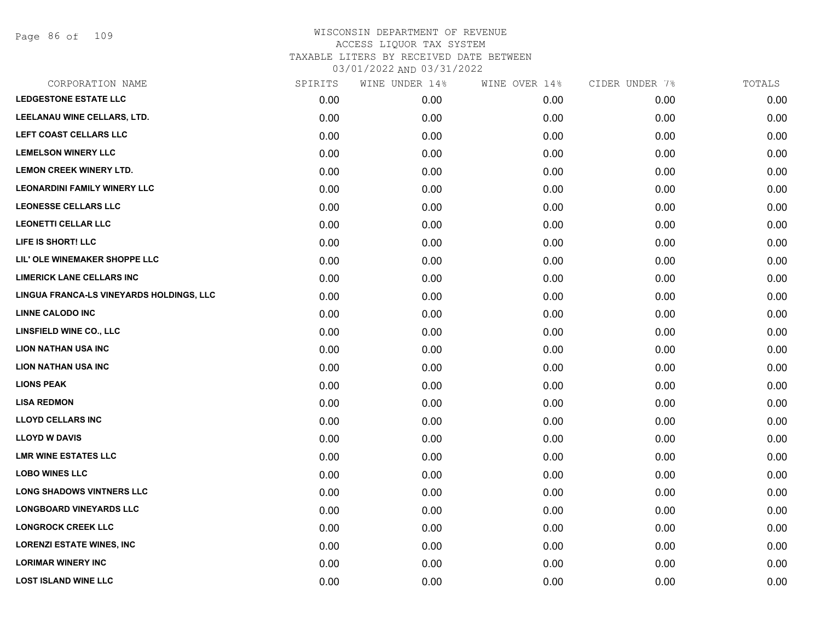Page 86 of 109

| SPIRITS | WINE UNDER 14% | WINE OVER 14% | CIDER UNDER 7% | TOTALS |
|---------|----------------|---------------|----------------|--------|
| 0.00    | 0.00           | 0.00          | 0.00           | 0.00   |
| 0.00    | 0.00           | 0.00          | 0.00           | 0.00   |
| 0.00    | 0.00           | 0.00          | 0.00           | 0.00   |
| 0.00    | 0.00           | 0.00          | 0.00           | 0.00   |
| 0.00    | 0.00           | 0.00          | 0.00           | 0.00   |
| 0.00    | 0.00           | 0.00          | 0.00           | 0.00   |
| 0.00    | 0.00           | 0.00          | 0.00           | 0.00   |
| 0.00    | 0.00           | 0.00          | 0.00           | 0.00   |
| 0.00    | 0.00           | 0.00          | 0.00           | 0.00   |
| 0.00    | 0.00           | 0.00          | 0.00           | 0.00   |
| 0.00    | 0.00           | 0.00          | 0.00           | 0.00   |
| 0.00    | 0.00           | 0.00          | 0.00           | 0.00   |
| 0.00    | 0.00           | 0.00          | 0.00           | 0.00   |
| 0.00    | 0.00           | 0.00          | 0.00           | 0.00   |
| 0.00    | 0.00           | 0.00          | 0.00           | 0.00   |
| 0.00    | 0.00           | 0.00          | 0.00           | 0.00   |
| 0.00    | 0.00           | 0.00          | 0.00           | 0.00   |
| 0.00    | 0.00           | 0.00          | 0.00           | 0.00   |
| 0.00    | 0.00           | 0.00          | 0.00           | 0.00   |
| 0.00    | 0.00           | 0.00          | 0.00           | 0.00   |
| 0.00    | 0.00           | 0.00          | 0.00           | 0.00   |
| 0.00    | 0.00           | 0.00          | 0.00           | 0.00   |
| 0.00    | 0.00           | 0.00          | 0.00           | 0.00   |
| 0.00    | 0.00           | 0.00          | 0.00           | 0.00   |
| 0.00    | 0.00           | 0.00          | 0.00           | 0.00   |
| 0.00    | 0.00           | 0.00          | 0.00           | 0.00   |
| 0.00    | 0.00           | 0.00          | 0.00           | 0.00   |
| 0.00    | 0.00           | 0.00          | 0.00           | 0.00   |
|         |                |               |                |        |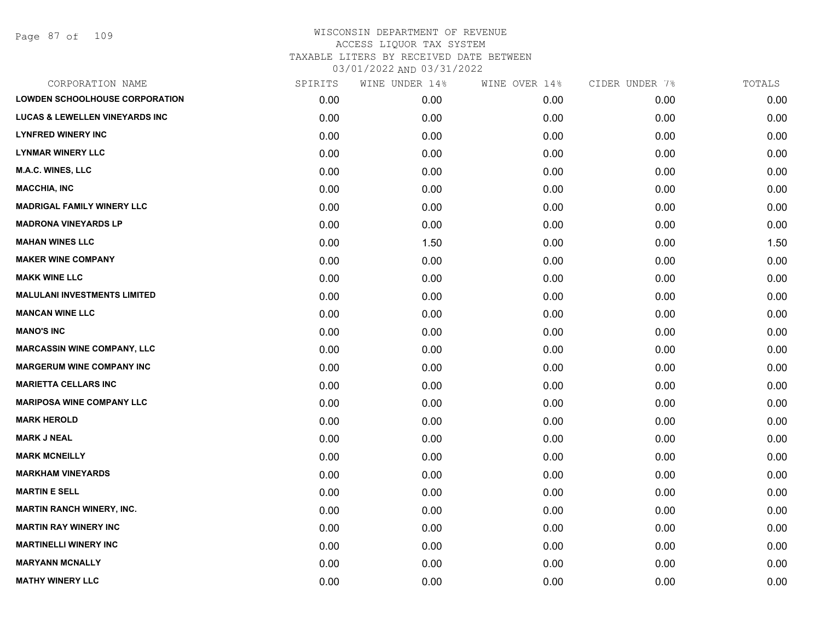Page 87 of 109

| CORPORATION NAME                          | SPIRITS | WINE UNDER 14% | WINE OVER 14% | CIDER UNDER 7% | TOTALS |
|-------------------------------------------|---------|----------------|---------------|----------------|--------|
| <b>LOWDEN SCHOOLHOUSE CORPORATION</b>     | 0.00    | 0.00           | 0.00          | 0.00           | 0.00   |
| <b>LUCAS &amp; LEWELLEN VINEYARDS INC</b> | 0.00    | 0.00           | 0.00          | 0.00           | 0.00   |
| <b>LYNFRED WINERY INC</b>                 | 0.00    | 0.00           | 0.00          | 0.00           | 0.00   |
| <b>LYNMAR WINERY LLC</b>                  | 0.00    | 0.00           | 0.00          | 0.00           | 0.00   |
| <b>M.A.C. WINES, LLC</b>                  | 0.00    | 0.00           | 0.00          | 0.00           | 0.00   |
| <b>MACCHIA, INC</b>                       | 0.00    | 0.00           | 0.00          | 0.00           | 0.00   |
| <b>MADRIGAL FAMILY WINERY LLC</b>         | 0.00    | 0.00           | 0.00          | 0.00           | 0.00   |
| <b>MADRONA VINEYARDS LP</b>               | 0.00    | 0.00           | 0.00          | 0.00           | 0.00   |
| <b>MAHAN WINES LLC</b>                    | 0.00    | 1.50           | 0.00          | 0.00           | 1.50   |
| <b>MAKER WINE COMPANY</b>                 | 0.00    | 0.00           | 0.00          | 0.00           | 0.00   |
| <b>MAKK WINE LLC</b>                      | 0.00    | 0.00           | 0.00          | 0.00           | 0.00   |
| <b>MALULANI INVESTMENTS LIMITED</b>       | 0.00    | 0.00           | 0.00          | 0.00           | 0.00   |
| <b>MANCAN WINE LLC</b>                    | 0.00    | 0.00           | 0.00          | 0.00           | 0.00   |
| <b>MANO'S INC</b>                         | 0.00    | 0.00           | 0.00          | 0.00           | 0.00   |
| <b>MARCASSIN WINE COMPANY, LLC</b>        | 0.00    | 0.00           | 0.00          | 0.00           | 0.00   |
| <b>MARGERUM WINE COMPANY INC</b>          | 0.00    | 0.00           | 0.00          | 0.00           | 0.00   |
| <b>MARIETTA CELLARS INC</b>               | 0.00    | 0.00           | 0.00          | 0.00           | 0.00   |
| <b>MARIPOSA WINE COMPANY LLC</b>          | 0.00    | 0.00           | 0.00          | 0.00           | 0.00   |
| <b>MARK HEROLD</b>                        | 0.00    | 0.00           | 0.00          | 0.00           | 0.00   |
| <b>MARK J NEAL</b>                        | 0.00    | 0.00           | 0.00          | 0.00           | 0.00   |
| <b>MARK MCNEILLY</b>                      | 0.00    | 0.00           | 0.00          | 0.00           | 0.00   |
| <b>MARKHAM VINEYARDS</b>                  | 0.00    | 0.00           | 0.00          | 0.00           | 0.00   |
| <b>MARTIN E SELL</b>                      | 0.00    | 0.00           | 0.00          | 0.00           | 0.00   |
| <b>MARTIN RANCH WINERY, INC.</b>          | 0.00    | 0.00           | 0.00          | 0.00           | 0.00   |
| <b>MARTIN RAY WINERY INC</b>              | 0.00    | 0.00           | 0.00          | 0.00           | 0.00   |
| <b>MARTINELLI WINERY INC</b>              | 0.00    | 0.00           | 0.00          | 0.00           | 0.00   |
| <b>MARYANN MCNALLY</b>                    | 0.00    | 0.00           | 0.00          | 0.00           | 0.00   |
| <b>MATHY WINERY LLC</b>                   | 0.00    | 0.00           | 0.00          | 0.00           | 0.00   |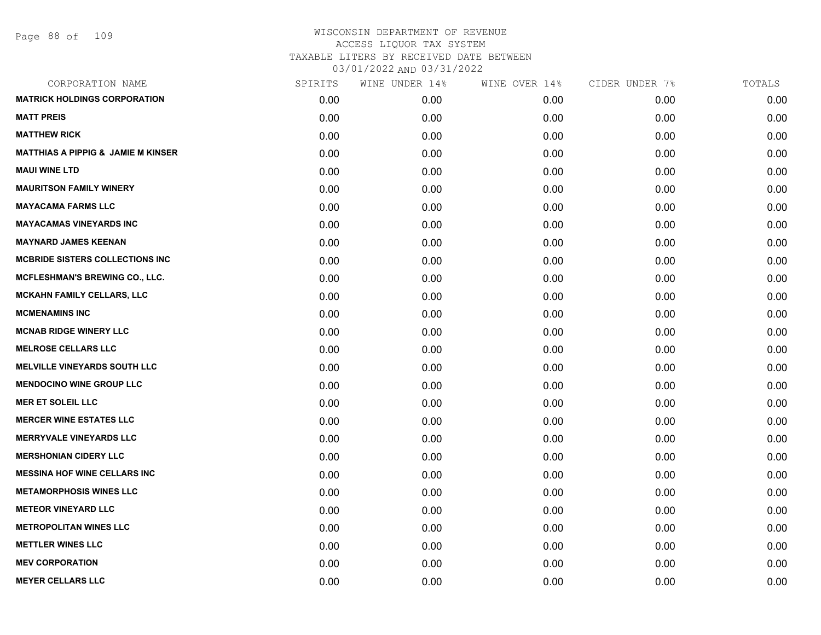| CORPORATION NAME                              | SPIRITS | WINE UNDER 14% | WINE OVER 14% | CIDER UNDER 7% | TOTALS |
|-----------------------------------------------|---------|----------------|---------------|----------------|--------|
| <b>MATRICK HOLDINGS CORPORATION</b>           | 0.00    | 0.00           | 0.00          | 0.00           | 0.00   |
| <b>MATT PREIS</b>                             | 0.00    | 0.00           | 0.00          | 0.00           | 0.00   |
| <b>MATTHEW RICK</b>                           | 0.00    | 0.00           | 0.00          | 0.00           | 0.00   |
| <b>MATTHIAS A PIPPIG &amp; JAMIE M KINSER</b> | 0.00    | 0.00           | 0.00          | 0.00           | 0.00   |
| <b>MAUI WINE LTD</b>                          | 0.00    | 0.00           | 0.00          | 0.00           | 0.00   |
| <b>MAURITSON FAMILY WINERY</b>                | 0.00    | 0.00           | 0.00          | 0.00           | 0.00   |
| <b>MAYACAMA FARMS LLC</b>                     | 0.00    | 0.00           | 0.00          | 0.00           | 0.00   |
| <b>MAYACAMAS VINEYARDS INC</b>                | 0.00    | 0.00           | 0.00          | 0.00           | 0.00   |
| <b>MAYNARD JAMES KEENAN</b>                   | 0.00    | 0.00           | 0.00          | 0.00           | 0.00   |
| <b>MCBRIDE SISTERS COLLECTIONS INC</b>        | 0.00    | 0.00           | 0.00          | 0.00           | 0.00   |
| <b>MCFLESHMAN'S BREWING CO., LLC.</b>         | 0.00    | 0.00           | 0.00          | 0.00           | 0.00   |
| MCKAHN FAMILY CELLARS, LLC                    | 0.00    | 0.00           | 0.00          | 0.00           | 0.00   |
| <b>MCMENAMINS INC</b>                         | 0.00    | 0.00           | 0.00          | 0.00           | 0.00   |
| <b>MCNAB RIDGE WINERY LLC</b>                 | 0.00    | 0.00           | 0.00          | 0.00           | 0.00   |
| <b>MELROSE CELLARS LLC</b>                    | 0.00    | 0.00           | 0.00          | 0.00           | 0.00   |
| <b>MELVILLE VINEYARDS SOUTH LLC</b>           | 0.00    | 0.00           | 0.00          | 0.00           | 0.00   |
| <b>MENDOCINO WINE GROUP LLC</b>               | 0.00    | 0.00           | 0.00          | 0.00           | 0.00   |
| <b>MER ET SOLEIL LLC</b>                      | 0.00    | 0.00           | 0.00          | 0.00           | 0.00   |
| <b>MERCER WINE ESTATES LLC</b>                | 0.00    | 0.00           | 0.00          | 0.00           | 0.00   |
| <b>MERRYVALE VINEYARDS LLC</b>                | 0.00    | 0.00           | 0.00          | 0.00           | 0.00   |
| <b>MERSHONIAN CIDERY LLC</b>                  | 0.00    | 0.00           | 0.00          | 0.00           | 0.00   |
| <b>MESSINA HOF WINE CELLARS INC</b>           | 0.00    | 0.00           | 0.00          | 0.00           | 0.00   |
| <b>METAMORPHOSIS WINES LLC</b>                | 0.00    | 0.00           | 0.00          | 0.00           | 0.00   |
| <b>METEOR VINEYARD LLC</b>                    | 0.00    | 0.00           | 0.00          | 0.00           | 0.00   |
| <b>METROPOLITAN WINES LLC</b>                 | 0.00    | 0.00           | 0.00          | 0.00           | 0.00   |
| <b>METTLER WINES LLC</b>                      | 0.00    | 0.00           | 0.00          | 0.00           | 0.00   |
| <b>MEV CORPORATION</b>                        | 0.00    | 0.00           | 0.00          | 0.00           | 0.00   |
| <b>MEYER CELLARS LLC</b>                      | 0.00    | 0.00           | 0.00          | 0.00           | 0.00   |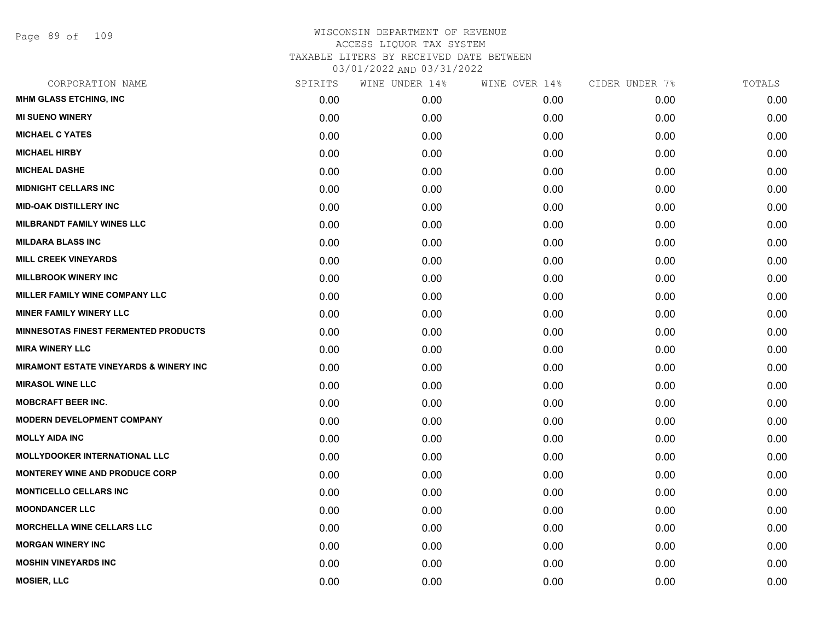Page 89 of 109

| CORPORATION NAME                                  | SPIRITS | WINE UNDER 14% | WINE OVER 14% | CIDER UNDER 7% | TOTALS |
|---------------------------------------------------|---------|----------------|---------------|----------------|--------|
| <b>MHM GLASS ETCHING, INC</b>                     | 0.00    | 0.00           | 0.00          | 0.00           | 0.00   |
| <b>MI SUENO WINERY</b>                            | 0.00    | 0.00           | 0.00          | 0.00           | 0.00   |
| <b>MICHAEL C YATES</b>                            | 0.00    | 0.00           | 0.00          | 0.00           | 0.00   |
| <b>MICHAEL HIRBY</b>                              | 0.00    | 0.00           | 0.00          | 0.00           | 0.00   |
| <b>MICHEAL DASHE</b>                              | 0.00    | 0.00           | 0.00          | 0.00           | 0.00   |
| <b>MIDNIGHT CELLARS INC</b>                       | 0.00    | 0.00           | 0.00          | 0.00           | 0.00   |
| <b>MID-OAK DISTILLERY INC</b>                     | 0.00    | 0.00           | 0.00          | 0.00           | 0.00   |
| <b>MILBRANDT FAMILY WINES LLC</b>                 | 0.00    | 0.00           | 0.00          | 0.00           | 0.00   |
| <b>MILDARA BLASS INC</b>                          | 0.00    | 0.00           | 0.00          | 0.00           | 0.00   |
| <b>MILL CREEK VINEYARDS</b>                       | 0.00    | 0.00           | 0.00          | 0.00           | 0.00   |
| <b>MILLBROOK WINERY INC</b>                       | 0.00    | 0.00           | 0.00          | 0.00           | 0.00   |
| <b>MILLER FAMILY WINE COMPANY LLC</b>             | 0.00    | 0.00           | 0.00          | 0.00           | 0.00   |
| <b>MINER FAMILY WINERY LLC</b>                    | 0.00    | 0.00           | 0.00          | 0.00           | 0.00   |
| <b>MINNESOTAS FINEST FERMENTED PRODUCTS</b>       | 0.00    | 0.00           | 0.00          | 0.00           | 0.00   |
| <b>MIRA WINERY LLC</b>                            | 0.00    | 0.00           | 0.00          | 0.00           | 0.00   |
| <b>MIRAMONT ESTATE VINEYARDS &amp; WINERY INC</b> | 0.00    | 0.00           | 0.00          | 0.00           | 0.00   |
| <b>MIRASOL WINE LLC</b>                           | 0.00    | 0.00           | 0.00          | 0.00           | 0.00   |
| <b>MOBCRAFT BEER INC.</b>                         | 0.00    | 0.00           | 0.00          | 0.00           | 0.00   |
| <b>MODERN DEVELOPMENT COMPANY</b>                 | 0.00    | 0.00           | 0.00          | 0.00           | 0.00   |
| <b>MOLLY AIDA INC</b>                             | 0.00    | 0.00           | 0.00          | 0.00           | 0.00   |
| <b>MOLLYDOOKER INTERNATIONAL LLC</b>              | 0.00    | 0.00           | 0.00          | 0.00           | 0.00   |
| <b>MONTEREY WINE AND PRODUCE CORP</b>             | 0.00    | 0.00           | 0.00          | 0.00           | 0.00   |
| <b>MONTICELLO CELLARS INC</b>                     | 0.00    | 0.00           | 0.00          | 0.00           | 0.00   |
| <b>MOONDANCER LLC</b>                             | 0.00    | 0.00           | 0.00          | 0.00           | 0.00   |
| <b>MORCHELLA WINE CELLARS LLC</b>                 | 0.00    | 0.00           | 0.00          | 0.00           | 0.00   |
| <b>MORGAN WINERY INC</b>                          | 0.00    | 0.00           | 0.00          | 0.00           | 0.00   |
| <b>MOSHIN VINEYARDS INC</b>                       | 0.00    | 0.00           | 0.00          | 0.00           | 0.00   |
| <b>MOSIER, LLC</b>                                | 0.00    | 0.00           | 0.00          | 0.00           | 0.00   |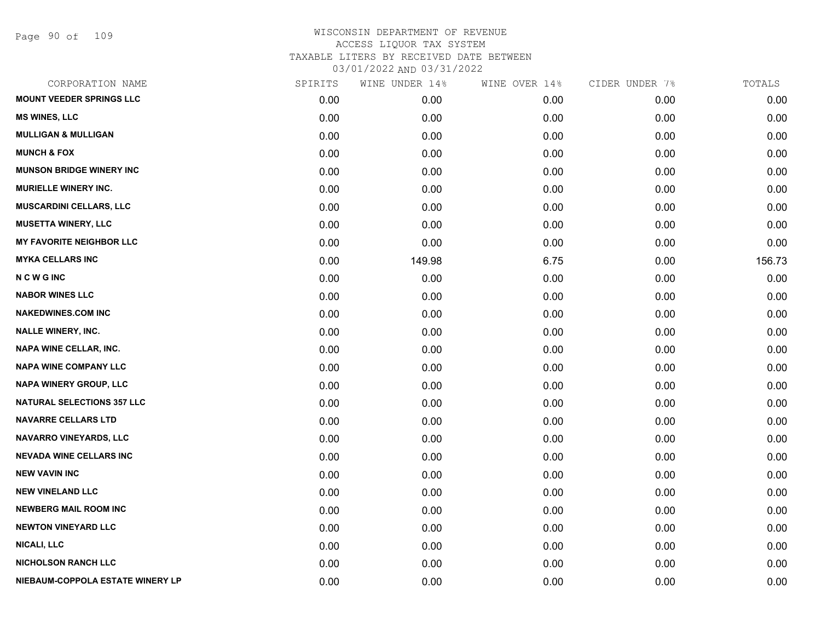Page 90 of 109

| CORPORATION NAME                  | SPIRITS | WINE UNDER 14% | WINE OVER 14% | CIDER UNDER 7% | TOTALS |
|-----------------------------------|---------|----------------|---------------|----------------|--------|
| <b>MOUNT VEEDER SPRINGS LLC</b>   | 0.00    | 0.00           | 0.00          | 0.00           | 0.00   |
| <b>MS WINES, LLC</b>              | 0.00    | 0.00           | 0.00          | 0.00           | 0.00   |
| <b>MULLIGAN &amp; MULLIGAN</b>    | 0.00    | 0.00           | 0.00          | 0.00           | 0.00   |
| <b>MUNCH &amp; FOX</b>            | 0.00    | 0.00           | 0.00          | 0.00           | 0.00   |
| <b>MUNSON BRIDGE WINERY INC</b>   | 0.00    | 0.00           | 0.00          | 0.00           | 0.00   |
| <b>MURIELLE WINERY INC.</b>       | 0.00    | 0.00           | 0.00          | 0.00           | 0.00   |
| <b>MUSCARDINI CELLARS, LLC</b>    | 0.00    | 0.00           | 0.00          | 0.00           | 0.00   |
| <b>MUSETTA WINERY, LLC</b>        | 0.00    | 0.00           | 0.00          | 0.00           | 0.00   |
| <b>MY FAVORITE NEIGHBOR LLC</b>   | 0.00    | 0.00           | 0.00          | 0.00           | 0.00   |
| <b>MYKA CELLARS INC</b>           | 0.00    | 149.98         | 6.75          | 0.00           | 156.73 |
| <b>NCWGINC</b>                    | 0.00    | 0.00           | 0.00          | 0.00           | 0.00   |
| <b>NABOR WINES LLC</b>            | 0.00    | 0.00           | 0.00          | 0.00           | 0.00   |
| <b>NAKEDWINES.COM INC</b>         | 0.00    | 0.00           | 0.00          | 0.00           | 0.00   |
| <b>NALLE WINERY, INC.</b>         | 0.00    | 0.00           | 0.00          | 0.00           | 0.00   |
| <b>NAPA WINE CELLAR, INC.</b>     | 0.00    | 0.00           | 0.00          | 0.00           | 0.00   |
| <b>NAPA WINE COMPANY LLC</b>      | 0.00    | 0.00           | 0.00          | 0.00           | 0.00   |
| <b>NAPA WINERY GROUP, LLC</b>     | 0.00    | 0.00           | 0.00          | 0.00           | 0.00   |
| <b>NATURAL SELECTIONS 357 LLC</b> | 0.00    | 0.00           | 0.00          | 0.00           | 0.00   |
| <b>NAVARRE CELLARS LTD</b>        | 0.00    | 0.00           | 0.00          | 0.00           | 0.00   |
| <b>NAVARRO VINEYARDS, LLC</b>     | 0.00    | 0.00           | 0.00          | 0.00           | 0.00   |
| <b>NEVADA WINE CELLARS INC</b>    | 0.00    | 0.00           | 0.00          | 0.00           | 0.00   |
| <b>NEW VAVIN INC</b>              | 0.00    | 0.00           | 0.00          | 0.00           | 0.00   |
| <b>NEW VINELAND LLC</b>           | 0.00    | 0.00           | 0.00          | 0.00           | 0.00   |
| <b>NEWBERG MAIL ROOM INC</b>      | 0.00    | 0.00           | 0.00          | 0.00           | 0.00   |
| <b>NEWTON VINEYARD LLC</b>        | 0.00    | 0.00           | 0.00          | 0.00           | 0.00   |
| <b>NICALI, LLC</b>                | 0.00    | 0.00           | 0.00          | 0.00           | 0.00   |
| <b>NICHOLSON RANCH LLC</b>        | 0.00    | 0.00           | 0.00          | 0.00           | 0.00   |
| NIEBAUM-COPPOLA ESTATE WINERY LP  | 0.00    | 0.00           | 0.00          | 0.00           | 0.00   |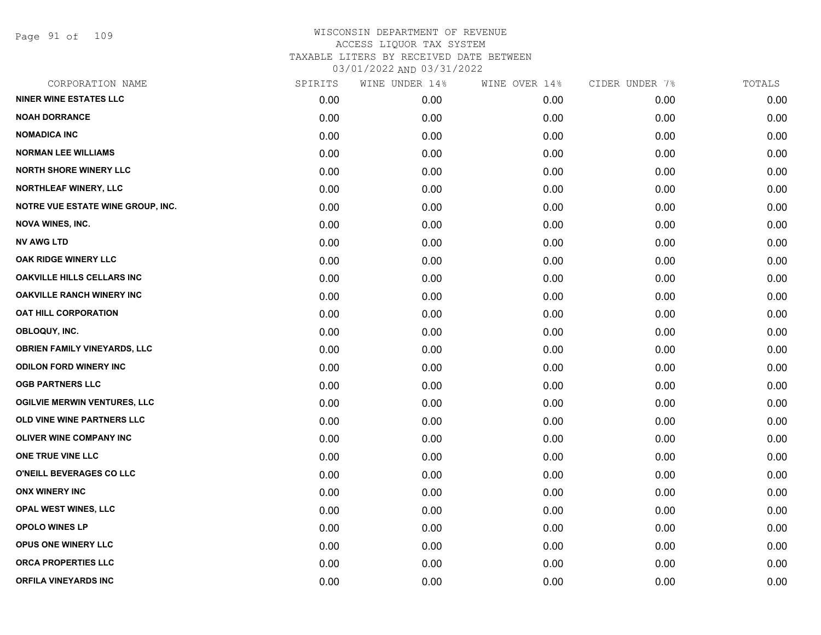Page 91 of 109

| CORPORATION NAME                    | SPIRITS | WINE UNDER 14% | WINE OVER 14% | CIDER UNDER 7% | TOTALS |
|-------------------------------------|---------|----------------|---------------|----------------|--------|
| <b>NINER WINE ESTATES LLC</b>       | 0.00    | 0.00           | 0.00          | 0.00           | 0.00   |
| <b>NOAH DORRANCE</b>                | 0.00    | 0.00           | 0.00          | 0.00           | 0.00   |
| <b>NOMADICA INC</b>                 | 0.00    | 0.00           | 0.00          | 0.00           | 0.00   |
| <b>NORMAN LEE WILLIAMS</b>          | 0.00    | 0.00           | 0.00          | 0.00           | 0.00   |
| <b>NORTH SHORE WINERY LLC</b>       | 0.00    | 0.00           | 0.00          | 0.00           | 0.00   |
| <b>NORTHLEAF WINERY, LLC</b>        | 0.00    | 0.00           | 0.00          | 0.00           | 0.00   |
| NOTRE VUE ESTATE WINE GROUP, INC.   | 0.00    | 0.00           | 0.00          | 0.00           | 0.00   |
| <b>NOVA WINES, INC.</b>             | 0.00    | 0.00           | 0.00          | 0.00           | 0.00   |
| <b>NV AWG LTD</b>                   | 0.00    | 0.00           | 0.00          | 0.00           | 0.00   |
| OAK RIDGE WINERY LLC                | 0.00    | 0.00           | 0.00          | 0.00           | 0.00   |
| <b>OAKVILLE HILLS CELLARS INC</b>   | 0.00    | 0.00           | 0.00          | 0.00           | 0.00   |
| <b>OAKVILLE RANCH WINERY INC</b>    | 0.00    | 0.00           | 0.00          | 0.00           | 0.00   |
| <b>OAT HILL CORPORATION</b>         | 0.00    | 0.00           | 0.00          | 0.00           | 0.00   |
| OBLOQUY, INC.                       | 0.00    | 0.00           | 0.00          | 0.00           | 0.00   |
| <b>OBRIEN FAMILY VINEYARDS, LLC</b> | 0.00    | 0.00           | 0.00          | 0.00           | 0.00   |
| <b>ODILON FORD WINERY INC</b>       | 0.00    | 0.00           | 0.00          | 0.00           | 0.00   |
| <b>OGB PARTNERS LLC</b>             | 0.00    | 0.00           | 0.00          | 0.00           | 0.00   |
| <b>OGILVIE MERWIN VENTURES, LLC</b> | 0.00    | 0.00           | 0.00          | 0.00           | 0.00   |
| OLD VINE WINE PARTNERS LLC          | 0.00    | 0.00           | 0.00          | 0.00           | 0.00   |
| <b>OLIVER WINE COMPANY INC</b>      | 0.00    | 0.00           | 0.00          | 0.00           | 0.00   |
| ONE TRUE VINE LLC                   | 0.00    | 0.00           | 0.00          | 0.00           | 0.00   |
| O'NEILL BEVERAGES CO LLC            | 0.00    | 0.00           | 0.00          | 0.00           | 0.00   |
| <b>ONX WINERY INC</b>               | 0.00    | 0.00           | 0.00          | 0.00           | 0.00   |
| OPAL WEST WINES, LLC                | 0.00    | 0.00           | 0.00          | 0.00           | 0.00   |
| <b>OPOLO WINES LP</b>               | 0.00    | 0.00           | 0.00          | 0.00           | 0.00   |
| OPUS ONE WINERY LLC                 | 0.00    | 0.00           | 0.00          | 0.00           | 0.00   |
| <b>ORCA PROPERTIES LLC</b>          | 0.00    | 0.00           | 0.00          | 0.00           | 0.00   |
| <b>ORFILA VINEYARDS INC</b>         | 0.00    | 0.00           | 0.00          | 0.00           | 0.00   |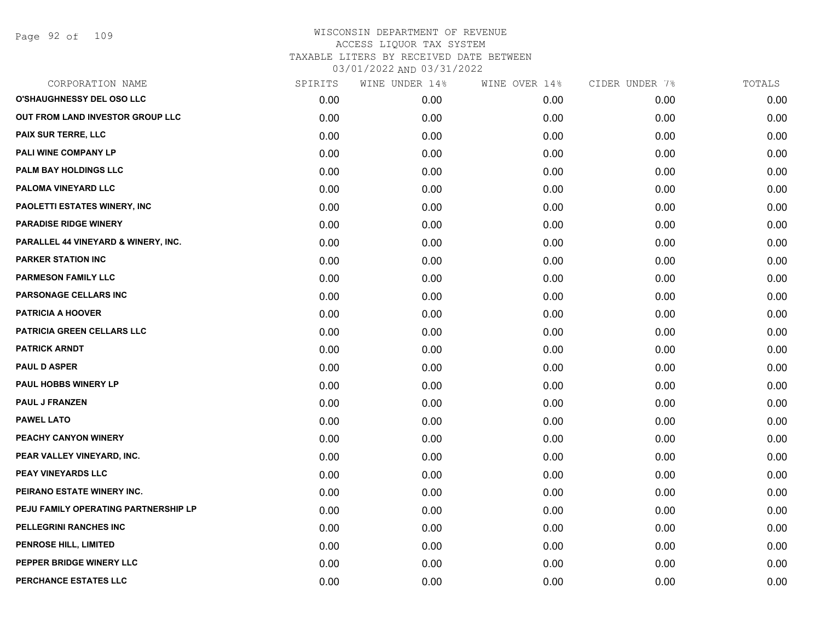| CORPORATION NAME                     | SPIRITS | WINE UNDER 14% | WINE OVER 14% | CIDER UNDER 7% | TOTALS |
|--------------------------------------|---------|----------------|---------------|----------------|--------|
| O'SHAUGHNESSY DEL OSO LLC            | 0.00    | 0.00           | 0.00          | 0.00           | 0.00   |
| OUT FROM LAND INVESTOR GROUP LLC     | 0.00    | 0.00           | 0.00          | 0.00           | 0.00   |
| PAIX SUR TERRE, LLC                  | 0.00    | 0.00           | 0.00          | 0.00           | 0.00   |
| PALI WINE COMPANY LP                 | 0.00    | 0.00           | 0.00          | 0.00           | 0.00   |
| PALM BAY HOLDINGS LLC                | 0.00    | 0.00           | 0.00          | 0.00           | 0.00   |
| PALOMA VINEYARD LLC                  | 0.00    | 0.00           | 0.00          | 0.00           | 0.00   |
| PAOLETTI ESTATES WINERY, INC         | 0.00    | 0.00           | 0.00          | 0.00           | 0.00   |
| <b>PARADISE RIDGE WINERY</b>         | 0.00    | 0.00           | 0.00          | 0.00           | 0.00   |
| PARALLEL 44 VINEYARD & WINERY, INC.  | 0.00    | 0.00           | 0.00          | 0.00           | 0.00   |
| <b>PARKER STATION INC</b>            | 0.00    | 0.00           | 0.00          | 0.00           | 0.00   |
| <b>PARMESON FAMILY LLC</b>           | 0.00    | 0.00           | 0.00          | 0.00           | 0.00   |
| PARSONAGE CELLARS INC                | 0.00    | 0.00           | 0.00          | 0.00           | 0.00   |
| <b>PATRICIA A HOOVER</b>             | 0.00    | 0.00           | 0.00          | 0.00           | 0.00   |
| <b>PATRICIA GREEN CELLARS LLC</b>    | 0.00    | 0.00           | 0.00          | 0.00           | 0.00   |
| <b>PATRICK ARNDT</b>                 | 0.00    | 0.00           | 0.00          | 0.00           | 0.00   |
| <b>PAUL D ASPER</b>                  | 0.00    | 0.00           | 0.00          | 0.00           | 0.00   |
| <b>PAUL HOBBS WINERY LP</b>          | 0.00    | 0.00           | 0.00          | 0.00           | 0.00   |
| <b>PAUL J FRANZEN</b>                | 0.00    | 0.00           | 0.00          | 0.00           | 0.00   |
| <b>PAWEL LATO</b>                    | 0.00    | 0.00           | 0.00          | 0.00           | 0.00   |
| PEACHY CANYON WINERY                 | 0.00    | 0.00           | 0.00          | 0.00           | 0.00   |
| PEAR VALLEY VINEYARD, INC.           | 0.00    | 0.00           | 0.00          | 0.00           | 0.00   |
| PEAY VINEYARDS LLC                   | 0.00    | 0.00           | 0.00          | 0.00           | 0.00   |
| PEIRANO ESTATE WINERY INC.           | 0.00    | 0.00           | 0.00          | 0.00           | 0.00   |
| PEJU FAMILY OPERATING PARTNERSHIP LP | 0.00    | 0.00           | 0.00          | 0.00           | 0.00   |
| PELLEGRINI RANCHES INC               | 0.00    | 0.00           | 0.00          | 0.00           | 0.00   |
| PENROSE HILL, LIMITED                | 0.00    | 0.00           | 0.00          | 0.00           | 0.00   |
| PEPPER BRIDGE WINERY LLC             | 0.00    | 0.00           | 0.00          | 0.00           | 0.00   |
| PERCHANCE ESTATES LLC                | 0.00    | 0.00           | 0.00          | 0.00           | 0.00   |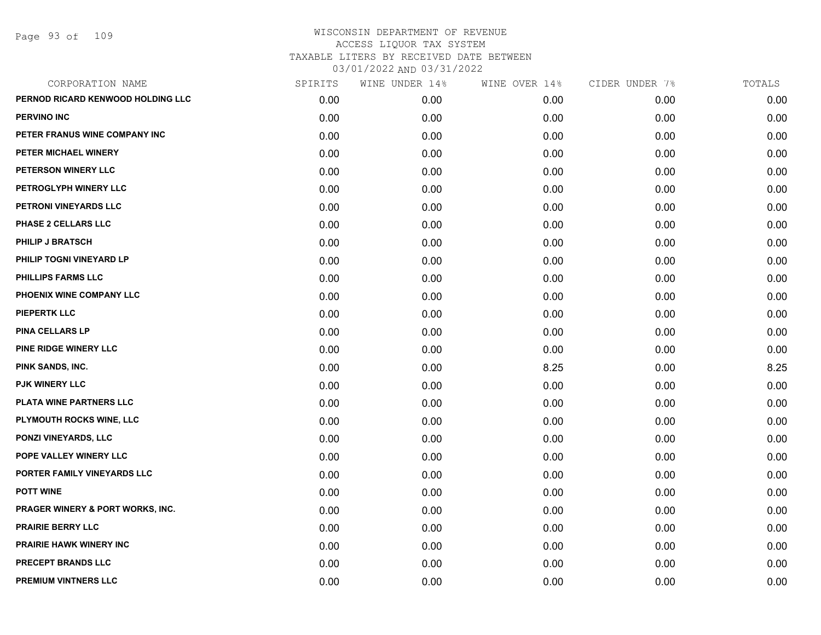Page 93 of 109

| CORPORATION NAME                  | SPIRITS | WINE UNDER 14% | WINE OVER 14% | CIDER UNDER 7% | TOTALS |
|-----------------------------------|---------|----------------|---------------|----------------|--------|
| PERNOD RICARD KENWOOD HOLDING LLC | 0.00    | 0.00           | 0.00          | 0.00           | 0.00   |
| <b>PERVINO INC</b>                | 0.00    | 0.00           | 0.00          | 0.00           | 0.00   |
| PETER FRANUS WINE COMPANY INC     | 0.00    | 0.00           | 0.00          | 0.00           | 0.00   |
| PETER MICHAEL WINERY              | 0.00    | 0.00           | 0.00          | 0.00           | 0.00   |
| PETERSON WINERY LLC               | 0.00    | 0.00           | 0.00          | 0.00           | 0.00   |
| PETROGLYPH WINERY LLC             | 0.00    | 0.00           | 0.00          | 0.00           | 0.00   |
| PETRONI VINEYARDS LLC             | 0.00    | 0.00           | 0.00          | 0.00           | 0.00   |
| <b>PHASE 2 CELLARS LLC</b>        | 0.00    | 0.00           | 0.00          | 0.00           | 0.00   |
| PHILIP J BRATSCH                  | 0.00    | 0.00           | 0.00          | 0.00           | 0.00   |
| PHILIP TOGNI VINEYARD LP          | 0.00    | 0.00           | 0.00          | 0.00           | 0.00   |
| <b>PHILLIPS FARMS LLC</b>         | 0.00    | 0.00           | 0.00          | 0.00           | 0.00   |
| PHOENIX WINE COMPANY LLC          | 0.00    | 0.00           | 0.00          | 0.00           | 0.00   |
| <b>PIEPERTK LLC</b>               | 0.00    | 0.00           | 0.00          | 0.00           | 0.00   |
| <b>PINA CELLARS LP</b>            | 0.00    | 0.00           | 0.00          | 0.00           | 0.00   |
| PINE RIDGE WINERY LLC             | 0.00    | 0.00           | 0.00          | 0.00           | 0.00   |
| PINK SANDS, INC.                  | 0.00    | 0.00           | 8.25          | 0.00           | 8.25   |
| <b>PJK WINERY LLC</b>             | 0.00    | 0.00           | 0.00          | 0.00           | 0.00   |
| PLATA WINE PARTNERS LLC           | 0.00    | 0.00           | 0.00          | 0.00           | 0.00   |
| PLYMOUTH ROCKS WINE, LLC          | 0.00    | 0.00           | 0.00          | 0.00           | 0.00   |
| PONZI VINEYARDS, LLC              | 0.00    | 0.00           | 0.00          | 0.00           | 0.00   |
| POPE VALLEY WINERY LLC            | 0.00    | 0.00           | 0.00          | 0.00           | 0.00   |
| PORTER FAMILY VINEYARDS LLC       | 0.00    | 0.00           | 0.00          | 0.00           | 0.00   |
| <b>POTT WINE</b>                  | 0.00    | 0.00           | 0.00          | 0.00           | 0.00   |
| PRAGER WINERY & PORT WORKS, INC.  | 0.00    | 0.00           | 0.00          | 0.00           | 0.00   |
| <b>PRAIRIE BERRY LLC</b>          | 0.00    | 0.00           | 0.00          | 0.00           | 0.00   |
| <b>PRAIRIE HAWK WINERY INC</b>    | 0.00    | 0.00           | 0.00          | 0.00           | 0.00   |
| <b>PRECEPT BRANDS LLC</b>         | 0.00    | 0.00           | 0.00          | 0.00           | 0.00   |
| <b>PREMIUM VINTNERS LLC</b>       | 0.00    | 0.00           | 0.00          | 0.00           | 0.00   |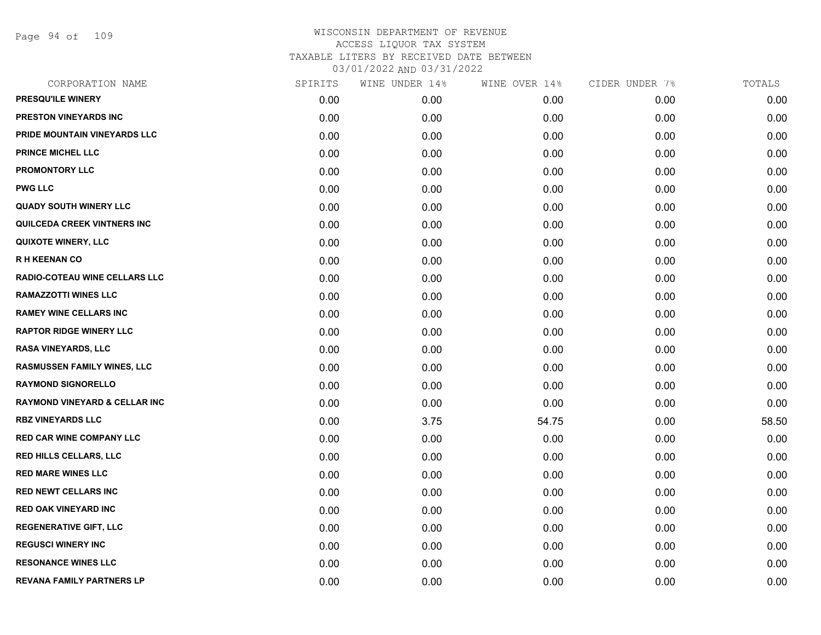Page 94 of 109

| CORPORATION NAME                         | SPIRITS | WINE UNDER 14% | WINE OVER 14% | CIDER UNDER 7% | TOTALS |
|------------------------------------------|---------|----------------|---------------|----------------|--------|
| PRESQU'ILE WINERY                        | 0.00    | 0.00           | 0.00          | 0.00           | 0.00   |
| PRESTON VINEYARDS INC                    | 0.00    | 0.00           | 0.00          | 0.00           | 0.00   |
| PRIDE MOUNTAIN VINEYARDS LLC             | 0.00    | 0.00           | 0.00          | 0.00           | 0.00   |
| <b>PRINCE MICHEL LLC</b>                 | 0.00    | 0.00           | 0.00          | 0.00           | 0.00   |
| <b>PROMONTORY LLC</b>                    | 0.00    | 0.00           | 0.00          | 0.00           | 0.00   |
| <b>PWG LLC</b>                           | 0.00    | 0.00           | 0.00          | 0.00           | 0.00   |
| <b>QUADY SOUTH WINERY LLC</b>            | 0.00    | 0.00           | 0.00          | 0.00           | 0.00   |
| QUILCEDA CREEK VINTNERS INC              | 0.00    | 0.00           | 0.00          | 0.00           | 0.00   |
| <b>QUIXOTE WINERY, LLC</b>               | 0.00    | 0.00           | 0.00          | 0.00           | 0.00   |
| <b>RH KEENAN CO</b>                      | 0.00    | 0.00           | 0.00          | 0.00           | 0.00   |
| RADIO-COTEAU WINE CELLARS LLC            | 0.00    | 0.00           | 0.00          | 0.00           | 0.00   |
| <b>RAMAZZOTTI WINES LLC</b>              | 0.00    | 0.00           | 0.00          | 0.00           | 0.00   |
| <b>RAMEY WINE CELLARS INC</b>            | 0.00    | 0.00           | 0.00          | 0.00           | 0.00   |
| <b>RAPTOR RIDGE WINERY LLC</b>           | 0.00    | 0.00           | 0.00          | 0.00           | 0.00   |
| <b>RASA VINEYARDS, LLC</b>               | 0.00    | 0.00           | 0.00          | 0.00           | 0.00   |
| RASMUSSEN FAMILY WINES, LLC              | 0.00    | 0.00           | 0.00          | 0.00           | 0.00   |
| <b>RAYMOND SIGNORELLO</b>                | 0.00    | 0.00           | 0.00          | 0.00           | 0.00   |
| <b>RAYMOND VINEYARD &amp; CELLAR INC</b> | 0.00    | 0.00           | 0.00          | 0.00           | 0.00   |
| <b>RBZ VINEYARDS LLC</b>                 | 0.00    | 3.75           | 54.75         | 0.00           | 58.50  |
| <b>RED CAR WINE COMPANY LLC</b>          | 0.00    | 0.00           | 0.00          | 0.00           | 0.00   |
| <b>RED HILLS CELLARS, LLC</b>            | 0.00    | 0.00           | 0.00          | 0.00           | 0.00   |
| <b>RED MARE WINES LLC</b>                | 0.00    | 0.00           | 0.00          | 0.00           | 0.00   |
| <b>RED NEWT CELLARS INC</b>              | 0.00    | 0.00           | 0.00          | 0.00           | 0.00   |
| <b>RED OAK VINEYARD INC</b>              | 0.00    | 0.00           | 0.00          | 0.00           | 0.00   |
| <b>REGENERATIVE GIFT, LLC</b>            | 0.00    | 0.00           | 0.00          | 0.00           | 0.00   |
| <b>REGUSCI WINERY INC</b>                | 0.00    | 0.00           | 0.00          | 0.00           | 0.00   |
| <b>RESONANCE WINES LLC</b>               | 0.00    | 0.00           | 0.00          | 0.00           | 0.00   |
| REVANA FAMILY PARTNERS LP                | 0.00    | 0.00           | 0.00          | 0.00           | 0.00   |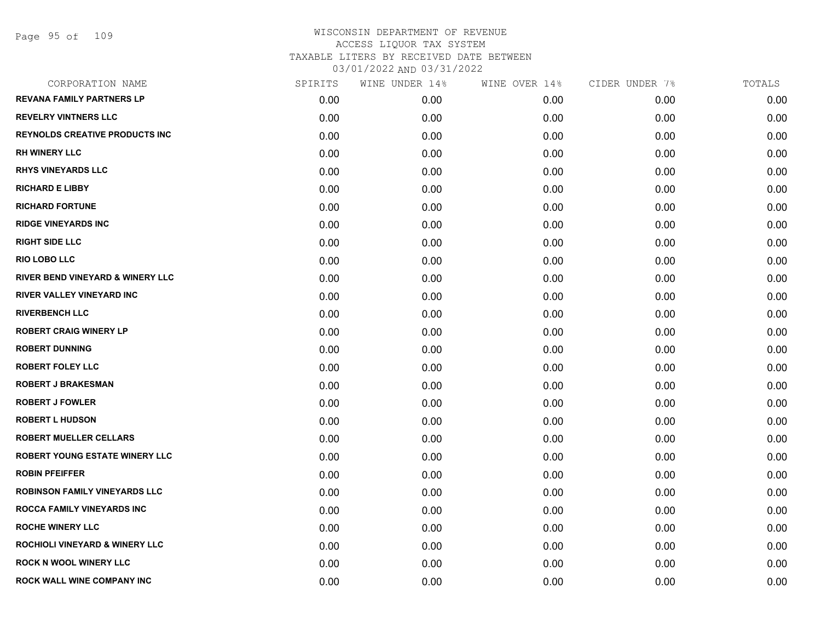| CORPORATION NAME                          | SPIRITS | WINE UNDER 14% | WINE OVER 14% | CIDER UNDER 7% | TOTALS |
|-------------------------------------------|---------|----------------|---------------|----------------|--------|
| <b>REVANA FAMILY PARTNERS LP</b>          | 0.00    | 0.00           | 0.00          | 0.00           | 0.00   |
| <b>REVELRY VINTNERS LLC</b>               | 0.00    | 0.00           | 0.00          | 0.00           | 0.00   |
| <b>REYNOLDS CREATIVE PRODUCTS INC</b>     | 0.00    | 0.00           | 0.00          | 0.00           | 0.00   |
| <b>RH WINERY LLC</b>                      | 0.00    | 0.00           | 0.00          | 0.00           | 0.00   |
| <b>RHYS VINEYARDS LLC</b>                 | 0.00    | 0.00           | 0.00          | 0.00           | 0.00   |
| <b>RICHARD E LIBBY</b>                    | 0.00    | 0.00           | 0.00          | 0.00           | 0.00   |
| <b>RICHARD FORTUNE</b>                    | 0.00    | 0.00           | 0.00          | 0.00           | 0.00   |
| <b>RIDGE VINEYARDS INC</b>                | 0.00    | 0.00           | 0.00          | 0.00           | 0.00   |
| <b>RIGHT SIDE LLC</b>                     | 0.00    | 0.00           | 0.00          | 0.00           | 0.00   |
| <b>RIO LOBO LLC</b>                       | 0.00    | 0.00           | 0.00          | 0.00           | 0.00   |
| RIVER BEND VINEYARD & WINERY LLC          | 0.00    | 0.00           | 0.00          | 0.00           | 0.00   |
| <b>RIVER VALLEY VINEYARD INC</b>          | 0.00    | 0.00           | 0.00          | 0.00           | 0.00   |
| <b>RIVERBENCH LLC</b>                     | 0.00    | 0.00           | 0.00          | 0.00           | 0.00   |
| <b>ROBERT CRAIG WINERY LP</b>             | 0.00    | 0.00           | 0.00          | 0.00           | 0.00   |
| <b>ROBERT DUNNING</b>                     | 0.00    | 0.00           | 0.00          | 0.00           | 0.00   |
| <b>ROBERT FOLEY LLC</b>                   | 0.00    | 0.00           | 0.00          | 0.00           | 0.00   |
| <b>ROBERT J BRAKESMAN</b>                 | 0.00    | 0.00           | 0.00          | 0.00           | 0.00   |
| <b>ROBERT J FOWLER</b>                    | 0.00    | 0.00           | 0.00          | 0.00           | 0.00   |
| <b>ROBERT L HUDSON</b>                    | 0.00    | 0.00           | 0.00          | 0.00           | 0.00   |
| <b>ROBERT MUELLER CELLARS</b>             | 0.00    | 0.00           | 0.00          | 0.00           | 0.00   |
| <b>ROBERT YOUNG ESTATE WINERY LLC</b>     | 0.00    | 0.00           | 0.00          | 0.00           | 0.00   |
| <b>ROBIN PFEIFFER</b>                     | 0.00    | 0.00           | 0.00          | 0.00           | 0.00   |
| <b>ROBINSON FAMILY VINEYARDS LLC</b>      | 0.00    | 0.00           | 0.00          | 0.00           | 0.00   |
| <b>ROCCA FAMILY VINEYARDS INC</b>         | 0.00    | 0.00           | 0.00          | 0.00           | 0.00   |
| <b>ROCHE WINERY LLC</b>                   | 0.00    | 0.00           | 0.00          | 0.00           | 0.00   |
| <b>ROCHIOLI VINEYARD &amp; WINERY LLC</b> | 0.00    | 0.00           | 0.00          | 0.00           | 0.00   |
| <b>ROCK N WOOL WINERY LLC</b>             | 0.00    | 0.00           | 0.00          | 0.00           | 0.00   |
| <b>ROCK WALL WINE COMPANY INC</b>         | 0.00    | 0.00           | 0.00          | 0.00           | 0.00   |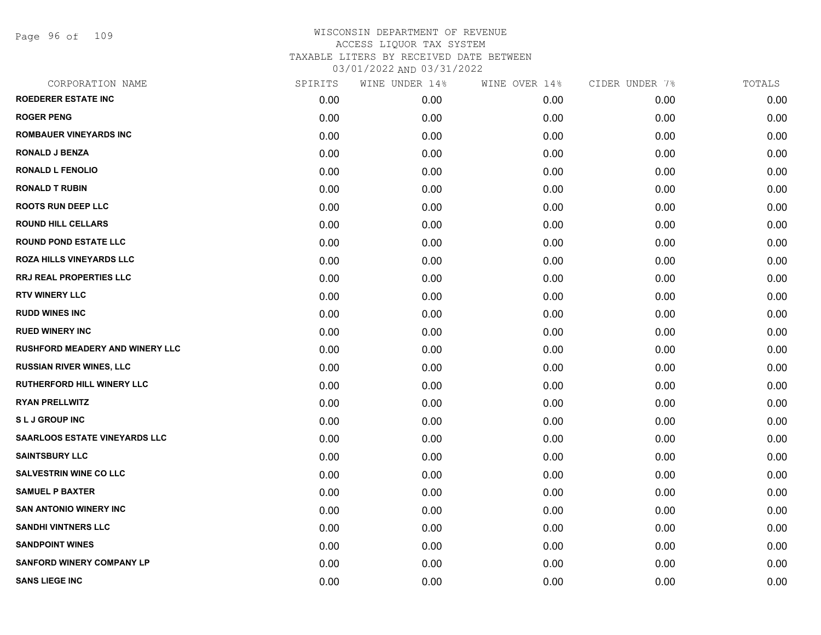Page 96 of 109

| CORPORATION NAME                       | SPIRITS | WINE UNDER 14% | WINE OVER 14% | CIDER UNDER 7% | TOTALS |
|----------------------------------------|---------|----------------|---------------|----------------|--------|
| <b>ROEDERER ESTATE INC</b>             | 0.00    | 0.00           | 0.00          | 0.00           | 0.00   |
| <b>ROGER PENG</b>                      | 0.00    | 0.00           | 0.00          | 0.00           | 0.00   |
| <b>ROMBAUER VINEYARDS INC</b>          | 0.00    | 0.00           | 0.00          | 0.00           | 0.00   |
| <b>RONALD J BENZA</b>                  | 0.00    | 0.00           | 0.00          | 0.00           | 0.00   |
| <b>RONALD L FENOLIO</b>                | 0.00    | 0.00           | 0.00          | 0.00           | 0.00   |
| <b>RONALD T RUBIN</b>                  | 0.00    | 0.00           | 0.00          | 0.00           | 0.00   |
| <b>ROOTS RUN DEEP LLC</b>              | 0.00    | 0.00           | 0.00          | 0.00           | 0.00   |
| <b>ROUND HILL CELLARS</b>              | 0.00    | 0.00           | 0.00          | 0.00           | 0.00   |
| <b>ROUND POND ESTATE LLC</b>           | 0.00    | 0.00           | 0.00          | 0.00           | 0.00   |
| <b>ROZA HILLS VINEYARDS LLC</b>        | 0.00    | 0.00           | 0.00          | 0.00           | 0.00   |
| <b>RRJ REAL PROPERTIES LLC</b>         | 0.00    | 0.00           | 0.00          | 0.00           | 0.00   |
| <b>RTV WINERY LLC</b>                  | 0.00    | 0.00           | 0.00          | 0.00           | 0.00   |
| <b>RUDD WINES INC</b>                  | 0.00    | 0.00           | 0.00          | 0.00           | 0.00   |
| <b>RUED WINERY INC</b>                 | 0.00    | 0.00           | 0.00          | 0.00           | 0.00   |
| <b>RUSHFORD MEADERY AND WINERY LLC</b> | 0.00    | 0.00           | 0.00          | 0.00           | 0.00   |
| <b>RUSSIAN RIVER WINES, LLC</b>        | 0.00    | 0.00           | 0.00          | 0.00           | 0.00   |
| <b>RUTHERFORD HILL WINERY LLC</b>      | 0.00    | 0.00           | 0.00          | 0.00           | 0.00   |
| <b>RYAN PRELLWITZ</b>                  | 0.00    | 0.00           | 0.00          | 0.00           | 0.00   |
| <b>SLJ GROUP INC</b>                   | 0.00    | 0.00           | 0.00          | 0.00           | 0.00   |
| <b>SAARLOOS ESTATE VINEYARDS LLC</b>   | 0.00    | 0.00           | 0.00          | 0.00           | 0.00   |
| <b>SAINTSBURY LLC</b>                  | 0.00    | 0.00           | 0.00          | 0.00           | 0.00   |
| <b>SALVESTRIN WINE CO LLC</b>          | 0.00    | 0.00           | 0.00          | 0.00           | 0.00   |
| <b>SAMUEL P BAXTER</b>                 | 0.00    | 0.00           | 0.00          | 0.00           | 0.00   |
| <b>SAN ANTONIO WINERY INC</b>          | 0.00    | 0.00           | 0.00          | 0.00           | 0.00   |
| <b>SANDHI VINTNERS LLC</b>             | 0.00    | 0.00           | 0.00          | 0.00           | 0.00   |
| <b>SANDPOINT WINES</b>                 | 0.00    | 0.00           | 0.00          | 0.00           | 0.00   |
| <b>SANFORD WINERY COMPANY LP</b>       | 0.00    | 0.00           | 0.00          | 0.00           | 0.00   |
| <b>SANS LIEGE INC</b>                  | 0.00    | 0.00           | 0.00          | 0.00           | 0.00   |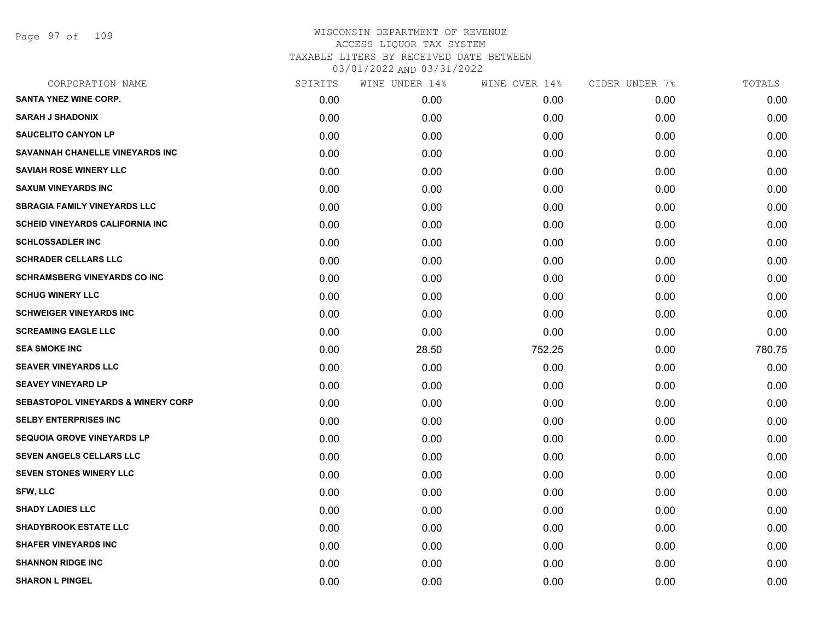Page 97 of 109

| CORPORATION NAME                              | SPIRITS | WINE UNDER 14% | WINE OVER 14% | CIDER UNDER 7% | TOTALS |
|-----------------------------------------------|---------|----------------|---------------|----------------|--------|
| <b>SANTA YNEZ WINE CORP.</b>                  | 0.00    | 0.00           | 0.00          | 0.00           | 0.00   |
| <b>SARAH J SHADONIX</b>                       | 0.00    | 0.00           | 0.00          | 0.00           | 0.00   |
| <b>SAUCELITO CANYON LP</b>                    | 0.00    | 0.00           | 0.00          | 0.00           | 0.00   |
| SAVANNAH CHANELLE VINEYARDS INC               | 0.00    | 0.00           | 0.00          | 0.00           | 0.00   |
| <b>SAVIAH ROSE WINERY LLC</b>                 | 0.00    | 0.00           | 0.00          | 0.00           | 0.00   |
| <b>SAXUM VINEYARDS INC</b>                    | 0.00    | 0.00           | 0.00          | 0.00           | 0.00   |
| <b>SBRAGIA FAMILY VINEYARDS LLC</b>           | 0.00    | 0.00           | 0.00          | 0.00           | 0.00   |
| <b>SCHEID VINEYARDS CALIFORNIA INC</b>        | 0.00    | 0.00           | 0.00          | 0.00           | 0.00   |
| <b>SCHLOSSADLER INC</b>                       | 0.00    | 0.00           | 0.00          | 0.00           | 0.00   |
| <b>SCHRADER CELLARS LLC</b>                   | 0.00    | 0.00           | 0.00          | 0.00           | 0.00   |
| <b>SCHRAMSBERG VINEYARDS CO INC</b>           | 0.00    | 0.00           | 0.00          | 0.00           | 0.00   |
| <b>SCHUG WINERY LLC</b>                       | 0.00    | 0.00           | 0.00          | 0.00           | 0.00   |
| <b>SCHWEIGER VINEYARDS INC</b>                | 0.00    | 0.00           | 0.00          | 0.00           | 0.00   |
| <b>SCREAMING EAGLE LLC</b>                    | 0.00    | 0.00           | 0.00          | 0.00           | 0.00   |
| <b>SEA SMOKE INC</b>                          | 0.00    | 28.50          | 752.25        | 0.00           | 780.75 |
| <b>SEAVER VINEYARDS LLC</b>                   | 0.00    | 0.00           | 0.00          | 0.00           | 0.00   |
| <b>SEAVEY VINEYARD LP</b>                     | 0.00    | 0.00           | 0.00          | 0.00           | 0.00   |
| <b>SEBASTOPOL VINEYARDS &amp; WINERY CORP</b> | 0.00    | 0.00           | 0.00          | 0.00           | 0.00   |
| <b>SELBY ENTERPRISES INC</b>                  | 0.00    | 0.00           | 0.00          | 0.00           | 0.00   |
| <b>SEQUOIA GROVE VINEYARDS LP</b>             | 0.00    | 0.00           | 0.00          | 0.00           | 0.00   |
| <b>SEVEN ANGELS CELLARS LLC</b>               | 0.00    | 0.00           | 0.00          | 0.00           | 0.00   |
| <b>SEVEN STONES WINERY LLC</b>                | 0.00    | 0.00           | 0.00          | 0.00           | 0.00   |
| <b>SFW, LLC</b>                               | 0.00    | 0.00           | 0.00          | 0.00           | 0.00   |
| <b>SHADY LADIES LLC</b>                       | 0.00    | 0.00           | 0.00          | 0.00           | 0.00   |
| <b>SHADYBROOK ESTATE LLC</b>                  | 0.00    | 0.00           | 0.00          | 0.00           | 0.00   |
| <b>SHAFER VINEYARDS INC</b>                   | 0.00    | 0.00           | 0.00          | 0.00           | 0.00   |
| <b>SHANNON RIDGE INC</b>                      | 0.00    | 0.00           | 0.00          | 0.00           | 0.00   |
| <b>SHARON L PINGEL</b>                        | 0.00    | 0.00           | 0.00          | 0.00           | 0.00   |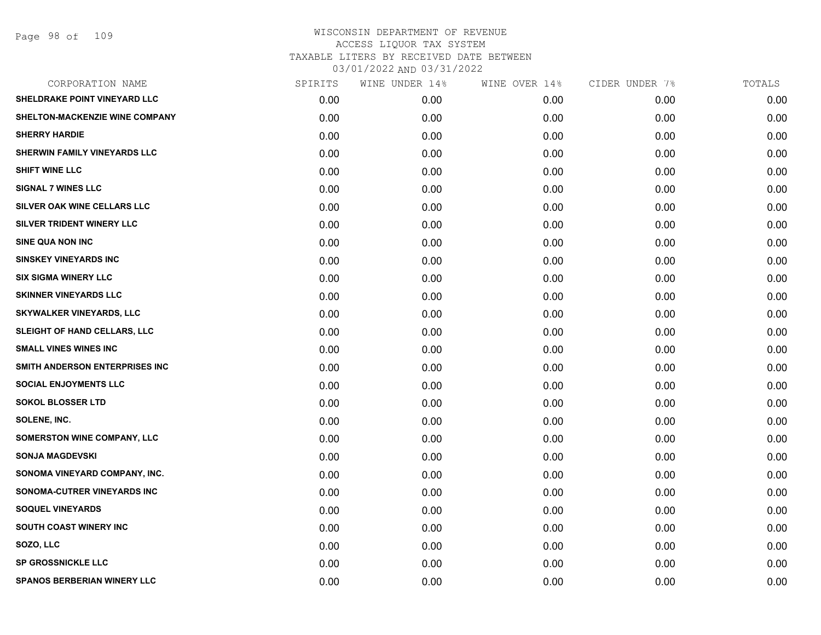| CORPORATION NAME                   | SPIRITS | WINE UNDER 14% | WINE OVER 14% | CIDER UNDER 7% | TOTALS |
|------------------------------------|---------|----------------|---------------|----------------|--------|
| SHELDRAKE POINT VINEYARD LLC       | 0.00    | 0.00           | 0.00          | 0.00           | 0.00   |
| SHELTON-MACKENZIE WINE COMPANY     | 0.00    | 0.00           | 0.00          | 0.00           | 0.00   |
| <b>SHERRY HARDIE</b>               | 0.00    | 0.00           | 0.00          | 0.00           | 0.00   |
| SHERWIN FAMILY VINEYARDS LLC       | 0.00    | 0.00           | 0.00          | 0.00           | 0.00   |
| <b>SHIFT WINE LLC</b>              | 0.00    | 0.00           | 0.00          | 0.00           | 0.00   |
| <b>SIGNAL 7 WINES LLC</b>          | 0.00    | 0.00           | 0.00          | 0.00           | 0.00   |
| SILVER OAK WINE CELLARS LLC        | 0.00    | 0.00           | 0.00          | 0.00           | 0.00   |
| SILVER TRIDENT WINERY LLC          | 0.00    | 0.00           | 0.00          | 0.00           | 0.00   |
| <b>SINE QUA NON INC</b>            | 0.00    | 0.00           | 0.00          | 0.00           | 0.00   |
| <b>SINSKEY VINEYARDS INC</b>       | 0.00    | 0.00           | 0.00          | 0.00           | 0.00   |
| <b>SIX SIGMA WINERY LLC</b>        | 0.00    | 0.00           | 0.00          | 0.00           | 0.00   |
| <b>SKINNER VINEYARDS LLC</b>       | 0.00    | 0.00           | 0.00          | 0.00           | 0.00   |
| SKYWALKER VINEYARDS, LLC           | 0.00    | 0.00           | 0.00          | 0.00           | 0.00   |
| SLEIGHT OF HAND CELLARS, LLC       | 0.00    | 0.00           | 0.00          | 0.00           | 0.00   |
| <b>SMALL VINES WINES INC</b>       | 0.00    | 0.00           | 0.00          | 0.00           | 0.00   |
| SMITH ANDERSON ENTERPRISES INC     | 0.00    | 0.00           | 0.00          | 0.00           | 0.00   |
| <b>SOCIAL ENJOYMENTS LLC</b>       | 0.00    | 0.00           | 0.00          | 0.00           | 0.00   |
| <b>SOKOL BLOSSER LTD</b>           | 0.00    | 0.00           | 0.00          | 0.00           | 0.00   |
| SOLENE, INC.                       | 0.00    | 0.00           | 0.00          | 0.00           | 0.00   |
| <b>SOMERSTON WINE COMPANY, LLC</b> | 0.00    | 0.00           | 0.00          | 0.00           | 0.00   |
| <b>SONJA MAGDEVSKI</b>             | 0.00    | 0.00           | 0.00          | 0.00           | 0.00   |
| SONOMA VINEYARD COMPANY, INC.      | 0.00    | 0.00           | 0.00          | 0.00           | 0.00   |
| SONOMA-CUTRER VINEYARDS INC        | 0.00    | 0.00           | 0.00          | 0.00           | 0.00   |
| <b>SOQUEL VINEYARDS</b>            | 0.00    | 0.00           | 0.00          | 0.00           | 0.00   |
| <b>SOUTH COAST WINERY INC</b>      | 0.00    | 0.00           | 0.00          | 0.00           | 0.00   |
| SOZO, LLC                          | 0.00    | 0.00           | 0.00          | 0.00           | 0.00   |
| <b>SP GROSSNICKLE LLC</b>          | 0.00    | 0.00           | 0.00          | 0.00           | 0.00   |
| <b>SPANOS BERBERIAN WINERY LLC</b> | 0.00    | 0.00           | 0.00          | 0.00           | 0.00   |
|                                    |         |                |               |                |        |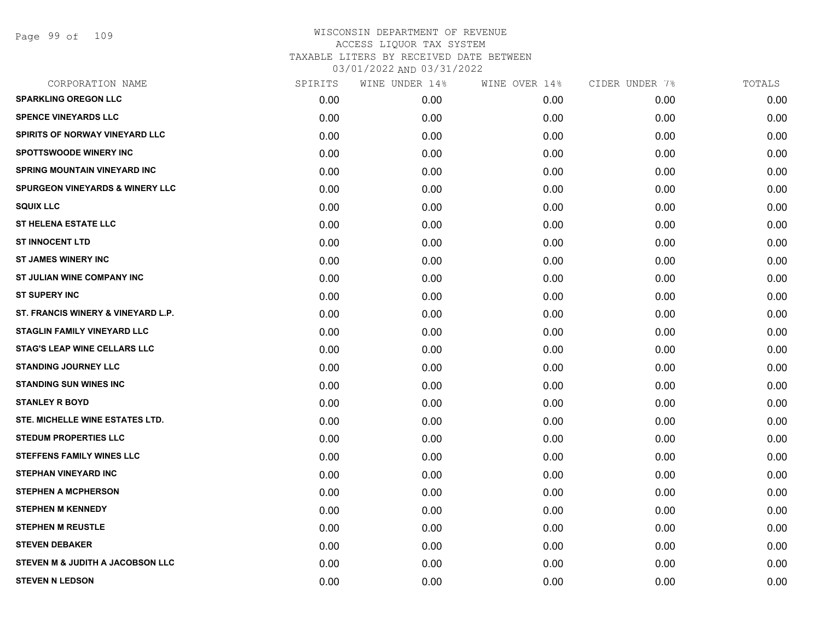Page 99 of 109

| SPIRITS | WINE UNDER 14% | WINE OVER 14% | CIDER UNDER 7% | TOTALS |
|---------|----------------|---------------|----------------|--------|
| 0.00    | 0.00           | 0.00          | 0.00           | 0.00   |
| 0.00    | 0.00           | 0.00          | 0.00           | 0.00   |
| 0.00    | 0.00           | 0.00          | 0.00           | 0.00   |
| 0.00    | 0.00           | 0.00          | 0.00           | 0.00   |
| 0.00    | 0.00           | 0.00          | 0.00           | 0.00   |
| 0.00    | 0.00           | 0.00          | 0.00           | 0.00   |
| 0.00    | 0.00           | 0.00          | 0.00           | 0.00   |
| 0.00    | 0.00           | 0.00          | 0.00           | 0.00   |
| 0.00    | 0.00           | 0.00          | 0.00           | 0.00   |
| 0.00    | 0.00           | 0.00          | 0.00           | 0.00   |
| 0.00    | 0.00           | 0.00          | 0.00           | 0.00   |
| 0.00    | 0.00           | 0.00          | 0.00           | 0.00   |
| 0.00    | 0.00           | 0.00          | 0.00           | 0.00   |
| 0.00    | 0.00           | 0.00          | 0.00           | 0.00   |
| 0.00    | 0.00           | 0.00          | 0.00           | 0.00   |
| 0.00    | 0.00           | 0.00          | 0.00           | 0.00   |
| 0.00    | 0.00           | 0.00          | 0.00           | 0.00   |
| 0.00    | 0.00           | 0.00          | 0.00           | 0.00   |
| 0.00    | 0.00           | 0.00          | 0.00           | 0.00   |
| 0.00    | 0.00           | 0.00          | 0.00           | 0.00   |
| 0.00    | 0.00           | 0.00          | 0.00           | 0.00   |
| 0.00    | 0.00           | 0.00          | 0.00           | 0.00   |
| 0.00    | 0.00           | 0.00          | 0.00           | 0.00   |
| 0.00    | 0.00           | 0.00          | 0.00           | 0.00   |
| 0.00    | 0.00           | 0.00          | 0.00           | 0.00   |
| 0.00    | 0.00           | 0.00          | 0.00           | 0.00   |
| 0.00    | 0.00           | 0.00          | 0.00           | 0.00   |
| 0.00    | 0.00           | 0.00          | 0.00           | 0.00   |
|         |                |               |                |        |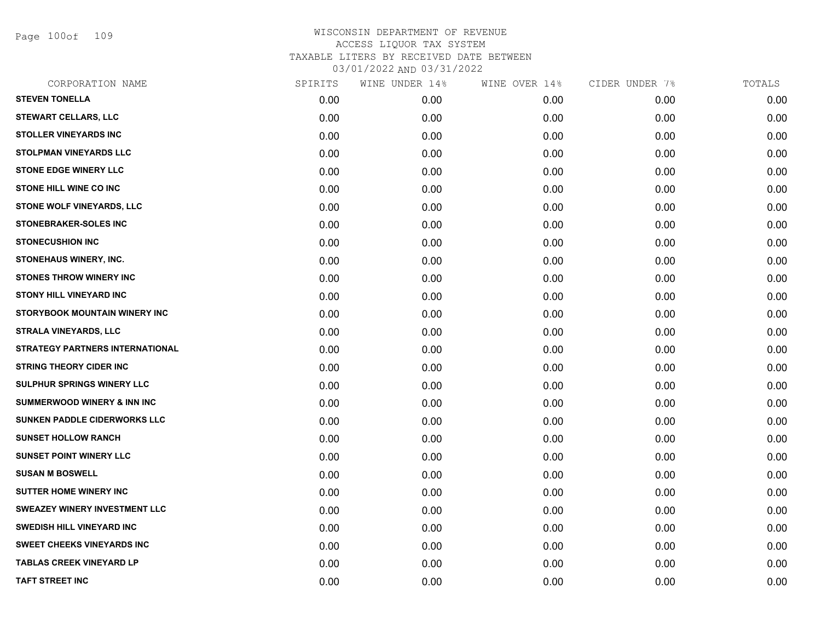Page 100of 109

| SPIRITS | WINE UNDER 14% | WINE OVER 14% | CIDER UNDER 7% | TOTALS |
|---------|----------------|---------------|----------------|--------|
| 0.00    | 0.00           | 0.00          | 0.00           | 0.00   |
| 0.00    | 0.00           | 0.00          | 0.00           | 0.00   |
| 0.00    | 0.00           | 0.00          | 0.00           | 0.00   |
| 0.00    | 0.00           | 0.00          | 0.00           | 0.00   |
| 0.00    | 0.00           | 0.00          | 0.00           | 0.00   |
| 0.00    | 0.00           | 0.00          | 0.00           | 0.00   |
| 0.00    | 0.00           | 0.00          | 0.00           | 0.00   |
| 0.00    | 0.00           | 0.00          | 0.00           | 0.00   |
| 0.00    | 0.00           | 0.00          | 0.00           | 0.00   |
| 0.00    | 0.00           | 0.00          | 0.00           | 0.00   |
| 0.00    | 0.00           | 0.00          | 0.00           | 0.00   |
| 0.00    | 0.00           | 0.00          | 0.00           | 0.00   |
| 0.00    | 0.00           | 0.00          | 0.00           | 0.00   |
| 0.00    | 0.00           | 0.00          | 0.00           | 0.00   |
| 0.00    | 0.00           | 0.00          | 0.00           | 0.00   |
| 0.00    | 0.00           | 0.00          | 0.00           | 0.00   |
| 0.00    | 0.00           | 0.00          | 0.00           | 0.00   |
| 0.00    | 0.00           | 0.00          | 0.00           | 0.00   |
| 0.00    | 0.00           | 0.00          | 0.00           | 0.00   |
| 0.00    | 0.00           | 0.00          | 0.00           | 0.00   |
| 0.00    | 0.00           | 0.00          | 0.00           | 0.00   |
| 0.00    | 0.00           | 0.00          | 0.00           | 0.00   |
| 0.00    | 0.00           | 0.00          | 0.00           | 0.00   |
| 0.00    | 0.00           | 0.00          | 0.00           | 0.00   |
| 0.00    | 0.00           | 0.00          | 0.00           | 0.00   |
| 0.00    | 0.00           | 0.00          | 0.00           | 0.00   |
| 0.00    | 0.00           | 0.00          | 0.00           | 0.00   |
| 0.00    | 0.00           | 0.00          | 0.00           | 0.00   |
|         |                |               |                |        |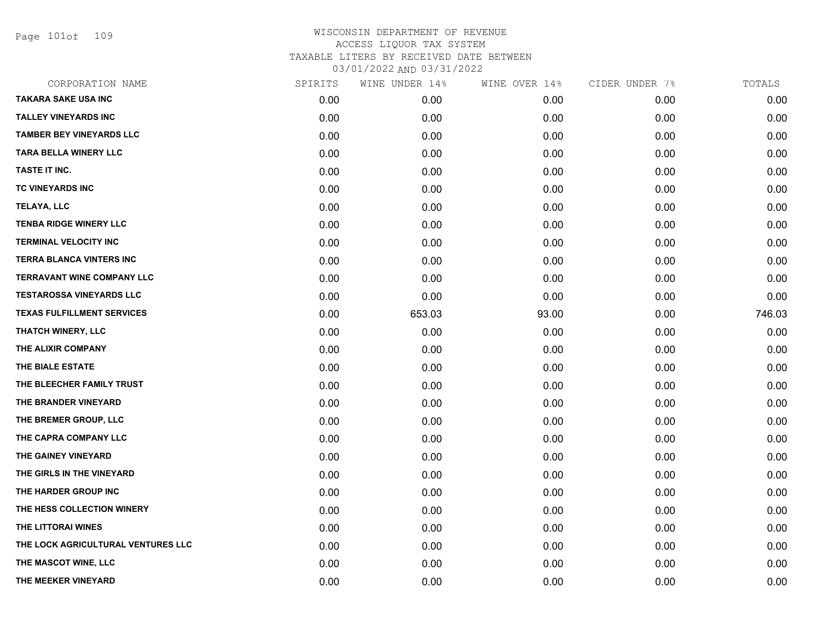Page 101of 109

| CORPORATION NAME                   | SPIRITS | WINE UNDER 14% | WINE OVER 14% | CIDER UNDER 7% | TOTALS |
|------------------------------------|---------|----------------|---------------|----------------|--------|
| <b>TAKARA SAKE USA INC</b>         | 0.00    | 0.00           | 0.00          | 0.00           | 0.00   |
| <b>TALLEY VINEYARDS INC</b>        | 0.00    | 0.00           | 0.00          | 0.00           | 0.00   |
| <b>TAMBER BEY VINEYARDS LLC</b>    | 0.00    | 0.00           | 0.00          | 0.00           | 0.00   |
| <b>TARA BELLA WINERY LLC</b>       | 0.00    | 0.00           | 0.00          | 0.00           | 0.00   |
| TASTE IT INC.                      | 0.00    | 0.00           | 0.00          | 0.00           | 0.00   |
| TC VINEYARDS INC                   | 0.00    | 0.00           | 0.00          | 0.00           | 0.00   |
| <b>TELAYA, LLC</b>                 | 0.00    | 0.00           | 0.00          | 0.00           | 0.00   |
| <b>TENBA RIDGE WINERY LLC</b>      | 0.00    | 0.00           | 0.00          | 0.00           | 0.00   |
| <b>TERMINAL VELOCITY INC</b>       | 0.00    | 0.00           | 0.00          | 0.00           | 0.00   |
| <b>TERRA BLANCA VINTERS INC</b>    | 0.00    | 0.00           | 0.00          | 0.00           | 0.00   |
| <b>TERRAVANT WINE COMPANY LLC</b>  | 0.00    | 0.00           | 0.00          | 0.00           | 0.00   |
| <b>TESTAROSSA VINEYARDS LLC</b>    | 0.00    | 0.00           | 0.00          | 0.00           | 0.00   |
| <b>TEXAS FULFILLMENT SERVICES</b>  | 0.00    | 653.03         | 93.00         | 0.00           | 746.03 |
| <b>THATCH WINERY, LLC</b>          | 0.00    | 0.00           | 0.00          | 0.00           | 0.00   |
| THE ALIXIR COMPANY                 | 0.00    | 0.00           | 0.00          | 0.00           | 0.00   |
| THE BIALE ESTATE                   | 0.00    | 0.00           | 0.00          | 0.00           | 0.00   |
| THE BLEECHER FAMILY TRUST          | 0.00    | 0.00           | 0.00          | 0.00           | 0.00   |
| THE BRANDER VINEYARD               | 0.00    | 0.00           | 0.00          | 0.00           | 0.00   |
| THE BREMER GROUP, LLC              | 0.00    | 0.00           | 0.00          | 0.00           | 0.00   |
| THE CAPRA COMPANY LLC              | 0.00    | 0.00           | 0.00          | 0.00           | 0.00   |
| THE GAINEY VINEYARD                | 0.00    | 0.00           | 0.00          | 0.00           | 0.00   |
| THE GIRLS IN THE VINEYARD          | 0.00    | 0.00           | 0.00          | 0.00           | 0.00   |
| THE HARDER GROUP INC               | 0.00    | 0.00           | 0.00          | 0.00           | 0.00   |
| THE HESS COLLECTION WINERY         | 0.00    | 0.00           | 0.00          | 0.00           | 0.00   |
| THE LITTORAI WINES                 | 0.00    | 0.00           | 0.00          | 0.00           | 0.00   |
| THE LOCK AGRICULTURAL VENTURES LLC | 0.00    | 0.00           | 0.00          | 0.00           | 0.00   |
| THE MASCOT WINE, LLC               | 0.00    | 0.00           | 0.00          | 0.00           | 0.00   |
| THE MEEKER VINEYARD                | 0.00    | 0.00           | 0.00          | 0.00           | 0.00   |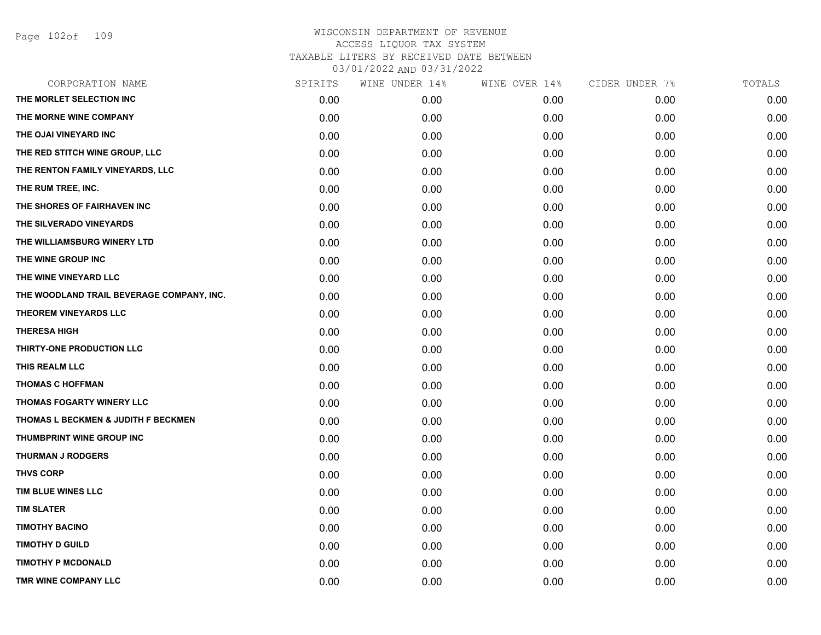| CORPORATION NAME                          | SPIRITS | WINE UNDER 14% | WINE OVER 14% | CIDER UNDER 7% | TOTALS |
|-------------------------------------------|---------|----------------|---------------|----------------|--------|
| THE MORLET SELECTION INC                  | 0.00    | 0.00           | 0.00          | 0.00           | 0.00   |
| THE MORNE WINE COMPANY                    | 0.00    | 0.00           | 0.00          | 0.00           | 0.00   |
| THE OJAI VINEYARD INC                     | 0.00    | 0.00           | 0.00          | 0.00           | 0.00   |
| THE RED STITCH WINE GROUP, LLC            | 0.00    | 0.00           | 0.00          | 0.00           | 0.00   |
| THE RENTON FAMILY VINEYARDS, LLC          | 0.00    | 0.00           | 0.00          | 0.00           | 0.00   |
| THE RUM TREE, INC.                        | 0.00    | 0.00           | 0.00          | 0.00           | 0.00   |
| THE SHORES OF FAIRHAVEN INC               | 0.00    | 0.00           | 0.00          | 0.00           | 0.00   |
| THE SILVERADO VINEYARDS                   | 0.00    | 0.00           | 0.00          | 0.00           | 0.00   |
| THE WILLIAMSBURG WINERY LTD               | 0.00    | 0.00           | 0.00          | 0.00           | 0.00   |
| THE WINE GROUP INC                        | 0.00    | 0.00           | 0.00          | 0.00           | 0.00   |
| THE WINE VINEYARD LLC                     | 0.00    | 0.00           | 0.00          | 0.00           | 0.00   |
| THE WOODLAND TRAIL BEVERAGE COMPANY, INC. | 0.00    | 0.00           | 0.00          | 0.00           | 0.00   |
| THEOREM VINEYARDS LLC                     | 0.00    | 0.00           | 0.00          | 0.00           | 0.00   |
| <b>THERESA HIGH</b>                       | 0.00    | 0.00           | 0.00          | 0.00           | 0.00   |
| THIRTY-ONE PRODUCTION LLC                 | 0.00    | 0.00           | 0.00          | 0.00           | 0.00   |
| THIS REALM LLC                            | 0.00    | 0.00           | 0.00          | 0.00           | 0.00   |
| <b>THOMAS C HOFFMAN</b>                   | 0.00    | 0.00           | 0.00          | 0.00           | 0.00   |
| THOMAS FOGARTY WINERY LLC                 | 0.00    | 0.00           | 0.00          | 0.00           | 0.00   |
| THOMAS L BECKMEN & JUDITH F BECKMEN       | 0.00    | 0.00           | 0.00          | 0.00           | 0.00   |
| THUMBPRINT WINE GROUP INC                 | 0.00    | 0.00           | 0.00          | 0.00           | 0.00   |
| <b>THURMAN J RODGERS</b>                  | 0.00    | 0.00           | 0.00          | 0.00           | 0.00   |
| <b>THVS CORP</b>                          | 0.00    | 0.00           | 0.00          | 0.00           | 0.00   |
| TIM BLUE WINES LLC                        | 0.00    | 0.00           | 0.00          | 0.00           | 0.00   |
| <b>TIM SLATER</b>                         | 0.00    | 0.00           | 0.00          | 0.00           | 0.00   |
| <b>TIMOTHY BACINO</b>                     | 0.00    | 0.00           | 0.00          | 0.00           | 0.00   |
| <b>TIMOTHY D GUILD</b>                    | 0.00    | 0.00           | 0.00          | 0.00           | 0.00   |
| <b>TIMOTHY P MCDONALD</b>                 | 0.00    | 0.00           | 0.00          | 0.00           | 0.00   |
| TMR WINE COMPANY LLC                      | 0.00    | 0.00           | 0.00          | 0.00           | 0.00   |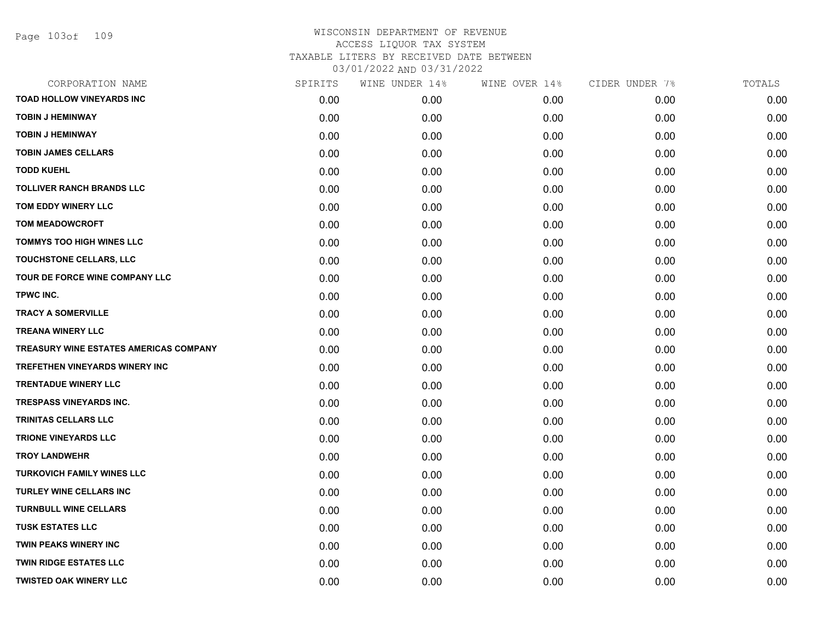| CORPORATION NAME                       | SPIRITS | WINE UNDER 14% | WINE OVER 14% | CIDER UNDER 7% | TOTALS |
|----------------------------------------|---------|----------------|---------------|----------------|--------|
| <b>TOAD HOLLOW VINEYARDS INC</b>       | 0.00    | 0.00           | 0.00          | 0.00           | 0.00   |
| <b>TOBIN J HEMINWAY</b>                | 0.00    | 0.00           | 0.00          | 0.00           | 0.00   |
| <b>TOBIN J HEMINWAY</b>                | 0.00    | 0.00           | 0.00          | 0.00           | 0.00   |
| <b>TOBIN JAMES CELLARS</b>             | 0.00    | 0.00           | 0.00          | 0.00           | 0.00   |
| <b>TODD KUEHL</b>                      | 0.00    | 0.00           | 0.00          | 0.00           | 0.00   |
| <b>TOLLIVER RANCH BRANDS LLC</b>       | 0.00    | 0.00           | 0.00          | 0.00           | 0.00   |
| TOM EDDY WINERY LLC                    | 0.00    | 0.00           | 0.00          | 0.00           | 0.00   |
| <b>TOM MEADOWCROFT</b>                 | 0.00    | 0.00           | 0.00          | 0.00           | 0.00   |
| <b>TOMMYS TOO HIGH WINES LLC</b>       | 0.00    | 0.00           | 0.00          | 0.00           | 0.00   |
| TOUCHSTONE CELLARS, LLC                | 0.00    | 0.00           | 0.00          | 0.00           | 0.00   |
| TOUR DE FORCE WINE COMPANY LLC         | 0.00    | 0.00           | 0.00          | 0.00           | 0.00   |
| TPWC INC.                              | 0.00    | 0.00           | 0.00          | 0.00           | 0.00   |
| <b>TRACY A SOMERVILLE</b>              | 0.00    | 0.00           | 0.00          | 0.00           | 0.00   |
| <b>TREANA WINERY LLC</b>               | 0.00    | 0.00           | 0.00          | 0.00           | 0.00   |
| TREASURY WINE ESTATES AMERICAS COMPANY | 0.00    | 0.00           | 0.00          | 0.00           | 0.00   |
| TREFETHEN VINEYARDS WINERY INC         | 0.00    | 0.00           | 0.00          | 0.00           | 0.00   |
| <b>TRENTADUE WINERY LLC</b>            | 0.00    | 0.00           | 0.00          | 0.00           | 0.00   |
| <b>TRESPASS VINEYARDS INC.</b>         | 0.00    | 0.00           | 0.00          | 0.00           | 0.00   |
| TRINITAS CELLARS LLC                   | 0.00    | 0.00           | 0.00          | 0.00           | 0.00   |
| <b>TRIONE VINEYARDS LLC</b>            | 0.00    | 0.00           | 0.00          | 0.00           | 0.00   |
| <b>TROY LANDWEHR</b>                   | 0.00    | 0.00           | 0.00          | 0.00           | 0.00   |
| <b>TURKOVICH FAMILY WINES LLC</b>      | 0.00    | 0.00           | 0.00          | 0.00           | 0.00   |
| <b>TURLEY WINE CELLARS INC</b>         | 0.00    | 0.00           | 0.00          | 0.00           | 0.00   |
| <b>TURNBULL WINE CELLARS</b>           | 0.00    | 0.00           | 0.00          | 0.00           | 0.00   |
| <b>TUSK ESTATES LLC</b>                | 0.00    | 0.00           | 0.00          | 0.00           | 0.00   |
| TWIN PEAKS WINERY INC                  | 0.00    | 0.00           | 0.00          | 0.00           | 0.00   |
| <b>TWIN RIDGE ESTATES LLC</b>          | 0.00    | 0.00           | 0.00          | 0.00           | 0.00   |
| <b>TWISTED OAK WINERY LLC</b>          | 0.00    | 0.00           | 0.00          | 0.00           | 0.00   |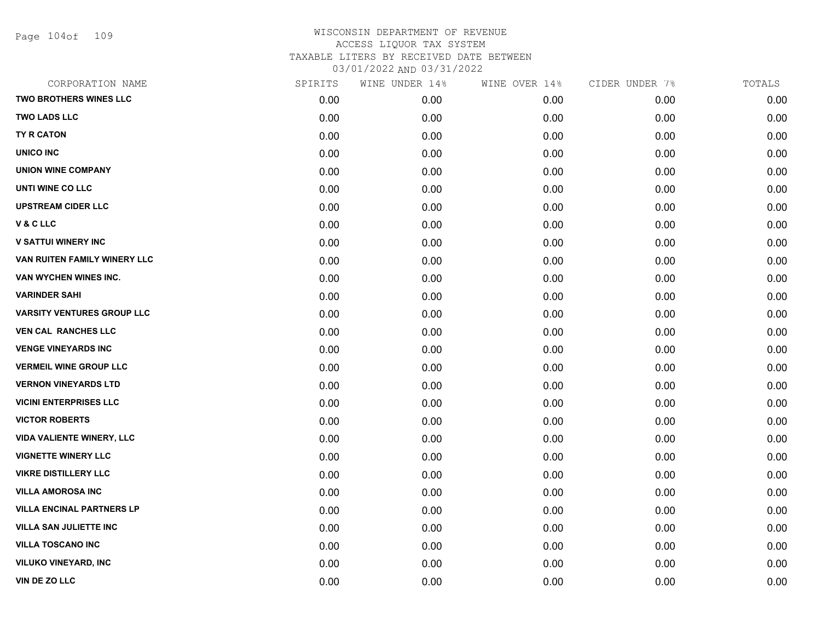Page 104of 109

| CORPORATION NAME                  | SPIRITS | WINE UNDER 14% | WINE OVER 14% | CIDER UNDER 7% | TOTALS |
|-----------------------------------|---------|----------------|---------------|----------------|--------|
| <b>TWO BROTHERS WINES LLC</b>     | 0.00    | 0.00           | 0.00          | 0.00           | 0.00   |
| <b>TWO LADS LLC</b>               | 0.00    | 0.00           | 0.00          | 0.00           | 0.00   |
| TY R CATON                        | 0.00    | 0.00           | 0.00          | 0.00           | 0.00   |
| UNICO INC                         | 0.00    | 0.00           | 0.00          | 0.00           | 0.00   |
| <b>UNION WINE COMPANY</b>         | 0.00    | 0.00           | 0.00          | 0.00           | 0.00   |
| UNTI WINE CO LLC                  | 0.00    | 0.00           | 0.00          | 0.00           | 0.00   |
| <b>UPSTREAM CIDER LLC</b>         | 0.00    | 0.00           | 0.00          | 0.00           | 0.00   |
| V & C LLC                         | 0.00    | 0.00           | 0.00          | 0.00           | 0.00   |
| <b>V SATTUI WINERY INC</b>        | 0.00    | 0.00           | 0.00          | 0.00           | 0.00   |
| VAN RUITEN FAMILY WINERY LLC      | 0.00    | 0.00           | 0.00          | 0.00           | 0.00   |
| VAN WYCHEN WINES INC.             | 0.00    | 0.00           | 0.00          | 0.00           | 0.00   |
| <b>VARINDER SAHI</b>              | 0.00    | 0.00           | 0.00          | 0.00           | 0.00   |
| <b>VARSITY VENTURES GROUP LLC</b> | 0.00    | 0.00           | 0.00          | 0.00           | 0.00   |
| <b>VEN CAL RANCHES LLC</b>        | 0.00    | 0.00           | 0.00          | 0.00           | 0.00   |
| <b>VENGE VINEYARDS INC</b>        | 0.00    | 0.00           | 0.00          | 0.00           | 0.00   |
| <b>VERMEIL WINE GROUP LLC</b>     | 0.00    | 0.00           | 0.00          | 0.00           | 0.00   |
| <b>VERNON VINEYARDS LTD</b>       | 0.00    | 0.00           | 0.00          | 0.00           | 0.00   |
| <b>VICINI ENTERPRISES LLC</b>     | 0.00    | 0.00           | 0.00          | 0.00           | 0.00   |
| <b>VICTOR ROBERTS</b>             | 0.00    | 0.00           | 0.00          | 0.00           | 0.00   |
| <b>VIDA VALIENTE WINERY, LLC</b>  | 0.00    | 0.00           | 0.00          | 0.00           | 0.00   |
| <b>VIGNETTE WINERY LLC</b>        | 0.00    | 0.00           | 0.00          | 0.00           | 0.00   |
| <b>VIKRE DISTILLERY LLC</b>       | 0.00    | 0.00           | 0.00          | 0.00           | 0.00   |
| <b>VILLA AMOROSA INC</b>          | 0.00    | 0.00           | 0.00          | 0.00           | 0.00   |
| <b>VILLA ENCINAL PARTNERS LP</b>  | 0.00    | 0.00           | 0.00          | 0.00           | 0.00   |
| <b>VILLA SAN JULIETTE INC</b>     | 0.00    | 0.00           | 0.00          | 0.00           | 0.00   |
| <b>VILLA TOSCANO INC</b>          | 0.00    | 0.00           | 0.00          | 0.00           | 0.00   |
| <b>VILUKO VINEYARD, INC</b>       | 0.00    | 0.00           | 0.00          | 0.00           | 0.00   |
| VIN DE ZO LLC                     | 0.00    | 0.00           | 0.00          | 0.00           | 0.00   |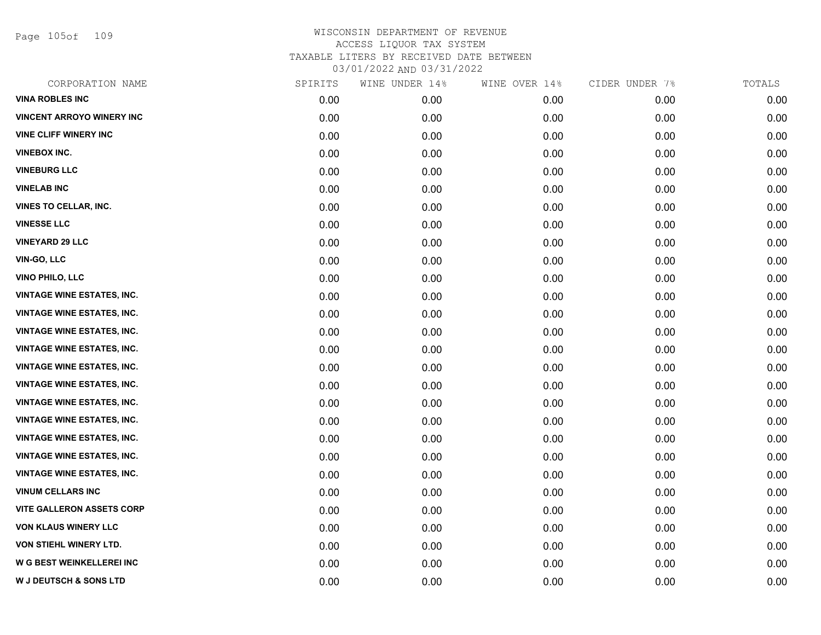Page 105of 109

| CORPORATION NAME                  | SPIRITS | WINE UNDER 14% | WINE OVER 14% | CIDER UNDER 7% | TOTALS |
|-----------------------------------|---------|----------------|---------------|----------------|--------|
| <b>VINA ROBLES INC</b>            | 0.00    | 0.00           | 0.00          | 0.00           | 0.00   |
| <b>VINCENT ARROYO WINERY INC</b>  | 0.00    | 0.00           | 0.00          | 0.00           | 0.00   |
| <b>VINE CLIFF WINERY INC</b>      | 0.00    | 0.00           | 0.00          | 0.00           | 0.00   |
| <b>VINEBOX INC.</b>               | 0.00    | 0.00           | 0.00          | 0.00           | 0.00   |
| <b>VINEBURG LLC</b>               | 0.00    | 0.00           | 0.00          | 0.00           | 0.00   |
| <b>VINELAB INC</b>                | 0.00    | 0.00           | 0.00          | 0.00           | 0.00   |
| VINES TO CELLAR, INC.             | 0.00    | 0.00           | 0.00          | 0.00           | 0.00   |
| <b>VINESSE LLC</b>                | 0.00    | 0.00           | 0.00          | 0.00           | 0.00   |
| <b>VINEYARD 29 LLC</b>            | 0.00    | 0.00           | 0.00          | 0.00           | 0.00   |
| <b>VIN-GO, LLC</b>                | 0.00    | 0.00           | 0.00          | 0.00           | 0.00   |
| VINO PHILO, LLC                   | 0.00    | 0.00           | 0.00          | 0.00           | 0.00   |
| <b>VINTAGE WINE ESTATES, INC.</b> | 0.00    | 0.00           | 0.00          | 0.00           | 0.00   |
| <b>VINTAGE WINE ESTATES, INC.</b> | 0.00    | 0.00           | 0.00          | 0.00           | 0.00   |
| <b>VINTAGE WINE ESTATES, INC.</b> | 0.00    | 0.00           | 0.00          | 0.00           | 0.00   |
| <b>VINTAGE WINE ESTATES, INC.</b> | 0.00    | 0.00           | 0.00          | 0.00           | 0.00   |
| <b>VINTAGE WINE ESTATES, INC.</b> | 0.00    | 0.00           | 0.00          | 0.00           | 0.00   |
| <b>VINTAGE WINE ESTATES, INC.</b> | 0.00    | 0.00           | 0.00          | 0.00           | 0.00   |
| <b>VINTAGE WINE ESTATES, INC.</b> | 0.00    | 0.00           | 0.00          | 0.00           | 0.00   |
| <b>VINTAGE WINE ESTATES, INC.</b> | 0.00    | 0.00           | 0.00          | 0.00           | 0.00   |
| <b>VINTAGE WINE ESTATES, INC.</b> | 0.00    | 0.00           | 0.00          | 0.00           | 0.00   |
| <b>VINTAGE WINE ESTATES, INC.</b> | 0.00    | 0.00           | 0.00          | 0.00           | 0.00   |
| <b>VINTAGE WINE ESTATES, INC.</b> | 0.00    | 0.00           | 0.00          | 0.00           | 0.00   |
| <b>VINUM CELLARS INC</b>          | 0.00    | 0.00           | 0.00          | 0.00           | 0.00   |
| <b>VITE GALLERON ASSETS CORP</b>  | 0.00    | 0.00           | 0.00          | 0.00           | 0.00   |
| <b>VON KLAUS WINERY LLC</b>       | 0.00    | 0.00           | 0.00          | 0.00           | 0.00   |
| VON STIEHL WINERY LTD.            | 0.00    | 0.00           | 0.00          | 0.00           | 0.00   |
| <b>W G BEST WEINKELLEREI INC</b>  | 0.00    | 0.00           | 0.00          | 0.00           | 0.00   |
| W J DEUTSCH & SONS LTD            | 0.00    | 0.00           | 0.00          | 0.00           | 0.00   |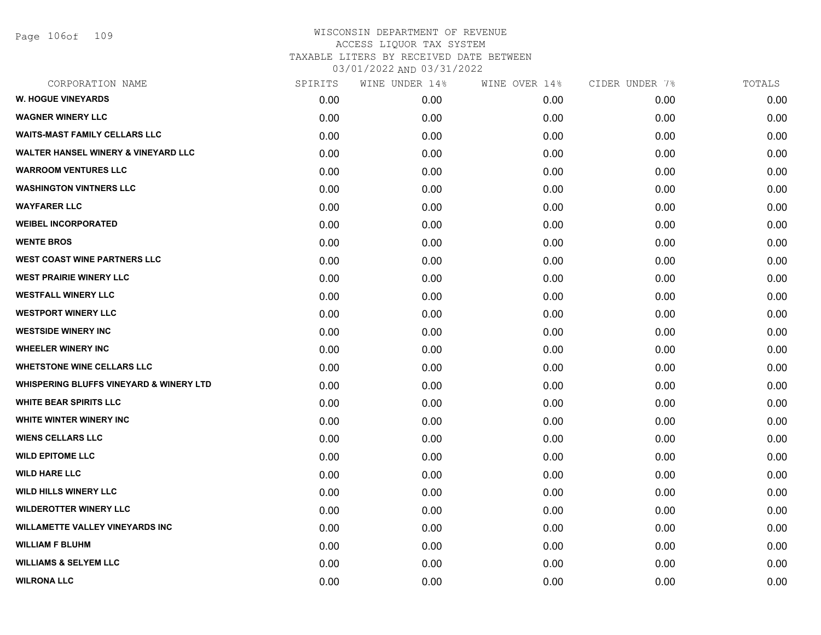Page 106of 109

| CORPORATION NAME                                   | SPIRITS | WINE UNDER 14% | WINE OVER 14% | CIDER UNDER 7% | TOTALS |
|----------------------------------------------------|---------|----------------|---------------|----------------|--------|
| <b>W. HOGUE VINEYARDS</b>                          | 0.00    | 0.00           | 0.00          | 0.00           | 0.00   |
| <b>WAGNER WINERY LLC</b>                           | 0.00    | 0.00           | 0.00          | 0.00           | 0.00   |
| <b>WAITS-MAST FAMILY CELLARS LLC</b>               | 0.00    | 0.00           | 0.00          | 0.00           | 0.00   |
| <b>WALTER HANSEL WINERY &amp; VINEYARD LLC</b>     | 0.00    | 0.00           | 0.00          | 0.00           | 0.00   |
| <b>WARROOM VENTURES LLC</b>                        | 0.00    | 0.00           | 0.00          | 0.00           | 0.00   |
| <b>WASHINGTON VINTNERS LLC</b>                     | 0.00    | 0.00           | 0.00          | 0.00           | 0.00   |
| <b>WAYFARER LLC</b>                                | 0.00    | 0.00           | 0.00          | 0.00           | 0.00   |
| <b>WEIBEL INCORPORATED</b>                         | 0.00    | 0.00           | 0.00          | 0.00           | 0.00   |
| <b>WENTE BROS</b>                                  | 0.00    | 0.00           | 0.00          | 0.00           | 0.00   |
| <b>WEST COAST WINE PARTNERS LLC</b>                | 0.00    | 0.00           | 0.00          | 0.00           | 0.00   |
| <b>WEST PRAIRIE WINERY LLC</b>                     | 0.00    | 0.00           | 0.00          | 0.00           | 0.00   |
| <b>WESTFALL WINERY LLC</b>                         | 0.00    | 0.00           | 0.00          | 0.00           | 0.00   |
| <b>WESTPORT WINERY LLC</b>                         | 0.00    | 0.00           | 0.00          | 0.00           | 0.00   |
| <b>WESTSIDE WINERY INC</b>                         | 0.00    | 0.00           | 0.00          | 0.00           | 0.00   |
| <b>WHEELER WINERY INC</b>                          | 0.00    | 0.00           | 0.00          | 0.00           | 0.00   |
| <b>WHETSTONE WINE CELLARS LLC</b>                  | 0.00    | 0.00           | 0.00          | 0.00           | 0.00   |
| <b>WHISPERING BLUFFS VINEYARD &amp; WINERY LTD</b> | 0.00    | 0.00           | 0.00          | 0.00           | 0.00   |
| <b>WHITE BEAR SPIRITS LLC</b>                      | 0.00    | 0.00           | 0.00          | 0.00           | 0.00   |
| WHITE WINTER WINERY INC                            | 0.00    | 0.00           | 0.00          | 0.00           | 0.00   |
| <b>WIENS CELLARS LLC</b>                           | 0.00    | 0.00           | 0.00          | 0.00           | 0.00   |
| <b>WILD EPITOME LLC</b>                            | 0.00    | 0.00           | 0.00          | 0.00           | 0.00   |
| <b>WILD HARE LLC</b>                               | 0.00    | 0.00           | 0.00          | 0.00           | 0.00   |
| <b>WILD HILLS WINERY LLC</b>                       | 0.00    | 0.00           | 0.00          | 0.00           | 0.00   |
| <b>WILDEROTTER WINERY LLC</b>                      | 0.00    | 0.00           | 0.00          | 0.00           | 0.00   |
| <b>WILLAMETTE VALLEY VINEYARDS INC</b>             | 0.00    | 0.00           | 0.00          | 0.00           | 0.00   |
| <b>WILLIAM F BLUHM</b>                             | 0.00    | 0.00           | 0.00          | 0.00           | 0.00   |
| <b>WILLIAMS &amp; SELYEM LLC</b>                   | 0.00    | 0.00           | 0.00          | 0.00           | 0.00   |
| <b>WILRONA LLC</b>                                 | 0.00    | 0.00           | 0.00          | 0.00           | 0.00   |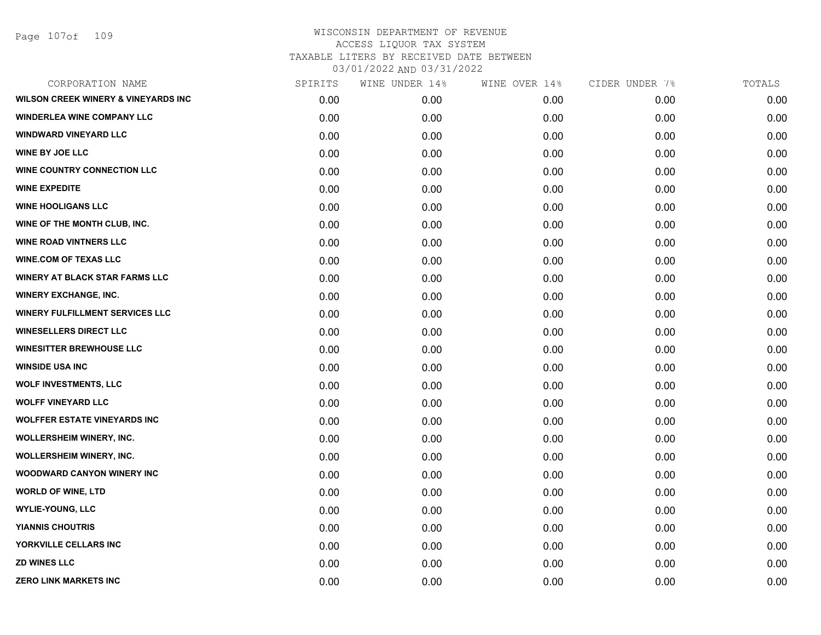| CORPORATION NAME                               | SPIRITS | WINE UNDER 14% | WINE OVER 14% | CIDER UNDER 7% | TOTALS |
|------------------------------------------------|---------|----------------|---------------|----------------|--------|
| <b>WILSON CREEK WINERY &amp; VINEYARDS INC</b> | 0.00    | 0.00           | 0.00          | 0.00           | 0.00   |
| <b>WINDERLEA WINE COMPANY LLC</b>              | 0.00    | 0.00           | 0.00          | 0.00           | 0.00   |
| <b>WINDWARD VINEYARD LLC</b>                   | 0.00    | 0.00           | 0.00          | 0.00           | 0.00   |
| <b>WINE BY JOE LLC</b>                         | 0.00    | 0.00           | 0.00          | 0.00           | 0.00   |
| WINE COUNTRY CONNECTION LLC                    | 0.00    | 0.00           | 0.00          | 0.00           | 0.00   |
| <b>WINE EXPEDITE</b>                           | 0.00    | 0.00           | 0.00          | 0.00           | 0.00   |
| <b>WINE HOOLIGANS LLC</b>                      | 0.00    | 0.00           | 0.00          | 0.00           | 0.00   |
| WINE OF THE MONTH CLUB, INC.                   | 0.00    | 0.00           | 0.00          | 0.00           | 0.00   |
| <b>WINE ROAD VINTNERS LLC</b>                  | 0.00    | 0.00           | 0.00          | 0.00           | 0.00   |
| <b>WINE.COM OF TEXAS LLC</b>                   | 0.00    | 0.00           | 0.00          | 0.00           | 0.00   |
| <b>WINERY AT BLACK STAR FARMS LLC</b>          | 0.00    | 0.00           | 0.00          | 0.00           | 0.00   |
| <b>WINERY EXCHANGE, INC.</b>                   | 0.00    | 0.00           | 0.00          | 0.00           | 0.00   |
| <b>WINERY FULFILLMENT SERVICES LLC</b>         | 0.00    | 0.00           | 0.00          | 0.00           | 0.00   |
| <b>WINESELLERS DIRECT LLC</b>                  | 0.00    | 0.00           | 0.00          | 0.00           | 0.00   |
| <b>WINESITTER BREWHOUSE LLC</b>                | 0.00    | 0.00           | 0.00          | 0.00           | 0.00   |
| <b>WINSIDE USA INC</b>                         | 0.00    | 0.00           | 0.00          | 0.00           | 0.00   |
| <b>WOLF INVESTMENTS, LLC</b>                   | 0.00    | 0.00           | 0.00          | 0.00           | 0.00   |
| <b>WOLFF VINEYARD LLC</b>                      | 0.00    | 0.00           | 0.00          | 0.00           | 0.00   |
| <b>WOLFFER ESTATE VINEYARDS INC</b>            | 0.00    | 0.00           | 0.00          | 0.00           | 0.00   |
| WOLLERSHEIM WINERY, INC.                       | 0.00    | 0.00           | 0.00          | 0.00           | 0.00   |
| WOLLERSHEIM WINERY, INC.                       | 0.00    | 0.00           | 0.00          | 0.00           | 0.00   |
| <b>WOODWARD CANYON WINERY INC</b>              | 0.00    | 0.00           | 0.00          | 0.00           | 0.00   |
| <b>WORLD OF WINE, LTD</b>                      | 0.00    | 0.00           | 0.00          | 0.00           | 0.00   |
| <b>WYLIE-YOUNG, LLC</b>                        | 0.00    | 0.00           | 0.00          | 0.00           | 0.00   |
| <b>YIANNIS CHOUTRIS</b>                        | 0.00    | 0.00           | 0.00          | 0.00           | 0.00   |
| YORKVILLE CELLARS INC                          | 0.00    | 0.00           | 0.00          | 0.00           | 0.00   |
| <b>ZD WINES LLC</b>                            | 0.00    | 0.00           | 0.00          | 0.00           | 0.00   |
| <b>ZERO LINK MARKETS INC</b>                   | 0.00    | 0.00           | 0.00          | 0.00           | 0.00   |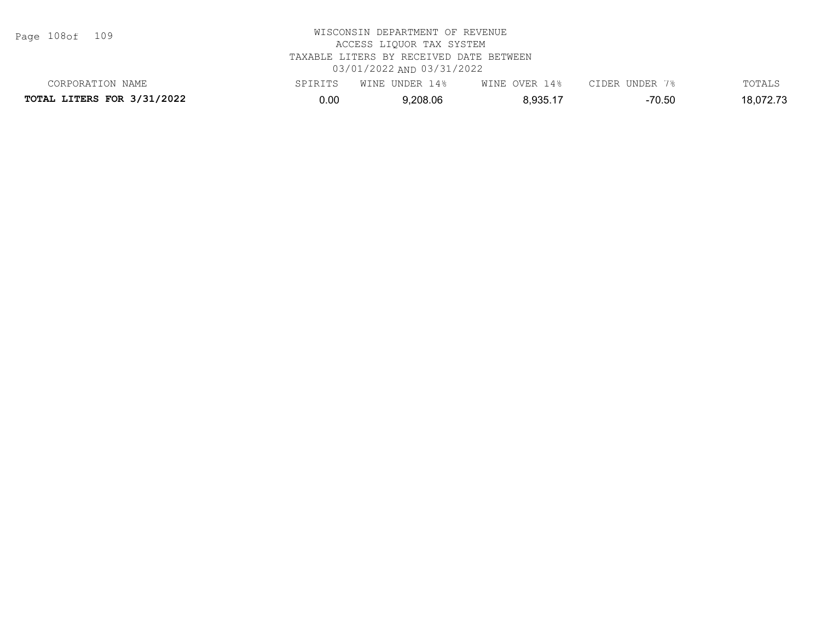Page 108of 109

| CORPORATION NAME                  | SPIRITS | WINE UNDER 14% | WINE OVER 14% | CIDER UNDER 7% | TOTALS    |
|-----------------------------------|---------|----------------|---------------|----------------|-----------|
| <b>TOTAL LITERS FOR 3/31/2022</b> | 0.00    | 9,208.06       | 8,935.17      | -70.50         | 18,072.73 |